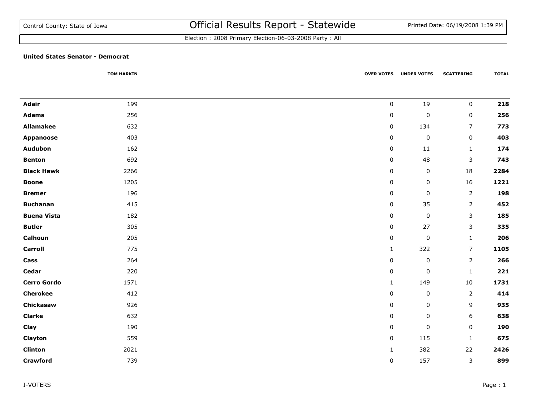|                    | <b>TOM HARKIN</b> |              | <b>OVER VOTES UNDER VOTES</b> | <b>SCATTERING</b> | <b>TOTAL</b> |
|--------------------|-------------------|--------------|-------------------------------|-------------------|--------------|
|                    |                   |              |                               |                   |              |
| <b>Adair</b>       | 199               | $\mathsf 0$  | 19                            | $\mathbf 0$       | 218          |
| <b>Adams</b>       | 256               | $\mathbf 0$  | $\pmb{0}$                     | $\mathsf 0$       | 256          |
| <b>Allamakee</b>   | 632               | $\mathbf 0$  | 134                           | $\overline{7}$    | 773          |
| <b>Appanoose</b>   | 403               | 0            | $\pmb{0}$                     | $\mathbf 0$       | 403          |
| Audubon            | 162               | 0            | 11                            | $\mathbf{1}$      | 174          |
| <b>Benton</b>      | 692               | 0            | 48                            | 3                 | 743          |
| <b>Black Hawk</b>  | 2266              | $\pmb{0}$    | $\pmb{0}$                     | 18                | 2284         |
| <b>Boone</b>       | 1205              | 0            | $\pmb{0}$                     | 16                | 1221         |
| <b>Bremer</b>      | 196               | 0            | $\pmb{0}$                     | $\overline{2}$    | 198          |
| <b>Buchanan</b>    | 415               | $\mathbf 0$  | 35                            | $\overline{2}$    | 452          |
| <b>Buena Vista</b> | 182               | 0            | $\pmb{0}$                     | 3                 | 185          |
| <b>Butler</b>      | 305               | 0            | 27                            | 3                 | 335          |
| Calhoun            | 205               | 0            | $\pmb{0}$                     | $\mathbf{1}$      | 206          |
| <b>Carroll</b>     | 775               | $\mathbf{1}$ | 322                           | $\overline{7}$    | 1105         |
| Cass               | 264               | $\mathbf 0$  | $\pmb{0}$                     | $\overline{2}$    | 266          |
| Cedar              | 220               | $\mathbf 0$  | $\pmb{0}$                     | $1\,$             | 221          |
| <b>Cerro Gordo</b> | 1571              | $\mathbf{1}$ | 149                           | $10\,$            | 1731         |
| <b>Cherokee</b>    | 412               | 0            | $\pmb{0}$                     | $\overline{2}$    | 414          |
| Chickasaw          | 926               | 0            | $\pmb{0}$                     | 9                 | 935          |
| <b>Clarke</b>      | 632               | 0            | $\pmb{0}$                     | 6                 | 638          |
| Clay               | 190               | $\mathbf 0$  | $\pmb{0}$                     | 0                 | 190          |
| Clayton            | 559               | $\mathbf 0$  | 115                           | $\mathbf{1}$      | 675          |
| <b>Clinton</b>     | 2021              | $\mathbf{1}$ | 382                           | 22                | 2426         |
| <b>Crawford</b>    | 739               | $\pmb{0}$    | 157                           | $\mathbf{3}$      | 899          |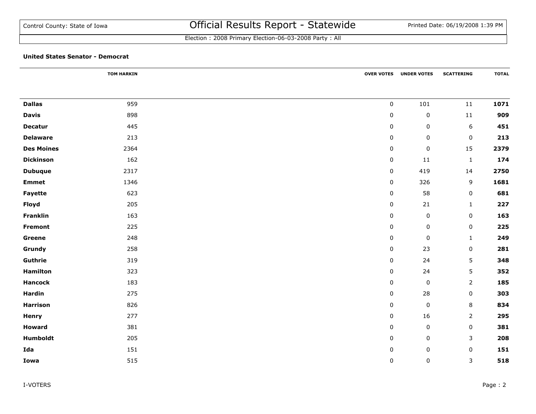Election : 2008 Primary Election-06-03-2008 Party : All

|                   | <b>TOM HARKIN</b> |           | <b>OVER VOTES UNDER VOTES</b> | <b>SCATTERING</b> | <b>TOTAL</b> |
|-------------------|-------------------|-----------|-------------------------------|-------------------|--------------|
|                   |                   |           |                               |                   |              |
| <b>Dallas</b>     | 959               | $\pmb{0}$ | 101                           | ${\bf 11}$        | 1071         |
| <b>Davis</b>      | 898               | $\pmb{0}$ | $\pmb{0}$                     | $11\,$            | 909          |
| <b>Decatur</b>    | 445               | $\pmb{0}$ | $\pmb{0}$                     | $\sqrt{6}$        | 451          |
| <b>Delaware</b>   | 213               | 0         | 0                             | $\mathbf 0$       | 213          |
| <b>Des Moines</b> | 2364              | $\pmb{0}$ | $\pmb{0}$                     | 15                | 2379         |
| <b>Dickinson</b>  | 162               | $\pmb{0}$ | 11                            | $\mathbf{1}$      | 174          |
| <b>Dubuque</b>    | 2317              | $\pmb{0}$ | 419                           | 14                | 2750         |
| <b>Emmet</b>      | 1346              | 0         | 326                           | 9                 | 1681         |
| Fayette           | 623               | 0         | 58                            | 0                 | 681          |
| Floyd             | 205               | $\pmb{0}$ | 21                            | $\mathbf{1}$      | 227          |
| Franklin          | 163               | $\pmb{0}$ | $\pmb{0}$                     | $\mathbf 0$       | 163          |
| <b>Fremont</b>    | 225               | $\pmb{0}$ | $\pmb{0}$                     | $\mathbf 0$       | 225          |
| Greene            | 248               | $\pmb{0}$ | $\pmb{0}$                     | $\mathbf{1}$      | 249          |
| Grundy            | 258               | $\pmb{0}$ | 23                            | $\mathbf 0$       | 281          |
| Guthrie           | 319               | $\pmb{0}$ | 24                            | 5                 | 348          |
| <b>Hamilton</b>   | 323               | $\pmb{0}$ | 24                            | 5                 | 352          |
| <b>Hancock</b>    | 183               | $\pmb{0}$ | $\pmb{0}$                     | $\overline{2}$    | 185          |
| <b>Hardin</b>     | 275               | 0         | 28                            | $\mathbf 0$       | 303          |
| <b>Harrison</b>   | 826               | 0         | $\pmb{0}$                     | 8                 | 834          |
| <b>Henry</b>      | 277               | 0         | 16                            | $\overline{2}$    | 295          |
| <b>Howard</b>     | 381               | $\pmb{0}$ | $\pmb{0}$                     | $\mathbf 0$       | 381          |
| Humboldt          | 205               | $\pmb{0}$ | $\pmb{0}$                     | $\mathsf{3}$      | 208          |
| Ida               | 151               | $\pmb{0}$ | $\pmb{0}$                     | $\mathbf 0$       | 151          |
| Iowa              | 515               | $\pmb{0}$ | $\pmb{0}$                     | 3                 | 518          |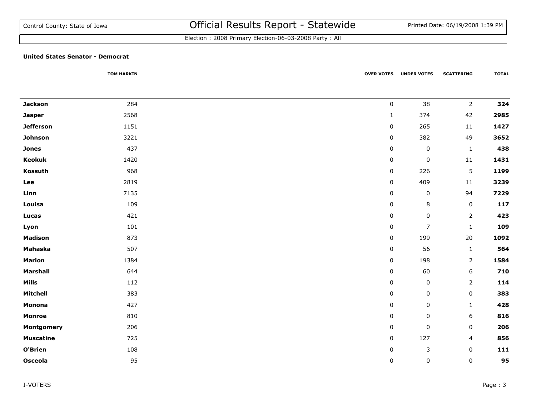|                  | <b>TOM HARKIN</b> |             | <b>OVER VOTES UNDER VOTES</b> | <b>SCATTERING</b> | <b>TOTAL</b> |
|------------------|-------------------|-------------|-------------------------------|-------------------|--------------|
|                  |                   |             |                               |                   |              |
| <b>Jackson</b>   | 284               | $\pmb{0}$   | 38                            | $\overline{2}$    | 324          |
| <b>Jasper</b>    | 2568              | $\mathbf 1$ | 374                           | 42                | 2985         |
| <b>Jefferson</b> | 1151              | $\pmb{0}$   | 265                           | $11\,$            | 1427         |
| Johnson          | 3221              | $\pmb{0}$   | 382                           | 49                | 3652         |
| <b>Jones</b>     | 437               | $\pmb{0}$   | $\pmb{0}$                     | $\mathbf 1$       | 438          |
| <b>Keokuk</b>    | 1420              | 0           | $\pmb{0}$                     | 11                | 1431         |
| Kossuth          | 968               | $\pmb{0}$   | 226                           | 5                 | 1199         |
| Lee              | 2819              | $\pmb{0}$   | 409                           | $11\,$            | 3239         |
| Linn             | 7135              | 0           | $\pmb{0}$                     | 94                | 7229         |
| Louisa           | 109               | 0           | 8                             | $\mathbf 0$       | 117          |
| Lucas            | 421               | 0           | 0                             | $\overline{2}$    | 423          |
| Lyon             | 101               | 0           | $\overline{7}$                | $\mathbf{1}$      | 109          |
| <b>Madison</b>   | 873               | 0           | 199                           | 20                | 1092         |
| Mahaska          | 507               | 0           | 56                            | $\mathbf{1}$      | 564          |
| <b>Marion</b>    | 1384              | 0           | 198                           | 2                 | 1584         |
| <b>Marshall</b>  | 644               | 0           | 60                            | 6                 | 710          |
| <b>Mills</b>     | 112               | $\pmb{0}$   | $\pmb{0}$                     | $\overline{2}$    | 114          |
| <b>Mitchell</b>  | 383               | 0           | $\pmb{0}$                     | $\pmb{0}$         | 383          |
| Monona           | 427               | 0           | 0                             | $\mathbf{1}$      | 428          |
| <b>Monroe</b>    | 810               | 0           | $\pmb{0}$                     | 6                 | 816          |
| Montgomery       | 206               | 0           | $\pmb{0}$                     | $\mathbf 0$       | 206          |
| <b>Muscatine</b> | 725               | $\pmb{0}$   | 127                           | 4                 | 856          |
| O'Brien          | 108               | 0           | $\mathsf 3$                   | $\pmb{0}$         | 111          |
| Osceola          | 95                | 0           | $\pmb{0}$                     | $\pmb{0}$         | 95           |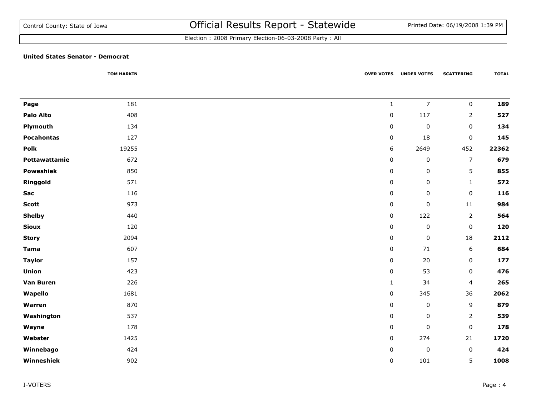Election : 2008 Primary Election-06-03-2008 Party : All

|                   | <b>TOM HARKIN</b> |                     | <b>OVER VOTES UNDER VOTES</b> | <b>SCATTERING</b>   | <b>TOTAL</b> |
|-------------------|-------------------|---------------------|-------------------------------|---------------------|--------------|
| Page              | 181               | $\mathbf{1}$        | $\overline{7}$                | $\mathbf 0$         | 189          |
| Palo Alto         | 408               | $\pmb{0}$           | 117                           | $\overline{2}$      | 527          |
| Plymouth          | 134               | $\pmb{0}$           | $\pmb{0}$                     | $\pmb{0}$           | 134          |
| <b>Pocahontas</b> | 127               | 0                   | 18                            | 0                   | 145          |
| Polk              | 19255             | 6                   | 2649                          | 452                 | 22362        |
| Pottawattamie     | 672               | 0                   | $\mathsf 0$                   | $\overline{7}$      | 679          |
| <b>Poweshiek</b>  | 850               | 0                   | $\pmb{0}$                     | 5                   | 855          |
| Ringgold          | 571               | 0                   | $\mathsf 0$                   | $\mathbf{1}$        | 572          |
| Sac               | 116               | 0                   | $\mathsf 0$                   | 0                   | 116          |
| <b>Scott</b>      | 973               | $\mathsf{O}\xspace$ | $\pmb{0}$                     | $11\,$              | 984          |
| <b>Shelby</b>     | 440               | $\pmb{0}$           | 122                           | $\overline{2}$      | 564          |
| <b>Sioux</b>      | 120               | $\pmb{0}$           | $\pmb{0}$                     | $\pmb{0}$           | 120          |
| <b>Story</b>      | 2094              | $\pmb{0}$           | $\pmb{0}$                     | 18                  | 2112         |
| <b>Tama</b>       | 607               | $\pmb{0}$           | $71$                          | $\boldsymbol{6}$    | 684          |
| <b>Taylor</b>     | 157               | $\pmb{0}$           | 20                            | $\pmb{0}$           | 177          |
| <b>Union</b>      | 423               | 0                   | 53                            | 0                   | 476          |
| <b>Van Buren</b>  | 226               | $\mathbf{1}$        | 34                            | 4                   | 265          |
| Wapello           | 1681              | 0                   | 345                           | 36                  | 2062         |
| Warren            | 870               | 0                   | $\pmb{0}$                     | 9                   | 879          |
| Washington        | 537               | 0                   | $\mathsf 0$                   | 2                   | 539          |
| Wayne             | 178               | $\mathbf 0$         | $\pmb{0}$                     | $\mathsf{O}\xspace$ | 178          |
| Webster           | 1425              | $\pmb{0}$           | 274                           | 21                  | 1720         |
| Winnebago         | 424               | $\pmb{0}$           | $\pmb{0}$                     | $\pmb{0}$           | 424          |
| Winneshiek        | 902               | $\mathbf 0$         | 101                           | 5                   | 1008         |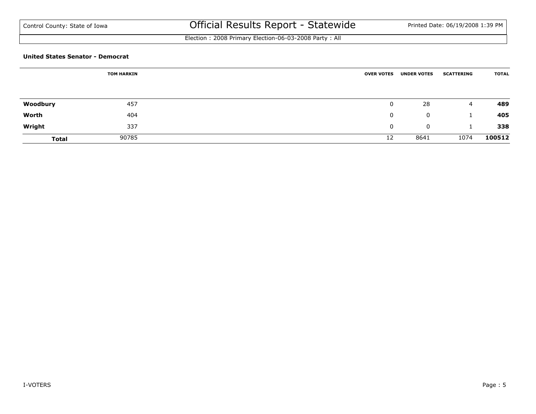Election : 2008 Primary Election-06-03-2008 Party : All

| <b>TOM HARKIN</b> |       | <b>OVER VOTES</b> | <b>UNDER VOTES</b> | <b>SCATTERING</b> | <b>TOTAL</b> |  |
|-------------------|-------|-------------------|--------------------|-------------------|--------------|--|
|                   |       |                   |                    |                   |              |  |
|                   |       |                   |                    |                   |              |  |
| Woodbury          | 457   | 0                 | 28                 | 4                 | 489          |  |
| Worth             | 404   | 0                 | 0                  |                   | 405          |  |
| Wright            | 337   | 0                 | $\mathbf 0$        |                   | 338          |  |
| <b>Total</b>      | 90785 | 12                | 8641               | 1074              | 100512       |  |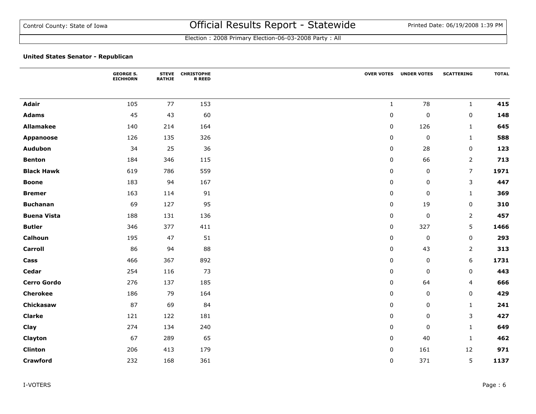|                    | <b>GEORGE S.</b><br><b>EICHHORN</b> | <b>STEVE</b><br><b>RATHJE</b> | <b>CHRISTOPHE</b><br><b>R REED</b> | <b>OVER VOTES</b> | <b>UNDER VOTES</b> | <b>SCATTERING</b>       | <b>TOTAL</b> |
|--------------------|-------------------------------------|-------------------------------|------------------------------------|-------------------|--------------------|-------------------------|--------------|
|                    |                                     |                               |                                    |                   |                    |                         |              |
| <b>Adair</b>       | 105                                 | 77                            | 153                                | $\mathbf{1}$      | 78                 | $\mathbf{1}$            | 415          |
| <b>Adams</b>       | 45                                  | 43                            | 60                                 | $\pmb{0}$         | 0                  | $\pmb{0}$               | 148          |
| <b>Allamakee</b>   | 140                                 | 214                           | 164                                | $\pmb{0}$         | 126                | $1\,$                   | 645          |
| <b>Appanoose</b>   | 126                                 | 135                           | 326                                | $\pmb{0}$         | 0                  | $\mathbf{1}$            | 588          |
| <b>Audubon</b>     | 34                                  | 25                            | 36                                 | 0                 | 28                 | $\pmb{0}$               | 123          |
| <b>Benton</b>      | 184                                 | 346                           | 115                                | 0                 | 66                 | $\overline{2}$          | 713          |
| <b>Black Hawk</b>  | 619                                 | 786                           | 559                                | $\pmb{0}$         | 0                  | $\overline{7}$          | 1971         |
| <b>Boone</b>       | 183                                 | 94                            | 167                                | 0                 | 0                  | 3                       | 447          |
| <b>Bremer</b>      | 163                                 | 114                           | 91                                 | 0                 | 0                  | $\mathbf{1}$            | 369          |
| <b>Buchanan</b>    | 69                                  | 127                           | 95                                 | $\pmb{0}$         | 19                 | $\pmb{0}$               | 310          |
| <b>Buena Vista</b> | 188                                 | 131                           | 136                                | $\pmb{0}$         | 0                  | $\mathbf 2$             | 457          |
| <b>Butler</b>      | 346                                 | 377                           | 411                                | $\pmb{0}$         | 327                | 5                       | 1466         |
| Calhoun            | 195                                 | 47                            | 51                                 | 0                 | 0                  | $\pmb{0}$               | 293          |
| <b>Carroll</b>     | 86                                  | 94                            | 88                                 | 0                 | 43                 | 2                       | 313          |
| Cass               | 466                                 | 367                           | 892                                | 0                 | 0                  | 6                       | 1731         |
| Cedar              | 254                                 | 116                           | 73                                 | $\pmb{0}$         | 0                  | 0                       | 443          |
| <b>Cerro Gordo</b> | 276                                 | 137                           | 185                                | $\pmb{0}$         | 64                 | $\overline{\mathbf{4}}$ | 666          |
| <b>Cherokee</b>    | 186                                 | 79                            | 164                                | $\pmb{0}$         | 0                  | $\pmb{0}$               | 429          |
| Chickasaw          | 87                                  | 69                            | 84                                 | $\pmb{0}$         | 0                  | $\mathbf{1}$            | 241          |
| <b>Clarke</b>      | 121                                 | 122                           | 181                                | 0                 | 0                  | 3                       | 427          |
| Clay               | 274                                 | 134                           | 240                                | 0                 | 0                  | $\mathbf{1}$            | 649          |
| Clayton            | 67                                  | 289                           | 65                                 | $\pmb{0}$         | 40                 | $\mathbf{1}$            | 462          |
| <b>Clinton</b>     | 206                                 | 413                           | 179                                | 0                 | 161                | 12                      | 971          |
| <b>Crawford</b>    | 232                                 | 168                           | 361                                | 0                 | 371                | 5                       | 1137         |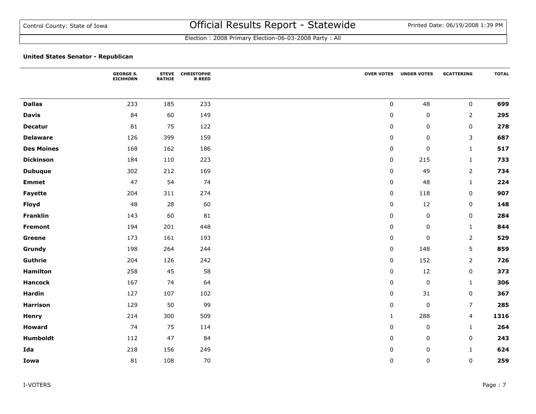|                   | <b>GEORGE S.</b><br><b>EICHHORN</b> | <b>STEVE</b><br><b>RATHJE</b> | <b>CHRISTOPHE</b><br><b>R REED</b> |              | <b>OVER VOTES UNDER VOTES</b> | <b>SCATTERING</b> | <b>TOTAL</b> |
|-------------------|-------------------------------------|-------------------------------|------------------------------------|--------------|-------------------------------|-------------------|--------------|
|                   |                                     |                               |                                    |              |                               |                   |              |
| <b>Dallas</b>     | 233                                 | 185                           | 233                                | $\mathbf 0$  | 48                            | $\pmb{0}$         | 699          |
| <b>Davis</b>      | 84                                  | 60                            | 149                                | $\mathbf 0$  | $\pmb{0}$                     | $\overline{2}$    | 295          |
| <b>Decatur</b>    | 81                                  | 75                            | 122                                | 0            | 0                             | $\pmb{0}$         | 278          |
| <b>Delaware</b>   | 126                                 | 399                           | 159                                | $\mathbf 0$  | 0                             | 3                 | 687          |
| <b>Des Moines</b> | 168                                 | 162                           | 186                                | 0            | $\pmb{0}$                     | $\mathbf{1}$      | 517          |
| <b>Dickinson</b>  | 184                                 | 110                           | 223                                | 0            | 215                           | $\mathbf{1}$      | 733          |
| <b>Dubuque</b>    | 302                                 | 212                           | 169                                | $\pmb{0}$    | 49                            | $\overline{2}$    | 734          |
| <b>Emmet</b>      | 47                                  | 54                            | 74                                 | $\pmb{0}$    | 48                            | $\mathbf{1}$      | 224          |
| Fayette           | 204                                 | 311                           | 274                                | $\pmb{0}$    | 118                           | $\mathbf 0$       | 907          |
| <b>Floyd</b>      | 48                                  | 28                            | 60                                 | $\mathbf 0$  | 12                            | $\pmb{0}$         | 148          |
| Franklin          | 143                                 | 60                            | 81                                 | $\mathbf 0$  | $\pmb{0}$                     | $\pmb{0}$         | 284          |
| Fremont           | 194                                 | 201                           | 448                                | $\pmb{0}$    | $\pmb{0}$                     | $\mathbf{1}$      | 844          |
| Greene            | 173                                 | 161                           | 193                                | $\pmb{0}$    | $\pmb{0}$                     | $\overline{2}$    | 529          |
| Grundy            | 198                                 | 264                           | 244                                | $\mathbf 0$  | 148                           | 5                 | 859          |
| Guthrie           | 204                                 | 126                           | 242                                | 0            | 152                           | 2                 | 726          |
| <b>Hamilton</b>   | 258                                 | 45                            | 58                                 | 0            | 12                            | 0                 | 373          |
| <b>Hancock</b>    | 167                                 | 74                            | 64                                 | $\mathbf 0$  | $\pmb{0}$                     | $\mathbf{1}$      | 306          |
| <b>Hardin</b>     | 127                                 | 107                           | 102                                | 0            | 31                            | $\pmb{0}$         | 367          |
| <b>Harrison</b>   | 129                                 | 50                            | 99                                 | 0            | 0                             | $\overline{7}$    | 285          |
| <b>Henry</b>      | 214                                 | 300                           | 509                                | $\mathbf{1}$ | 288                           | 4                 | 1316         |
| <b>Howard</b>     | 74                                  | 75                            | 114                                | $\mathbf 0$  | $\pmb{0}$                     | $\mathbf{1}$      | 264          |
| Humboldt          | 112                                 | 47                            | 84                                 | $\pmb{0}$    | 0                             | $\pmb{0}$         | 243          |
| Ida               | 218                                 | 156                           | 249                                | 0            | $\pmb{0}$                     | $\mathbf{1}$      | 624          |
| Iowa              | 81                                  | 108                           | $70\,$                             | 0            | 0                             | 0                 | 259          |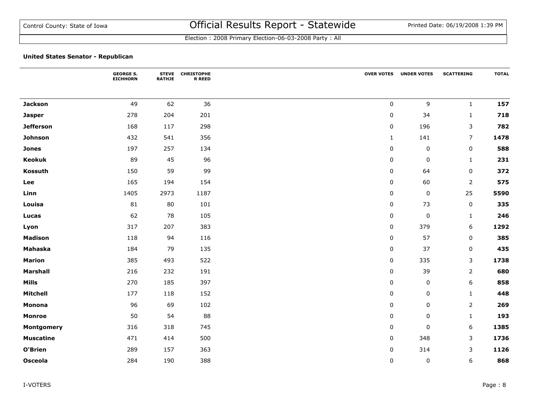|                  | <b>GEORGE S.</b><br><b>EICHHORN</b> | <b>STEVE</b><br><b>RATHJE</b> | <b>CHRISTOPHE</b><br><b>R REED</b> |              | <b>OVER VOTES UNDER VOTES</b> | <b>SCATTERING</b> | <b>TOTAL</b> |
|------------------|-------------------------------------|-------------------------------|------------------------------------|--------------|-------------------------------|-------------------|--------------|
|                  |                                     |                               |                                    |              |                               |                   |              |
| <b>Jackson</b>   | 49                                  | 62                            | 36                                 | $\mathbf 0$  | 9                             | $\mathbf{1}$      | 157          |
| <b>Jasper</b>    | 278                                 | 204                           | 201                                | $\mathbf 0$  | 34                            | $\mathbf{1}$      | 718          |
| <b>Jefferson</b> | 168                                 | 117                           | 298                                | $\pmb{0}$    | 196                           | 3                 | 782          |
| Johnson          | 432                                 | 541                           | 356                                | $\mathbf{1}$ | 141                           | $\overline{7}$    | 1478         |
| <b>Jones</b>     | 197                                 | 257                           | 134                                | 0            | 0                             | $\pmb{0}$         | 588          |
| <b>Keokuk</b>    | 89                                  | 45                            | 96                                 | 0            | 0                             | $\mathbf{1}$      | 231          |
| Kossuth          | 150                                 | 59                            | 99                                 | $\mathbf 0$  | 64                            | $\pmb{0}$         | 372          |
| Lee              | 165                                 | 194                           | 154                                | $\mathbf 0$  | 60                            | $\mathbf 2$       | 575          |
| Linn             | 1405                                | 2973                          | 1187                               | 0            | 0                             | 25                | 5590         |
| Louisa           | 81                                  | 80                            | 101                                | 0            | 73                            | $\pmb{0}$         | 335          |
| Lucas            | 62                                  | 78                            | 105                                | 0            | 0                             | $\mathbf{1}$      | 246          |
| Lyon             | 317                                 | 207                           | 383                                | $\mathbf 0$  | 379                           | 6                 | 1292         |
| <b>Madison</b>   | 118                                 | 94                            | 116                                | $\mathbf 0$  | 57                            | $\pmb{0}$         | 385          |
| <b>Mahaska</b>   | 184                                 | 79                            | 135                                | $\mathbf 0$  | 37                            | 0                 | 435          |
| <b>Marion</b>    | 385                                 | 493                           | 522                                | 0            | 335                           | 3                 | 1738         |
| <b>Marshall</b>  | 216                                 | 232                           | 191                                | $\mathbf 0$  | 39                            | $\mathbf 2$       | 680          |
| <b>Mills</b>     | 270                                 | 185                           | 397                                | $\mathbf 0$  | 0                             | 6                 | 858          |
| <b>Mitchell</b>  | 177                                 | 118                           | 152                                | $\mathbf 0$  | 0                             | $\mathbf{1}$      | 448          |
| <b>Monona</b>    | 96                                  | 69                            | 102                                | 0            | 0                             | 2                 | 269          |
| <b>Monroe</b>    | 50                                  | 54                            | 88                                 | 0            | 0                             | $\mathbf{1}$      | 193          |
| Montgomery       | 316                                 | 318                           | 745                                | 0            | 0                             | 6                 | 1385         |
| <b>Muscatine</b> | 471                                 | 414                           | 500                                | $\mathbf 0$  | 348                           | 3                 | 1736         |
| O'Brien          | 289                                 | 157                           | 363                                | 0            | 314                           | 3                 | 1126         |
| <b>Osceola</b>   | 284                                 | 190                           | 388                                | 0            | 0                             | 6                 | 868          |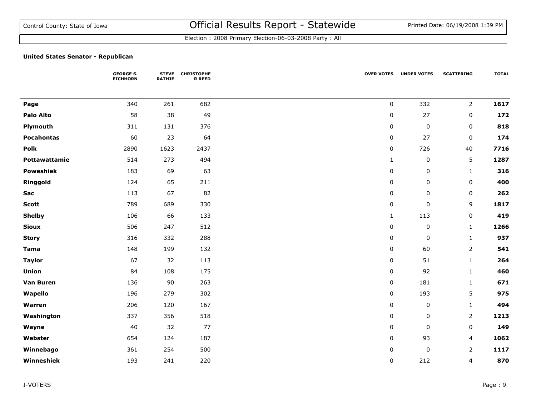|                   | <b>GEORGE S.</b><br><b>EICHHORN</b> | <b>STEVE</b><br><b>RATHJE</b> | <b>CHRISTOPHE</b><br><b>R REED</b> | <b>OVER VOTES</b> | <b>UNDER VOTES</b> | <b>SCATTERING</b> | <b>TOTAL</b> |
|-------------------|-------------------------------------|-------------------------------|------------------------------------|-------------------|--------------------|-------------------|--------------|
|                   |                                     |                               |                                    |                   |                    |                   |              |
| Page              | 340                                 | 261                           | 682                                | $\mathsf 0$       | 332                | $\overline{2}$    | 1617         |
| <b>Palo Alto</b>  | 58                                  | 38                            | 49                                 | $\pmb{0}$         | 27                 | 0                 | 172          |
| Plymouth          | 311                                 | 131                           | 376                                | $\mathbf 0$       | $\pmb{0}$          | $\mathbf 0$       | 818          |
| <b>Pocahontas</b> | 60                                  | 23                            | 64                                 | $\pmb{0}$         | 27                 | 0                 | 174          |
| Polk              | 2890                                | 1623                          | 2437                               | $\mathbf 0$       | 726                | 40                | 7716         |
| Pottawattamie     | 514                                 | 273                           | 494                                | $\mathbf{1}$      | $\pmb{0}$          | 5                 | 1287         |
| <b>Poweshiek</b>  | 183                                 | 69                            | 63                                 | $\pmb{0}$         | 0                  | $\mathbf{1}$      | 316          |
| Ringgold          | 124                                 | 65                            | 211                                | $\pmb{0}$         | 0                  | $\pmb{0}$         | 400          |
| Sac               | 113                                 | 67                            | 82                                 | $\pmb{0}$         | 0                  | 0                 | 262          |
| <b>Scott</b>      | 789                                 | 689                           | 330                                | $\pmb{0}$         | 0                  | 9                 | 1817         |
| <b>Shelby</b>     | 106                                 | 66                            | 133                                | $\mathbf{1}$      | 113                | $\pmb{0}$         | 419          |
| <b>Sioux</b>      | 506                                 | 247                           | 512                                | $\pmb{0}$         | $\pmb{0}$          | $1\,$             | 1266         |
| <b>Story</b>      | 316                                 | 332                           | 288                                | $\pmb{0}$         | $\mathbf 0$        | $\mathbf{1}$      | 937          |
| <b>Tama</b>       | 148                                 | 199                           | 132                                | $\pmb{0}$         | 60                 | $\overline{2}$    | 541          |
| <b>Taylor</b>     | 67                                  | 32                            | 113                                | $\pmb{0}$         | 51                 | $\mathbf{1}$      | 264          |
| Union             | 84                                  | 108                           | 175                                | $\pmb{0}$         | 92                 | $\mathbf{1}$      | 460          |
| Van Buren         | 136                                 | 90                            | 263                                | $\pmb{0}$         | 181                | $\mathbf{1}$      | 671          |
| Wapello           | 196                                 | 279                           | 302                                | $\pmb{0}$         | 193                | 5                 | 975          |
| Warren            | 206                                 | 120                           | 167                                | $\pmb{0}$         | 0                  | $\mathbf{1}$      | 494          |
| Washington        | 337                                 | 356                           | 518                                | $\mathbf 0$       | 0                  | $\overline{2}$    | 1213         |
| Wayne             | 40                                  | 32                            | 77                                 | $\mathbf 0$       | $\mathbf 0$        | 0                 | 149          |
| Webster           | 654                                 | 124                           | 187                                | $\pmb{0}$         | 93                 | 4                 | 1062         |
| Winnebago         | 361                                 | 254                           | 500                                | $\pmb{0}$         | $\pmb{0}$          | $\overline{2}$    | 1117         |
| Winneshiek        | 193                                 | 241                           | 220                                | $\mathbf 0$       | 212                | 4                 | 870          |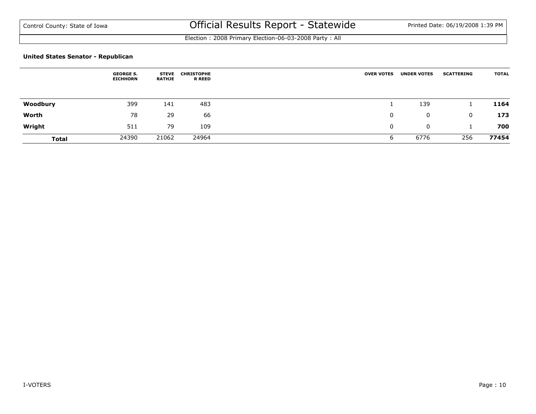Election : 2008 Primary Election-06-03-2008 Party : All

|              | <b>GEORGE S.</b><br><b>EICHHORN</b> | <b>STEVE</b><br><b>RATHJE</b> | <b>CHRISTOPHE</b><br><b>R REED</b> | <b>OVER VOTES</b> | <b>UNDER VOTES</b> | <b>SCATTERING</b> | <b>TOTAL</b> |
|--------------|-------------------------------------|-------------------------------|------------------------------------|-------------------|--------------------|-------------------|--------------|
| Woodbury     | 399                                 | 141                           | 483                                |                   | 139                |                   | 1164         |
| Worth        | 78                                  | 29                            | 66                                 | 0                 | 0                  | 0                 | 173          |
| Wright       | 511                                 | 79                            | 109                                | 0                 | 0                  |                   | 700          |
| <b>Total</b> | 24390                               | 21062                         | 24964                              | O                 | 6776               | 256               | 77454        |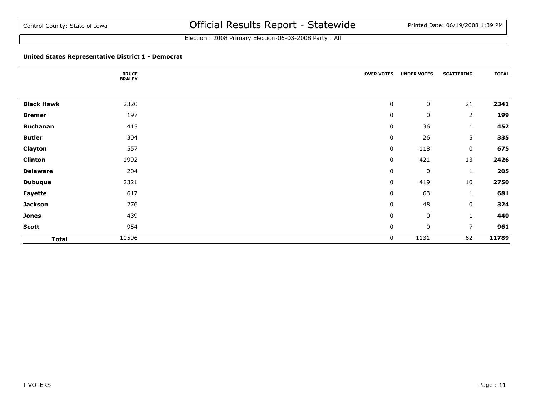Election : 2008 Primary Election-06-03-2008 Party : All

#### **United States Representative District 1 - Democrat**

|                   | <b>BRUCE</b><br><b>BRALEY</b> | <b>OVER VOTES</b> | <b>UNDER VOTES</b> | <b>SCATTERING</b> | <b>TOTAL</b> |
|-------------------|-------------------------------|-------------------|--------------------|-------------------|--------------|
|                   |                               |                   |                    |                   |              |
| <b>Black Hawk</b> | 2320                          | $\pmb{0}$         | 0                  | 21                | 2341         |
| <b>Bremer</b>     | 197                           | $\mathbf 0$       | $\pmb{0}$          | $\overline{2}$    | 199          |
| <b>Buchanan</b>   | 415                           | $\pmb{0}$         | 36                 | $\mathbf{1}$      | 452          |
| <b>Butler</b>     | 304                           | $\pmb{0}$         | 26                 | 5                 | 335          |
| Clayton           | 557                           | 0                 | 118                | 0                 | 675          |
| <b>Clinton</b>    | 1992                          | $\pmb{0}$         | 421                | 13                | 2426         |
| <b>Delaware</b>   | 204                           | $\pmb{0}$         | $\mathbf 0$        | $\mathbf{1}$      | 205          |
| <b>Dubuque</b>    | 2321                          | 0                 | 419                | $10\,$            | 2750         |
| Fayette           | 617                           | $\pmb{0}$         | 63                 | $\mathbf{1}$      | 681          |
| <b>Jackson</b>    | 276                           | $\pmb{0}$         | 48                 | 0                 | 324          |
| <b>Jones</b>      | 439                           | $\pmb{0}$         | $\pmb{0}$          | $\mathbf{1}$      | 440          |
| <b>Scott</b>      | 954                           | $\pmb{0}$         | $\pmb{0}$          | $\overline{7}$    | 961          |
| <b>Total</b>      | 10596                         | 0                 | 1131               | 62                | 11789        |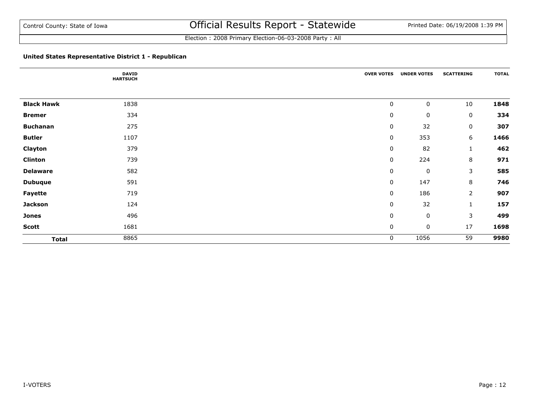Election : 2008 Primary Election-06-03-2008 Party : All

## **United States Representative District 1 - Republican**

|                   | <b>DAVID</b><br><b>HARTSUCH</b> | <b>OVER VOTES</b> | <b>UNDER VOTES</b> | <b>SCATTERING</b> | <b>TOTAL</b> |
|-------------------|---------------------------------|-------------------|--------------------|-------------------|--------------|
|                   |                                 |                   |                    |                   |              |
| <b>Black Hawk</b> | 1838                            | $\pmb{0}$         | $\pmb{0}$          | 10                | 1848         |
| <b>Bremer</b>     | 334                             | $\mathbf 0$       | 0                  | 0                 | 334          |
| <b>Buchanan</b>   | 275                             | $\pmb{0}$         | 32                 | 0                 | 307          |
| <b>Butler</b>     | 1107                            | 0                 | 353                | 6                 | 1466         |
| Clayton           | 379                             | $\pmb{0}$         | 82                 | 1                 | 462          |
| <b>Clinton</b>    | 739                             | $\mathbf 0$       | 224                | 8                 | 971          |
| <b>Delaware</b>   | 582                             | $\pmb{0}$         | $\mathbf 0$        | 3                 | 585          |
| <b>Dubuque</b>    | 591                             | 0                 | 147                | 8                 | 746          |
| Fayette           | 719                             | 0                 | 186                | $\overline{2}$    | 907          |
| <b>Jackson</b>    | 124                             | $\mathbf 0$       | 32                 | 1                 | 157          |
| <b>Jones</b>      | 496                             | $\pmb{0}$         | $\pmb{0}$          | 3                 | 499          |
| <b>Scott</b>      | 1681                            | 0                 | $\pmb{0}$          | 17                | 1698         |
| <b>Total</b>      | 8865                            | 0                 | 1056               | 59                | 9980         |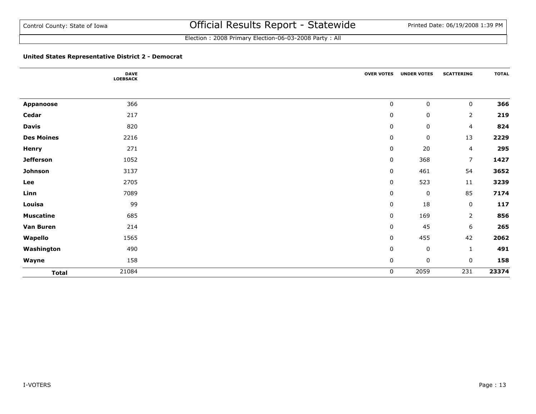Election : 2008 Primary Election-06-03-2008 Party : All

## **United States Representative District 2 - Democrat**

|                   | <b>DAVE</b><br><b>LOEBSACK</b> | <b>OVER VOTES</b> | <b>UNDER VOTES</b> | <b>SCATTERING</b> | <b>TOTAL</b> |
|-------------------|--------------------------------|-------------------|--------------------|-------------------|--------------|
|                   |                                |                   |                    |                   |              |
| <b>Appanoose</b>  | 366                            | $\pmb{0}$         | 0                  | 0                 | 366          |
| Cedar             | 217                            | $\mathbf 0$       | $\pmb{0}$          | $\overline{2}$    | 219          |
| <b>Davis</b>      | 820                            | $\mathbf 0$       | $\pmb{0}$          | 4                 | 824          |
| <b>Des Moines</b> | 2216                           | $\mathbf 0$       | $\pmb{0}$          | 13                | 2229         |
| <b>Henry</b>      | 271                            | $\mathbf 0$       | 20                 | $\overline{4}$    | 295          |
| <b>Jefferson</b>  | 1052                           | $\mathbf 0$       | 368                | $\overline{7}$    | 1427         |
| Johnson           | 3137                           | $\mathbf 0$       | 461                | 54                | 3652         |
| Lee               | 2705                           | $\mathbf 0$       | 523                | $11\,$            | 3239         |
| Linn              | 7089                           | $\mathbf 0$       | $\mathbf 0$        | 85                | 7174         |
| Louisa            | 99                             | $\mathbf 0$       | 18                 | $\mathbf 0$       | 117          |
| <b>Muscatine</b>  | 685                            | $\mathbf 0$       | 169                | $\overline{2}$    | 856          |
| <b>Van Buren</b>  | 214                            | $\mathbf 0$       | 45                 | 6                 | 265          |
| Wapello           | 1565                           | $\mathbf 0$       | 455                | 42                | 2062         |
| Washington        | 490                            | $\mathbf 0$       | $\mathbf 0$        | $\mathbf 1$       | 491          |
| Wayne             | 158                            | $\mathbf 0$       | $\pmb{0}$          | 0                 | 158          |
| <b>Total</b>      | 21084                          | 0                 | 2059               | 231               | 23374        |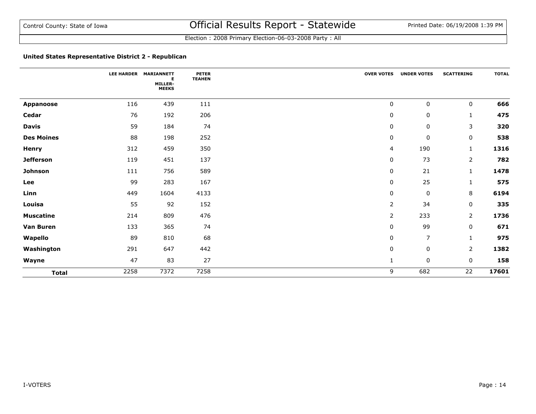## **United States Representative District 2 - Republican**

|                   |      | LEE HARDER MARIANNETT<br>Е<br>MILLER-<br><b>MEEKS</b> | <b>PETER</b><br><b>TEAHEN</b> | <b>OVER VOTES</b> | <b>UNDER VOTES</b> | <b>SCATTERING</b> | <b>TOTAL</b> |
|-------------------|------|-------------------------------------------------------|-------------------------------|-------------------|--------------------|-------------------|--------------|
| Appanoose         | 116  | 439                                                   | 111                           | 0                 | $\mathbf 0$        | 0                 | 666          |
| Cedar             | 76   | 192                                                   | 206                           | $\pmb{0}$         | $\mathbf 0$        | $\mathbf{1}$      | 475          |
| <b>Davis</b>      | 59   | 184                                                   | 74                            | $\pmb{0}$         | 0                  | 3                 | 320          |
| <b>Des Moines</b> | 88   | 198                                                   | 252                           | $\pmb{0}$         | $\pmb{0}$          | $\mathbf 0$       | 538          |
| <b>Henry</b>      | 312  | 459                                                   | 350                           | 4                 | 190                | $\mathbf{1}$      | 1316         |
| <b>Jefferson</b>  | 119  | 451                                                   | 137                           | $\pmb{0}$         | 73                 | $\overline{2}$    | 782          |
| Johnson           | 111  | 756                                                   | 589                           | $\pmb{0}$         | 21                 | $\mathbf{1}$      | 1478         |
| Lee               | 99   | 283                                                   | 167                           | $\pmb{0}$         | 25                 | 1                 | 575          |
| Linn              | 449  | 1604                                                  | 4133                          | $\pmb{0}$         | $\mathbf 0$        | 8                 | 6194         |
| Louisa            | 55   | 92                                                    | 152                           | $\overline{2}$    | 34                 | $\mathbf 0$       | 335          |
| <b>Muscatine</b>  | 214  | 809                                                   | 476                           | $\overline{2}$    | 233                | $\overline{2}$    | 1736         |
| Van Buren         | 133  | 365                                                   | 74                            | $\mathbf 0$       | 99                 | $\mathbf 0$       | 671          |
| Wapello           | 89   | 810                                                   | 68                            | $\mathbf 0$       | $\overline{7}$     | $\mathbf{1}$      | 975          |
| Washington        | 291  | 647                                                   | 442                           | $\pmb{0}$         | 0                  | $\overline{2}$    | 1382         |
| Wayne             | 47   | 83                                                    | 27                            | $\mathbf{1}$      | $\mathbf 0$        | $\mathbf 0$       | 158          |
| <b>Total</b>      | 2258 | 7372                                                  | 7258                          | 9                 | 682                | 22                | 17601        |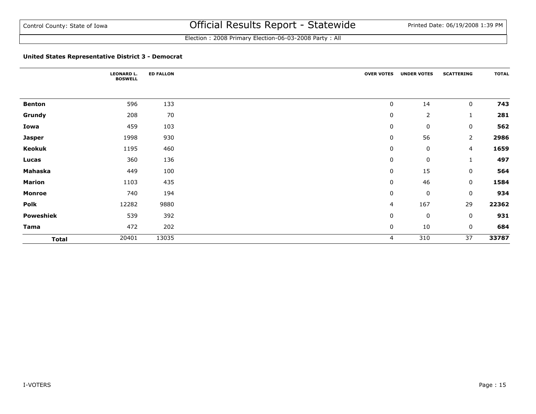Election : 2008 Primary Election-06-03-2008 Party : All

## **United States Representative District 3 - Democrat**

|               | <b>LEONARD L.</b><br><b>BOSWELL</b> | <b>ED FALLON</b> | <b>OVER VOTES</b> | <b>UNDER VOTES</b> | <b>SCATTERING</b> | <b>TOTAL</b> |
|---------------|-------------------------------------|------------------|-------------------|--------------------|-------------------|--------------|
|               |                                     |                  |                   |                    |                   |              |
| <b>Benton</b> | 596                                 | 133              | $\mathbf 0$       | 14                 | $\mathbf 0$       | 743          |
| Grundy        | 208                                 | 70               | $\pmb{0}$         | $\overline{2}$     | $\mathbf{1}$      | 281          |
| Iowa          | 459                                 | 103              | 0                 | $\pmb{0}$          | 0                 | 562          |
| <b>Jasper</b> | 1998                                | 930              | 0                 | 56                 | $\overline{2}$    | 2986         |
| Keokuk        | 1195                                | 460              | 0                 | $\mathbf 0$        | 4                 | 1659         |
| Lucas         | 360                                 | 136              | 0                 | $\pmb{0}$          | $\mathbf{1}$      | 497          |
| Mahaska       | 449                                 | 100              | $\pmb{0}$         | 15                 | $\mathbf 0$       | 564          |
| <b>Marion</b> | 1103                                | 435              | 0                 | 46                 | 0                 | 1584         |
| <b>Monroe</b> | 740                                 | 194              | 0                 | $\pmb{0}$          | 0                 | 934          |
| Polk          | 12282                               | 9880             | 4                 | 167                | 29                | 22362        |
| Poweshiek     | 539                                 | 392              | 0                 | $\pmb{0}$          | 0                 | 931          |
| Tama          | 472                                 | 202              | 0                 | 10                 | 0                 | 684          |
| <b>Total</b>  | 20401                               | 13035            | 4                 | 310                | 37                | 33787        |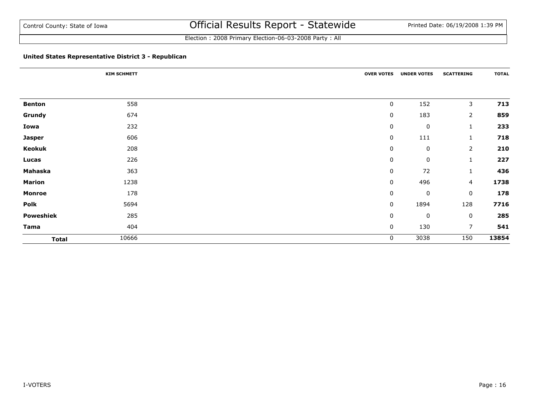Election : 2008 Primary Election-06-03-2008 Party : All

## **United States Representative District 3 - Republican**

|               | <b>KIM SCHMETT</b> | <b>OVER VOTES</b> | <b>UNDER VOTES</b> | <b>SCATTERING</b> | <b>TOTAL</b> |
|---------------|--------------------|-------------------|--------------------|-------------------|--------------|
|               |                    |                   |                    |                   |              |
| <b>Benton</b> | 558                | 0                 | 152                | 3                 | 713          |
| Grundy        | 674                | 0                 | 183                | $\overline{2}$    | 859          |
| Iowa          | 232                | 0                 | $\pmb{0}$          | 1                 | 233          |
| <b>Jasper</b> | 606                | $\pmb{0}$         | 111                | $\mathbf{1}$      | 718          |
| Keokuk        | 208                | 0                 | $\mathbf 0$        | $\overline{2}$    | 210          |
| Lucas         | 226                | 0                 | 0                  | $\mathbf{1}$      | 227          |
| Mahaska       | 363                | 0                 | 72                 | $\mathbf{1}$      | 436          |
| <b>Marion</b> | 1238               | $\pmb{0}$         | 496                | 4                 | 1738         |
| <b>Monroe</b> | 178                | 0                 | $\pmb{0}$          | $\mathbf 0$       | 178          |
| Polk          | 5694               | 0                 | 1894               | 128               | 7716         |
| Poweshiek     | 285                | $\pmb{0}$         | $\pmb{0}$          | $\mathbf 0$       | 285          |
| <b>Tama</b>   | 404                | $\pmb{0}$         | 130                | $\overline{7}$    | 541          |
| <b>Total</b>  | 10666              | 0                 | 3038               | 150               | 13854        |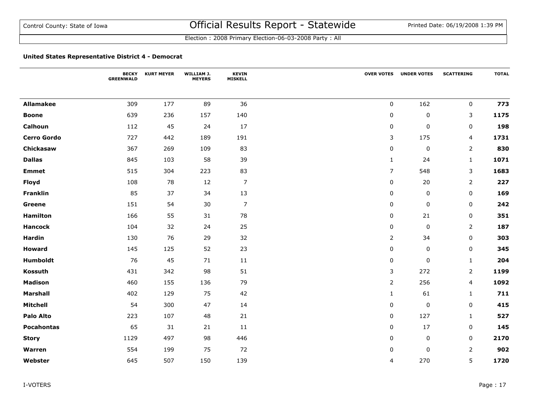#### **United States Representative District 4 - Democrat**

|                    | <b>BECKY</b><br><b>GREENWALD</b> | <b>KURT MEYER</b> | WILLIAM J.<br><b>MEYERS</b> | <b>KEVIN</b><br><b>MISKELL</b> |                | <b>OVER VOTES UNDER VOTES</b> | <b>SCATTERING</b> | <b>TOTAL</b> |
|--------------------|----------------------------------|-------------------|-----------------------------|--------------------------------|----------------|-------------------------------|-------------------|--------------|
|                    |                                  |                   |                             |                                |                |                               |                   |              |
| <b>Allamakee</b>   | 309                              | 177               | 89                          | 36                             | 0              | 162                           | $\mathbf 0$       | 773          |
| <b>Boone</b>       | 639                              | 236               | 157                         | 140                            | $\pmb{0}$      | 0                             | 3                 | 1175         |
| Calhoun            | 112                              | 45                | 24                          | 17                             | 0              | 0                             | 0                 | 198          |
| <b>Cerro Gordo</b> | 727                              | 442               | 189                         | 191                            | 3              | 175                           | $\overline{4}$    | 1731         |
| Chickasaw          | 367                              | 269               | 109                         | 83                             | $\mathbf 0$    | $\pmb{0}$                     | $\overline{2}$    | 830          |
| <b>Dallas</b>      | 845                              | 103               | 58                          | 39                             | $\mathbf{1}$   | 24                            | $\mathbf{1}$      | 1071         |
| <b>Emmet</b>       | 515                              | 304               | 223                         | 83                             | $\overline{7}$ | 548                           | 3                 | 1683         |
| <b>Floyd</b>       | 108                              | 78                | 12                          | $\boldsymbol{7}$               | 0              | 20                            | 2                 | 227          |
| <b>Franklin</b>    | 85                               | 37                | 34                          | 13                             | 0              | 0                             | 0                 | 169          |
| Greene             | 151                              | 54                | 30                          | $\boldsymbol{7}$               | $\mathbf 0$    | 0                             | $\mathbf 0$       | 242          |
| <b>Hamilton</b>    | 166                              | 55                | 31                          | 78                             | $\pmb{0}$      | 21                            | 0                 | 351          |
| <b>Hancock</b>     | 104                              | 32                | 24                          | 25                             | $\pmb{0}$      | 0                             | $\overline{2}$    | 187          |
| <b>Hardin</b>      | 130                              | 76                | 29                          | 32                             | $\overline{2}$ | 34                            | 0                 | 303          |
| <b>Howard</b>      | 145                              | 125               | 52                          | 23                             | $\pmb{0}$      | 0                             | $\mathbf 0$       | 345          |
| Humboldt           | 76                               | 45                | 71                          | 11                             | 0              | 0                             | $\mathbf{1}$      | 204          |
| Kossuth            | 431                              | 342               | 98                          | 51                             | 3              | 272                           | $\overline{2}$    | 1199         |
| <b>Madison</b>     | 460                              | 155               | 136                         | 79                             | $\mathsf{2}$   | 256                           | 4                 | 1092         |
| <b>Marshall</b>    | 402                              | 129               | 75                          | 42                             | $\mathbf{1}$   | 61                            | $\mathbf{1}$      | 711          |
| <b>Mitchell</b>    | 54                               | 300               | 47                          | 14                             | $\pmb{0}$      | 0                             | $\mathbf 0$       | 415          |
| <b>Palo Alto</b>   | 223                              | 107               | 48                          | 21                             | 0              | 127                           | $\mathbf{1}$      | 527          |
| <b>Pocahontas</b>  | 65                               | 31                | 21                          | 11                             | 0              | 17                            | 0                 | 145          |
| <b>Story</b>       | 1129                             | 497               | 98                          | 446                            | $\mathbf 0$    | 0                             | $\mathbf 0$       | 2170         |
| Warren             | 554                              | 199               | 75                          | 72                             | $\mathbf 0$    | 0                             | $\overline{2}$    | 902          |
| Webster            | 645                              | 507               | 150                         | 139                            | $\overline{4}$ | 270                           | 5                 | 1720         |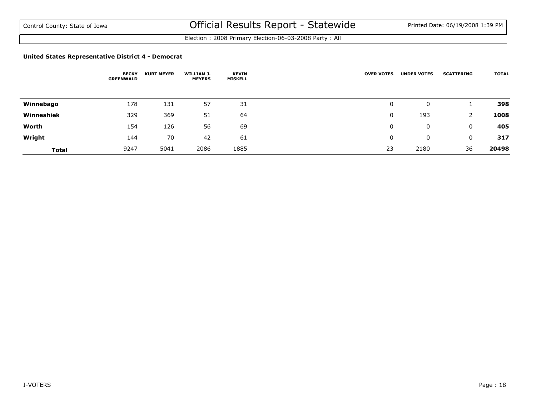Election : 2008 Primary Election-06-03-2008 Party : All

#### **United States Representative District 4 - Democrat**

|              | <b>BECKY</b><br><b>GREENWALD</b> | <b>KURT MEYER</b> | WILLIAM J.<br><b>MEYERS</b> | <b>KEVIN</b><br><b>MISKELL</b> | <b>OVER VOTES</b> | <b>UNDER VOTES</b> | <b>SCATTERING</b> | <b>TOTAL</b> |
|--------------|----------------------------------|-------------------|-----------------------------|--------------------------------|-------------------|--------------------|-------------------|--------------|
| Winnebago    | 178                              | 131               | 57                          | 31                             | 0                 | 0                  |                   | 398          |
| Winneshiek   | 329                              | 369               | 51                          | 64                             | 0                 | 193                | 2                 | 1008         |
| Worth        | 154                              | 126               | 56                          | 69                             | 0                 | 0                  | 0                 | 405          |
| Wright       | 144                              | 70                | 42                          | 61                             | 0                 | 0                  | 0                 | 317          |
| <b>Total</b> | 9247                             | 5041              | 2086                        | 1885                           | 23                | 2180               | 36                | 20498        |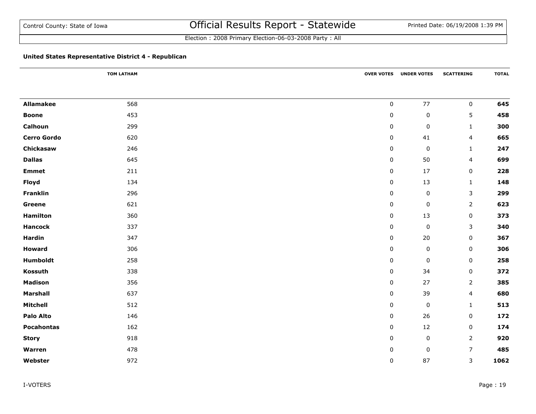Election : 2008 Primary Election-06-03-2008 Party : All

## **United States Representative District 4 - Republican**

|                    | <b>TOM LATHAM</b> | <b>OVER VOTES</b> | <b>UNDER VOTES</b> | <b>SCATTERING</b> | <b>TOTAL</b> |
|--------------------|-------------------|-------------------|--------------------|-------------------|--------------|
|                    |                   |                   |                    |                   |              |
| <b>Allamakee</b>   | 568               | $\pmb{0}$         | $77\,$             | $\mathbf 0$       | 645          |
| <b>Boone</b>       | 453               | $\pmb{0}$         | $\pmb{0}$          | 5                 | 458          |
| Calhoun            | 299               | $\mathbf 0$       | $\pmb{0}$          | 1                 | 300          |
| <b>Cerro Gordo</b> | 620               | $\mathbf 0$       | 41                 | 4                 | 665          |
| Chickasaw          | 246               | 0                 | 0                  | $\mathbf{1}$      | 247          |
| <b>Dallas</b>      | 645               | 0                 | 50                 | 4                 | 699          |
| <b>Emmet</b>       | 211               | $\pmb{0}$         | 17                 | $\mathbf 0$       | 228          |
| <b>Floyd</b>       | 134               | 0                 | 13                 | $\mathbf{1}$      | 148          |
| Franklin           | 296               | 0                 | $\pmb{0}$          | 3                 | 299          |
| Greene             | 621               | 0                 | $\pmb{0}$          | $\overline{2}$    | 623          |
| <b>Hamilton</b>    | 360               | 0                 | 13                 | 0                 | 373          |
| <b>Hancock</b>     | 337               | $\mathbf 0$       | $\pmb{0}$          | 3                 | 340          |
| <b>Hardin</b>      | 347               | 0                 | 20                 | 0                 | 367          |
| <b>Howard</b>      | 306               | 0                 | $\pmb{0}$          | 0                 | 306          |
| Humboldt           | 258               | $\mathbf 0$       | $\pmb{0}$          | $\mathbf 0$       | 258          |
| Kossuth            | 338               | 0                 | 34                 | 0                 | 372          |
| <b>Madison</b>     | 356               | $\pmb{0}$         | 27                 | $\overline{2}$    | 385          |
| <b>Marshall</b>    | 637               | 0                 | 39                 | 4                 | 680          |
| Mitchell           | 512               | 0                 | $\pmb{0}$          | $\mathbf{1}$      | 513          |
| <b>Palo Alto</b>   | 146               | 0                 | 26                 | 0                 | 172          |
| <b>Pocahontas</b>  | 162               | 0                 | 12                 | 0                 | 174          |
| <b>Story</b>       | 918               | $\pmb{0}$         | $\pmb{0}$          | $\overline{2}$    | 920          |
| Warren             | 478               | 0                 | $\pmb{0}$          | $\overline{7}$    | 485          |
| Webster            | 972               | $\pmb{0}$         | 87                 | 3                 | 1062         |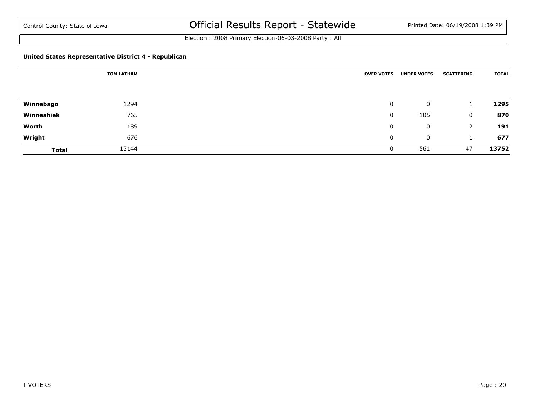Election : 2008 Primary Election-06-03-2008 Party : All

## **United States Representative District 4 - Republican**

|              | <b>TOM LATHAM</b> | <b>OVER VOTES</b> | <b>UNDER VOTES</b> | <b>SCATTERING</b> | <b>TOTAL</b> |
|--------------|-------------------|-------------------|--------------------|-------------------|--------------|
|              |                   |                   |                    |                   |              |
| Winnebago    | 1294              | 0                 | 0                  |                   | 1295         |
| Winneshiek   | 765               | 0                 | 105                | 0                 | 870          |
| Worth        | 189               | 0                 | 0                  | 2                 | 191          |
| Wright       | 676               | 0                 | 0                  |                   | 677          |
| <b>Total</b> | 13144             | 0                 | 561                | 47                | 13752        |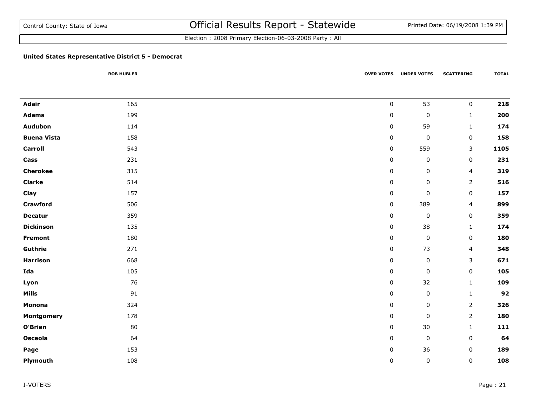Election : 2008 Primary Election-06-03-2008 Party : All

## **United States Representative District 5 - Democrat**

|                    | <b>ROB HUBLER</b> |           | <b>OVER VOTES UNDER VOTES</b> | <b>SCATTERING</b> | <b>TOTAL</b> |
|--------------------|-------------------|-----------|-------------------------------|-------------------|--------------|
|                    |                   |           |                               |                   |              |
| <b>Adair</b>       | 165               | $\pmb{0}$ | 53                            | $\mathbf 0$       | 218          |
| <b>Adams</b>       | 199               | 0         | $\pmb{0}$                     | $\mathbf{1}$      | 200          |
| Audubon            | 114               | 0         | 59                            | $\mathbf{1}$      | 174          |
| <b>Buena Vista</b> | 158               | 0         | $\pmb{0}$                     | $\mathbf 0$       | 158          |
| <b>Carroll</b>     | 543               | $\pmb{0}$ | 559                           | $\mathsf{3}$      | 1105         |
| Cass               | 231               | 0         | $\pmb{0}$                     | $\mathbf 0$       | 231          |
| <b>Cherokee</b>    | 315               | 0         | $\pmb{0}$                     | 4                 | 319          |
| <b>Clarke</b>      | 514               | 0         | $\mathsf 0$                   | $\overline{2}$    | 516          |
| Clay               | 157               | 0         | $\pmb{0}$                     | $\mathbf 0$       | 157          |
| <b>Crawford</b>    | 506               | $\pmb{0}$ | 389                           | 4                 | 899          |
| <b>Decatur</b>     | 359               | 0         | $\pmb{0}$                     | $\mathbf 0$       | 359          |
| <b>Dickinson</b>   | 135               | 0         | 38                            | $\mathbf{1}$      | 174          |
| <b>Fremont</b>     | 180               | 0         | $\pmb{0}$                     | $\mathbf 0$       | 180          |
| Guthrie            | 271               | $\pmb{0}$ | 73                            | 4                 | 348          |
| <b>Harrison</b>    | 668               | 0         | $\pmb{0}$                     | $\mathsf{3}$      | 671          |
| Ida                | 105               | 0         | $\pmb{0}$                     | $\mathbf 0$       | 105          |
| Lyon               | 76                | $\pmb{0}$ | 32                            | $\mathbf{1}$      | 109          |
| <b>Mills</b>       | 91                | 0         | $\pmb{0}$                     | $\mathbf{1}$      | 92           |
| Monona             | 324               | 0         | $\pmb{0}$                     | $\overline{2}$    | 326          |
| <b>Montgomery</b>  | 178               | 0         | $\pmb{0}$                     | $\overline{2}$    | 180          |
| O'Brien            | 80                | 0         | 30                            | $\mathbf{1}$      | 111          |
| <b>Osceola</b>     | 64                | 0         | $\pmb{0}$                     | $\mathbf 0$       | 64           |
| Page               | 153               | $\pmb{0}$ | 36                            | $\pmb{0}$         | 189          |
| Plymouth           | 108               | 0         | $\pmb{0}$                     | $\pmb{0}$         | 108          |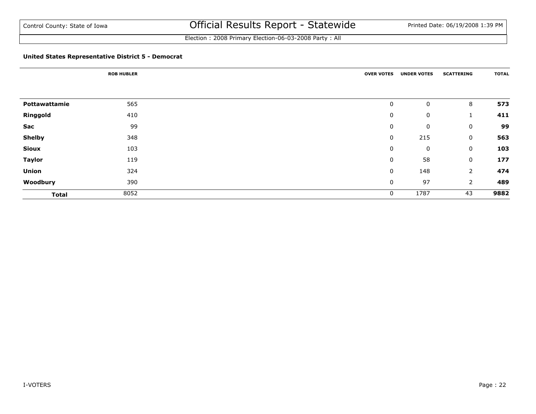Election : 2008 Primary Election-06-03-2008 Party : All

#### **United States Representative District 5 - Democrat**

|               | <b>ROB HUBLER</b> | <b>OVER VOTES</b> | <b>UNDER VOTES</b> | <b>SCATTERING</b> | <b>TOTAL</b> |
|---------------|-------------------|-------------------|--------------------|-------------------|--------------|
|               |                   |                   |                    |                   |              |
| Pottawattamie | 565               | 0                 | 0                  | 8                 | 573          |
| Ringgold      | 410               | 0                 | 0                  | $\mathbf{1}$      | 411          |
| Sac           | 99                | 0                 | 0                  | $\mathbf 0$       | 99           |
| <b>Shelby</b> | 348               | 0                 | 215                | $\mathbf 0$       | 563          |
| <b>Sioux</b>  | 103               | 0                 | 0                  | 0                 | 103          |
| <b>Taylor</b> | 119               | 0                 | 58                 | 0                 | 177          |
| <b>Union</b>  | 324               | 0                 | 148                | $\overline{2}$    | 474          |
| Woodbury      | 390               | 0                 | 97                 | $\overline{2}$    | 489          |
| <b>Total</b>  | 8052              | 0                 | 1787               | 43                | 9882         |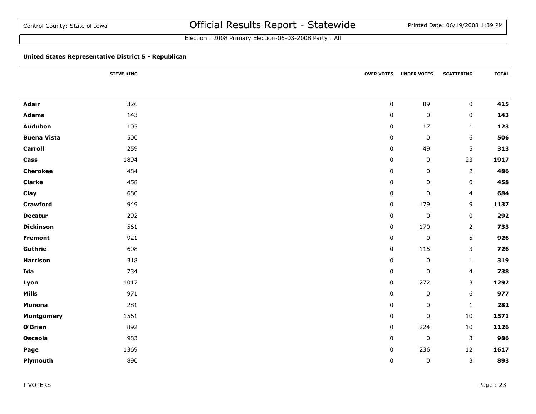## **United States Representative District 5 - Republican**

|                    | <b>STEVE KING</b> |             | <b>OVER VOTES UNDER VOTES</b> | <b>SCATTERING</b> | <b>TOTAL</b> |
|--------------------|-------------------|-------------|-------------------------------|-------------------|--------------|
|                    |                   |             |                               |                   |              |
| <b>Adair</b>       | 326               | $\mathbf 0$ | 89                            | $\mathbf 0$       | 415          |
| <b>Adams</b>       | 143               | 0           | $\pmb{0}$                     | 0                 | 143          |
| Audubon            | 105               | 0           | 17                            | $\mathbf{1}$      | 123          |
| <b>Buena Vista</b> | 500               | $\pmb{0}$   | $\pmb{0}$                     | $\boldsymbol{6}$  | 506          |
| <b>Carroll</b>     | 259               | $\pmb{0}$   | 49                            | 5                 | 313          |
| Cass               | 1894              | $\mathbf 0$ | $\pmb{0}$                     | 23                | 1917         |
| <b>Cherokee</b>    | 484               | $\pmb{0}$   | $\pmb{0}$                     | $\overline{2}$    | 486          |
| <b>Clarke</b>      | 458               | 0           | 0                             | 0                 | 458          |
| Clay               | 680               | $\mathbf 0$ | $\pmb{0}$                     | 4                 | 684          |
| <b>Crawford</b>    | 949               | $\pmb{0}$   | 179                           | 9                 | 1137         |
| <b>Decatur</b>     | 292               | $\mathbf 0$ | $\pmb{0}$                     | $\mathbf 0$       | 292          |
| <b>Dickinson</b>   | 561               | $\pmb{0}$   | 170                           | $\overline{2}$    | 733          |
| <b>Fremont</b>     | 921               | 0           | $\pmb{0}$                     | 5                 | 926          |
| Guthrie            | 608               | $\pmb{0}$   | 115                           | $\mathsf{3}$      | 726          |
| <b>Harrison</b>    | 318               | $\pmb{0}$   | $\pmb{0}$                     | $\mathbf{1}$      | 319          |
| Ida                | 734               | $\mathbf 0$ | $\pmb{0}$                     | $\overline{4}$    | 738          |
| Lyon               | 1017              | $\pmb{0}$   | 272                           | 3                 | 1292         |
| <b>Mills</b>       | 971               | $\mathbf 0$ | $\pmb{0}$                     | 6                 | 977          |
| Monona             | 281               | $\pmb{0}$   | $\pmb{0}$                     | $\mathbf{1}$      | 282          |
| Montgomery         | 1561              | 0           | $\pmb{0}$                     | 10                | 1571         |
| O'Brien            | 892               | 0           | 224                           | 10                | 1126         |
| <b>Osceola</b>     | 983               | 0           | $\pmb{0}$                     | 3                 | 986          |
| Page               | 1369              | $\pmb{0}$   | 236                           | 12                | 1617         |
| Plymouth           | 890               | $\mathbf 0$ | $\pmb{0}$                     | $\mathbf{3}$      | 893          |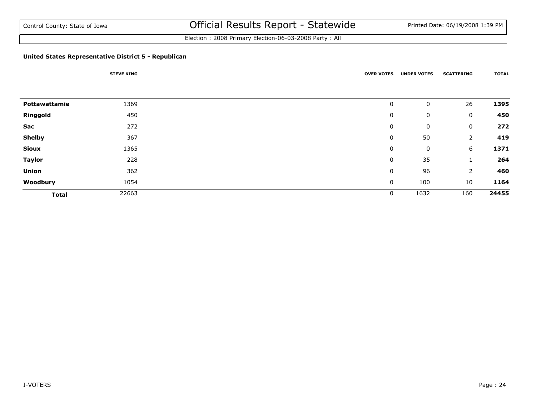Election : 2008 Primary Election-06-03-2008 Party : All

## **United States Representative District 5 - Republican**

|               | <b>STEVE KING</b> | <b>OVER VOTES</b> | <b>UNDER VOTES</b> | <b>SCATTERING</b> | <b>TOTAL</b> |
|---------------|-------------------|-------------------|--------------------|-------------------|--------------|
|               |                   |                   |                    |                   |              |
| Pottawattamie | 1369              | 0                 | 0                  | 26                | 1395         |
| Ringgold      | 450               | 0                 | 0                  | 0                 | 450          |
| Sac           | 272               | 0                 | 0                  | 0                 | 272          |
| <b>Shelby</b> | 367               | 0                 | 50                 | 2                 | 419          |
| <b>Sioux</b>  | 1365              | 0                 | 0                  | 6                 | 1371         |
| <b>Taylor</b> | 228               | 0                 | 35                 | $\perp$           | 264          |
| <b>Union</b>  | 362               | 0                 | 96                 | $\overline{2}$    | 460          |
| Woodbury      | 1054              | 0                 | 100                | 10                | 1164         |
| <b>Total</b>  | 22663             | 0                 | 1632               | 160               | 24455        |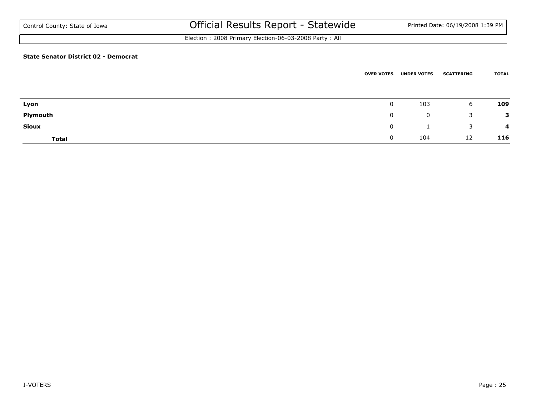Election : 2008 Primary Election-06-03-2008 Party : All

#### **State Senator District 02 - Democrat**

|              | <b>OVER VOTES</b> | <b>UNDER VOTES</b> | <b>SCATTERING</b> | <b>TOTAL</b> |
|--------------|-------------------|--------------------|-------------------|--------------|
| Lyon         | $\mathbf 0$       | 103                | 6                 | 109          |
| Plymouth     | $\mathbf{0}$      | 0                  | 3                 | 3            |
| <b>Sioux</b> | $\mathbf{0}$      |                    | 3                 | 4            |
| <b>Total</b> | 0                 | 104                | 12                | 116          |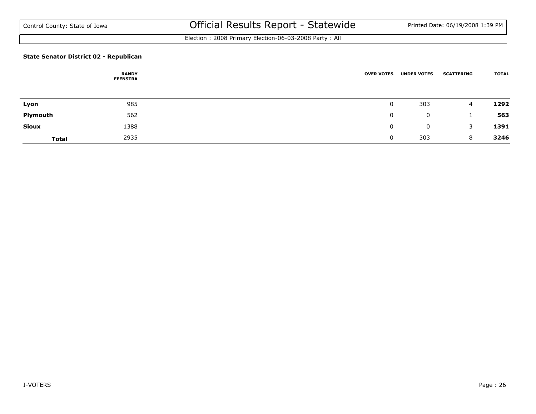Election : 2008 Primary Election-06-03-2008 Party : All

## **State Senator District 02 - Republican**

|              | <b>RANDY</b><br><b>FEENSTRA</b> | <b>OVER VOTES</b> | <b>UNDER VOTES</b> | <b>SCATTERING</b> | <b>TOTAL</b> |
|--------------|---------------------------------|-------------------|--------------------|-------------------|--------------|
|              |                                 |                   |                    |                   |              |
| Lyon         | 985                             |                   | 303                | 4                 | 1292         |
| Plymouth     | 562                             | 0                 | $\mathbf 0$        |                   | 563          |
| <b>Sioux</b> | 1388                            | 0                 | $\mathbf 0$        | 3                 | 1391         |
| <b>Total</b> | 2935                            |                   | 303                | 8                 | 3246         |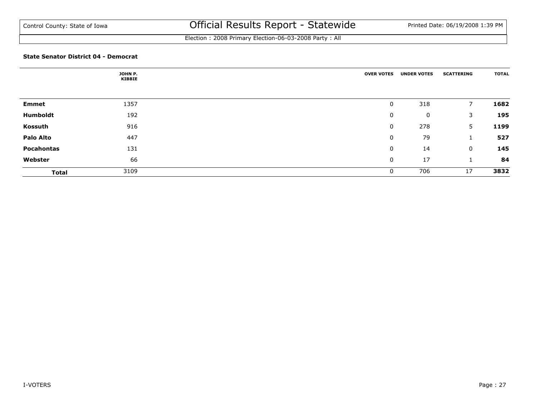Election : 2008 Primary Election-06-03-2008 Party : All

#### **State Senator District 04 - Democrat**

|                  | JOHN P.<br><b>KIBBIE</b> | <b>OVER VOTES</b> | <b>UNDER VOTES</b> | <b>SCATTERING</b> | <b>TOTAL</b> |
|------------------|--------------------------|-------------------|--------------------|-------------------|--------------|
|                  |                          |                   |                    |                   |              |
| <b>Emmet</b>     | 1357                     | 0                 | 318                | 7                 | 1682         |
| Humboldt         | 192                      | 0                 | 0                  | 3                 | 195          |
| Kossuth          | 916                      | 0                 | 278                | 5                 | 1199         |
| <b>Palo Alto</b> | 447                      | 0                 | 79                 |                   | 527          |
| Pocahontas       | 131                      | 0                 | 14                 | 0                 | 145          |
| Webster          | 66                       | 0                 | 17                 |                   | 84           |
| <b>Total</b>     | 3109                     | 0                 | 706                | 17                | 3832         |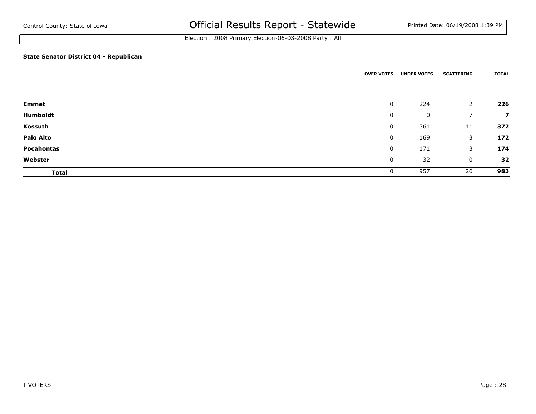Election : 2008 Primary Election-06-03-2008 Party : All

#### **State Senator District 04 - Republican**

|                  | <b>OVER VOTES</b> | <b>UNDER VOTES</b> | <b>SCATTERING</b> | <b>TOTAL</b>            |
|------------------|-------------------|--------------------|-------------------|-------------------------|
| <b>Emmet</b>     | 0                 | 224                | 2                 | 226                     |
| Humboldt         | 0                 | 0                  | ⇁                 | $\overline{\mathbf{z}}$ |
| Kossuth          | 0                 | 361                | 11                | 372                     |
| <b>Palo Alto</b> | 0                 | 169                | 3                 | 172                     |
| Pocahontas       | 0                 | 171                | 3                 | 174                     |
| Webster          | 0                 | 32                 | 0                 | 32                      |
| <b>Total</b>     |                   | 957                | 26                | 983                     |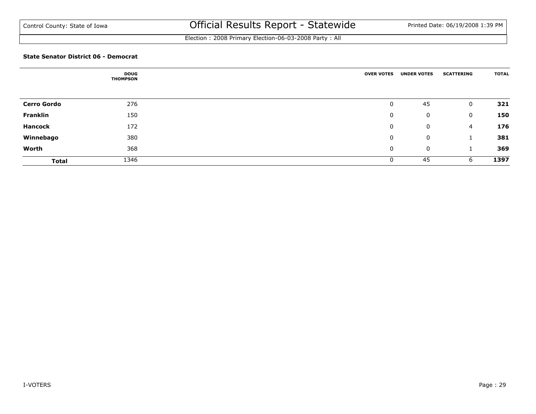Election : 2008 Primary Election-06-03-2008 Party : All

#### **State Senator District 06 - Democrat**

|                    | <b>DOUG</b><br><b>THOMPSON</b> | <b>OVER VOTES</b> | <b>UNDER VOTES</b> | <b>SCATTERING</b> | <b>TOTAL</b> |
|--------------------|--------------------------------|-------------------|--------------------|-------------------|--------------|
|                    |                                |                   |                    |                   |              |
| <b>Cerro Gordo</b> | 276                            | 0                 | 45                 | $\mathbf 0$       | 321          |
| <b>Franklin</b>    | 150                            | 0                 | 0                  | $\mathbf 0$       | 150          |
| <b>Hancock</b>     | 172                            | 0                 | 0                  | $\overline{4}$    | 176          |
| Winnebago          | 380                            | 0                 | 0                  |                   | 381          |
| Worth              | 368                            | 0                 | 0                  |                   | 369          |
| <b>Total</b>       | 1346                           | 0                 | 45                 | 6                 | 1397         |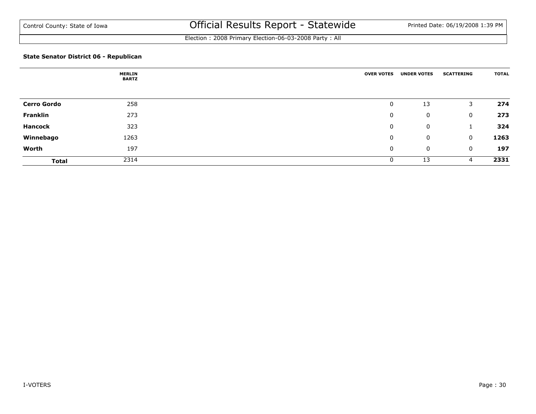Election : 2008 Primary Election-06-03-2008 Party : All

## **State Senator District 06 - Republican**

|                    | <b>MERLIN</b><br><b>BARTZ</b> | <b>OVER VOTES</b> | <b>UNDER VOTES</b> | <b>SCATTERING</b> | <b>TOTAL</b> |
|--------------------|-------------------------------|-------------------|--------------------|-------------------|--------------|
|                    |                               |                   |                    |                   |              |
| <b>Cerro Gordo</b> | 258                           | 0                 | 13                 | 3                 | 274          |
| <b>Franklin</b>    | 273                           | 0                 | 0                  | 0                 | 273          |
| <b>Hancock</b>     | 323                           | 0                 | 0                  |                   | 324          |
| Winnebago          | 1263                          | 0                 | 0                  | $\mathbf 0$       | 1263         |
| Worth              | 197                           | 0                 | 0                  | 0                 | 197          |
| <b>Total</b>       | 2314                          | 0                 | 13                 | 4                 | 2331         |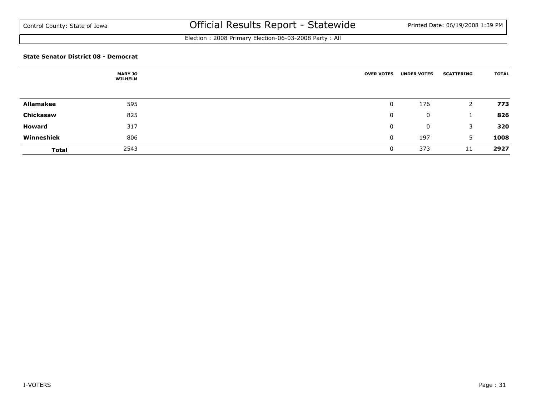Election : 2008 Primary Election-06-03-2008 Party : All

#### **State Senator District 08 - Democrat**

|                  | <b>MARY JO</b><br><b>WILHELM</b> | <b>OVER VOTES</b> | <b>UNDER VOTES</b> | <b>SCATTERING</b> | <b>TOTAL</b> |
|------------------|----------------------------------|-------------------|--------------------|-------------------|--------------|
|                  |                                  |                   |                    |                   |              |
| <b>Allamakee</b> | 595                              | $\mathbf{0}$      | 176                | 2                 | 773          |
| Chickasaw        | 825                              | 0                 | 0                  |                   | 826          |
| Howard           | 317                              | 0                 | 0                  | 3                 | 320          |
| Winneshiek       | 806                              | 0                 | 197                | 5                 | 1008         |
| <b>Total</b>     | 2543                             | $\mathbf 0$       | 373                | 11                | 2927         |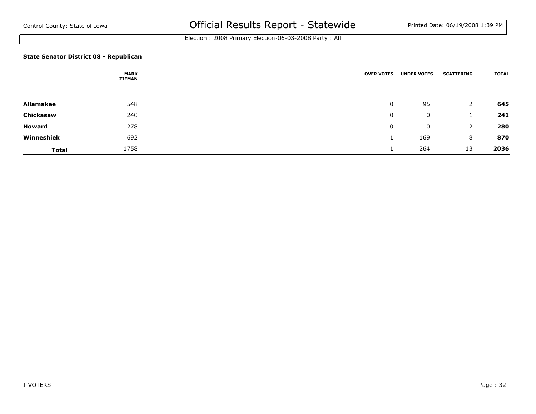Election : 2008 Primary Election-06-03-2008 Party : All

## **State Senator District 08 - Republican**

|                  | <b>MARK</b><br><b>ZIEMAN</b> | <b>OVER VOTES</b> | <b>UNDER VOTES</b> | <b>SCATTERING</b> | <b>TOTAL</b> |
|------------------|------------------------------|-------------------|--------------------|-------------------|--------------|
|                  |                              |                   |                    |                   |              |
| <b>Allamakee</b> | 548                          | 0                 | 95                 |                   | 645          |
| Chickasaw        | 240                          | 0                 | 0                  |                   | 241          |
| Howard           | 278                          | 0                 | $\mathbf 0$        | 2                 | 280          |
| Winneshiek       | 692                          |                   | 169                | 8                 | 870          |
| <b>Total</b>     | 1758                         |                   | 264                | 13                | 2036         |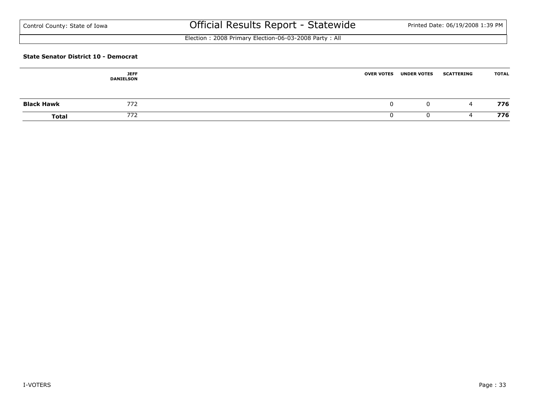Election : 2008 Primary Election-06-03-2008 Party : All

#### **State Senator District 10 - Democrat**

|                   | <b>JEFF</b><br><b>DANIELSON</b> | <b>OVER VOTES</b> | <b>UNDER VOTES</b> | <b>SCATTERING</b> | <b>TOTAL</b> |
|-------------------|---------------------------------|-------------------|--------------------|-------------------|--------------|
| <b>Black Hawk</b> | 772                             |                   | U                  | 4                 | 776          |
| <b>Total</b>      | 772                             |                   |                    |                   | 776          |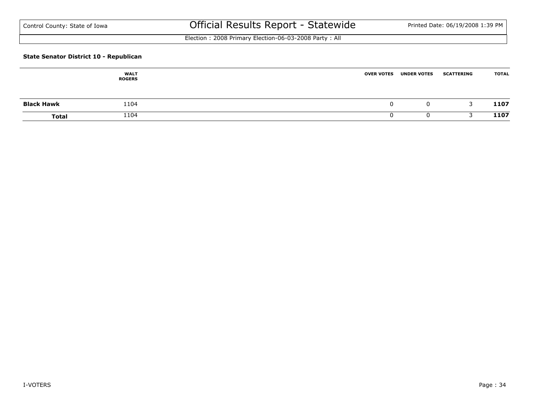Election : 2008 Primary Election-06-03-2008 Party : All

#### **State Senator District 10 - Republican**

|                   | <b>WALT</b><br><b>ROGERS</b> | <b>OVER VOTES</b> | <b>UNDER VOTES</b> | <b>SCATTERING</b> | <b>TOTAL</b> |
|-------------------|------------------------------|-------------------|--------------------|-------------------|--------------|
| <b>Black Hawk</b> | 1104                         |                   | 0                  |                   | 1107         |
| <b>Total</b>      | 1104                         |                   |                    |                   | 1107         |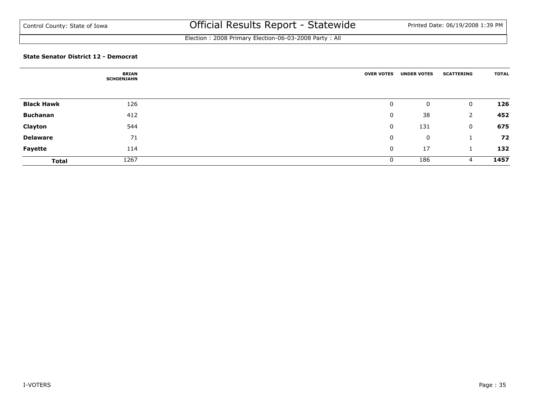Election : 2008 Primary Election-06-03-2008 Party : All

#### **State Senator District 12 - Democrat**

|                   | <b>BRIAN</b><br><b>SCHOENJAHN</b> | <b>OVER VOTES</b> | <b>UNDER VOTES</b> | <b>SCATTERING</b> | <b>TOTAL</b> |
|-------------------|-----------------------------------|-------------------|--------------------|-------------------|--------------|
|                   |                                   |                   |                    |                   |              |
| <b>Black Hawk</b> | 126                               | 0                 | 0                  | $\mathbf 0$       | 126          |
| <b>Buchanan</b>   | 412                               | 0                 | 38                 | 2                 | 452          |
| Clayton           | 544                               | 0                 | 131                | $\mathbf 0$       | 675          |
| <b>Delaware</b>   | 71                                | 0                 | 0                  |                   | 72           |
| Fayette           | 114                               | 0                 | 17                 |                   | 132          |
| <b>Total</b>      | 1267                              | 0                 | 186                | 4                 | 1457         |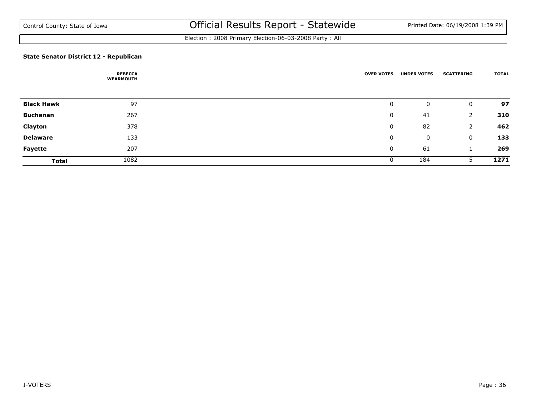Election : 2008 Primary Election-06-03-2008 Party : All

## **State Senator District 12 - Republican**

|                   | <b>REBECCA</b><br><b>WEARMOUTH</b> | <b>OVER VOTES</b> | <b>UNDER VOTES</b> | <b>SCATTERING</b> | <b>TOTAL</b> |
|-------------------|------------------------------------|-------------------|--------------------|-------------------|--------------|
|                   |                                    |                   |                    |                   |              |
| <b>Black Hawk</b> | 97                                 | 0                 | 0                  | 0                 | 97           |
| <b>Buchanan</b>   | 267                                | 0                 | 41                 | 2                 | 310          |
| Clayton           | 378                                | 0                 | 82                 | 2                 | 462          |
| <b>Delaware</b>   | 133                                | 0                 | 0                  | 0                 | 133          |
| <b>Fayette</b>    | 207                                | 0                 | 61                 |                   | 269          |
| <b>Total</b>      | 1082                               | 0                 | 184                | 5                 | 1271         |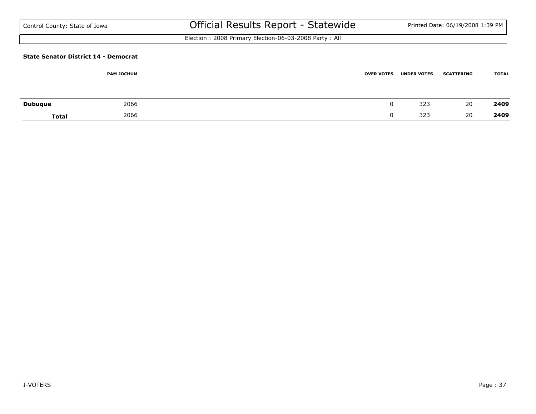# Official Results Report - Statewide Printed Date: 06/19/2008 1:39 PM

Election : 2008 Primary Election-06-03-2008 Party : All

#### **State Senator District 14 - Democrat**

|                | <b>PAM JOCHUM</b> | <b>OVER VOTES</b> | <b>UNDER VOTES</b> | <b>SCATTERING</b> | <b>TOTAL</b> |
|----------------|-------------------|-------------------|--------------------|-------------------|--------------|
| <b>Dubuque</b> | 2066              |                   | 323                | 20                | 2409         |
| <b>Total</b>   | 2066              |                   | 323                | 20                | 2409         |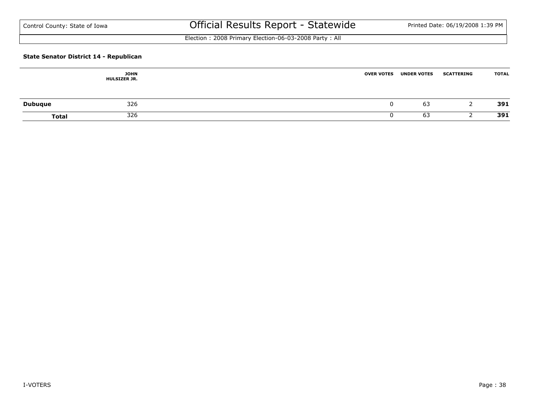Election : 2008 Primary Election-06-03-2008 Party : All

### **State Senator District 14 - Republican**

|                | <b>JOHN</b><br><b>HULSIZER JR.</b> | <b>OVER VOTES</b> | <b>UNDER VOTES</b> | <b>SCATTERING</b> | <b>TOTAL</b> |
|----------------|------------------------------------|-------------------|--------------------|-------------------|--------------|
| <b>Dubuque</b> | 326                                |                   | 63                 |                   | 391          |
| <b>Total</b>   | 326                                |                   | 63                 |                   | 391          |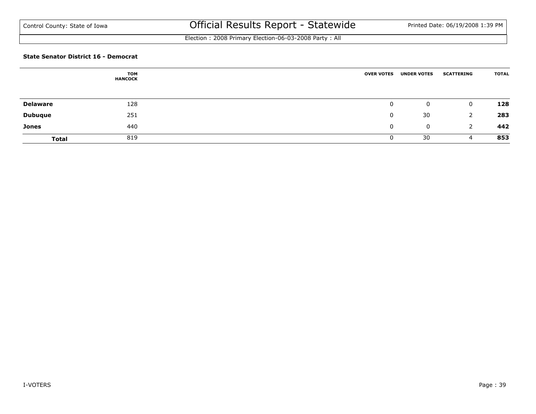Election : 2008 Primary Election-06-03-2008 Party : All

#### **State Senator District 16 - Democrat**

|                 | <b>TOM</b><br><b>HANCOCK</b> | <b>OVER VOTES</b> | <b>UNDER VOTES</b> | <b>SCATTERING</b> | <b>TOTAL</b> |
|-----------------|------------------------------|-------------------|--------------------|-------------------|--------------|
|                 |                              |                   |                    |                   |              |
| <b>Delaware</b> | 128                          | 0                 | $\mathbf{0}$       | $\mathbf 0$       | 128          |
| <b>Dubuque</b>  | 251                          | 0                 | 30                 | 2                 | 283          |
| <b>Jones</b>    | 440                          | 0                 | $\mathbf 0$        | 2                 | 442          |
| <b>Total</b>    | 819                          |                   | 30                 | 4                 | 853          |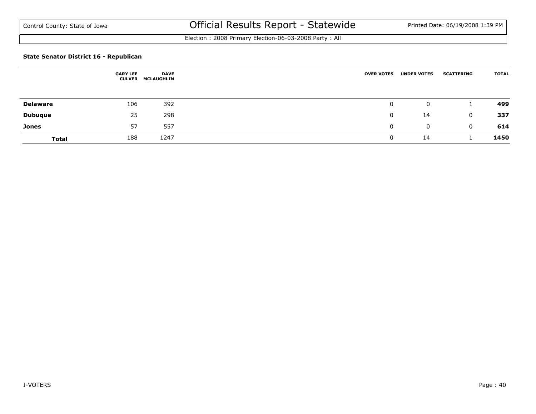Election : 2008 Primary Election-06-03-2008 Party : All

### **State Senator District 16 - Republican**

|                 | <b>GARY LEE</b><br><b>CULVER</b> | <b>DAVE</b><br><b>MCLAUGHLIN</b> | <b>OVER VOTES</b> | <b>UNDER VOTES</b> | <b>SCATTERING</b> | <b>TOTAL</b> |
|-----------------|----------------------------------|----------------------------------|-------------------|--------------------|-------------------|--------------|
|                 |                                  |                                  |                   |                    |                   |              |
| <b>Delaware</b> | 106                              | 392                              | 0                 | $\mathbf 0$        |                   | 499          |
| <b>Dubuque</b>  | 25                               | 298                              | 0                 | 14                 | $\mathbf 0$       | 337          |
| <b>Jones</b>    | 57                               | 557                              | 0                 | $\mathbf 0$        | $\mathbf{0}$      | 614          |
| <b>Total</b>    | 188                              | 1247                             |                   | 14                 |                   | 1450         |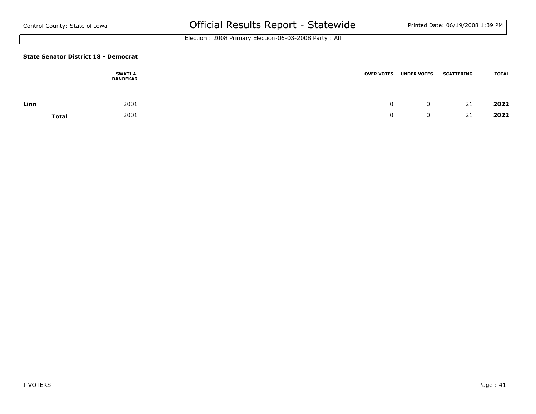Election : 2008 Primary Election-06-03-2008 Party : All

#### **State Senator District 18 - Democrat**

|      | SWATI A.<br><b>DANDEKAR</b> | <b>OVER VOTES</b> | <b>UNDER VOTES</b> | <b>SCATTERING</b> | <b>TOTAL</b> |
|------|-----------------------------|-------------------|--------------------|-------------------|--------------|
| Linn | 2001                        |                   | 0                  | 21                | 2022         |
|      | 2001<br><b>Total</b>        |                   |                    | 21                | 2022         |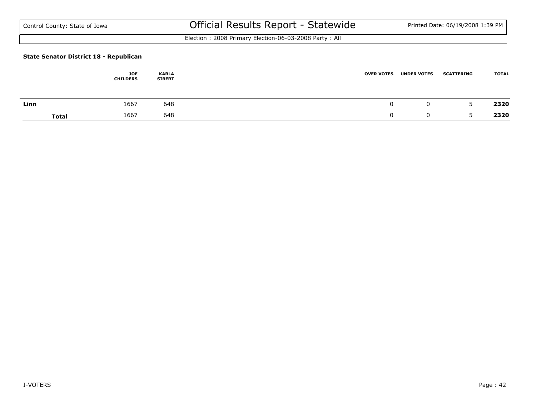Election : 2008 Primary Election-06-03-2008 Party : All

### **State Senator District 18 - Republican**

|              | JOE<br><b>CHILDERS</b> | <b>KARLA</b><br><b>SIBERT</b> | <b>OVER VOTES</b> | <b>UNDER VOTES</b> | <b>SCATTERING</b> | <b>TOTAL</b> |
|--------------|------------------------|-------------------------------|-------------------|--------------------|-------------------|--------------|
| Linn         | 1667                   | 648                           |                   | 0                  |                   | 2320         |
| <b>Total</b> | 1667                   | 648                           |                   |                    |                   | 2320         |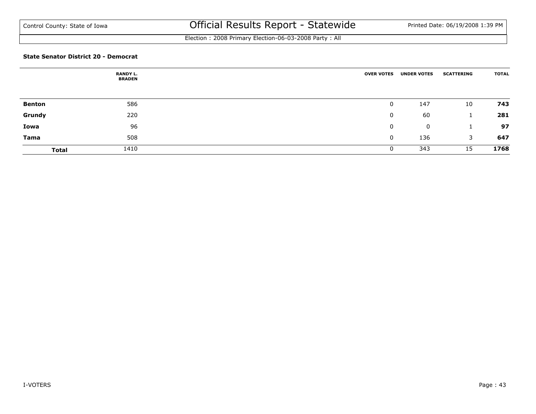Election : 2008 Primary Election-06-03-2008 Party : All

#### **State Senator District 20 - Democrat**

|               | <b>RANDY L.</b><br><b>BRADEN</b> | <b>OVER VOTES</b> | <b>UNDER VOTES</b> | <b>SCATTERING</b> | <b>TOTAL</b> |
|---------------|----------------------------------|-------------------|--------------------|-------------------|--------------|
| <b>Benton</b> | 586                              | 0                 | 147                | 10                | 743          |
| Grundy        | 220                              | 0                 | 60                 | J.                | 281          |
| Iowa          | 96                               | 0                 | 0                  |                   | 97           |
| Tama          | 508                              | 0                 | 136                | 3                 | 647          |
| <b>Total</b>  | 1410                             |                   | 343                | 15                | 1768         |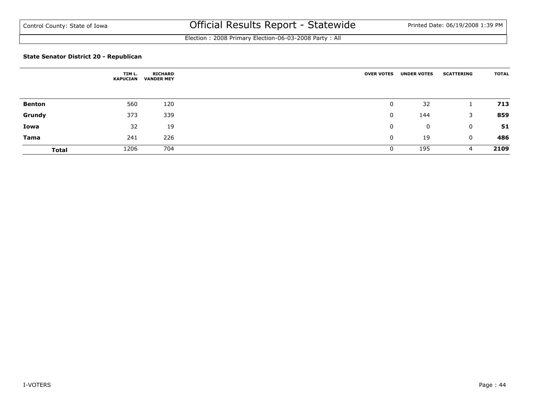Election : 2008 Primary Election-06-03-2008 Party : All

### **State Senator District 20 - Republican**

|               | TIM L.<br><b>KAPUCIAN</b> | <b>RICHARD</b><br><b>VANDER MEY</b> | <b>OVER VOTES</b> | <b>UNDER VOTES</b> | <b>SCATTERING</b> | <b>TOTAL</b> |
|---------------|---------------------------|-------------------------------------|-------------------|--------------------|-------------------|--------------|
| <b>Benton</b> | 560                       | 120                                 | 0                 | 32                 |                   | 713          |
| Grundy        | 373                       | 339                                 | 0                 | 144                | 3                 | 859          |
| Iowa          | 32                        | 19                                  | 0                 | 0                  | $\mathbf 0$       | 51           |
| Tama          | 241                       | 226                                 | 0                 | 19                 | $\mathbf{0}$      | 486          |
| <b>Total</b>  | 1206                      | 704                                 |                   | 195                | 4                 | 2109         |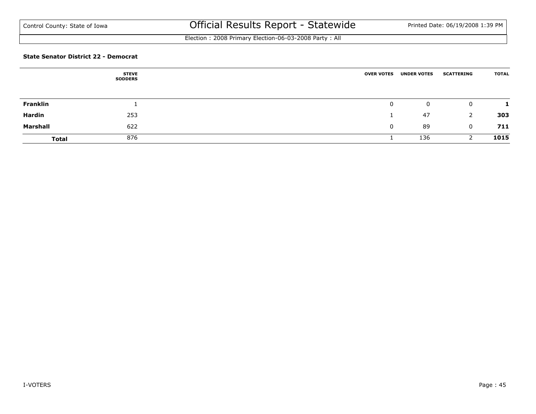Election : 2008 Primary Election-06-03-2008 Party : All

#### **State Senator District 22 - Democrat**

|              | <b>STEVE</b><br><b>SODDERS</b> | <b>OVER VOTES</b> | <b>UNDER VOTES</b> | <b>SCATTERING</b> | <b>TOTAL</b> |
|--------------|--------------------------------|-------------------|--------------------|-------------------|--------------|
|              |                                |                   |                    |                   |              |
| Franklin     |                                | 0                 | $\mathbf{0}$       | $\mathbf 0$       |              |
| Hardin       | 253                            |                   | 47                 | 2                 | 303          |
| Marshall     | 622                            | 0                 | 89                 | $\mathbf 0$       | 711          |
| <b>Total</b> | 876                            |                   | 136                |                   | 1015         |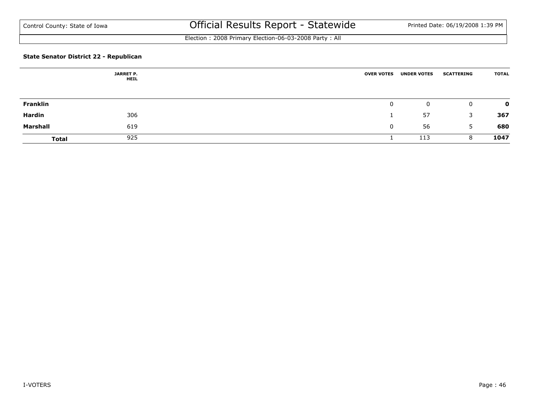Election : 2008 Primary Election-06-03-2008 Party : All

### **State Senator District 22 - Republican**

|                 | <b>JARRET P.</b><br><b>HEIL</b> | <b>OVER VOTES</b> | <b>UNDER VOTES</b> | <b>SCATTERING</b> | <b>TOTAL</b> |
|-----------------|---------------------------------|-------------------|--------------------|-------------------|--------------|
|                 |                                 |                   |                    |                   |              |
| <b>Franklin</b> |                                 |                   | 0                  | $\overline{0}$    | $\mathbf{o}$ |
| Hardin          | 306                             |                   | 57                 | 3                 | 367          |
| Marshall        | 619                             | 0                 | 56                 | 5                 | 680          |
| <b>Total</b>    | 925                             |                   | 113                | 8                 | 1047         |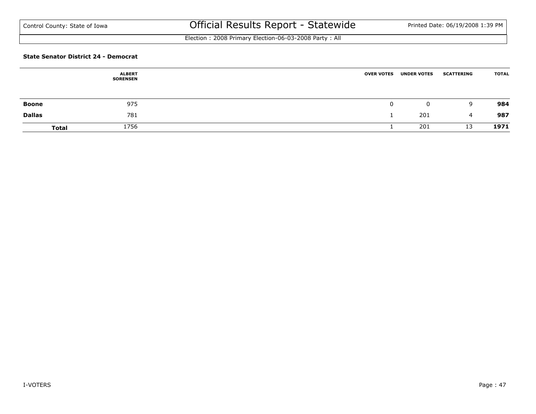Election : 2008 Primary Election-06-03-2008 Party : All

#### **State Senator District 24 - Democrat**

|               | <b>ALBERT</b><br><b>SORENSEN</b> | <b>OVER VOTES</b> | <b>UNDER VOTES</b> | <b>SCATTERING</b> | <b>TOTAL</b> |
|---------------|----------------------------------|-------------------|--------------------|-------------------|--------------|
|               |                                  |                   |                    |                   |              |
| Boone         | 975                              |                   | 0                  | 9                 | 984          |
| <b>Dallas</b> | 781                              |                   | 201                | 4                 | 987          |
| <b>Total</b>  | 1756                             |                   | 201                | 13                | 1971         |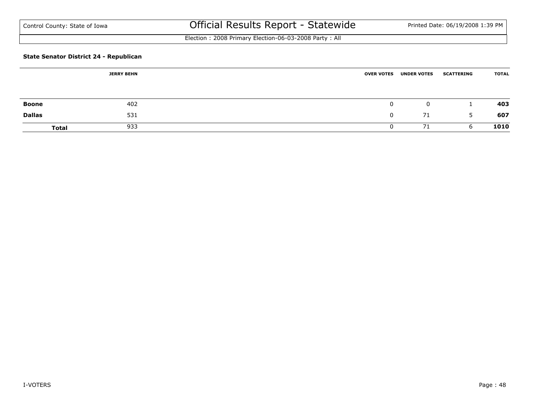Election : 2008 Primary Election-06-03-2008 Party : All

### **State Senator District 24 - Republican**

|               | <b>JERRY BEHN</b> |  | <b>OVER VOTES</b> | <b>UNDER VOTES</b> | <b>SCATTERING</b> | <b>TOTAL</b> |
|---------------|-------------------|--|-------------------|--------------------|-------------------|--------------|
|               |                   |  |                   |                    |                   |              |
| <b>Boone</b>  | 402               |  |                   | 0                  |                   | 403          |
| <b>Dallas</b> | 531               |  |                   | 71                 | 5                 | 607          |
| Total         | 933               |  |                   | 71                 | b                 | 1010         |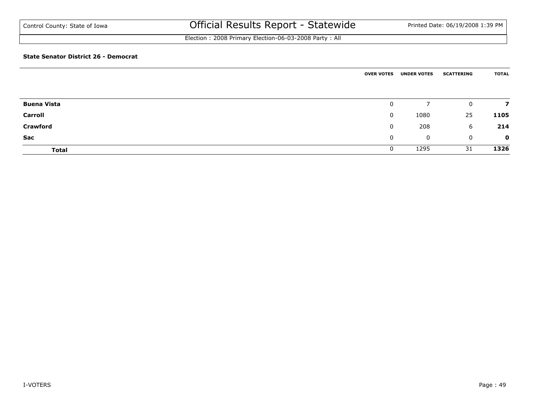Election : 2008 Primary Election-06-03-2008 Party : All

#### **State Senator District 26 - Democrat**

|                               | <b>OVER VOTES</b> | <b>UNDER VOTES</b> | <b>SCATTERING</b>  | <b>TOTAL</b> |
|-------------------------------|-------------------|--------------------|--------------------|--------------|
|                               |                   | 7                  |                    |              |
| <b>Buena Vista</b><br>Carroll | 0<br>$\mathbf{0}$ | 1080               | $\mathbf{0}$<br>25 | 7<br>1105    |
| <b>Crawford</b>               | 0                 | 208                | 6                  | 214          |
| Sac                           | $\mathbf{0}$      | 0                  | $\mathbf{0}$       | $\mathbf 0$  |
| <b>Total</b>                  | $\mathbf{0}$      | 1295               | 31                 | 1326         |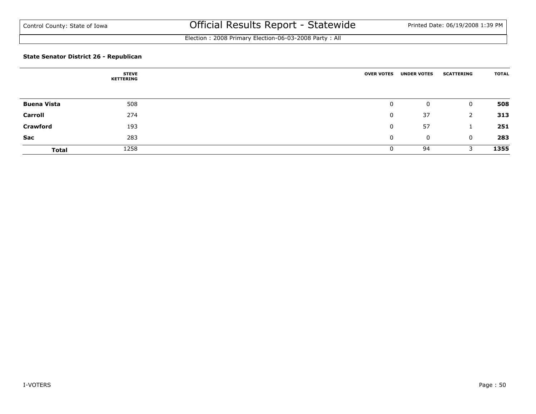Election : 2008 Primary Election-06-03-2008 Party : All

### **State Senator District 26 - Republican**

|                    | <b>STEVE</b><br>KETTERING | <b>OVER VOTES</b> | <b>UNDER VOTES</b> | <b>SCATTERING</b> | <b>TOTAL</b> |
|--------------------|---------------------------|-------------------|--------------------|-------------------|--------------|
|                    |                           |                   |                    |                   |              |
| <b>Buena Vista</b> | 508                       | 0                 | 0                  | $\overline{0}$    | 508          |
| Carroll            | 274                       | 0                 | 37                 | 2                 | 313          |
| <b>Crawford</b>    | 193                       | 0                 | 57                 |                   | 251          |
| Sac                | 283                       | 0                 | $\mathbf 0$        | $\mathbf{0}$      | 283          |
| <b>Total</b>       | 1258                      |                   | 94                 | 3                 | 1355         |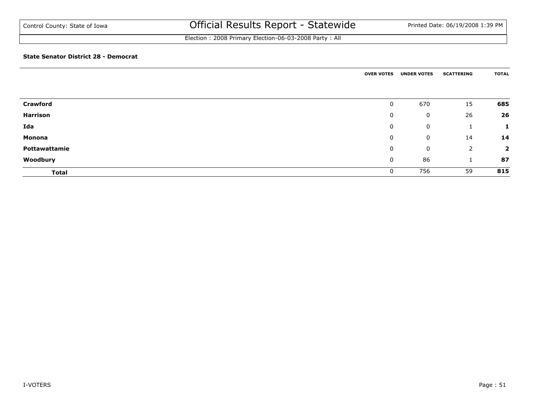### Election : 2008 Primary Election-06-03-2008 Party : All

#### **State Senator District 28 - Democrat**

|                 | <b>OVER VOTES</b> | <b>UNDER VOTES</b> | <b>SCATTERING</b> | <b>TOTAL</b>   |
|-----------------|-------------------|--------------------|-------------------|----------------|
|                 |                   |                    |                   |                |
| <b>Crawford</b> | 0                 | 670                | 15                | 685            |
| Harrison        | 0                 | 0                  | 26                | 26             |
| Ida             | 0                 | 0                  |                   | п              |
| <b>Monona</b>   | 0                 | 0                  | 14                | 14             |
| Pottawattamie   | 0                 | 0                  | 2                 | $\overline{2}$ |
| Woodbury        | 0                 | 86                 |                   | 87             |
| <b>Total</b>    | 0                 | 756                | 59                | 815            |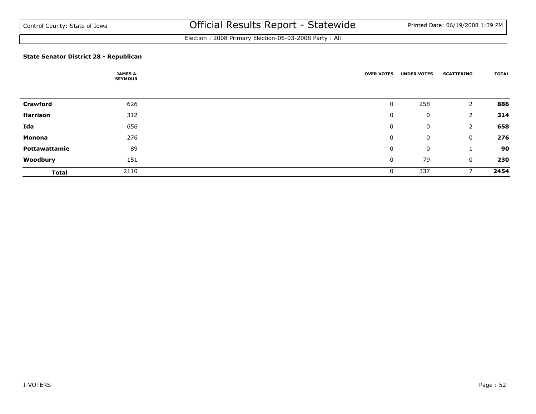Election : 2008 Primary Election-06-03-2008 Party : All

### **State Senator District 28 - Republican**

|                 | <b>JAMES A.</b><br><b>SEYMOUR</b> | <b>OVER VOTES</b> | <b>UNDER VOTES</b> | <b>SCATTERING</b> | <b>TOTAL</b> |
|-----------------|-----------------------------------|-------------------|--------------------|-------------------|--------------|
|                 |                                   |                   |                    |                   |              |
| <b>Crawford</b> | 626                               | 0                 | 258                | 2                 | 886          |
| Harrison        | 312                               | 0                 | 0                  | 2                 | 314          |
| Ida             | 656                               | 0                 | 0                  | 2                 | 658          |
| Monona          | 276                               | 0                 | 0                  | 0                 | 276          |
| Pottawattamie   | 89                                | 0                 | 0                  |                   | 90           |
| Woodbury        | 151                               | 0                 | 79                 | 0                 | 230          |
| <b>Total</b>    | 2110                              | 0                 | 337                |                   | 2454         |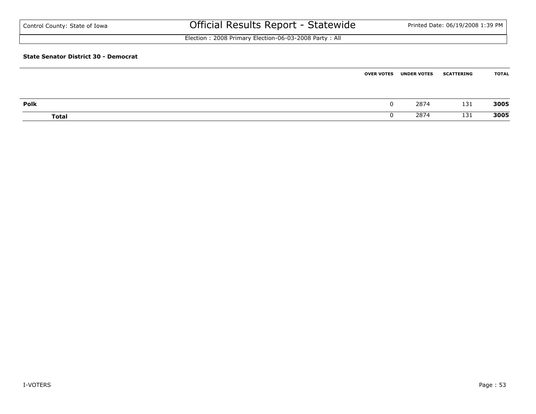| Control County: State of Iowa               | Official Results Report - Statewide                   |                   |                    | Printed Date: 06/19/2008 1:39 PM |              |
|---------------------------------------------|-------------------------------------------------------|-------------------|--------------------|----------------------------------|--------------|
|                                             | Election: 2008 Primary Election-06-03-2008 Party: All |                   |                    |                                  |              |
| <b>State Senator District 30 - Democrat</b> |                                                       |                   |                    |                                  |              |
|                                             |                                                       | <b>OVER VOTES</b> | <b>UNDER VOTES</b> | <b>SCATTERING</b>                | <b>TOTAL</b> |

| Polk  | 207<br>207 | 131            | 3005            |
|-------|------------|----------------|-----------------|
| Total | כמר<br>207 | <b>P</b><br>ᆠᆛ | 3005<br>- - - - |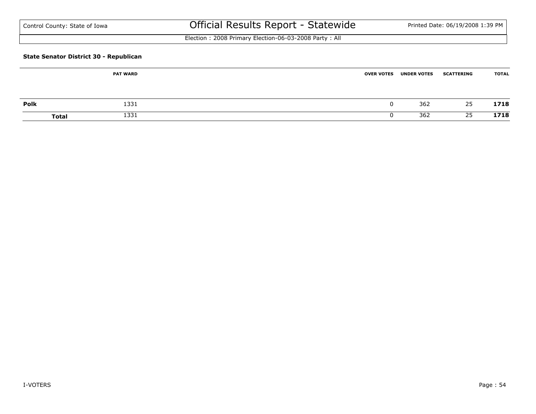| Control County: State of Iowa |  |
|-------------------------------|--|
|-------------------------------|--|

# Official Results Report - Statewide Printed Date: 06/19/2008 1:39 PM

Election : 2008 Primary Election-06-03-2008 Party : All

### **State Senator District 30 - Republican**

|              | <b>PAT WARD</b> | <b>OVER VOTES</b> | <b>UNDER VOTES</b> | <b>SCATTERING</b> | <b>TOTAL</b> |
|--------------|-----------------|-------------------|--------------------|-------------------|--------------|
| Polk         | 1331            |                   | 362                | 25                | 1718         |
| <b>Total</b> | 1331            |                   | 362                | 25                | 1718         |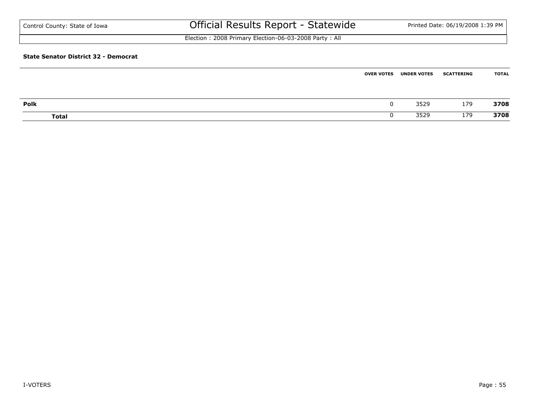| Control County: State of Iowa               | Official Results Report - Statewide                   |                   |                    | Printed Date: 06/19/2008 1:39 PM |              |
|---------------------------------------------|-------------------------------------------------------|-------------------|--------------------|----------------------------------|--------------|
|                                             | Election: 2008 Primary Election-06-03-2008 Party: All |                   |                    |                                  |              |
| <b>State Senator District 32 - Democrat</b> |                                                       |                   |                    |                                  |              |
|                                             |                                                       | <b>OVER VOTES</b> | <b>UNDER VOTES</b> | <b>SCATTERING</b>                | <b>TOTAL</b> |

| Polk  | - הר<br>しつとう            | 179         | 3708 |
|-------|-------------------------|-------------|------|
| Total | חרת ה<br>JJZ:<br>$   -$ | חד ו<br>179 | 3708 |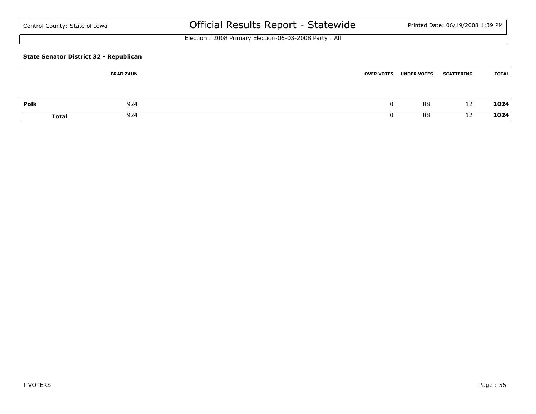| Control County: State of Iowa |  |  |  |
|-------------------------------|--|--|--|
|-------------------------------|--|--|--|

# Official Results Report - Statewide Printed Date: 06/19/2008 1:39 PM

Election : 2008 Primary Election-06-03-2008 Party : All

### **State Senator District 32 - Republican**

| <b>BRAD ZAUN</b> |              | <b>OVER VOTES</b> | <b>UNDER VOTES</b> | <b>SCATTERING</b> | <b>TOTAL</b> |
|------------------|--------------|-------------------|--------------------|-------------------|--------------|
|                  |              |                   |                    |                   |              |
| <b>Polk</b>      | 924          |                   | 88                 | 12                | 1024         |
|                  | 924<br>Total |                   | 88                 | 12                | 1024         |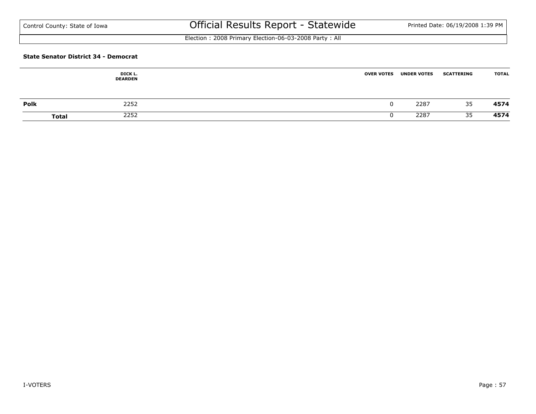Election : 2008 Primary Election-06-03-2008 Party : All

#### **State Senator District 34 - Democrat**

|      | DICK L.<br><b>DEARDEN</b> | <b>OVER VOTES</b> | <b>UNDER VOTES</b> | <b>SCATTERING</b> | <b>TOTAL</b> |
|------|---------------------------|-------------------|--------------------|-------------------|--------------|
| Polk | 2252                      |                   | 2287               | 35                | 4574         |
|      | 2252<br><b>Total</b>      |                   | 2287               | 35                | 4574         |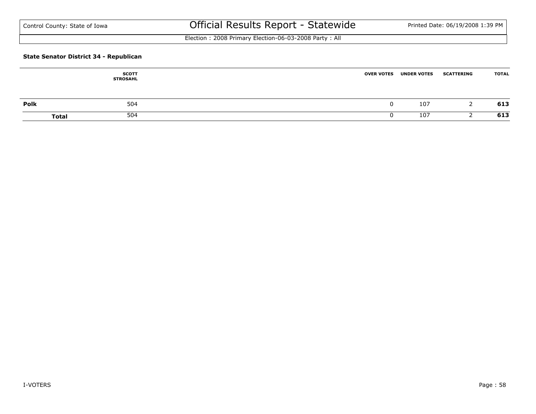Election : 2008 Primary Election-06-03-2008 Party : All

### **State Senator District 34 - Republican**

|      | <b>SCOTT</b><br><b>STROSAHL</b> | <b>OVER VOTES</b> | <b>UNDER VOTES</b> | <b>SCATTERING</b> | <b>TOTAL</b> |
|------|---------------------------------|-------------------|--------------------|-------------------|--------------|
| Polk | 504                             |                   | 107                |                   | 613          |
|      | 504<br><b>Total</b>             |                   | 107                |                   | 613          |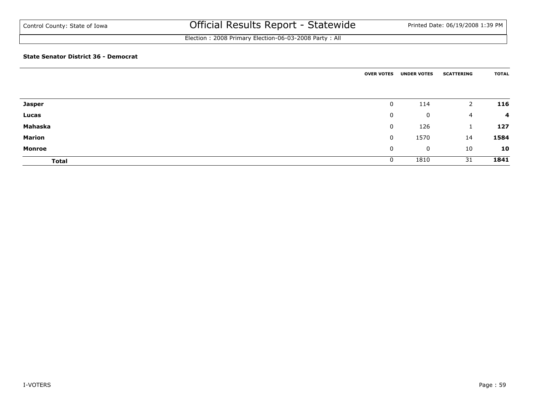### Election : 2008 Primary Election-06-03-2008 Party : All

#### **State Senator District 36 - Democrat**

|               | <b>OVER VOTES</b> | <b>UNDER VOTES</b> | <b>SCATTERING</b> | <b>TOTAL</b>   |
|---------------|-------------------|--------------------|-------------------|----------------|
|               |                   |                    |                   |                |
| <b>Jasper</b> | 0                 | 114                | $\overline{2}$    | 116            |
| Lucas         | $\mathbf 0$       | 0                  | $\overline{4}$    | $\overline{a}$ |
| Mahaska       | 0                 | 126                | 1                 | 127            |
| <b>Marion</b> | $\mathbf 0$       | 1570               | 14                | 1584           |
| <b>Monroe</b> | 0                 | 0                  | 10                | 10             |
| <b>Total</b>  | 0                 | 1810               | 31                | 1841           |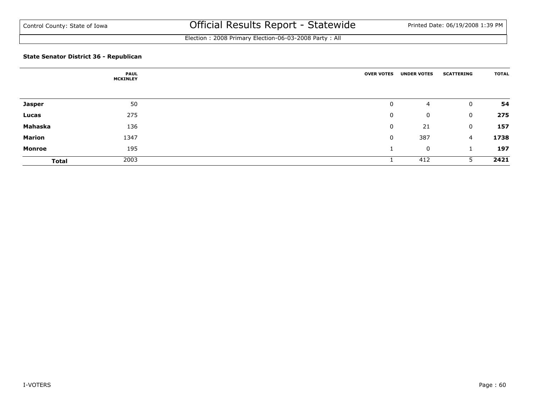Election : 2008 Primary Election-06-03-2008 Party : All

### **State Senator District 36 - Republican**

|               | <b>PAUL</b><br><b>MCKINLEY</b> | <b>OVER VOTES</b> | <b>UNDER VOTES</b> | <b>SCATTERING</b> | <b>TOTAL</b> |
|---------------|--------------------------------|-------------------|--------------------|-------------------|--------------|
|               |                                |                   |                    |                   |              |
| <b>Jasper</b> | 50                             | 0                 | 4                  | 0                 | 54           |
| Lucas         | 275                            | 0                 | 0                  | 0                 | 275          |
| Mahaska       | 136                            | 0                 | 21                 | 0                 | 157          |
| <b>Marion</b> | 1347                           | 0                 | 387                | 4                 | 1738         |
| Monroe        | 195                            |                   | 0                  |                   | 197          |
| <b>Total</b>  | 2003                           |                   | 412                | 5                 | 2421         |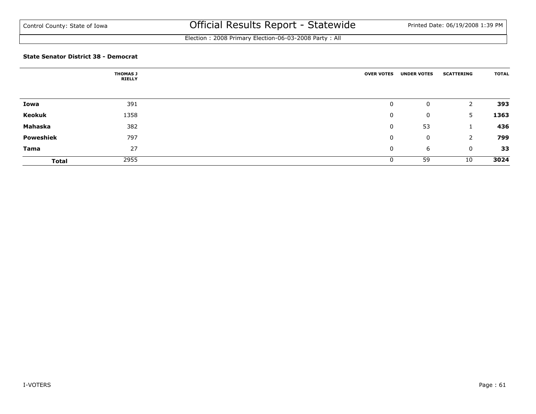Election : 2008 Primary Election-06-03-2008 Party : All

#### **State Senator District 38 - Democrat**

|                  | <b>THOMAS J</b><br><b>RIELLY</b> | <b>OVER VOTES</b> | <b>UNDER VOTES</b> | <b>SCATTERING</b> | <b>TOTAL</b> |
|------------------|----------------------------------|-------------------|--------------------|-------------------|--------------|
|                  |                                  |                   |                    |                   |              |
| Iowa             | 391                              | 0                 | 0                  | 2                 | 393          |
| Keokuk           | 1358                             | 0                 | 0                  | 5                 | 1363         |
| Mahaska          | 382                              | 0                 | 53                 | J.                | 436          |
| <b>Poweshiek</b> | 797                              | 0                 | 0                  | 2                 | 799          |
| Tama             | 27                               | 0                 | 6                  | $\mathbf 0$       | 33           |
| <b>Total</b>     | 2955                             | 0                 | 59                 | 10                | 3024         |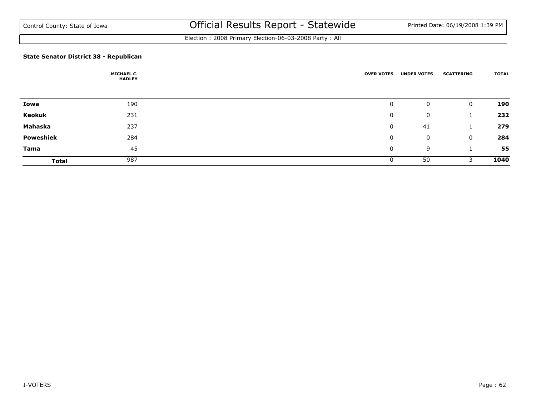Election : 2008 Primary Election-06-03-2008 Party : All

### **State Senator District 38 - Republican**

|              | <b>MICHAEL C.</b><br><b>HADLEY</b> | <b>OVER VOTES</b> | <b>UNDER VOTES</b> | <b>SCATTERING</b> | <b>TOTAL</b> |
|--------------|------------------------------------|-------------------|--------------------|-------------------|--------------|
|              |                                    |                   |                    |                   |              |
| Iowa         | 190                                | 0                 | 0                  | 0                 | 190          |
| Keokuk       | 231                                | 0                 | 0                  |                   | 232          |
| Mahaska      | 237                                | 0                 | 41                 |                   | 279          |
| Poweshiek    | 284                                | 0                 | 0                  | 0                 | 284          |
| Tama         | 45                                 | 0                 | 9                  |                   | 55           |
| <b>Total</b> | 987                                | 0                 | 50                 | 3                 | 1040         |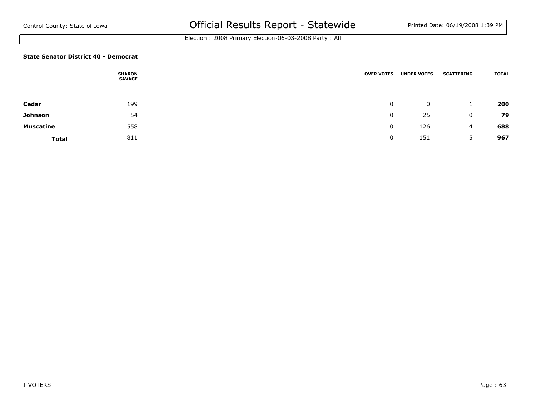Election : 2008 Primary Election-06-03-2008 Party : All

#### **State Senator District 40 - Democrat**

|                  | <b>SHARON</b><br><b>SAVAGE</b> | <b>OVER VOTES</b> | <b>UNDER VOTES</b> | <b>SCATTERING</b> | <b>TOTAL</b> |
|------------------|--------------------------------|-------------------|--------------------|-------------------|--------------|
|                  |                                |                   |                    |                   |              |
| Cedar            | 199                            | $\mathbf 0$       | 0                  |                   | 200          |
| Johnson          | 54                             | $\Omega$          | 25                 | 0                 | 79           |
| <b>Muscatine</b> | 558                            | $\mathbf{0}$      | 126                | 4                 | 688          |
| <b>Total</b>     | 811                            | 0                 | 151                |                   | 967          |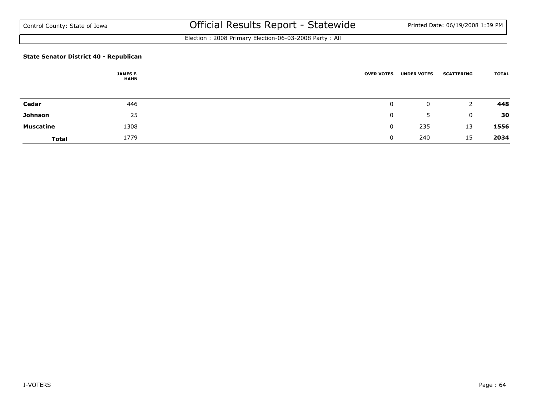Election : 2008 Primary Election-06-03-2008 Party : All

### **State Senator District 40 - Republican**

|                  | <b>JAMES F.</b><br><b>HAHN</b> | <b>OVER VOTES</b> | <b>UNDER VOTES</b> | <b>SCATTERING</b> | <b>TOTAL</b> |
|------------------|--------------------------------|-------------------|--------------------|-------------------|--------------|
|                  |                                |                   |                    |                   |              |
| Cedar            | 446                            |                   | 0                  | 2                 | 448          |
| Johnson          | 25                             | 0                 | 5                  | $\mathbf 0$       | 30           |
| <b>Muscatine</b> | 1308                           |                   | 235                | 13                | 1556         |
| <b>Total</b>     | 1779                           |                   | 240                | 15                | 2034         |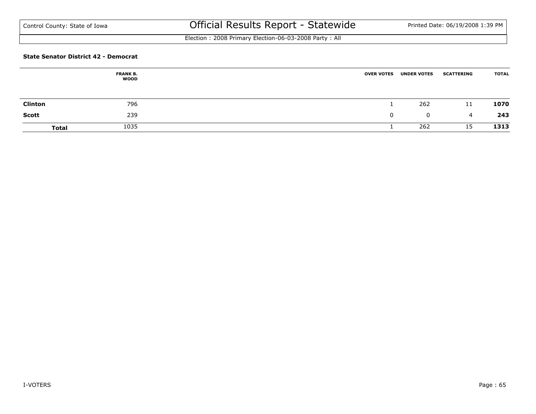Election : 2008 Primary Election-06-03-2008 Party : All

#### **State Senator District 42 - Democrat**

|                | <b>FRANK B.</b><br>WOOD | <b>OVER VOTES</b> | <b>UNDER VOTES</b> | <b>SCATTERING</b> | <b>TOTAL</b> |
|----------------|-------------------------|-------------------|--------------------|-------------------|--------------|
|                |                         |                   |                    |                   |              |
| <b>Clinton</b> | 796                     |                   | 262                | 11                | 1070         |
| <b>Scott</b>   | 239                     | 0                 | 0                  | 4                 | 243          |
| <b>Total</b>   | 1035                    |                   | 262                | 15                | 1313         |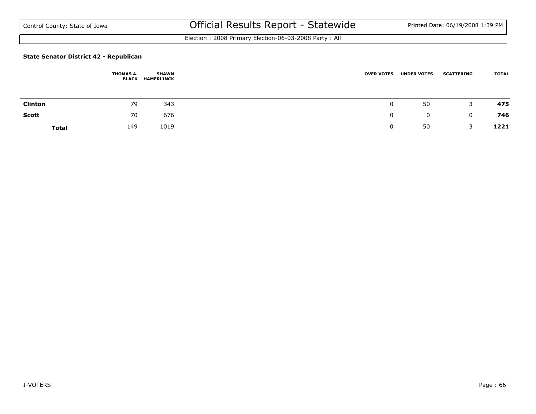Election : 2008 Primary Election-06-03-2008 Party : All

### **State Senator District 42 - Republican**

|                | <b>THOMAS A.</b><br>BLACK | <b>SHAWN</b><br><b>HAMERLINCK</b> | <b>OVER VOTES</b> | <b>UNDER VOTES</b> | <b>SCATTERING</b> | <b>TOTAL</b> |
|----------------|---------------------------|-----------------------------------|-------------------|--------------------|-------------------|--------------|
| <b>Clinton</b> | 79                        | 343                               | 0                 | 50                 | 3                 | 475          |
| Scott          | 70                        | 676                               |                   | $\mathbf{0}$       | $\Omega$          | 746          |
| <b>Total</b>   | 149                       | 1019                              |                   | 50                 |                   | 1221         |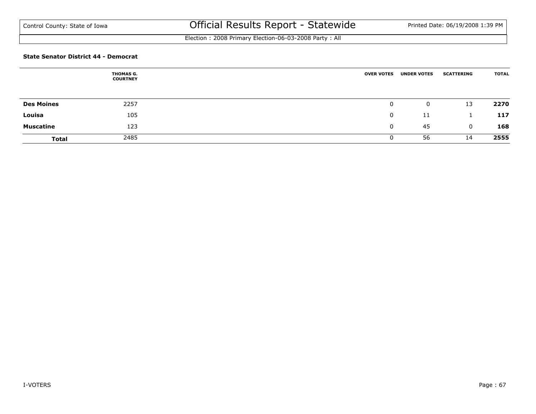Election : 2008 Primary Election-06-03-2008 Party : All

#### **State Senator District 44 - Democrat**

|                   | THOMAS G.<br><b>COURTNEY</b> | <b>OVER VOTES</b> | <b>UNDER VOTES</b> | <b>SCATTERING</b> | <b>TOTAL</b> |
|-------------------|------------------------------|-------------------|--------------------|-------------------|--------------|
|                   |                              |                   |                    |                   |              |
| <b>Des Moines</b> | 2257                         | 0                 | 0                  | 13                | 2270         |
| Louisa            | 105                          |                   | -11                |                   | 117          |
| <b>Muscatine</b>  | 123                          | 0                 | 45                 | $\mathbf{0}$      | 168          |
| <b>Total</b>      | 2485                         |                   | 56                 | 14                | 2555         |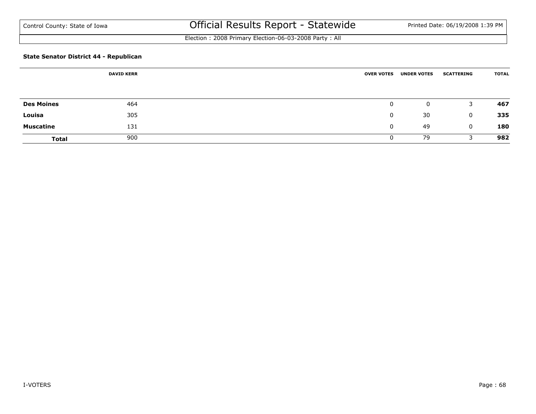Election : 2008 Primary Election-06-03-2008 Party : All

### **State Senator District 44 - Republican**

|                   | <b>DAVID KERR</b> | <b>OVER VOTES</b> | <b>UNDER VOTES</b> | <b>SCATTERING</b> | <b>TOTAL</b> |
|-------------------|-------------------|-------------------|--------------------|-------------------|--------------|
|                   |                   |                   |                    |                   |              |
|                   |                   |                   |                    |                   |              |
| <b>Des Moines</b> | 464               | 0                 | 0                  | 3                 | 467          |
| Louisa            | 305               | $\Omega$          | 30                 | $\mathbf 0$       | 335          |
| <b>Muscatine</b>  | 131               | $\mathbf{0}$      | 49                 | $\mathbf 0$       | 180          |
| <b>Total</b>      | 900               | U                 | 79                 |                   | 982          |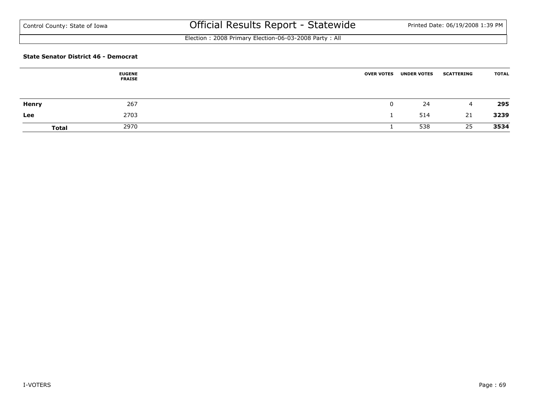Election : 2008 Primary Election-06-03-2008 Party : All

#### **State Senator District 46 - Democrat**

|              | <b>EUGENE</b><br><b>FRAISE</b> | <b>UNDER VOTES</b><br><b>OVER VOTES</b> | <b>SCATTERING</b> | <b>TOTAL</b> |
|--------------|--------------------------------|-----------------------------------------|-------------------|--------------|
| <b>Henry</b> | 267                            | 0                                       | 24                | 295<br>4     |
| Lee          | 2703                           |                                         | 514               | 3239<br>21   |
| <b>Total</b> | 2970                           |                                         | 538               | 3534<br>25   |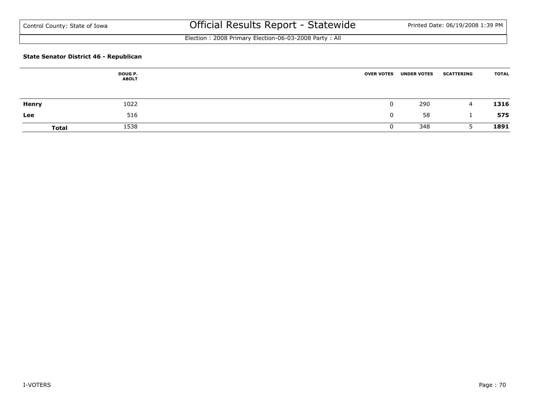Election : 2008 Primary Election-06-03-2008 Party : All

### **State Senator District 46 - Republican**

|              | <b>DOUG P.</b><br><b>ABOLT</b> | <b>OVER VOTES</b> | <b>UNDER VOTES</b> | <b>SCATTERING</b> | <b>TOTAL</b> |
|--------------|--------------------------------|-------------------|--------------------|-------------------|--------------|
| <b>Henry</b> | 1022                           |                   | 290                | 4                 | 1316         |
| Lee          | 516                            |                   | 58                 |                   | 575          |
| <b>Total</b> | 1538                           |                   | 348                |                   | 1891         |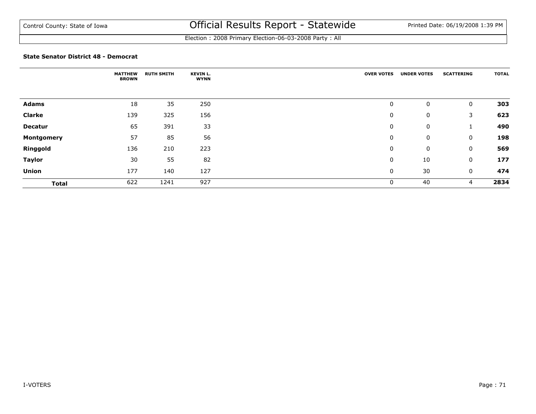Election : 2008 Primary Election-06-03-2008 Party : All

#### **State Senator District 48 - Democrat**

|                | <b>MATTHEW</b><br><b>BROWN</b> | <b>RUTH SMITH</b> | <b>KEVIN L.</b><br><b>WYNN</b> | <b>OVER VOTES</b> | <b>UNDER VOTES</b> | <b>SCATTERING</b> | <b>TOTAL</b> |
|----------------|--------------------------------|-------------------|--------------------------------|-------------------|--------------------|-------------------|--------------|
|                |                                |                   |                                |                   |                    |                   |              |
| Adams          | 18                             | 35                | 250                            | 0                 | 0                  | 0                 | 303          |
| <b>Clarke</b>  | 139                            | 325               | 156                            | 0                 | 0                  | 3                 | 623          |
| <b>Decatur</b> | 65                             | 391               | 33                             | 0                 | 0                  | щ                 | 490          |
| Montgomery     | 57                             | 85                | 56                             | 0                 | 0                  | 0                 | 198          |
| Ringgold       | 136                            | 210               | 223                            | 0                 | 0                  | 0                 | 569          |
| <b>Taylor</b>  | 30                             | 55                | 82                             | 0                 | 10                 | 0                 | 177          |
| <b>Union</b>   | 177                            | 140               | 127                            | 0                 | 30                 | 0                 | 474          |
| <b>Total</b>   | 622                            | 1241              | 927                            | 0                 | 40                 | 4                 | 2834         |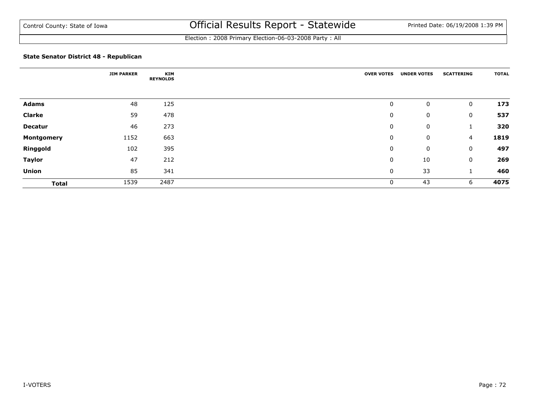Election : 2008 Primary Election-06-03-2008 Party : All

### **State Senator District 48 - Republican**

|                | <b>JIM PARKER</b> | <b>KIM</b><br><b>REYNOLDS</b> | <b>OVER VOTES</b> | <b>UNDER VOTES</b> | <b>SCATTERING</b> | <b>TOTAL</b> |
|----------------|-------------------|-------------------------------|-------------------|--------------------|-------------------|--------------|
|                |                   |                               |                   |                    |                   |              |
| <b>Adams</b>   | 48                | 125                           | 0                 | 0                  | 0                 | 173          |
| <b>Clarke</b>  | 59                | 478                           | 0                 | 0                  | 0                 | 537          |
| <b>Decatur</b> | 46                | 273                           | 0                 | 0                  |                   | 320          |
| Montgomery     | 1152              | 663                           | 0                 | 0                  | 4                 | 1819         |
| Ringgold       | 102               | 395                           | 0                 | 0                  | 0                 | 497          |
| <b>Taylor</b>  | 47                | 212                           | 0                 | 10                 | 0                 | 269          |
| <b>Union</b>   | 85                | 341                           | 0                 | 33                 |                   | 460          |
| <b>Total</b>   | 1539              | 2487                          | 0                 | 43                 | 6                 | 4075         |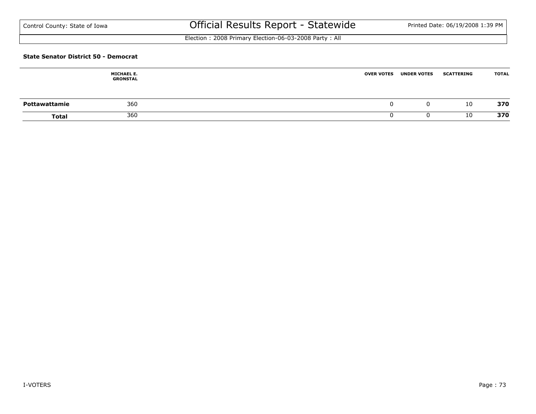Election : 2008 Primary Election-06-03-2008 Party : All

#### **State Senator District 50 - Democrat**

|               | <b>MICHAEL E.</b><br><b>GRONSTAL</b> | <b>OVER VOTES</b> | <b>UNDER VOTES</b> | <b>SCATTERING</b> | <b>TOTAL</b> |
|---------------|--------------------------------------|-------------------|--------------------|-------------------|--------------|
| Pottawattamie | 360                                  |                   | 0                  | 10                | 370          |
| <b>Total</b>  | 360                                  |                   |                    | 10                | 370          |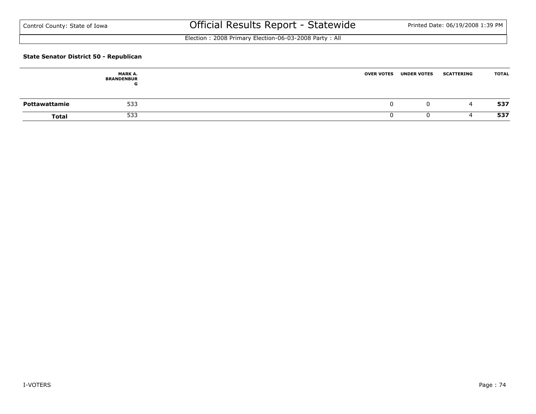Election : 2008 Primary Election-06-03-2008 Party : All

### **State Senator District 50 - Republican**

|               | <b>MARK A.</b><br><b>BRANDENBUR</b><br>u | <b>OVER VOTES</b> | <b>UNDER VOTES</b> | <b>SCATTERING</b> | <b>TOTAL</b> |
|---------------|------------------------------------------|-------------------|--------------------|-------------------|--------------|
| Pottawattamie | 533                                      |                   |                    | ⊶                 | 537          |
| <b>Total</b>  | 533                                      |                   |                    |                   | 537          |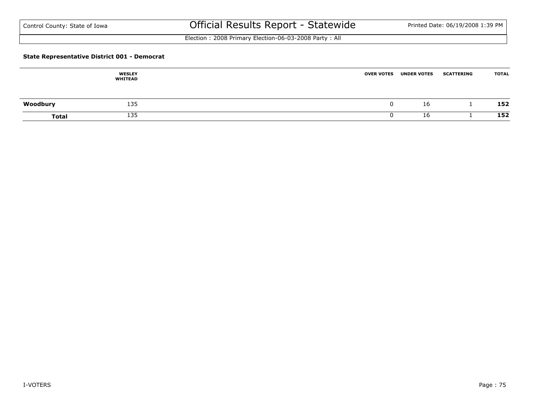Election : 2008 Primary Election-06-03-2008 Party : All

### **State Representative District 001 - Democrat**

|              | <b>WESLEY</b><br><b>WHITEAD</b> | <b>OVER VOTES</b> | <b>UNDER VOTES</b> | <b>SCATTERING</b> | <b>TOTAL</b> |
|--------------|---------------------------------|-------------------|--------------------|-------------------|--------------|
| Woodbury     | 135                             |                   | 16                 |                   | 152          |
| <b>Total</b> | 135                             |                   | 16                 |                   | 152          |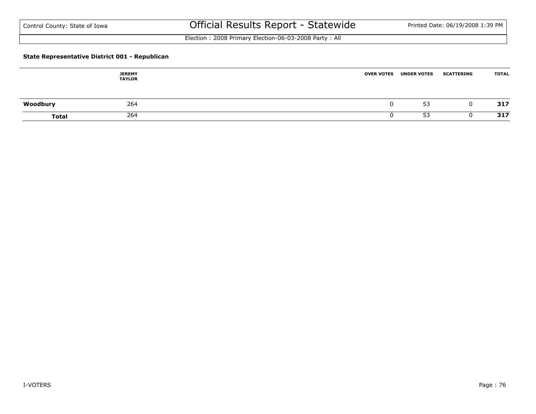Election : 2008 Primary Election-06-03-2008 Party : All

### **State Representative District 001 - Republican**

|              | <b>JEREMY</b><br><b>TAYLOR</b> | <b>OVER VOTES</b> | <b>UNDER VOTES</b> | <b>SCATTERING</b> | <b>TOTAL</b> |
|--------------|--------------------------------|-------------------|--------------------|-------------------|--------------|
| Woodbury     | 264                            | u                 | 53                 |                   | 317          |
| <b>Total</b> | 264                            |                   | 53                 |                   | 317          |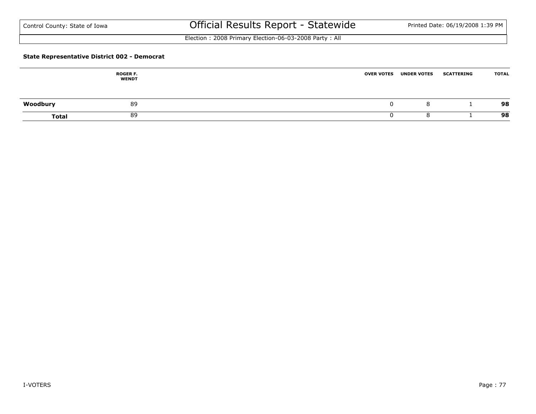Election : 2008 Primary Election-06-03-2008 Party : All

### **State Representative District 002 - Democrat**

|              | <b>ROGER F.</b><br><b>WENDT</b> | <b>OVER VOTES</b> | <b>UNDER VOTES</b> | <b>SCATTERING</b> | <b>TOTAL</b> |
|--------------|---------------------------------|-------------------|--------------------|-------------------|--------------|
| Woodbury     | 89                              |                   | 8                  |                   | 98           |
| <b>Total</b> | 89                              |                   | o                  |                   | 98           |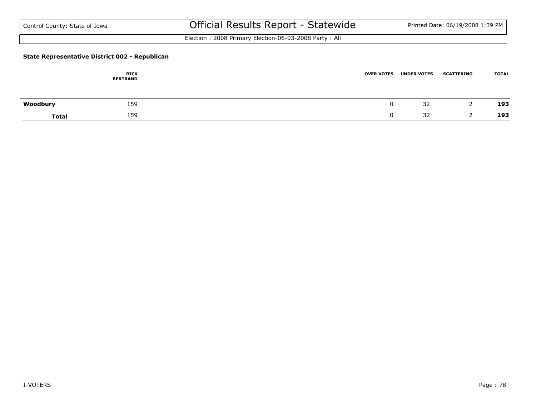Election : 2008 Primary Election-06-03-2008 Party : All

### **State Representative District 002 - Republican**

|              | <b>RICK</b><br><b>BERTRAND</b> | <b>OVER VOTES</b> | <b>UNDER VOTES</b> | <b>SCATTERING</b> | <b>TOTAL</b> |
|--------------|--------------------------------|-------------------|--------------------|-------------------|--------------|
| Woodbury     | 159                            |                   | 32                 |                   | 193          |
| <b>Total</b> | 159                            |                   | 32                 |                   | 193          |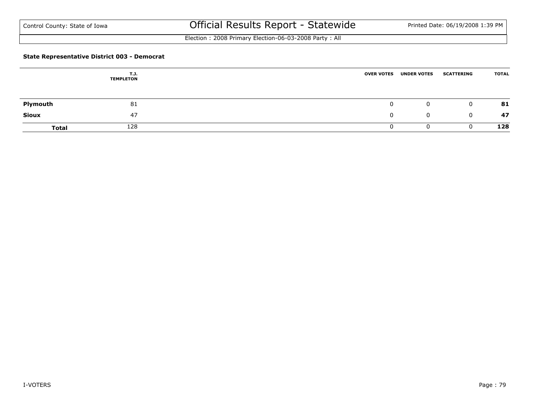Election : 2008 Primary Election-06-03-2008 Party : All

### **State Representative District 003 - Democrat**

|              | T.J.<br><b>TEMPLETON</b> | <b>OVER VOTES</b> | <b>UNDER VOTES</b> | <b>SCATTERING</b> | <b>TOTAL</b>       |
|--------------|--------------------------|-------------------|--------------------|-------------------|--------------------|
|              |                          |                   |                    |                   |                    |
| Plymouth     | 81                       |                   |                    | $\mathbf 0$       | 81<br>$\mathbf{0}$ |
| Sioux        | 47                       |                   |                    | $\mathbf 0$       | 47<br>0            |
| <b>Total</b> | 128                      |                   |                    |                   | 128                |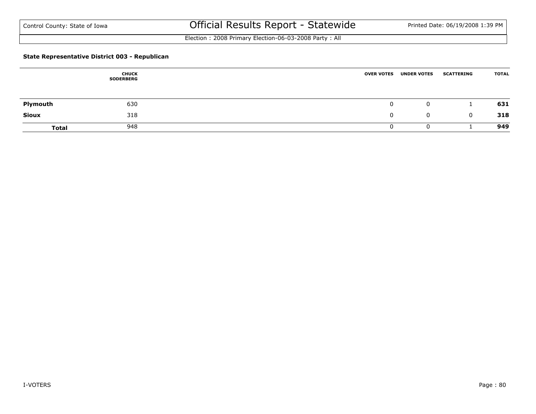Election : 2008 Primary Election-06-03-2008 Party : All

### **State Representative District 003 - Republican**

|              | <b>CHUCK</b><br><b>SODERBERG</b> | <b>OVER VOTES</b> | <b>UNDER VOTES</b> | <b>SCATTERING</b> | <b>TOTAL</b> |
|--------------|----------------------------------|-------------------|--------------------|-------------------|--------------|
| Plymouth     | 630                              | 0                 | 0                  |                   | 631          |
| <b>Sioux</b> | 318                              | 0                 | 0                  | 0                 | 318          |
| <b>Total</b> | 948                              |                   | U                  |                   | 949          |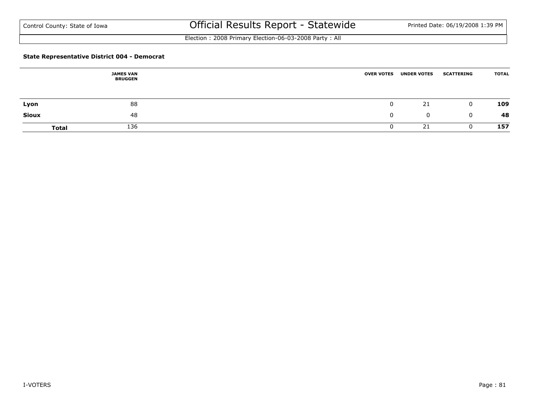Election : 2008 Primary Election-06-03-2008 Party : All

### **State Representative District 004 - Democrat**

|              | <b>JAMES VAN</b><br><b>BRUGGEN</b> | <b>OVER VOTES</b> | <b>UNDER VOTES</b> | <b>SCATTERING</b> | <b>TOTAL</b> |
|--------------|------------------------------------|-------------------|--------------------|-------------------|--------------|
| Lyon         | 88                                 |                   | 21                 | $\mathbf 0$       | 109          |
| <b>Sioux</b> | 48                                 |                   | $\mathbf{0}$       | 0                 | 48           |
| <b>Total</b> | 136                                |                   | 21                 |                   | 157          |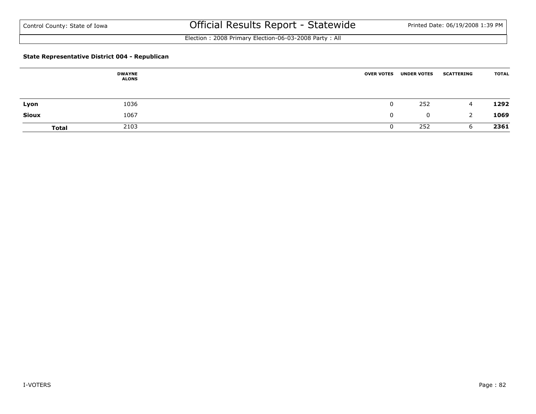Election : 2008 Primary Election-06-03-2008 Party : All

### **State Representative District 004 - Republican**

|              | <b>DWAYNE</b><br><b>ALONS</b> | <b>OVER VOTES</b> | <b>UNDER VOTES</b> | <b>SCATTERING</b> | <b>TOTAL</b> |
|--------------|-------------------------------|-------------------|--------------------|-------------------|--------------|
| Lyon         | 1036                          |                   | 252                | 4                 | 1292         |
| <b>Sioux</b> | 1067                          | 0                 | $\mathbf{0}$       | 2                 | 1069         |
| <b>Total</b> | 2103                          |                   | 252                | b                 | 2361         |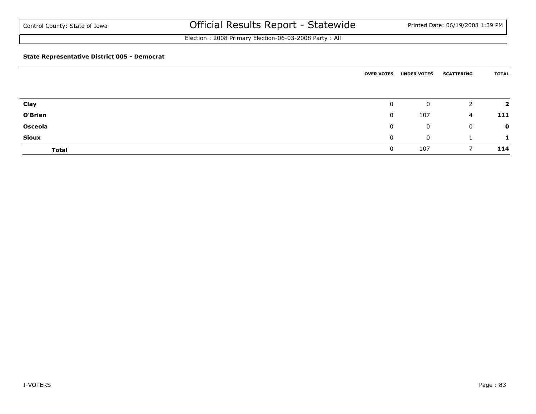Election : 2008 Primary Election-06-03-2008 Party : All

### **State Representative District 005 - Democrat**

|                | <b>OVER VOTES</b> | <b>UNDER VOTES</b> | <b>SCATTERING</b> | <b>TOTAL</b>            |
|----------------|-------------------|--------------------|-------------------|-------------------------|
|                |                   |                    |                   |                         |
| Clay           | $\mathbf{0}$      | 0                  | 2                 | $\overline{\mathbf{2}}$ |
| O'Brien        | $\mathbf{0}$      | 107                | 4                 | 111                     |
| <b>Osceola</b> | 0                 | 0                  | 0                 | $\mathbf 0$             |
| <b>Sioux</b>   | $\mathbf{0}$      | 0                  |                   | $\mathbf{L}$            |
| <b>Total</b>   | 0                 | 107                |                   | 114                     |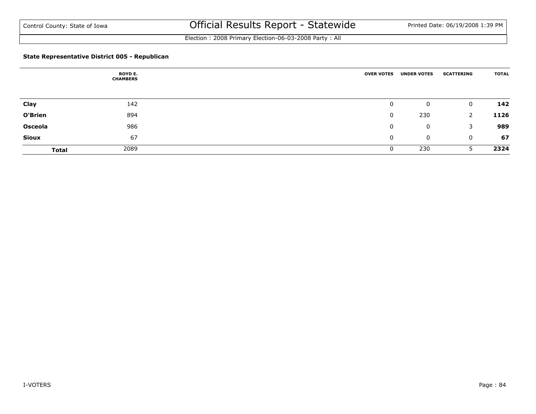Election : 2008 Primary Election-06-03-2008 Party : All

### **State Representative District 005 - Republican**

|                | <b>ROYD E.</b><br><b>CHAMBERS</b> | <b>OVER VOTES</b> | <b>UNDER VOTES</b> | <b>SCATTERING</b> | <b>TOTAL</b> |
|----------------|-----------------------------------|-------------------|--------------------|-------------------|--------------|
|                |                                   |                   |                    |                   |              |
| Clay           | 142                               | 0                 | 0                  | $\mathbf 0$       | 142          |
| O'Brien        | 894                               | 0                 | 230                | 2                 | 1126         |
| <b>Osceola</b> | 986                               | 0                 | 0                  | 3                 | 989          |
| <b>Sioux</b>   | 67                                | 0                 | 0                  | $\mathbf 0$       | 67           |
| <b>Total</b>   | 2089                              |                   | 230                | 5.                | 2324         |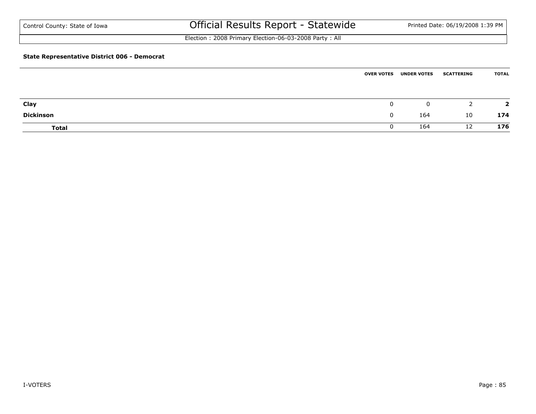Election : 2008 Primary Election-06-03-2008 Party : All

### **State Representative District 006 - Democrat**

|                  | <b>OVER VOTES</b> | <b>UNDER VOTES</b> | <b>SCATTERING</b> | <b>TOTAL</b> |
|------------------|-------------------|--------------------|-------------------|--------------|
|                  |                   |                    |                   |              |
|                  |                   |                    |                   |              |
| Clay             | 0                 | 0                  |                   | э.           |
| <b>Dickinson</b> | 0                 | 164                | 10                | 174          |
| <b>Total</b>     | υ                 | 164                | 12                | 176          |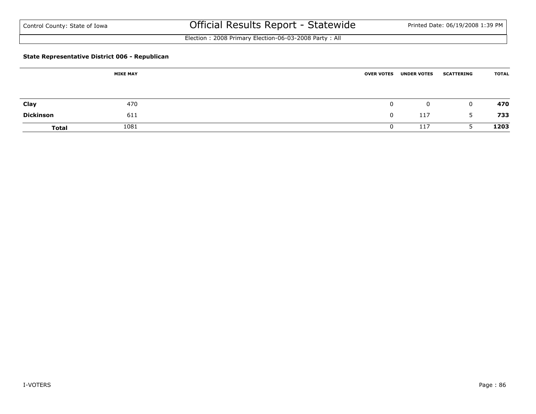Election : 2008 Primary Election-06-03-2008 Party : All

### **State Representative District 006 - Republican**

|                  | <b>MIKE MAY</b> | <b>OVER VOTES</b> | <b>UNDER VOTES</b> | <b>SCATTERING</b> | <b>TOTAL</b> |
|------------------|-----------------|-------------------|--------------------|-------------------|--------------|
|                  |                 |                   |                    |                   |              |
| Clay             | 470             |                   | $\mathbf{0}$       | $\mathbf 0$       | 470          |
| <b>Dickinson</b> | 611             |                   | 117                | 5                 | 733          |
| <b>Total</b>     | 1081            |                   | 117                |                   | 1203         |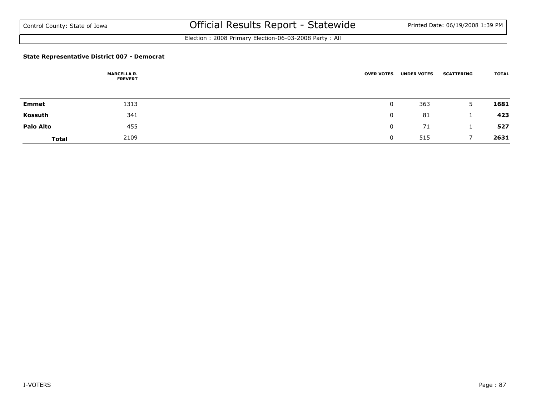Election : 2008 Primary Election-06-03-2008 Party : All

### **State Representative District 007 - Democrat**

|                  | <b>MARCELLA R.</b><br><b>FREVERT</b> | <b>OVER VOTES</b> | <b>UNDER VOTES</b> | <b>SCATTERING</b> | <b>TOTAL</b> |
|------------------|--------------------------------------|-------------------|--------------------|-------------------|--------------|
|                  |                                      |                   |                    |                   |              |
| <b>Emmet</b>     | 1313                                 | 0                 | 363                | 5                 | 1681         |
| Kossuth          | 341                                  | 0                 | 81                 |                   | 423          |
| <b>Palo Alto</b> | 455                                  | $\mathbf 0$       | 71                 |                   | 527          |
| <b>Total</b>     | 2109                                 | U                 | 515                |                   | 2631         |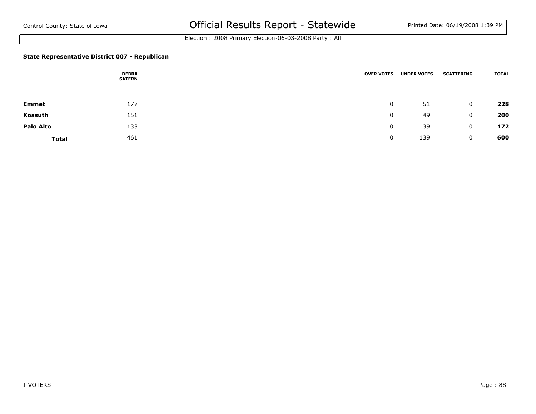Election : 2008 Primary Election-06-03-2008 Party : All

### **State Representative District 007 - Republican**

|                  | <b>DEBRA</b><br><b>SATERN</b> | <b>OVER VOTES</b> | <b>UNDER VOTES</b> | <b>SCATTERING</b> | <b>TOTAL</b> |
|------------------|-------------------------------|-------------------|--------------------|-------------------|--------------|
|                  |                               |                   |                    |                   |              |
| <b>Emmet</b>     | 177                           | 0                 | 51                 | $\mathbf 0$       | 228          |
| Kossuth          | 151                           |                   | 49                 | $\mathbf{0}$      | 200          |
| <b>Palo Alto</b> | 133                           | 0                 | 39                 | $\mathbf{0}$      | 172          |
| <b>Total</b>     | 461                           |                   | 139                |                   | 600          |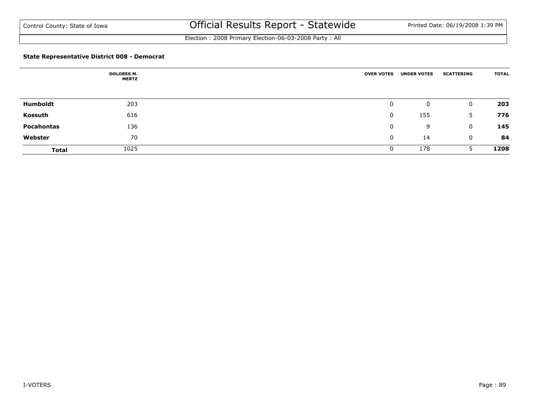Election : 2008 Primary Election-06-03-2008 Party : All

### **State Representative District 008 - Democrat**

|              | <b>DOLORES M.</b><br><b>MERTZ</b> | <b>OVER VOTES</b> | <b>UNDER VOTES</b> | <b>SCATTERING</b> | <b>TOTAL</b> |
|--------------|-----------------------------------|-------------------|--------------------|-------------------|--------------|
|              |                                   |                   |                    |                   |              |
| Humboldt     | 203                               | 0                 | 0                  | $\mathbf{0}$      | 203          |
| Kossuth      | 616                               | 0                 | 155                | 5                 | 776          |
| Pocahontas   | 136                               | 0                 | 9                  | $\mathbf{0}$      | 145          |
| Webster      | 70                                | 0                 | 14                 | $\mathbf{0}$      | 84           |
| <b>Total</b> | 1025                              | 0                 | 178                |                   | 1208         |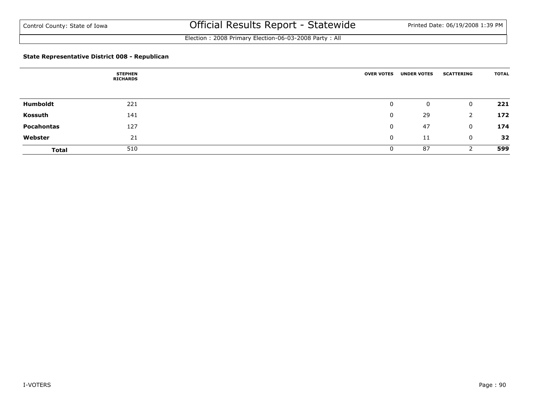Election : 2008 Primary Election-06-03-2008 Party : All

### **State Representative District 008 - Republican**

|              | <b>STEPHEN</b><br><b>RICHARDS</b> | <b>OVER VOTES</b> | <b>UNDER VOTES</b> | <b>SCATTERING</b> | <b>TOTAL</b> |
|--------------|-----------------------------------|-------------------|--------------------|-------------------|--------------|
|              |                                   |                   |                    |                   |              |
| Humboldt     | 221                               | 0                 | 0                  | 0                 | 221          |
| Kossuth      | 141                               | 0                 | 29                 |                   | 172          |
| Pocahontas   | 127                               | 0                 | 47                 | 0                 | 174          |
| Webster      | 21                                | 0                 | 11                 | 0                 | 32           |
| <b>Total</b> | 510                               | 0                 | 87                 |                   | 599          |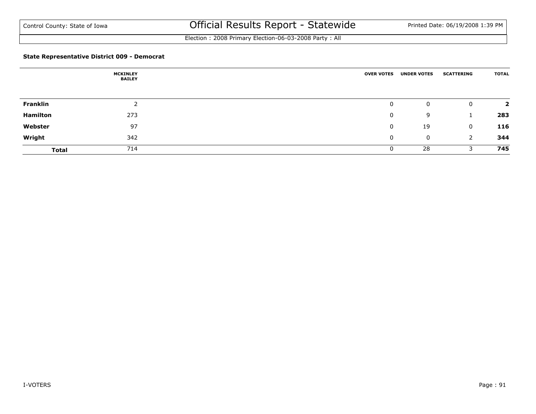Election : 2008 Primary Election-06-03-2008 Party : All

### **State Representative District 009 - Democrat**

|                 | <b>MCKINLEY</b><br><b>BAILEY</b> | <b>OVER VOTES</b> | <b>UNDER VOTES</b> | <b>SCATTERING</b> | <b>TOTAL</b>   |
|-----------------|----------------------------------|-------------------|--------------------|-------------------|----------------|
|                 |                                  |                   |                    |                   |                |
| <b>Franklin</b> |                                  | 0                 | 0                  | $\mathbf 0$       | $\overline{2}$ |
| <b>Hamilton</b> | 273                              | 0                 | 9                  |                   | 283            |
| Webster         | 97                               | 0                 | 19                 | $\mathbf{0}$      | 116            |
| Wright          | 342                              | 0                 | 0                  | 2                 | 344            |
| <b>Total</b>    | 714                              |                   | 28                 |                   | 745            |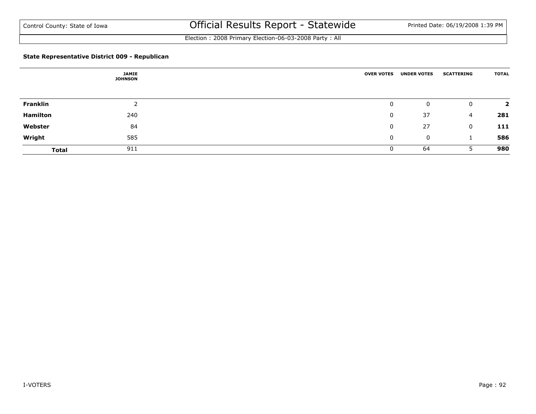Election : 2008 Primary Election-06-03-2008 Party : All

### **State Representative District 009 - Republican**

|                 | <b>JAMIE</b><br><b>JOHNSON</b> | <b>OVER VOTES</b> | <b>UNDER VOTES</b> | <b>SCATTERING</b> | <b>TOTAL</b> |
|-----------------|--------------------------------|-------------------|--------------------|-------------------|--------------|
| Franklin        |                                | 0                 | 0                  | 0                 |              |
| <b>Hamilton</b> | 240                            | 0                 | 37                 | 4                 | 281          |
| Webster         | 84                             | 0                 | 27                 | 0                 | 111          |
| Wright          | 585                            | 0                 | 0                  |                   | 586          |
| <b>Total</b>    | 911                            | 0                 | 64                 |                   | 980          |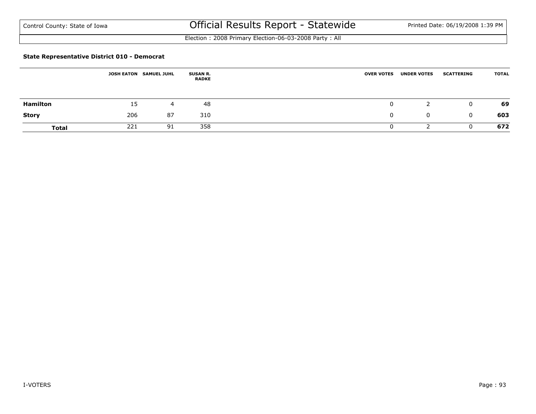Election : 2008 Primary Election-06-03-2008 Party : All

#### **State Representative District 010 - Democrat**

|                 | <b>JOSH EATON</b> | <b>SAMUEL JUHL</b> | <b>SUSAN R.</b><br><b>RADKE</b> | <b>OVER VOTES</b> | <b>UNDER VOTES</b> | <b>SCATTERING</b> | <b>TOTAL</b> |
|-----------------|-------------------|--------------------|---------------------------------|-------------------|--------------------|-------------------|--------------|
| <b>Hamilton</b> | 15                | 4                  | 48                              |                   |                    | 0                 | 69           |
| <b>Story</b>    | 206               | 87                 | 310                             |                   | 0                  | 0                 | 603          |
| <b>Total</b>    | 221               | 91                 | 358                             |                   |                    |                   | 672          |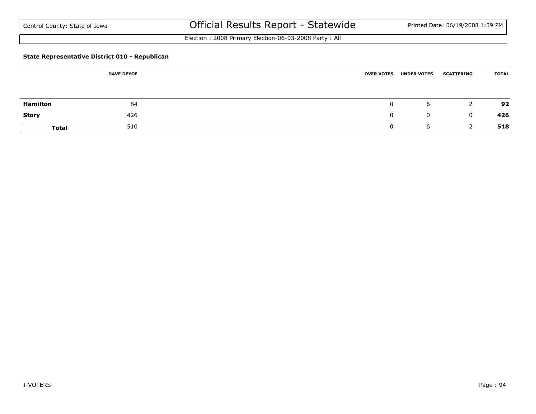Election : 2008 Primary Election-06-03-2008 Party : All

### **State Representative District 010 - Republican**

|                 | <b>DAVE DEYOE</b> |    | <b>OVER VOTES</b> | <b>UNDER VOTES</b> | <b>SCATTERING</b> | <b>TOTAL</b> |
|-----------------|-------------------|----|-------------------|--------------------|-------------------|--------------|
|                 |                   |    |                   |                    |                   |              |
| <b>Hamilton</b> |                   | 84 |                   | b                  | <u>_</u>          | 92           |
| <b>Story</b>    | 426               |    |                   | $\mathbf 0$        | $\mathbf 0$       | 426          |
| <b>Total</b>    | 510               |    |                   | b                  |                   | 518          |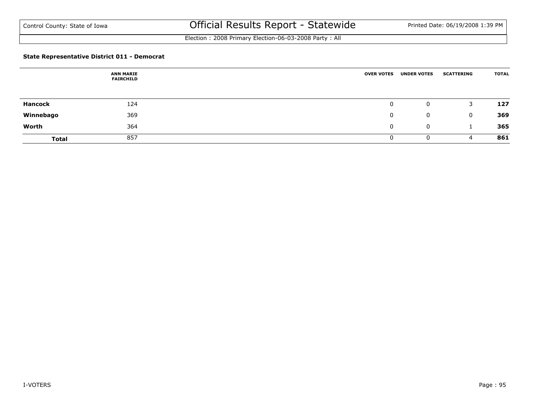Election : 2008 Primary Election-06-03-2008 Party : All

### **State Representative District 011 - Democrat**

|                | <b>ANN MARIE</b><br><b>FAIRCHILD</b> | <b>OVER VOTES</b> | <b>UNDER VOTES</b> | <b>SCATTERING</b> | <b>TOTAL</b> |
|----------------|--------------------------------------|-------------------|--------------------|-------------------|--------------|
|                |                                      |                   |                    |                   |              |
| <b>Hancock</b> | 124                                  | 0                 | 0                  | 3                 | 127          |
| Winnebago      | 369                                  | 0                 | 0                  | $\Omega$          | 369          |
| Worth          | 364                                  | 0                 | 0                  |                   | 365          |
| <b>Total</b>   | 857                                  | 0                 | 0                  | 4                 | 861          |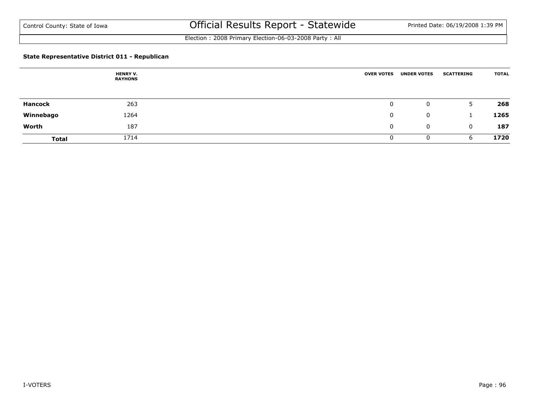Election : 2008 Primary Election-06-03-2008 Party : All

### **State Representative District 011 - Republican**

|                | <b>HENRY V.</b><br><b>RAYHONS</b> | <b>OVER VOTES</b> | <b>UNDER VOTES</b> | <b>SCATTERING</b> | <b>TOTAL</b> |
|----------------|-----------------------------------|-------------------|--------------------|-------------------|--------------|
|                |                                   |                   |                    |                   |              |
| <b>Hancock</b> | 263                               | 0                 | 0                  | 5.                | 268          |
| Winnebago      | 1264                              | 0                 | 0                  |                   | 1265         |
| Worth          | 187                               | 0                 | 0                  | 0                 | 187          |
| <b>Total</b>   | 1714                              | 0                 | 0                  | 6                 | 1720         |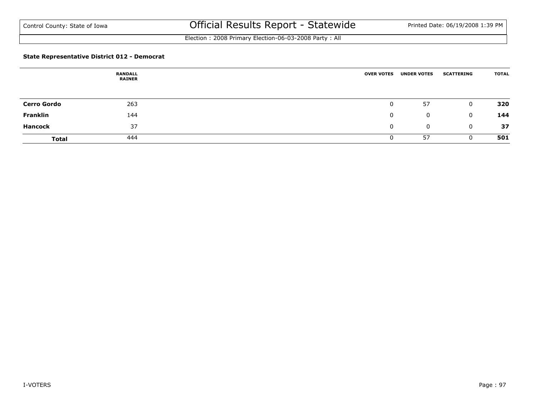Election : 2008 Primary Election-06-03-2008 Party : All

### **State Representative District 012 - Democrat**

|                    | <b>RANDALL</b><br><b>RAINER</b> | <b>OVER VOTES</b> | <b>UNDER VOTES</b> | <b>SCATTERING</b> | <b>TOTAL</b> |
|--------------------|---------------------------------|-------------------|--------------------|-------------------|--------------|
|                    |                                 |                   |                    |                   |              |
| <b>Cerro Gordo</b> | 263                             | $\mathbf 0$       | 57                 | $\mathbf 0$       | 320          |
| Franklin           | 144                             | 0                 | $\mathbf{0}$       | $\mathbf{0}$      | 144          |
| <b>Hancock</b>     | 37                              | $\mathbf{0}$      | 0                  | $\mathbf{0}$      | 37           |
| <b>Total</b>       | 444                             | <b>U</b>          | 57                 | 0                 | 501          |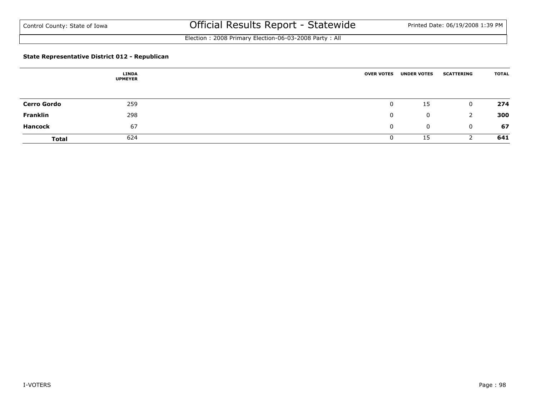Election : 2008 Primary Election-06-03-2008 Party : All

### **State Representative District 012 - Republican**

|                    | <b>LINDA</b><br><b>UPMEYER</b> | <b>OVER VOTES</b> | <b>UNDER VOTES</b> | <b>SCATTERING</b> | <b>TOTAL</b> |
|--------------------|--------------------------------|-------------------|--------------------|-------------------|--------------|
|                    |                                |                   |                    |                   |              |
| <b>Cerro Gordo</b> | 259                            | $\mathbf 0$       | 15                 | $\mathbf 0$       | 274          |
| Franklin           | 298                            | $\mathbf 0$       | $\mathbf{0}$       |                   | 300          |
| <b>Hancock</b>     | 67                             | $\mathbf{0}$      | 0                  | $\mathbf{0}$      | 67           |
| <b>Total</b>       | 624                            | U                 | 15                 |                   | 641          |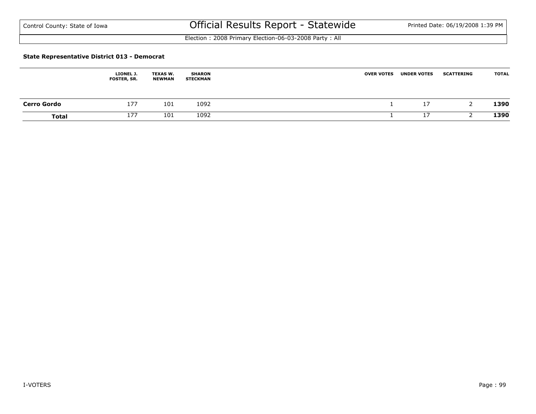Election : 2008 Primary Election-06-03-2008 Party : All

#### **State Representative District 013 - Democrat**

|                    | LIONEL J.<br>FOSTER, SR. | <b>TEXAS W.</b><br>NEWMAN | <b>SHARON</b><br><b>STECKMAN</b> | <b>OVER VOTES</b> | <b>UNDER VOTES</b> | <b>SCATTERING</b> | <b>TOTAL</b> |
|--------------------|--------------------------|---------------------------|----------------------------------|-------------------|--------------------|-------------------|--------------|
| <b>Cerro Gordo</b> | 177                      | 101                       | 1092                             |                   | 17<br><b>TV</b>    |                   | 1390         |
| <b>Total</b>       | 177                      | 101                       | 1092                             |                   | 17                 |                   | 1390         |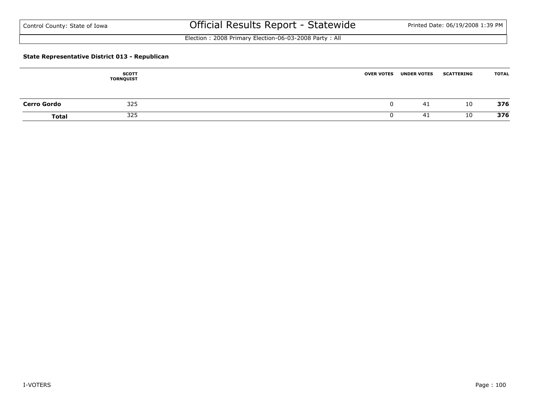Election : 2008 Primary Election-06-03-2008 Party : All

### **State Representative District 013 - Republican**

|                    | <b>SCOTT</b><br><b>TORNQUIST</b> | <b>OVER VOTES</b> | <b>UNDER VOTES</b> | <b>SCATTERING</b> | <b>TOTAL</b> |
|--------------------|----------------------------------|-------------------|--------------------|-------------------|--------------|
| <b>Cerro Gordo</b> | 325                              |                   | 41                 | 10                | 376          |
| <b>Total</b>       | 325                              |                   | -41                | 10                | 376          |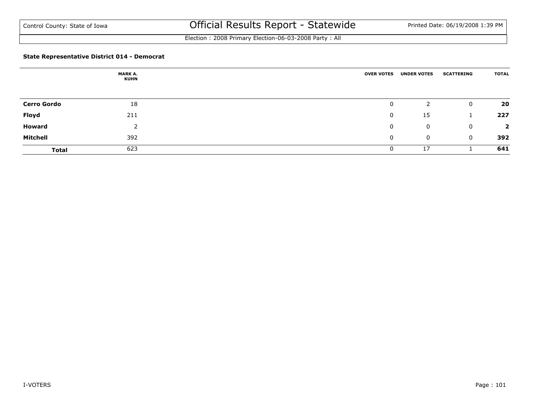Election : 2008 Primary Election-06-03-2008 Party : All

### **State Representative District 014 - Democrat**

|                    | MARK A.<br><b>KUHN</b> | <b>OVER VOTES</b> | <b>UNDER VOTES</b> | <b>SCATTERING</b> | <b>TOTAL</b>            |
|--------------------|------------------------|-------------------|--------------------|-------------------|-------------------------|
| <b>Cerro Gordo</b> | 18                     | 0                 |                    | $\mathbf{0}$      | 20                      |
| Floyd              | 211                    | $\mathbf 0$       | 15                 |                   | 227                     |
| <b>Howard</b>      |                        | 0                 | $\mathbf 0$        | $\mathbf{0}$      | $\overline{\mathbf{2}}$ |
| Mitchell           | 392                    | 0                 | $\mathbf 0$        | $\mathbf{0}$      | 392                     |
| <b>Total</b>       | 623                    | 0                 | 17                 |                   | 641                     |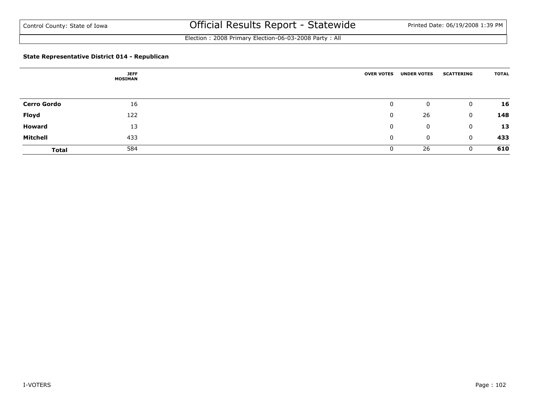Election : 2008 Primary Election-06-03-2008 Party : All

### **State Representative District 014 - Republican**

|                    | <b>JEFF</b><br><b>MOSIMAN</b> | <b>OVER VOTES</b> | <b>UNDER VOTES</b> | <b>SCATTERING</b> | <b>TOTAL</b> |
|--------------------|-------------------------------|-------------------|--------------------|-------------------|--------------|
| <b>Cerro Gordo</b> | 16                            | 0                 | 0                  | 0                 | 16           |
| Floyd              | 122                           | 0                 | 26                 | 0                 | 148          |
| <b>Howard</b>      | 13                            | 0                 | 0                  | 0                 | 13           |
| <b>Mitchell</b>    | 433                           | 0                 | 0                  | 0                 | 433          |
| <b>Total</b>       | 584                           | 0                 | 26                 | $\Omega$          | 610          |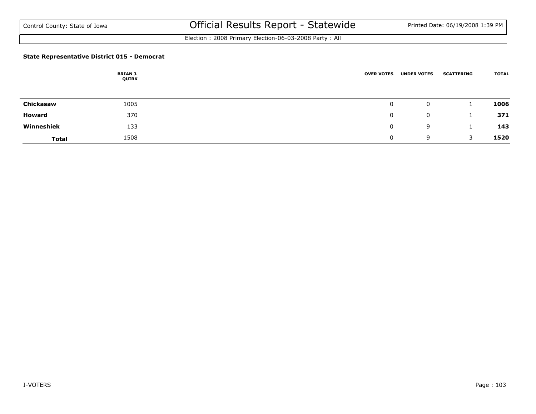Election : 2008 Primary Election-06-03-2008 Party : All

### **State Representative District 015 - Democrat**

|              | <b>BRIAN J.</b><br>QUIRK | <b>OVER VOTES</b> | <b>UNDER VOTES</b> | <b>SCATTERING</b> | <b>TOTAL</b> |
|--------------|--------------------------|-------------------|--------------------|-------------------|--------------|
|              |                          |                   |                    |                   |              |
| Chickasaw    | 1005                     | 0                 | 0                  |                   | 1006         |
| Howard       | 370                      | 0                 | 0                  |                   | 371          |
| Winneshiek   | 133                      | 0                 | 9                  |                   | 143          |
| <b>Total</b> | 1508                     | 0                 | 9                  |                   | 1520         |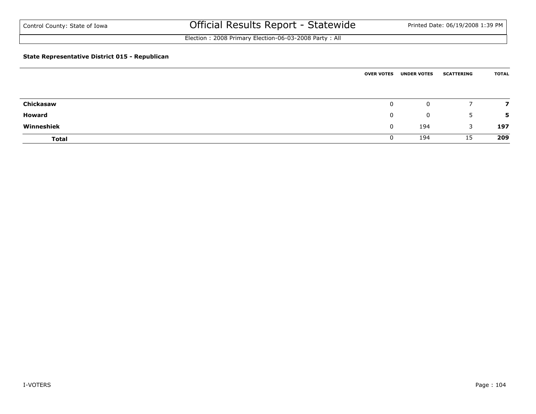Election : 2008 Primary Election-06-03-2008 Party : All

### **State Representative District 015 - Republican**

|               | <b>OVER VOTES</b> | <b>UNDER VOTES</b> | <b>SCATTERING</b> | <b>TOTAL</b> |
|---------------|-------------------|--------------------|-------------------|--------------|
|               |                   |                    |                   |              |
| Chickasaw     | $\mathbf 0$       | 0                  |                   |              |
| <b>Howard</b> | $\mathbf{0}$      | 0                  | 5.                | 5            |
| Winneshiek    | $\mathbf{0}$      | 194                | 3                 | 197          |
| <b>Total</b>  | U                 | 194                | 15                | 209          |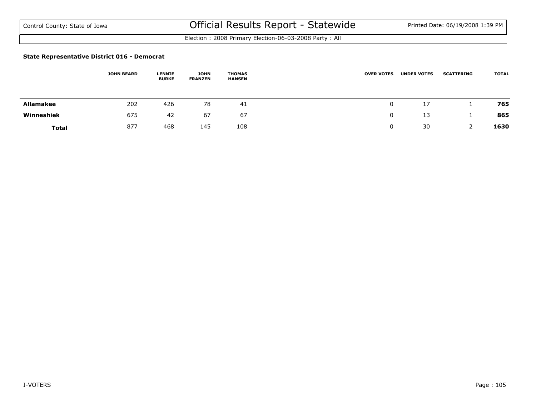Election : 2008 Primary Election-06-03-2008 Party : All

#### **State Representative District 016 - Democrat**

|                  | <b>JOHN BEARD</b> | <b>LENNIE</b><br><b>BURKE</b> | <b>JOHN</b><br><b>FRANZEN</b> | <b>THOMAS</b><br><b>HANSEN</b> | <b>OVER VOTES</b> | <b>UNDER VOTES</b> | <b>SCATTERING</b> | <b>TOTAL</b> |
|------------------|-------------------|-------------------------------|-------------------------------|--------------------------------|-------------------|--------------------|-------------------|--------------|
| <b>Allamakee</b> | 202               | 426                           | 78                            | 41                             | υ                 | 17                 |                   | 765          |
| Winneshiek       | 675               | 42                            | -67                           | 67                             |                   | 13                 |                   | 865          |
| <b>Total</b>     | 877               | 468                           | 145                           | 108                            |                   | 30                 |                   | 1630         |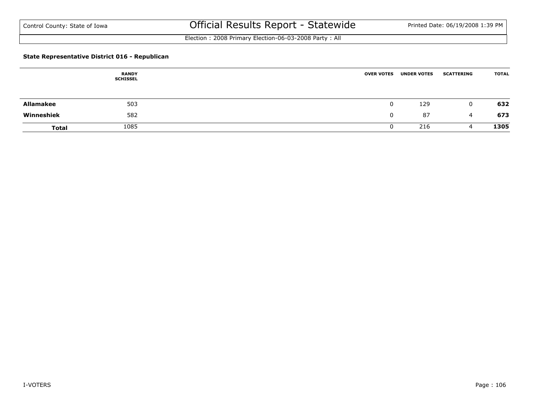Election : 2008 Primary Election-06-03-2008 Party : All

### **State Representative District 016 - Republican**

|                  | <b>RANDY</b><br><b>SCHISSEL</b> | <b>OVER VOTES</b> | <b>UNDER VOTES</b> | <b>SCATTERING</b> | <b>TOTAL</b> |
|------------------|---------------------------------|-------------------|--------------------|-------------------|--------------|
|                  |                                 |                   |                    |                   |              |
| <b>Allamakee</b> | 503                             |                   | 129                | 0                 | 632          |
| Winneshiek       | 582                             |                   | 87                 | 4                 | 673          |
| <b>Total</b>     | 1085                            |                   | 216                | 4                 | 1305         |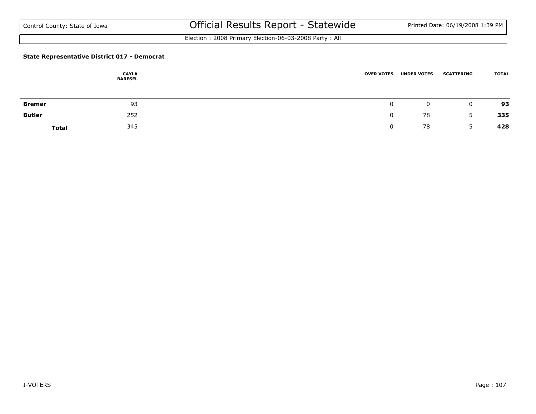Election : 2008 Primary Election-06-03-2008 Party : All

### **State Representative District 017 - Democrat**

|               | <b>CAYLA</b><br><b>BARESEL</b> | <b>OVER VOTES</b> | <b>UNDER VOTES</b> | <b>SCATTERING</b> | <b>TOTAL</b> |
|---------------|--------------------------------|-------------------|--------------------|-------------------|--------------|
| <b>Bremer</b> | 93                             |                   | 0                  | $\mathbf{0}$      | 93           |
| <b>Butler</b> | 252                            |                   | 78                 | 5                 | 335          |
| <b>Total</b>  | 345                            |                   | 78                 |                   | 428          |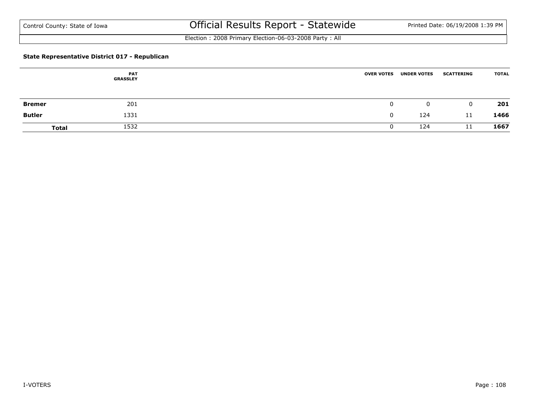Election : 2008 Primary Election-06-03-2008 Party : All

### **State Representative District 017 - Republican**

|               | <b>PAT</b><br><b>GRASSLEY</b> | <b>OVER VOTES</b> | <b>UNDER VOTES</b> | <b>SCATTERING</b> | <b>TOTAL</b> |
|---------------|-------------------------------|-------------------|--------------------|-------------------|--------------|
| <b>Bremer</b> | 201                           |                   | $\mathbf 0$        | $\mathbf 0$       | 201          |
| <b>Butler</b> | 1331                          |                   | 124                | 11                | 1466         |
| <b>Total</b>  | 1532                          |                   | 124                | 11                | 1667         |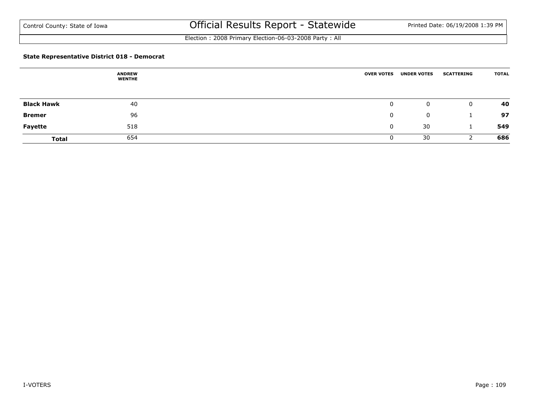Election : 2008 Primary Election-06-03-2008 Party : All

#### **State Representative District 018 - Democrat**

|                   | <b>ANDREW</b><br><b>WENTHE</b> | <b>OVER VOTES</b> | <b>UNDER VOTES</b> | <b>SCATTERING</b> | <b>TOTAL</b> |
|-------------------|--------------------------------|-------------------|--------------------|-------------------|--------------|
|                   |                                |                   |                    |                   |              |
| <b>Black Hawk</b> | 40                             | $\mathbf 0$       | 0                  | $\mathbf 0$       | 40           |
| <b>Bremer</b>     | 96                             | $\mathbf 0$       | $\mathbf{0}$       |                   | 97           |
| <b>Fayette</b>    | 518                            | $\mathbf 0$       | 30                 |                   | 549          |
| <b>Total</b>      | 654                            | U                 | 30                 |                   | 686          |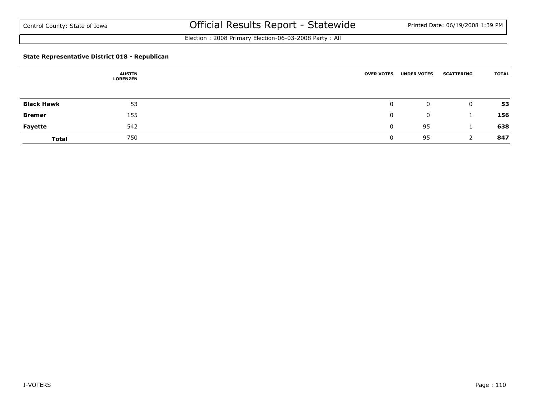Election : 2008 Primary Election-06-03-2008 Party : All

#### **State Representative District 018 - Republican**

|                   | <b>AUSTIN</b><br><b>LORENZEN</b> | <b>OVER VOTES</b> | <b>UNDER VOTES</b> | <b>SCATTERING</b> | <b>TOTAL</b> |
|-------------------|----------------------------------|-------------------|--------------------|-------------------|--------------|
|                   |                                  |                   |                    |                   |              |
| <b>Black Hawk</b> | 53                               | $\mathbf 0$       | 0                  | $\mathbf{0}$      | 53           |
| <b>Bremer</b>     | 155                              | $\mathbf 0$       | $\mathbf{0}$       |                   | 156          |
| <b>Fayette</b>    | 542                              | $\mathbf{0}$      | 95                 |                   | 638          |
| <b>Total</b>      | 750                              | <u>U</u>          | 95                 |                   | 847          |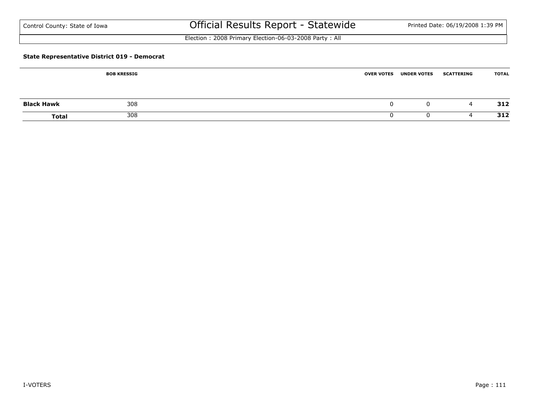Election : 2008 Primary Election-06-03-2008 Party : All

#### **State Representative District 019 - Democrat**

|                   | <b>BOB KRESSIG</b> | <b>OVER VOTES</b> | <b>UNDER VOTES</b> | <b>SCATTERING</b> | <b>TOTAL</b> |
|-------------------|--------------------|-------------------|--------------------|-------------------|--------------|
|                   |                    |                   |                    |                   |              |
| <b>Black Hawk</b> | 308                |                   | 0                  | 4                 | 312          |
| <b>Total</b>      | 308                |                   |                    | ൧                 | 312          |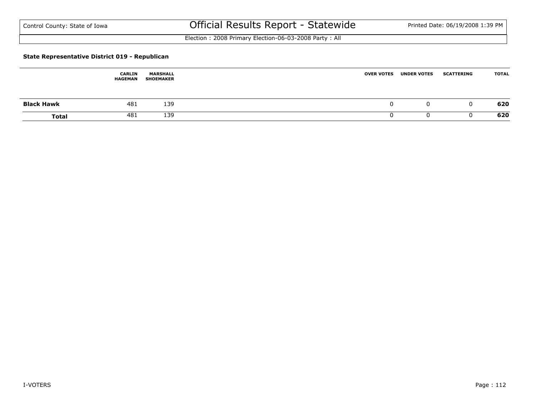Election : 2008 Primary Election-06-03-2008 Party : All

#### **State Representative District 019 - Republican**

|                   | <b>CARLIN</b><br><b>HAGEMAN</b> | <b>MARSHALL</b><br><b>SHOEMAKER</b> | <b>OVER VOTES</b> | <b>UNDER VOTES</b> | <b>SCATTERING</b> | <b>TOTAL</b> |
|-------------------|---------------------------------|-------------------------------------|-------------------|--------------------|-------------------|--------------|
| <b>Black Hawk</b> | 481                             | 139                                 |                   | u                  | . .               | 620          |
| <b>Total</b>      | 481                             | 139                                 |                   |                    |                   | 620          |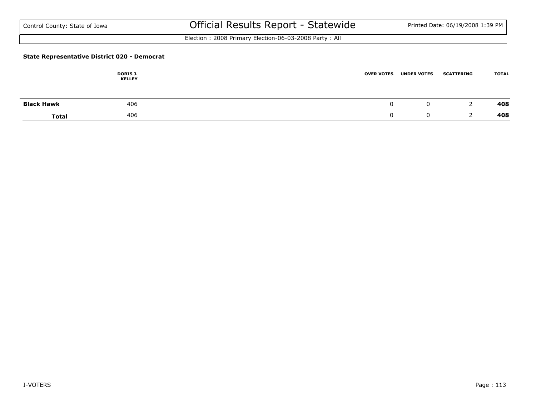Election : 2008 Primary Election-06-03-2008 Party : All

#### **State Representative District 020 - Democrat**

|                   | <b>DORIS J.</b><br><b>KELLEY</b> | <b>OVER VOTES</b> | <b>UNDER VOTES</b> | <b>SCATTERING</b> | <b>TOTAL</b> |
|-------------------|----------------------------------|-------------------|--------------------|-------------------|--------------|
| <b>Black Hawk</b> | 406                              | v                 |                    |                   | 408          |
| <b>Total</b>      | 406                              |                   |                    |                   | 408          |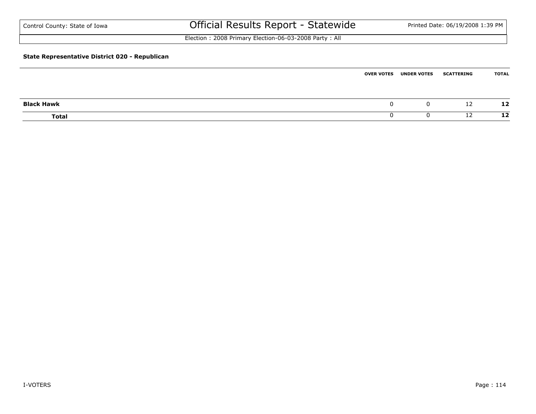| Control County: State of Iowa                         | Official Results Report - Statewide                   |                   |                    | Printed Date: 06/19/2008 1:39 PM |              |
|-------------------------------------------------------|-------------------------------------------------------|-------------------|--------------------|----------------------------------|--------------|
|                                                       | Election: 2008 Primary Election-06-03-2008 Party: All |                   |                    |                                  |              |
| <b>State Representative District 020 - Republican</b> |                                                       |                   |                    |                                  |              |
|                                                       |                                                       | <b>OVER VOTES</b> | <b>UNDER VOTES</b> | <b>SCATTERING</b>                | <b>TOTAL</b> |

| <b>Black Hawk</b> |  | υ | 12 | 12 |
|-------------------|--|---|----|----|
| <b>Total</b>      |  | U | 12 | 12 |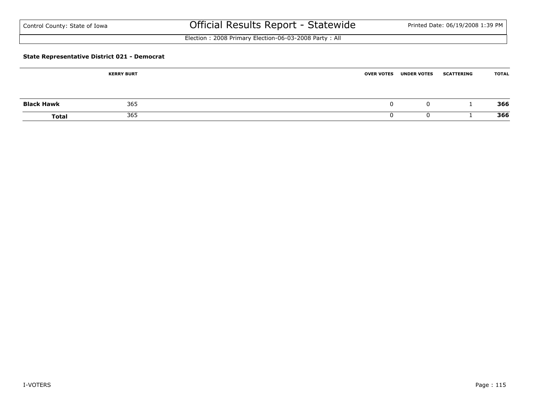| Control County: State of Iowa |  |  |  |  |
|-------------------------------|--|--|--|--|
|-------------------------------|--|--|--|--|

Election : 2008 Primary Election-06-03-2008 Party : All

#### **State Representative District 021 - Democrat**

|                   | <b>KERRY BURT</b> | <b>UNDER VOTES</b><br><b>OVER VOTES</b> | <b>SCATTERING</b> | <b>TOTAL</b> |
|-------------------|-------------------|-----------------------------------------|-------------------|--------------|
| <b>Black Hawk</b> | 365               |                                         | 0                 | 366          |
| <b>Total</b>      | 365               |                                         |                   | 366          |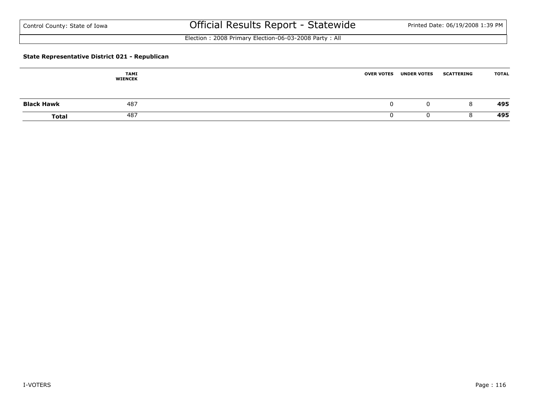Election : 2008 Primary Election-06-03-2008 Party : All

#### **State Representative District 021 - Republican**

|                   | TAMI<br><b>WIENCEK</b> | <b>OVER VOTES</b> | <b>UNDER VOTES</b> | <b>SCATTERING</b> | <b>TOTAL</b> |
|-------------------|------------------------|-------------------|--------------------|-------------------|--------------|
| <b>Black Hawk</b> | 487                    |                   | 0                  | 8                 | 495          |
| <b>Total</b>      | 487                    |                   |                    |                   | 495          |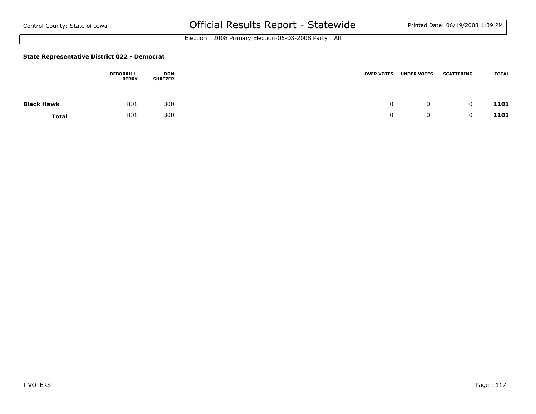Election : 2008 Primary Election-06-03-2008 Party : All

#### **State Representative District 022 - Democrat**

|                   | <b>DEBORAH L.</b><br><b>BERRY</b> | DON<br><b>SHATZER</b> | <b>OVER VOTES</b> | <b>UNDER VOTES</b> | <b>SCATTERING</b> | <b>TOTAL</b> |
|-------------------|-----------------------------------|-----------------------|-------------------|--------------------|-------------------|--------------|
| <b>Black Hawk</b> | 801                               | 300                   |                   |                    |                   | 1101         |
| <b>Total</b>      | 801                               | 300                   |                   |                    |                   | 1101         |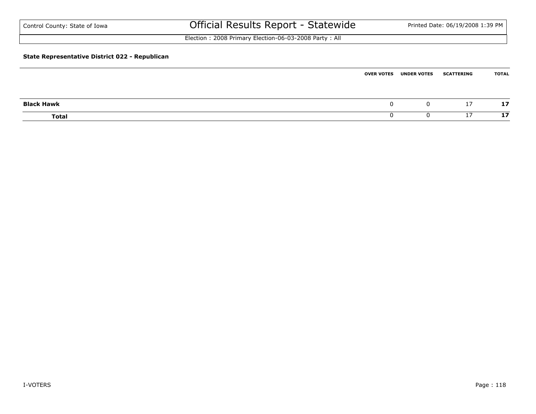| Control County: State of Iowa                         | Official Results Report - Statewide                   |                   |                    | Printed Date: 06/19/2008 1:39 PM |              |
|-------------------------------------------------------|-------------------------------------------------------|-------------------|--------------------|----------------------------------|--------------|
|                                                       | Election: 2008 Primary Election-06-03-2008 Party: All |                   |                    |                                  |              |
| <b>State Representative District 022 - Republican</b> |                                                       |                   |                    |                                  |              |
|                                                       |                                                       | <b>OVER VOTES</b> | <b>UNDER VOTES</b> | <b>SCATTERING</b>                | <b>TOTAL</b> |

| <b>Black Hawk</b> |  | $\overline{a}$<br>$\overline{\phantom{a}}$ | - -<br>$\cdot$ |
|-------------------|--|--------------------------------------------|----------------|
| <b>Total</b>      |  | <u>.</u>                                   | -<br>--        |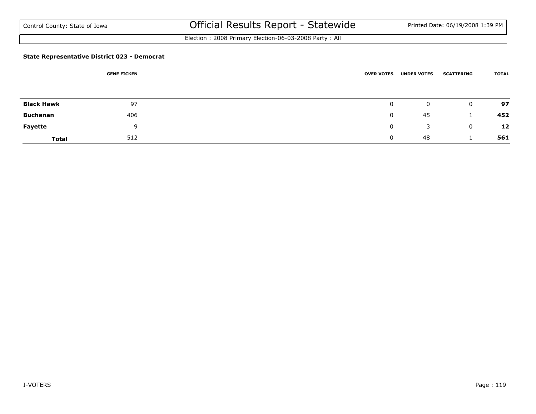Election : 2008 Primary Election-06-03-2008 Party : All

#### **State Representative District 023 - Democrat**

|                   | <b>GENE FICKEN</b> | <b>OVER VOTES</b> | <b>UNDER VOTES</b> | <b>SCATTERING</b> | <b>TOTAL</b> |
|-------------------|--------------------|-------------------|--------------------|-------------------|--------------|
|                   |                    |                   |                    |                   |              |
| <b>Black Hawk</b> | 97                 | $\mathbf 0$       | 0                  | $\mathbf{0}$      | 97           |
| <b>Buchanan</b>   | 406                | $\mathbf 0$       | 45                 |                   | 452          |
| <b>Fayette</b>    | $\Omega$           | 0                 | 3                  | $\mathbf{0}$      | 12           |
| <b>Total</b>      | 512                | 0                 | 48                 |                   | 561          |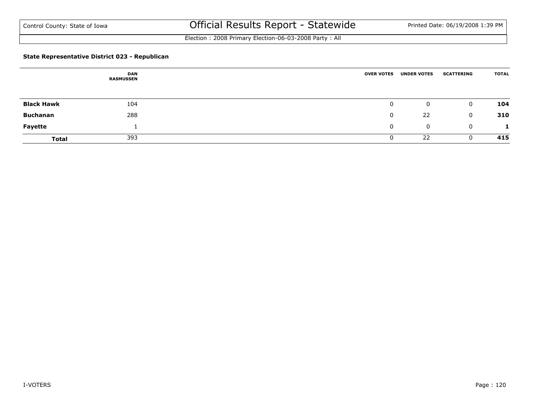Election : 2008 Primary Election-06-03-2008 Party : All

#### **State Representative District 023 - Republican**

|                   | <b>DAN</b><br><b>RASMUSSEN</b> | <b>OVER VOTES</b> | <b>UNDER VOTES</b> | <b>SCATTERING</b> | <b>TOTAL</b> |
|-------------------|--------------------------------|-------------------|--------------------|-------------------|--------------|
|                   |                                |                   |                    |                   |              |
| <b>Black Hawk</b> | 104                            | $\mathbf 0$       | 0                  | $\mathbf 0$       | 104          |
| <b>Buchanan</b>   | 288                            | 0                 | 22                 | $\mathbf{0}$      | 310          |
| <b>Fayette</b>    |                                | 0                 | 0                  | $\overline{0}$    |              |
| <b>Total</b>      | 393                            |                   | 22                 | 0                 | 415          |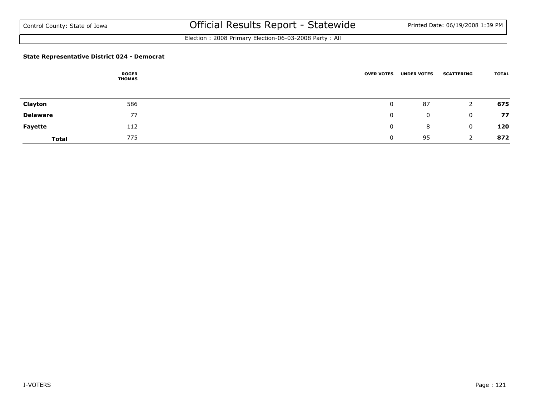Election : 2008 Primary Election-06-03-2008 Party : All

#### **State Representative District 024 - Democrat**

|                 | <b>ROGER</b><br>THOMAS | <b>OVER VOTES</b> | <b>UNDER VOTES</b> | <b>SCATTERING</b> | <b>TOTAL</b> |
|-----------------|------------------------|-------------------|--------------------|-------------------|--------------|
|                 |                        |                   |                    |                   |              |
| Clayton         | 586                    | $\mathbf 0$       | 87                 | 2                 | 675          |
| <b>Delaware</b> | 77                     | 0                 | $\mathbf{0}$       | $\mathbf{0}$      | 77           |
| <b>Fayette</b>  | 112                    | $\mathbf{0}$      | 8                  | $\mathbf 0$       | 120          |
| <b>Total</b>    | 775                    | U                 | 95                 |                   | 872          |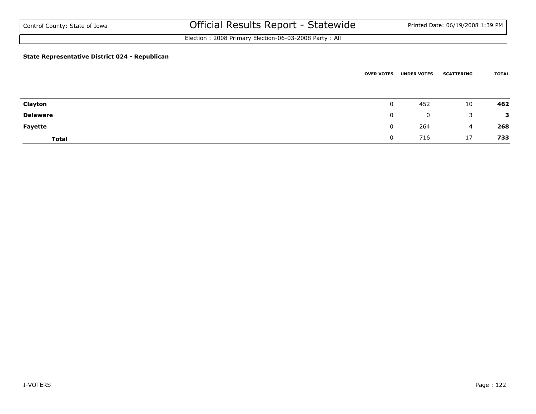Election : 2008 Primary Election-06-03-2008 Party : All

#### **State Representative District 024 - Republican**

|                 | <b>OVER VOTES</b> | <b>UNDER VOTES</b> | <b>SCATTERING</b> | <b>TOTAL</b> |
|-----------------|-------------------|--------------------|-------------------|--------------|
|                 |                   |                    |                   |              |
| Clayton         | $\overline{0}$    | 452                | 10                | 462          |
| <b>Delaware</b> | $\mathbf{0}$      | 0                  | 3                 | 3            |
| Fayette         | $\mathbf 0$       | 264                | $\overline{4}$    | 268          |
| <b>Total</b>    | 0                 | 716                | 17                | 733          |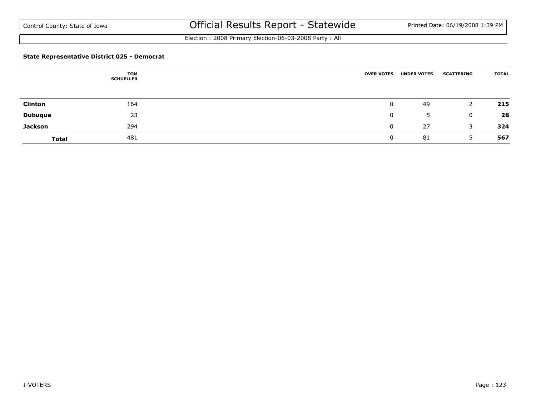Election : 2008 Primary Election-06-03-2008 Party : All

#### **State Representative District 025 - Democrat**

|                | TOM<br><b>SCHUELLER</b> | <b>OVER VOTES</b> | <b>UNDER VOTES</b> | <b>SCATTERING</b> | <b>TOTAL</b> |
|----------------|-------------------------|-------------------|--------------------|-------------------|--------------|
|                |                         |                   |                    |                   |              |
| <b>Clinton</b> | 164                     | 0                 | 49                 |                   | 215          |
| <b>Dubuque</b> | 23                      | 0                 | 5                  | 0                 | 28           |
| <b>Jackson</b> | 294                     | 0                 | 27                 | 3                 | 324          |
| <b>Total</b>   | 481                     | 0                 | 81                 |                   | 567          |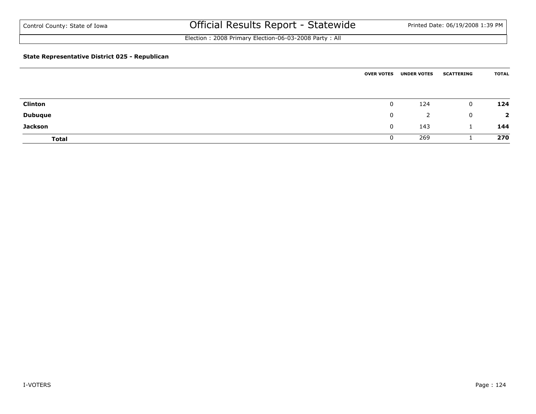Election : 2008 Primary Election-06-03-2008 Party : All

#### **State Representative District 025 - Republican**

|                | <b>OVER VOTES</b> | <b>UNDER VOTES</b> | <b>SCATTERING</b> | <b>TOTAL</b>   |
|----------------|-------------------|--------------------|-------------------|----------------|
|                |                   |                    |                   |                |
| <b>Clinton</b> | 0                 | 124                | $\mathbf{0}$      | 124            |
| <b>Dubuque</b> | $\mathbf{0}$      | 2                  | $\mathbf{0}$      | $\overline{2}$ |
| <b>Jackson</b> | 0                 | 143                |                   | 144            |
| <b>Total</b>   | 0                 | 269                |                   | 270            |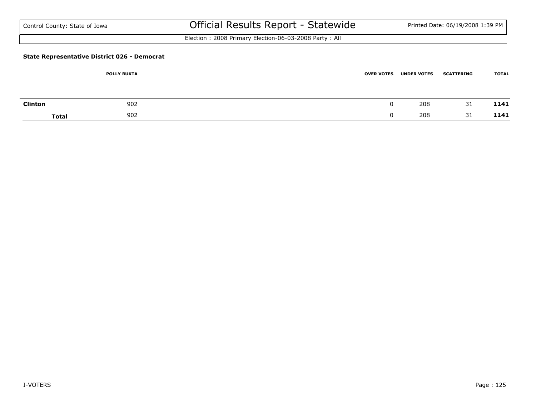| Control County: State of Iowa |  |  |  |  |
|-------------------------------|--|--|--|--|
|-------------------------------|--|--|--|--|

Election : 2008 Primary Election-06-03-2008 Party : All

#### **State Representative District 026 - Democrat**

|                | <b>POLLY BUKTA</b> | <b>UNDER VOTES</b><br><b>OVER VOTES</b> | <b>TOTAL</b><br><b>SCATTERING</b> |
|----------------|--------------------|-----------------------------------------|-----------------------------------|
| <b>Clinton</b> | 902                |                                         | 208<br>1141<br>31                 |
| Total          | 902                |                                         | 1141<br>208<br>31                 |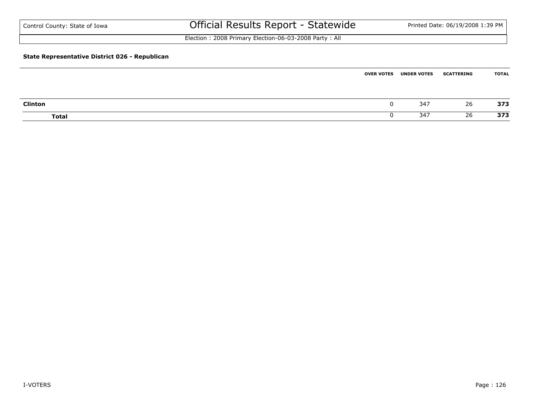| Control County: State of Iowa                         | Official Results Report - Statewide                   | Printed Date: 06/19/2008 1:39 PM |
|-------------------------------------------------------|-------------------------------------------------------|----------------------------------|
|                                                       | Election: 2008 Primary Election-06-03-2008 Party: All |                                  |
| <b>State Representative District 026 - Republican</b> |                                                       |                                  |

|                | <b>OVER VOTES</b> | <b>UNDER VOTES</b> | <b>SCATTERING</b> | TOTAL |
|----------------|-------------------|--------------------|-------------------|-------|
|                |                   |                    |                   |       |
| <b>Clinton</b> |                   | 347                | 26                | 373   |
| <b>Total</b>   |                   | 347                | 26                | 373   |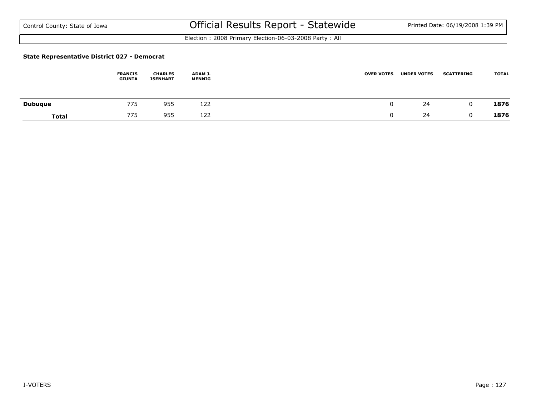Election : 2008 Primary Election-06-03-2008 Party : All

#### **State Representative District 027 - Democrat**

|                | <b>FRANCIS</b><br><b>GIUNTA</b> | <b>CHARLES</b><br><b>ISENHART</b> | ADAM J.<br>MENNIG | <b>UNDER VOTES</b><br><b>OVER VOTES</b> | <b>TOTAL</b><br><b>SCATTERING</b> |  |
|----------------|---------------------------------|-----------------------------------|-------------------|-----------------------------------------|-----------------------------------|--|
| <b>Dubuque</b> | 775                             | 955                               | 122               | 24                                      | 1876<br>C                         |  |
| <b>Total</b>   | 775                             | 955                               | 122               | 24                                      | 1876                              |  |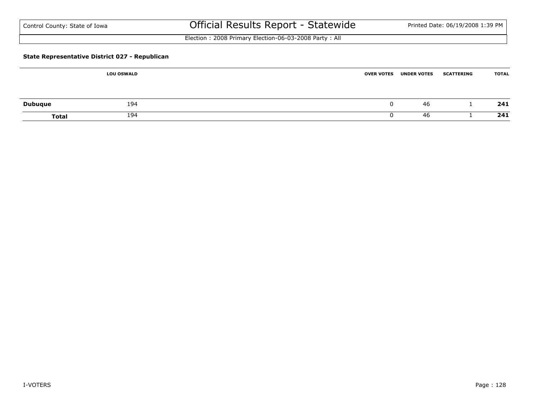| Control County: State of Iowa |  |
|-------------------------------|--|
|-------------------------------|--|

Election : 2008 Primary Election-06-03-2008 Party : All

#### **State Representative District 027 - Republican**

|                | <b>LOU OSWALD</b> | <b>OVER VOTES</b><br><b>UNDER VOTES</b> | <b>TOTAL</b><br><b>SCATTERING</b> |
|----------------|-------------------|-----------------------------------------|-----------------------------------|
|                |                   |                                         |                                   |
| <b>Dubuque</b> | 194               | v                                       | 241<br>46                         |
| <b>Total</b>   | 194               |                                         | 241<br>46                         |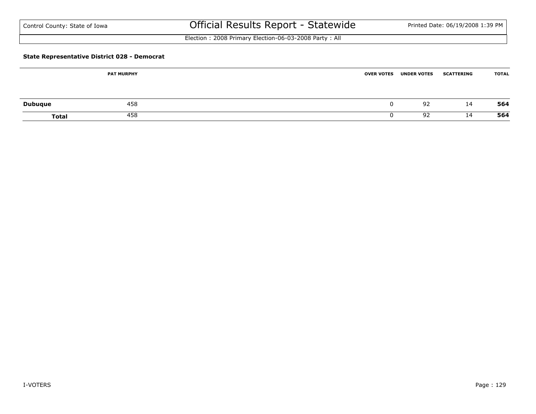| Control County: State of Iowa |  |
|-------------------------------|--|
|-------------------------------|--|

Election : 2008 Primary Election-06-03-2008 Party : All

#### **State Representative District 028 - Democrat**

|                | <b>PAT MURPHY</b> | <b>OVER VOTES</b> | <b>UNDER VOTES</b> | <b>SCATTERING</b> | <b>TOTAL</b> |
|----------------|-------------------|-------------------|--------------------|-------------------|--------------|
| <b>Dubuque</b> | 458               |                   | 92                 | 14                | 564          |
| Total          | 458               |                   | 92                 | 14                | 564          |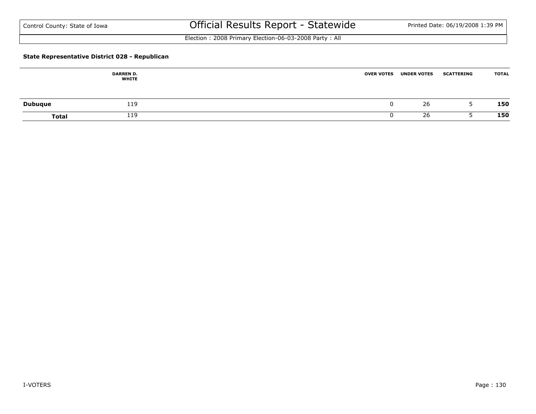Election : 2008 Primary Election-06-03-2008 Party : All

#### **State Representative District 028 - Republican**

|                | <b>DARREN D.</b><br><b>WHITE</b> | <b>OVER VOTES</b> | <b>UNDER VOTES</b> | <b>SCATTERING</b> | <b>TOTAL</b> |
|----------------|----------------------------------|-------------------|--------------------|-------------------|--------------|
| <b>Dubuque</b> | 119                              | u                 | 26                 |                   | 150          |
| <b>Total</b>   | 119                              |                   | 26                 |                   | 150          |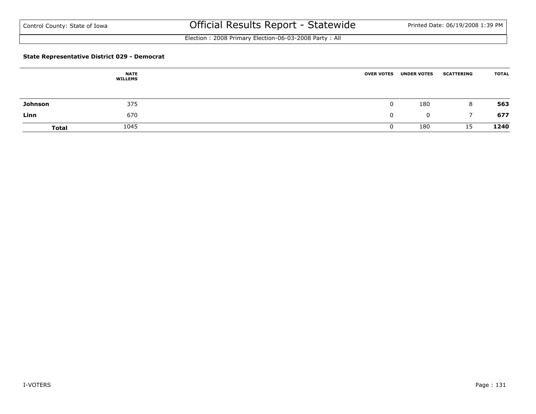Election : 2008 Primary Election-06-03-2008 Party : All

#### **State Representative District 029 - Democrat**

|              | <b>NATE</b><br><b>WILLEMS</b> | <b>OVER VOTES</b> | <b>UNDER VOTES</b> | <b>SCATTERING</b> | <b>TOTAL</b> |
|--------------|-------------------------------|-------------------|--------------------|-------------------|--------------|
| Johnson      | 375                           |                   | 180                | 8                 | 563          |
| Linn         | 670                           |                   | $\mathbf 0$        |                   | 677          |
| <b>Total</b> | 1045                          |                   | 180                | 15                | 1240         |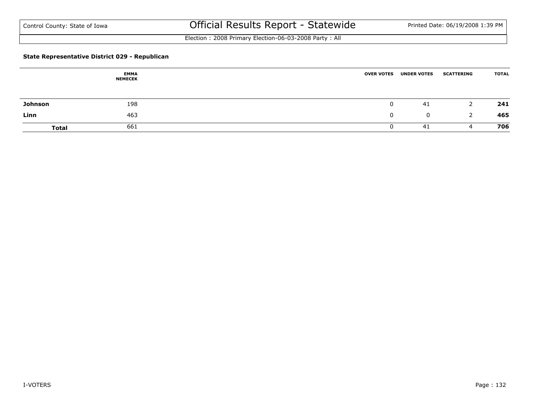Election : 2008 Primary Election-06-03-2008 Party : All

#### **State Representative District 029 - Republican**

|              | <b>EMMA</b><br><b>NEMECEK</b> | <b>OVER VOTES</b> | <b>UNDER VOTES</b> | <b>SCATTERING</b> | <b>TOTAL</b> |
|--------------|-------------------------------|-------------------|--------------------|-------------------|--------------|
| Johnson      | 198                           |                   | 41                 | <u>.</u>          | 241          |
| Linn         | 463                           |                   | $\mathbf 0$        | 2                 | 465          |
| <b>Total</b> | 661                           |                   | 41                 | 4                 | 706          |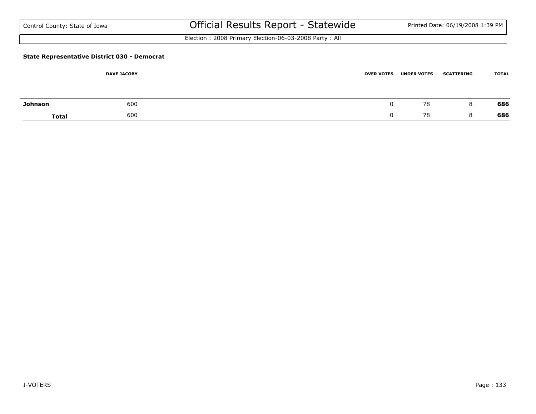| Control County: State of Iowa |  |
|-------------------------------|--|
|-------------------------------|--|

Election : 2008 Primary Election-06-03-2008 Party : All

#### **State Representative District 030 - Democrat**

|                | <b>DAVE JACOBY</b> | <b>OVER VOTES</b> | <b>UNDER VOTES</b> | <b>SCATTERING</b> | <b>TOTAL</b> |
|----------------|--------------------|-------------------|--------------------|-------------------|--------------|
| <b>Johnson</b> | 600                |                   | 78                 | 8                 | 686          |
| Total          | 600                |                   | 78                 |                   | 686          |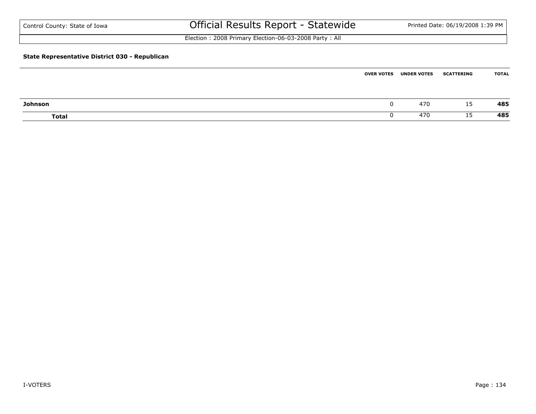| Control County: State of Iowa                  | Official Results Report - Statewide                   |                   |                    | Printed Date: 06/19/2008 1:39 PM |              |
|------------------------------------------------|-------------------------------------------------------|-------------------|--------------------|----------------------------------|--------------|
|                                                | Election: 2008 Primary Election-06-03-2008 Party: All |                   |                    |                                  |              |
| State Representative District 030 - Republican |                                                       |                   |                    |                                  |              |
|                                                |                                                       | <b>OVER VOTES</b> | <b>UNDER VOTES</b> | <b>SCATTERING</b>                | <b>TOTAL</b> |

| Johnson      | ີ | 470 | $\cdot$ $\sim$<br>ᅩ | 485 |
|--------------|---|-----|---------------------|-----|
| <b>Total</b> | v | 470 | ᆠ                   | 485 |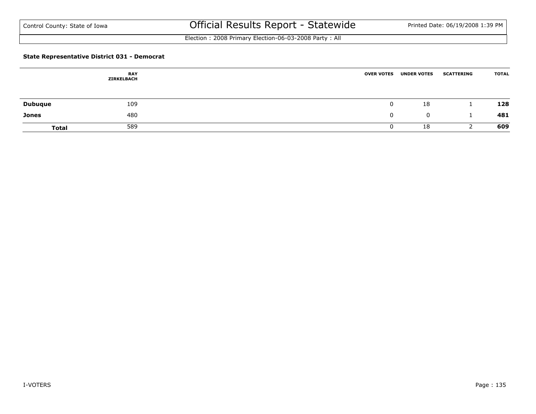Election : 2008 Primary Election-06-03-2008 Party : All

#### **State Representative District 031 - Democrat**

|                | <b>RAY</b><br>ZIRKELBACH | <b>OVER VOTES</b> | <b>UNDER VOTES</b> | <b>SCATTERING</b> | <b>TOTAL</b> |
|----------------|--------------------------|-------------------|--------------------|-------------------|--------------|
| <b>Dubuque</b> | 109                      |                   | 18                 |                   | 128          |
| <b>Jones</b>   | 480                      |                   | $\mathbf{0}$       |                   | 481          |
| <b>Total</b>   | 589                      |                   | 18                 |                   | 609          |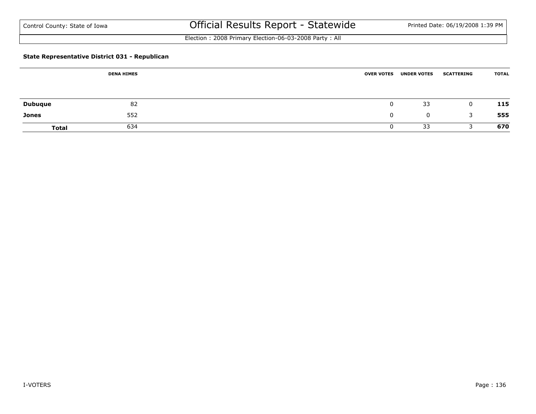Election : 2008 Primary Election-06-03-2008 Party : All

#### **State Representative District 031 - Republican**

|                | <b>DENA HIMES</b> | <b>OVER VOTES</b> | <b>UNDER VOTES</b> | <b>SCATTERING</b> | <b>TOTAL</b> |
|----------------|-------------------|-------------------|--------------------|-------------------|--------------|
|                |                   |                   |                    |                   |              |
| <b>Dubuque</b> | 82                |                   | 33                 | 0                 | 115          |
| Jones          | 552               |                   | $\mathbf 0$        | 3                 | 555          |
| <b>Total</b>   | 634               |                   | 33                 |                   | 670          |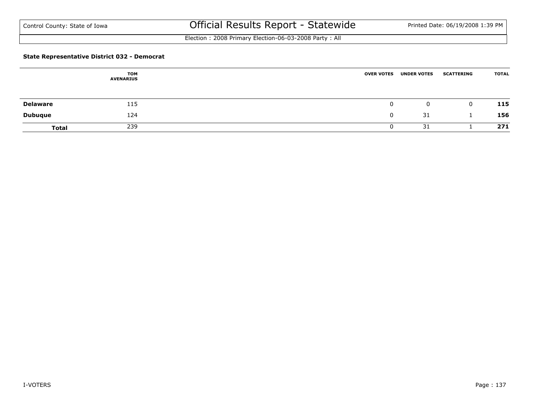Election : 2008 Primary Election-06-03-2008 Party : All

#### **State Representative District 032 - Democrat**

|                 | <b>TOM</b><br><b>AVENARIUS</b> | <b>OVER VOTES</b> | <b>UNDER VOTES</b> | <b>SCATTERING</b> | <b>TOTAL</b> |
|-----------------|--------------------------------|-------------------|--------------------|-------------------|--------------|
| <b>Delaware</b> | 115                            | υ                 | $\mathbf 0$        | $\overline{0}$    | 115          |
| <b>Dubuque</b>  | 124                            |                   | 31                 |                   | 156          |
| <b>Total</b>    | 239                            |                   | 31                 |                   | 271          |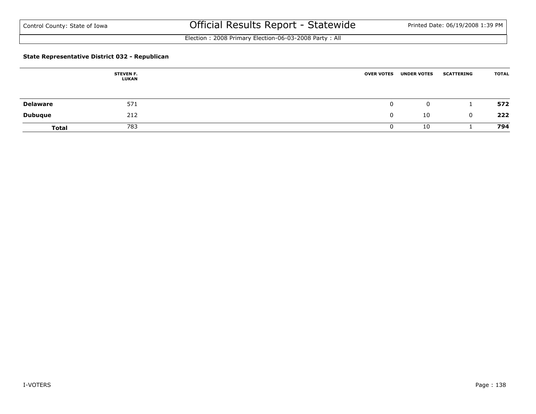Election : 2008 Primary Election-06-03-2008 Party : All

#### **State Representative District 032 - Republican**

|                 | <b>STEVEN F.</b><br>LUKAN | <b>OVER VOTES</b> | <b>UNDER VOTES</b> | <b>SCATTERING</b> | <b>TOTAL</b> |
|-----------------|---------------------------|-------------------|--------------------|-------------------|--------------|
| <b>Delaware</b> | 571                       | 0                 | 0                  |                   | 572          |
| <b>Dubuque</b>  | 212                       |                   | 10                 | 0                 | 222          |
| <b>Total</b>    | 783                       |                   | 10                 |                   | 794          |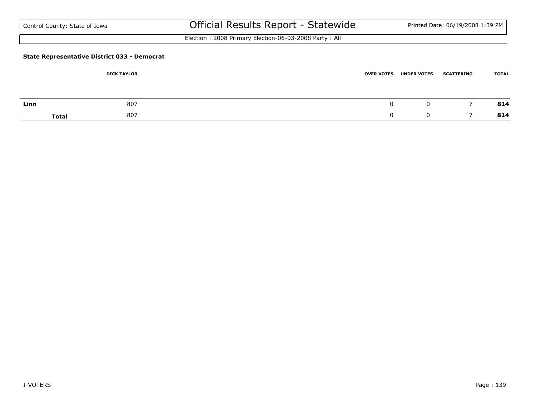| Control County: State of Iowa |  |  |  |  |
|-------------------------------|--|--|--|--|
|-------------------------------|--|--|--|--|

Election : 2008 Primary Election-06-03-2008 Party : All

#### **State Representative District 033 - Democrat**

|      | <b>DICK TAYLOR</b>  | <b>OVER VOTES</b> | <b>UNDER VOTES</b> | <b>SCATTERING</b> | <b>TOTAL</b> |
|------|---------------------|-------------------|--------------------|-------------------|--------------|
|      |                     |                   |                    |                   |              |
| Linn | 807                 |                   | 0                  |                   | 814          |
|      | 807<br><b>Total</b> |                   |                    |                   | 814          |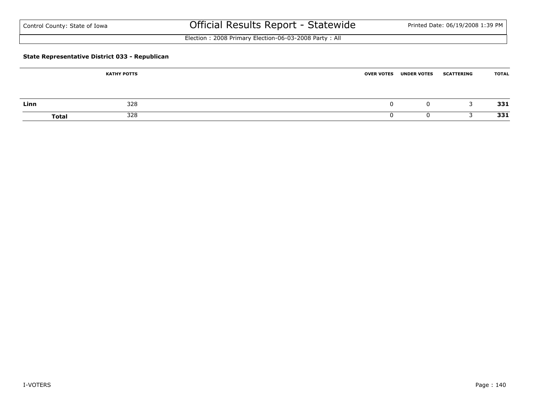| Control County: State of Iowa |  |
|-------------------------------|--|
|-------------------------------|--|

Election : 2008 Primary Election-06-03-2008 Party : All

#### **State Representative District 033 - Republican**

|      | <b>KATHY POTTS</b>  | <b>OVER VOTES</b> | <b>UNDER VOTES</b> | <b>SCATTERING</b> | <b>TOTAL</b> |
|------|---------------------|-------------------|--------------------|-------------------|--------------|
|      |                     |                   |                    |                   |              |
| Linn | 328                 |                   | $\left($           |                   | 331          |
|      | 328<br><b>Total</b> |                   |                    |                   | 331          |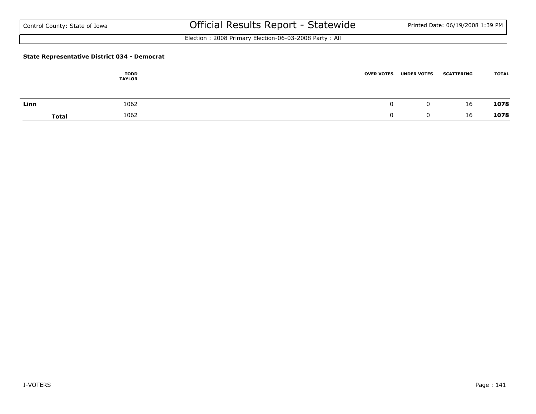Election : 2008 Primary Election-06-03-2008 Party : All

#### **State Representative District 034 - Democrat**

|      | <b>TODD</b><br><b>TAYLOR</b> | <b>OVER VOTES</b> | <b>UNDER VOTES</b> | <b>SCATTERING</b> | <b>TOTAL</b> |
|------|------------------------------|-------------------|--------------------|-------------------|--------------|
| Linn | 1062                         |                   | 0.                 | 16                | 1078         |
|      | 1062<br><b>Total</b>         |                   |                    | 16                | 1078         |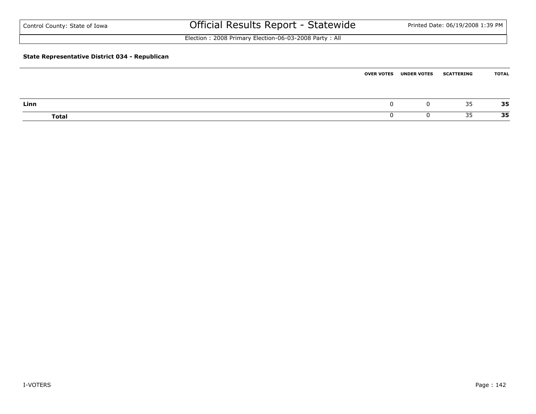| Control County: State of Iowa                  | Official Results Report - Statewide                   | Printed Date: 06/19/2008 1:39 PM |
|------------------------------------------------|-------------------------------------------------------|----------------------------------|
|                                                | Election: 2008 Primary Election-06-03-2008 Party: All |                                  |
| State Representative District 034 - Republican |                                                       |                                  |

|              | <b>OVER VOTES</b> | <b>UNDER VOTES</b> | <b>SCATTERING</b> | <b>TOTAL</b> |
|--------------|-------------------|--------------------|-------------------|--------------|
|              |                   |                    |                   |              |
| Linn         |                   | u                  | 35                | 35           |
| <b>Total</b> |                   |                    | 35                | 35           |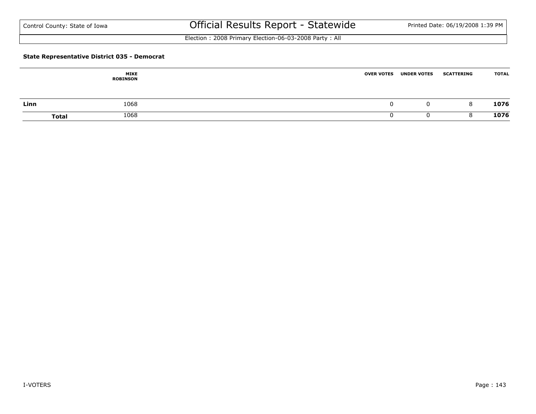Election : 2008 Primary Election-06-03-2008 Party : All

#### **State Representative District 035 - Democrat**

|      | <b>MIKE</b><br><b>ROBINSON</b> | <b>OVER VOTES</b> | <b>UNDER VOTES</b> | <b>SCATTERING</b> | <b>TOTAL</b> |
|------|--------------------------------|-------------------|--------------------|-------------------|--------------|
| Linn | 1068                           |                   |                    | 8                 | 1076         |
|      | 1068<br><b>Total</b>           |                   |                    |                   | 1076         |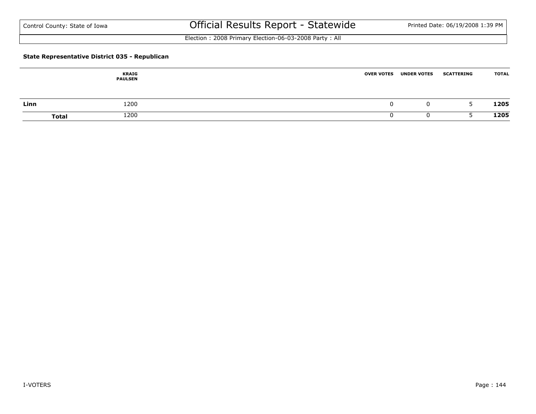Election : 2008 Primary Election-06-03-2008 Party : All

#### **State Representative District 035 - Republican**

|      | <b>KRAIG</b><br><b>PAULSEN</b> | <b>OVER VOTES</b> | <b>UNDER VOTES</b> | <b>SCATTERING</b> | <b>TOTAL</b> |
|------|--------------------------------|-------------------|--------------------|-------------------|--------------|
| Linn | 1200                           |                   | 0                  | -                 | 1205         |
|      | 1200<br><b>Total</b>           |                   |                    |                   | 1205         |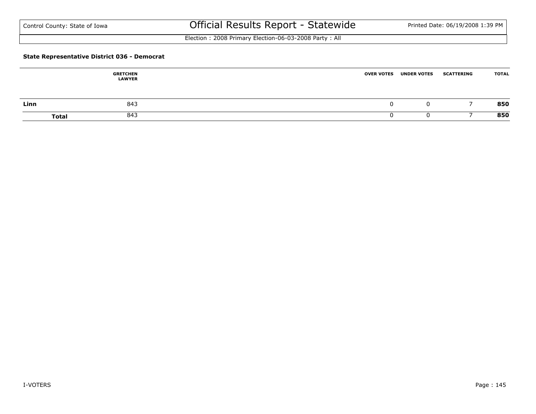Election : 2008 Primary Election-06-03-2008 Party : All

#### **State Representative District 036 - Democrat**

|      | <b>GRETCHEN</b><br><b>LAWYER</b> | <b>OVER VOTES</b> | <b>UNDER VOTES</b> | <b>SCATTERING</b> | <b>TOTAL</b> |
|------|----------------------------------|-------------------|--------------------|-------------------|--------------|
| Linn | 843                              |                   | 0                  |                   | 850          |
|      | 843<br><b>Total</b>              |                   |                    |                   | 850          |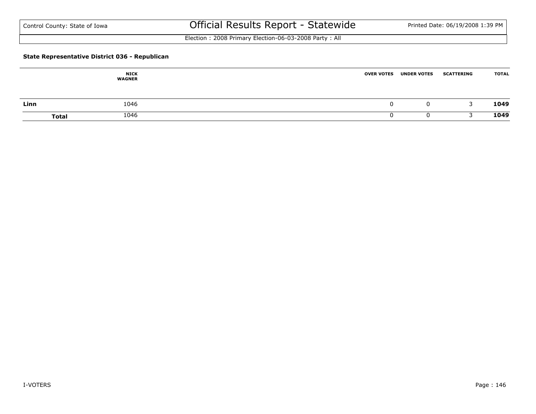Election : 2008 Primary Election-06-03-2008 Party : All

#### **State Representative District 036 - Republican**

|      | <b>NICK</b><br><b>WAGNER</b> | <b>OVER VOTES</b> | <b>UNDER VOTES</b> | <b>SCATTERING</b> | <b>TOTAL</b> |
|------|------------------------------|-------------------|--------------------|-------------------|--------------|
| Linn | 1046                         |                   | 0                  | -                 | 1049         |
|      | 1046<br><b>Total</b>         |                   |                    |                   | 1049         |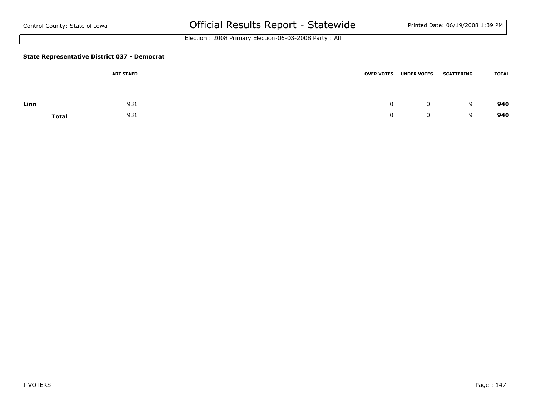| Control County: State of Iowa |  |  |
|-------------------------------|--|--|
|-------------------------------|--|--|

# Official Results Report - Statewide Printed Date: 06/19/2008 1:39 PM

Election : 2008 Primary Election-06-03-2008 Party : All

#### **State Representative District 037 - Democrat**

|      | <b>ART STAED</b>    | <b>OVER VOTES UNDER VOTES</b> | <b>SCATTERING</b> | <b>TOTAL</b> |
|------|---------------------|-------------------------------|-------------------|--------------|
|      |                     |                               |                   |              |
| Linn | 931                 | 0                             | q                 | 940          |
|      | 931<br><b>Total</b> |                               |                   | 940          |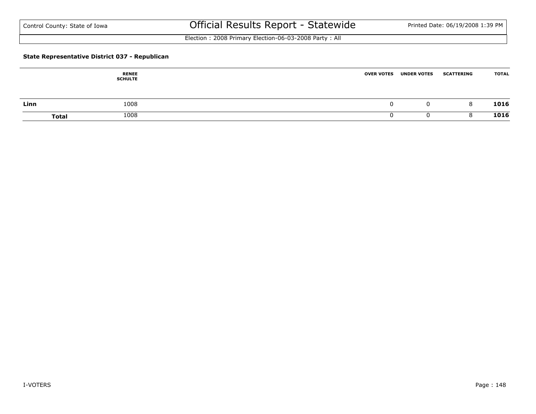Election : 2008 Primary Election-06-03-2008 Party : All

#### **State Representative District 037 - Republican**

|      | <b>RENEE</b><br><b>SCHULTE</b> | <b>OVER VOTES</b> | <b>UNDER VOTES</b> | <b>SCATTERING</b> | <b>TOTAL</b> |
|------|--------------------------------|-------------------|--------------------|-------------------|--------------|
| Linn | 1008                           |                   | Ü                  | 8                 | 1016         |
|      | 1008<br><b>Total</b>           |                   |                    |                   | 1016         |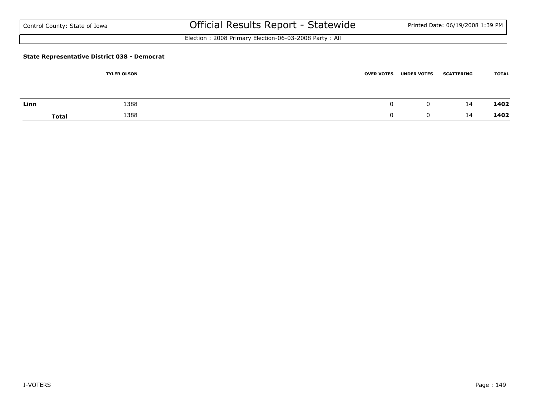| Control County: State of Iowa |  |
|-------------------------------|--|
|-------------------------------|--|

# Official Results Report - Statewide Printed Date: 06/19/2008 1:39 PM

Election : 2008 Primary Election-06-03-2008 Party : All

#### **State Representative District 038 - Democrat**

|      | <b>TYLER OLSON</b>   | <b>OVER VOTES</b> | <b>UNDER VOTES</b> | <b>SCATTERING</b> | <b>TOTAL</b> |
|------|----------------------|-------------------|--------------------|-------------------|--------------|
|      |                      |                   |                    |                   |              |
| Linn | 1388                 |                   | $\Omega$           | 14                | 1402         |
|      | 1388<br><b>Total</b> |                   |                    | 14                | 1402         |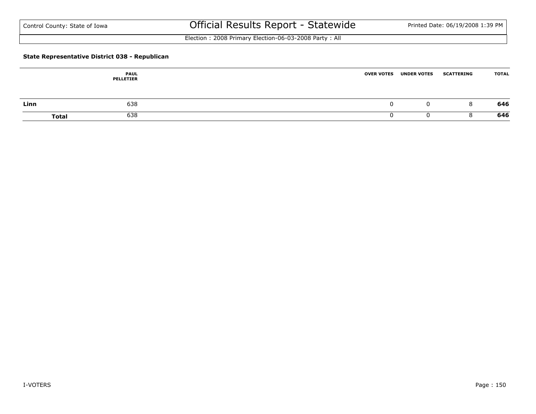Election : 2008 Primary Election-06-03-2008 Party : All

#### **State Representative District 038 - Republican**

|      | <b>PAUL</b><br><b>PELLETIER</b> | <b>OVER VOTES</b> | <b>UNDER VOTES</b> | <b>SCATTERING</b> | <b>TOTAL</b> |
|------|---------------------------------|-------------------|--------------------|-------------------|--------------|
| Linn | 638                             |                   |                    | 8                 | 646          |
|      | 638<br><b>Total</b>             |                   |                    |                   | 646          |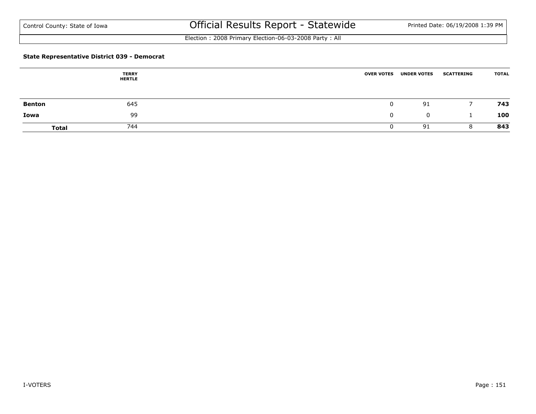Election : 2008 Primary Election-06-03-2008 Party : All

#### **State Representative District 039 - Democrat**

|               | <b>TERRY</b><br><b>HERTLE</b> | <b>OVER VOTES</b> | <b>UNDER VOTES</b> | <b>SCATTERING</b> | <b>TOTAL</b> |
|---------------|-------------------------------|-------------------|--------------------|-------------------|--------------|
| <b>Benton</b> | 645                           |                   | 91                 |                   | 743          |
| Iowa          | 99                            | 0                 | $\mathbf 0$        |                   | 100          |
| <b>Total</b>  | 744                           |                   | 91                 | 8                 | 843          |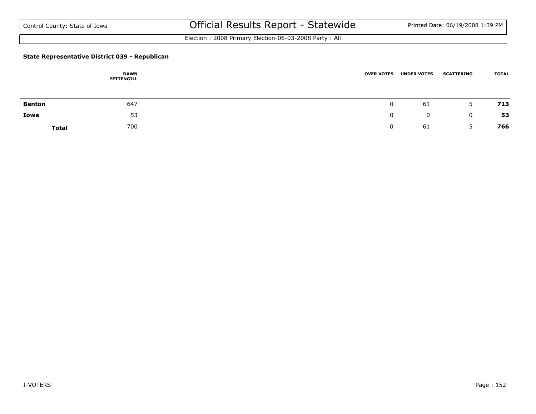Election : 2008 Primary Election-06-03-2008 Party : All

#### **State Representative District 039 - Republican**

|               | <b>DAWN</b><br>PETTENGILL | <b>OVER VOTES</b> | <b>UNDER VOTES</b> | <b>SCATTERING</b> | <b>TOTAL</b> |
|---------------|---------------------------|-------------------|--------------------|-------------------|--------------|
| <b>Benton</b> | 647                       |                   | 61                 | 5                 | 713          |
| Iowa          | 53                        | 0                 | 0                  | 0                 | 53           |
| <b>Total</b>  | 700                       |                   | 61                 |                   | 766          |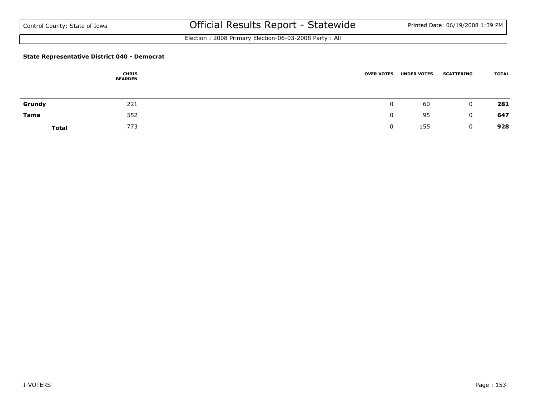Election : 2008 Primary Election-06-03-2008 Party : All

#### **State Representative District 040 - Democrat**

|              | <b>CHRIS</b><br><b>BEARDEN</b> | <b>OVER VOTES</b> | <b>UNDER VOTES</b> | <b>SCATTERING</b> | <b>TOTAL</b> |
|--------------|--------------------------------|-------------------|--------------------|-------------------|--------------|
| Grundy       | 221                            |                   | 60                 | $\mathbf 0$       | 281          |
| Tama         | 552                            |                   | 95                 | $\mathbf{0}$      | 647          |
| <b>Total</b> | 773                            |                   | 155                |                   | 928          |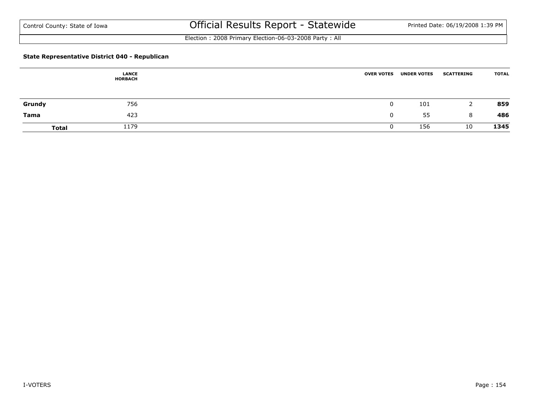Election : 2008 Primary Election-06-03-2008 Party : All

#### **State Representative District 040 - Republican**

|              | <b>LANCE</b><br><b>HORBACH</b> | <b>OVER VOTES</b> | <b>UNDER VOTES</b> | <b>SCATTERING</b> | <b>TOTAL</b> |
|--------------|--------------------------------|-------------------|--------------------|-------------------|--------------|
| Grundy       | 756                            |                   | 101                | <u>_</u>          | 859          |
| Tama         | 423                            |                   | 55                 | 8                 | 486          |
| <b>Total</b> | 1179                           |                   | 156                | 10                | 1345         |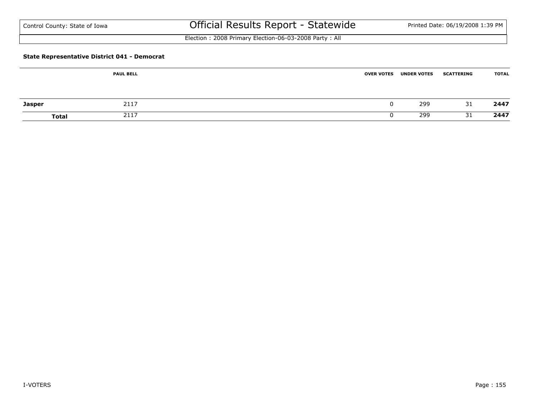| Control County: State of Iowa |  |  |  |  |
|-------------------------------|--|--|--|--|
|-------------------------------|--|--|--|--|

# Official Results Report - Statewide Printed Date: 06/19/2008 1:39 PM

Election : 2008 Primary Election-06-03-2008 Party : All

#### **State Representative District 041 - Democrat**

|               | <b>PAUL BELL</b> | <b>OVER VOTES</b> | <b>UNDER VOTES</b> | <b>SCATTERING</b> | <b>TOTAL</b> |
|---------------|------------------|-------------------|--------------------|-------------------|--------------|
| <b>Jasper</b> | 2117             |                   | 299                | 31                | 2447         |
| Total         | 2117             |                   | 299                | 31                | 2447         |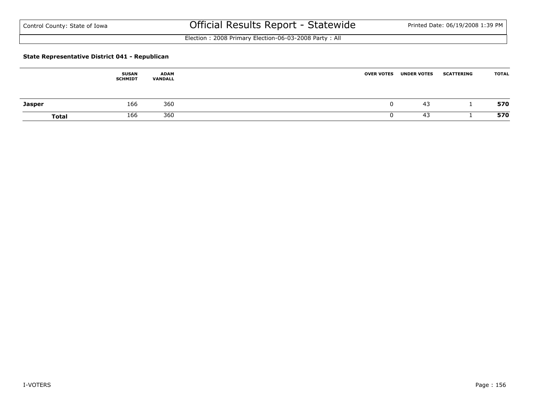Election : 2008 Primary Election-06-03-2008 Party : All

#### **State Representative District 041 - Republican**

|               | <b>SUSAN</b><br><b>SCHMIDT</b> | <b>ADAM</b><br>VANDALL | <b>OVER VOTES</b> | <b>UNDER VOTES</b> | <b>SCATTERING</b> | <b>TOTAL</b> |
|---------------|--------------------------------|------------------------|-------------------|--------------------|-------------------|--------------|
| <b>Jasper</b> | 166                            | 360                    |                   | 43                 |                   | 570          |
| <b>Total</b>  | 166                            | 360                    |                   | 43                 |                   | 570          |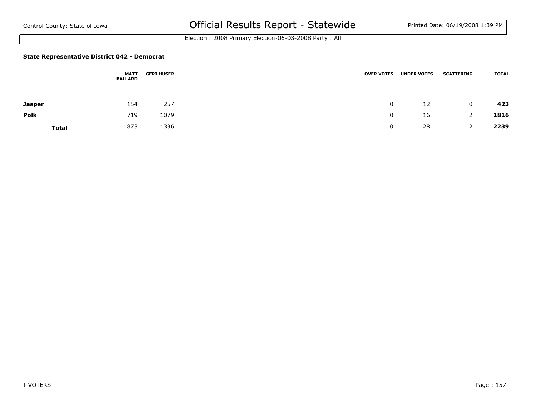Election : 2008 Primary Election-06-03-2008 Party : All

#### **State Representative District 042 - Democrat**

|               | <b>MATT</b><br><b>BALLARD</b> | <b>GERI HUSER</b> | <b>OVER VOTES</b> | <b>UNDER VOTES</b> | <b>SCATTERING</b> | <b>TOTAL</b> |
|---------------|-------------------------------|-------------------|-------------------|--------------------|-------------------|--------------|
| <b>Jasper</b> | 154                           | 257               | 0                 | 12                 | $\mathbf 0$       | 423          |
| <b>Polk</b>   | 719                           | 1079              |                   | 16                 |                   | 1816         |
| <b>Total</b>  | 873                           | 1336              |                   | 28                 |                   | 2239         |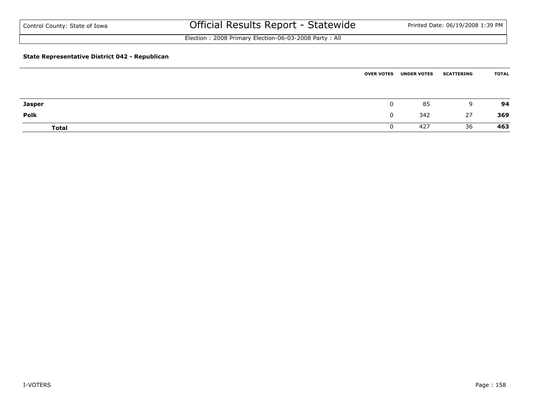Election : 2008 Primary Election-06-03-2008 Party : All

#### **State Representative District 042 - Republican**

|               | <b>OVER VOTES</b> | <b>UNDER VOTES</b> | <b>SCATTERING</b> | <b>TOTAL</b> |
|---------------|-------------------|--------------------|-------------------|--------------|
|               |                   |                    |                   |              |
| <b>Jasper</b> | 0                 | 85                 | 9                 | 94           |
| <b>Polk</b>   | 0                 | 342                | 27                | 369          |
| <b>Total</b>  | υ                 | 427                | 36                | 463          |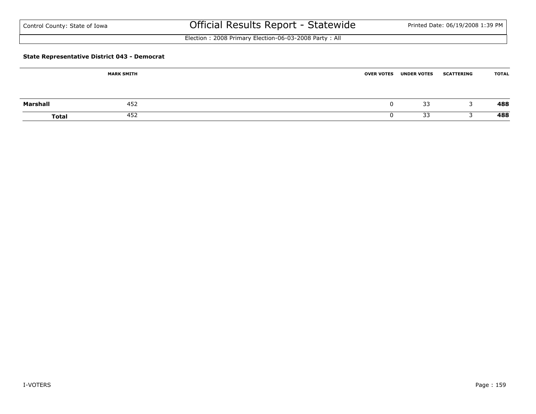| Control County: State of Iowa |  |  |  |  |
|-------------------------------|--|--|--|--|
|-------------------------------|--|--|--|--|

# Official Results Report - Statewide Printed Date: 06/19/2008 1:39 PM

Election : 2008 Primary Election-06-03-2008 Party : All

#### **State Representative District 043 - Democrat**

|          | <b>MARK SMITH</b> | <b>OVER VOTES</b> | <b>UNDER VOTES</b> | <b>SCATTERING</b> | <b>TOTAL</b> |
|----------|-------------------|-------------------|--------------------|-------------------|--------------|
| Marshall | 452               |                   | 33                 |                   | 488          |
|          |                   |                   |                    |                   |              |
| Total    | 452               |                   | 33                 |                   | 488          |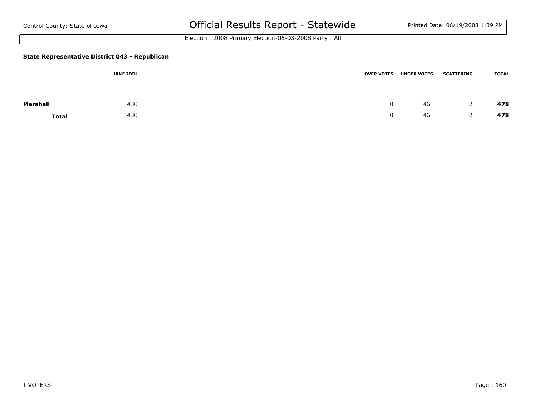# Official Results Report - Statewide Printed Date: 06/19/2008 1:39 PM

Election : 2008 Primary Election-06-03-2008 Party : All

#### **State Representative District 043 - Republican**

|              | <b>JANE JECH</b> | <b>OVER VOTES UNDER VOTES</b> | <b>SCATTERING</b> | <b>TOTAL</b> |
|--------------|------------------|-------------------------------|-------------------|--------------|
| Marshall     | 430              | 46                            |                   | 478          |
| <b>Total</b> | 430              | 46                            |                   | 478          |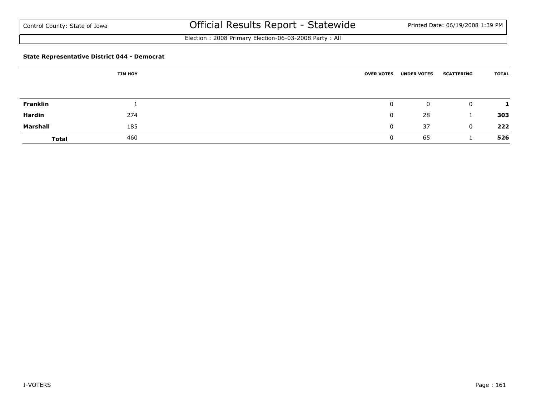Election : 2008 Primary Election-06-03-2008 Party : All

#### **State Representative District 044 - Democrat**

|                 | <b>TIM HOY</b> | <b>OVER VOTES</b> | <b>UNDER VOTES</b> | <b>SCATTERING</b> | <b>TOTAL</b> |
|-----------------|----------------|-------------------|--------------------|-------------------|--------------|
|                 |                |                   |                    |                   |              |
| <b>Franklin</b> |                | $\mathbf 0$       | $\mathbf 0$        | $\mathbf{0}$      |              |
| Hardin          | 274            | $\mathbf 0$       | 28                 |                   | 303          |
| Marshall        | 185            | 0                 | 37                 | $\mathbf{0}$      | 222          |
| <b>Total</b>    | 460            | O                 | 65                 |                   | 526          |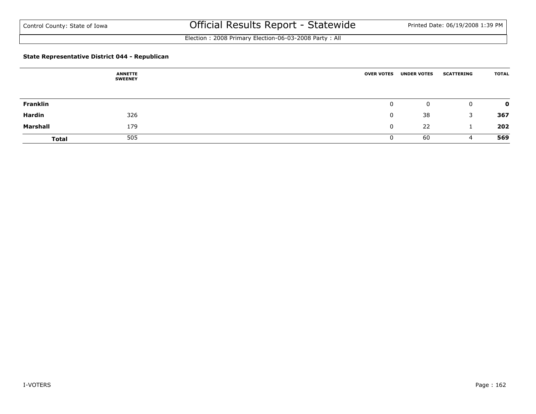Election : 2008 Primary Election-06-03-2008 Party : All

#### **State Representative District 044 - Republican**

|              | <b>ANNETTE</b><br><b>SWEENEY</b> | <b>OVER VOTES</b> | <b>UNDER VOTES</b> | <b>SCATTERING</b> | <b>TOTAL</b> |
|--------------|----------------------------------|-------------------|--------------------|-------------------|--------------|
|              |                                  |                   |                    |                   |              |
| Franklin     |                                  | 0                 | $\mathbf 0$        | $\mathbf 0$       | 0            |
| Hardin       | 326                              | 0                 | 38                 | 3                 | 367          |
| Marshall     | 179                              | $\mathbf{0}$      | 22                 |                   | 202          |
| <b>Total</b> | 505                              | U                 | 60                 | 4                 | 569          |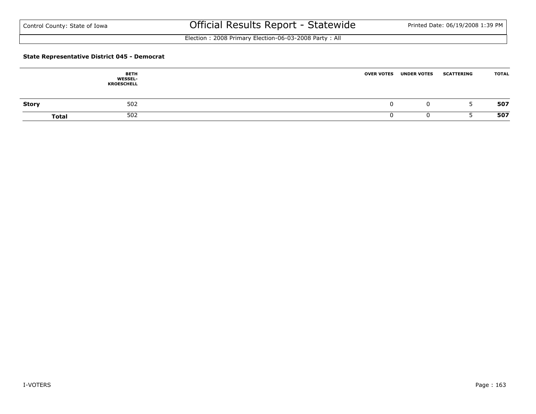Election : 2008 Primary Election-06-03-2008 Party : All

#### **State Representative District 045 - Democrat**

|              | <b>BETH</b><br><b>WESSEL-</b><br><b>KROESCHELL</b> | <b>OVER VOTES</b> | <b>UNDER VOTES</b> | <b>SCATTERING</b> | <b>TOTAL</b> |
|--------------|----------------------------------------------------|-------------------|--------------------|-------------------|--------------|
| <b>Story</b> | 502                                                |                   |                    |                   | 507          |
|              | 502<br><b>Total</b>                                |                   |                    |                   | 507          |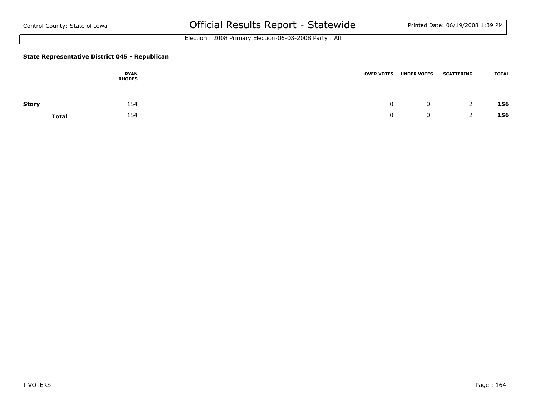Election : 2008 Primary Election-06-03-2008 Party : All

#### **State Representative District 045 - Republican**

|              | <b>RYAN</b><br><b>RHODES</b> | <b>OVER VOTES</b><br><b>UNDER VOTES</b> | <b>SCATTERING</b> | <b>TOTAL</b> |
|--------------|------------------------------|-----------------------------------------|-------------------|--------------|
| <b>Story</b> | 154                          | u                                       |                   | 156          |
| <b>Total</b> | 154                          |                                         |                   | 156          |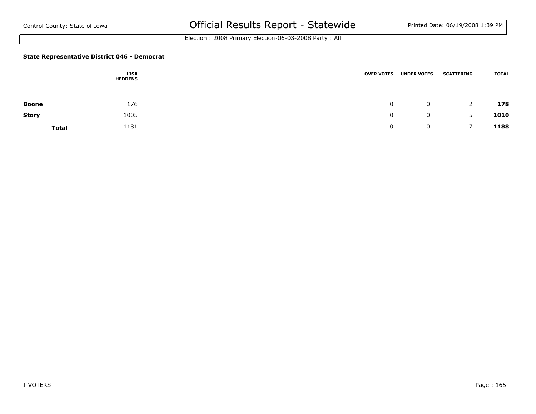Election : 2008 Primary Election-06-03-2008 Party : All

#### **State Representative District 046 - Democrat**

|              | <b>LISA</b><br><b>HEDDENS</b> | <b>OVER VOTES</b> | <b>UNDER VOTES</b> | <b>SCATTERING</b> | <b>TOTAL</b> |
|--------------|-------------------------------|-------------------|--------------------|-------------------|--------------|
| Boone        | 176                           | 0                 | $\mathbf{0}$       | 2                 | 178          |
| <b>Story</b> | 1005                          | 0                 | 0                  | 5                 | 1010         |
| <b>Total</b> | 1181                          |                   | O                  |                   | 1188         |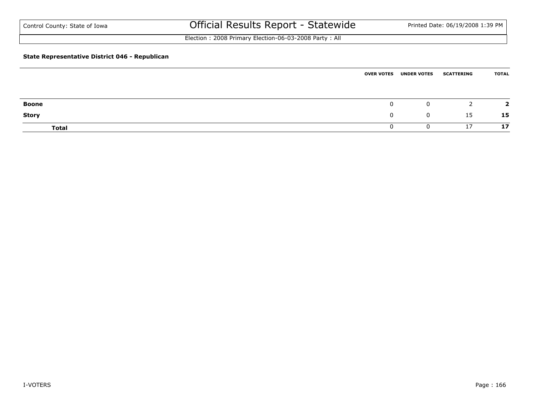Election : 2008 Primary Election-06-03-2008 Party : All

#### **State Representative District 046 - Republican**

|              |   | <b>OVER VOTES UNDER VOTES</b> | <b>SCATTERING</b> | <b>TOTAL</b> |
|--------------|---|-------------------------------|-------------------|--------------|
|              |   |                               |                   |              |
| <b>Boone</b> | 0 | 0                             |                   | - ד          |
| <b>Story</b> | 0 | $\mathbf{0}$                  | 15                | 15           |
| <b>Total</b> | υ |                               | 17                | 17           |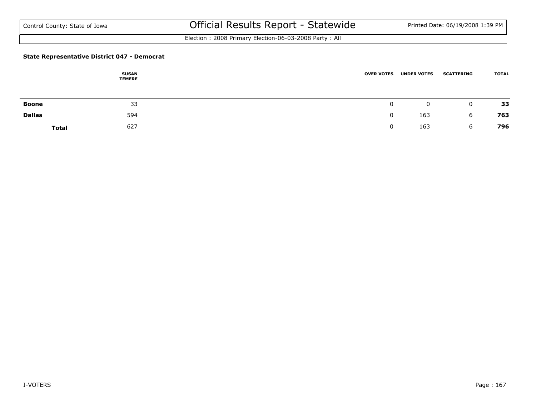Election : 2008 Primary Election-06-03-2008 Party : All

#### **State Representative District 047 - Democrat**

|               | <b>SUSAN</b><br><b>TEMERE</b> | <b>OVER VOTES</b> | <b>UNDER VOTES</b> | <b>SCATTERING</b> | <b>TOTAL</b> |
|---------------|-------------------------------|-------------------|--------------------|-------------------|--------------|
|               | 33                            |                   |                    |                   | 33           |
| Boone         |                               |                   | $\mathbf 0$        | $\mathbf 0$       |              |
| <b>Dallas</b> | 594                           |                   | 163                | 6                 | 763          |
| <b>Total</b>  | 627                           |                   | 163                | b                 | 796          |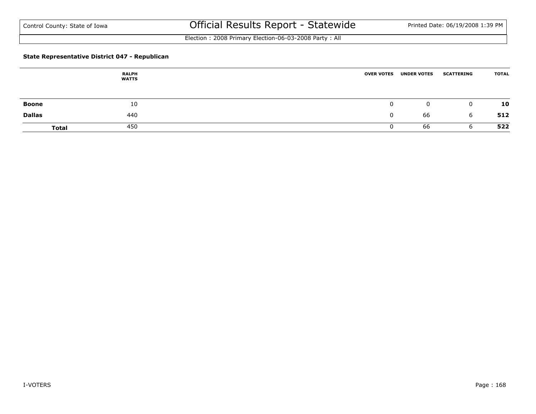Election : 2008 Primary Election-06-03-2008 Party : All

#### **State Representative District 047 - Republican**

|               | <b>RALPH</b><br><b>WATTS</b> | <b>OVER VOTES</b> | <b>UNDER VOTES</b> | <b>SCATTERING</b> | <b>TOTAL</b> |
|---------------|------------------------------|-------------------|--------------------|-------------------|--------------|
| <b>Boone</b>  | 10                           |                   | 0                  | $\overline{0}$    | 10           |
| <b>Dallas</b> | 440                          |                   | 66                 | 6                 | 512          |
| <b>Total</b>  | 450                          |                   | 66                 | b                 | 522          |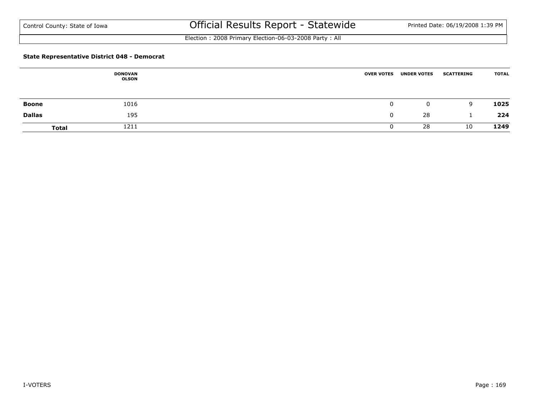Election : 2008 Primary Election-06-03-2008 Party : All

#### **State Representative District 048 - Democrat**

|               | <b>DONOVAN</b><br>OLSON | <b>OVER VOTES</b> | <b>UNDER VOTES</b> | <b>SCATTERING</b> | <b>TOTAL</b> |
|---------------|-------------------------|-------------------|--------------------|-------------------|--------------|
| Boone         | 1016                    |                   | $\mathbf{0}$       | 9                 | 1025         |
| <b>Dallas</b> | 195                     |                   | 28                 |                   | 224          |
| <b>Total</b>  | 1211                    |                   | 28                 | 10                | 1249         |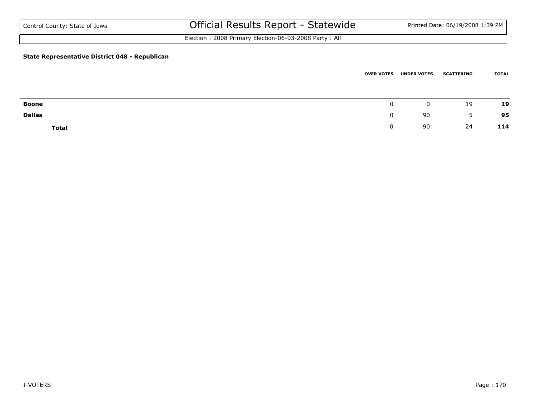Election : 2008 Primary Election-06-03-2008 Party : All

#### **State Representative District 048 - Republican**

|               | <b>OVER VOTES</b> | <b>UNDER VOTES</b> | <b>SCATTERING</b> | <b>TOTAL</b> |
|---------------|-------------------|--------------------|-------------------|--------------|
|               |                   |                    |                   |              |
| <b>Boone</b>  | 0                 | $\mathbf 0$        | 19                | 19           |
| <b>Dallas</b> | 0                 | 90                 | 5                 | 95           |
| <b>Total</b>  | υ                 | 90                 | 24                | 114          |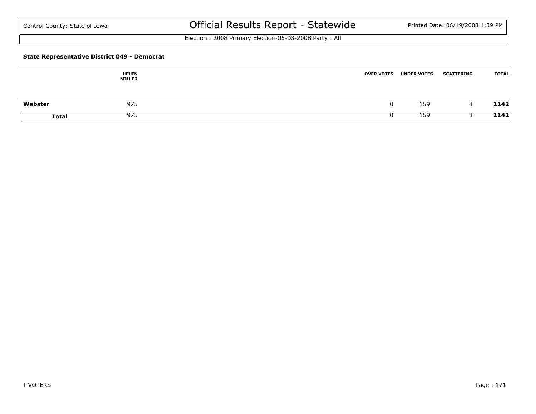Election : 2008 Primary Election-06-03-2008 Party : All

#### **State Representative District 049 - Democrat**

|              | <b>HELEN</b><br><b>MILLER</b> | <b>OVER VOTES</b><br><b>UNDER VOTES</b> | <b>TOTAL</b><br><b>SCATTERING</b> |  |
|--------------|-------------------------------|-----------------------------------------|-----------------------------------|--|
| Webster      | 975                           | 159                                     | 1142<br>8                         |  |
| <b>Total</b> | 975                           | 159                                     | 1142                              |  |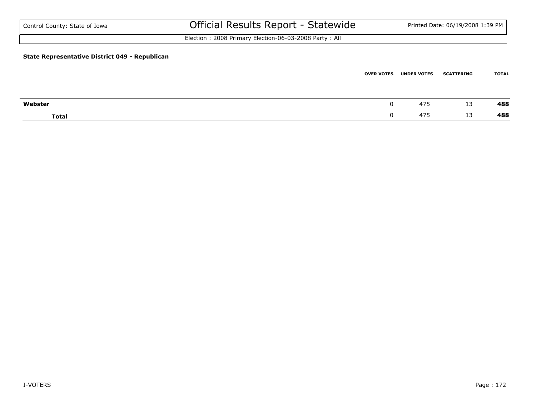| Control County: State of Iowa                         | Official Results Report - Statewide                   | Printed Date: 06/19/2008 1:39 PM |
|-------------------------------------------------------|-------------------------------------------------------|----------------------------------|
|                                                       | Election: 2008 Primary Election-06-03-2008 Party: All |                                  |
| <b>State Representative District 049 - Republican</b> |                                                       |                                  |

|              | <b>OVER VOTES</b> | <b>UNDER VOTES</b> | <b>SCATTERING</b> | TOTAL |
|--------------|-------------------|--------------------|-------------------|-------|
|              |                   |                    |                   |       |
| Webster      |                   | 475                | 13                | 488   |
| <b>Total</b> |                   | 475                | 13                | 488   |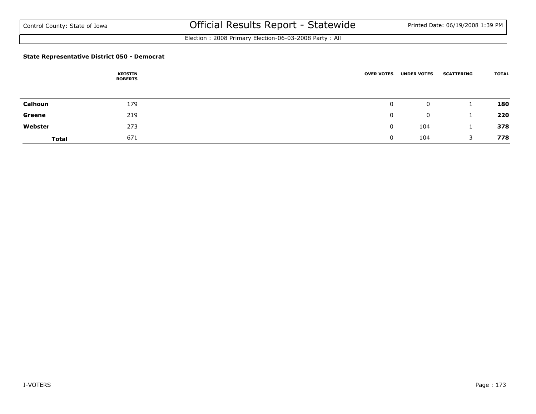Election : 2008 Primary Election-06-03-2008 Party : All

#### **State Representative District 050 - Democrat**

|              | <b>KRISTIN</b><br><b>ROBERTS</b> | <b>OVER VOTES</b> | <b>UNDER VOTES</b> | <b>SCATTERING</b> | <b>TOTAL</b> |
|--------------|----------------------------------|-------------------|--------------------|-------------------|--------------|
|              |                                  |                   |                    |                   |              |
| Calhoun      | 179                              | 0                 | 0                  |                   | 180          |
| Greene       | 219                              | 0                 | $\mathbf 0$        |                   | 220          |
| Webster      | 273                              | $\mathbf{0}$      | 104                |                   | 378          |
| <b>Total</b> | 671                              |                   | 104                |                   | 778          |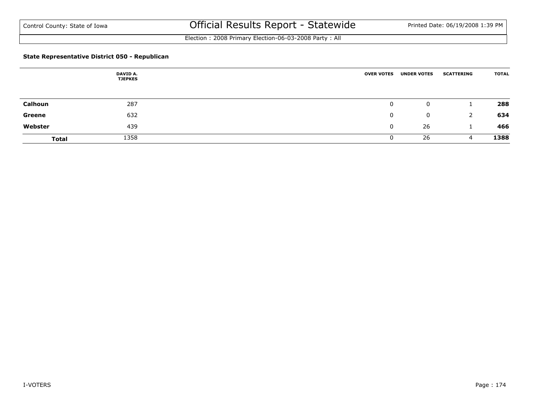Election : 2008 Primary Election-06-03-2008 Party : All

#### **State Representative District 050 - Republican**

|                | DAVID A.<br><b>TJEPKES</b> | <b>OVER VOTES</b> | <b>UNDER VOTES</b> | <b>SCATTERING</b> | <b>TOTAL</b> |
|----------------|----------------------------|-------------------|--------------------|-------------------|--------------|
|                |                            |                   |                    |                   |              |
| <b>Calhoun</b> | 287                        | 0                 | 0                  |                   | 288          |
| Greene         | 632                        | 0                 | 0                  |                   | 634          |
| Webster        | 439                        | $\mathbf{0}$      | 26                 |                   | 466          |
| <b>Total</b>   | 1358                       | 0                 | 26                 | 4                 | 1388         |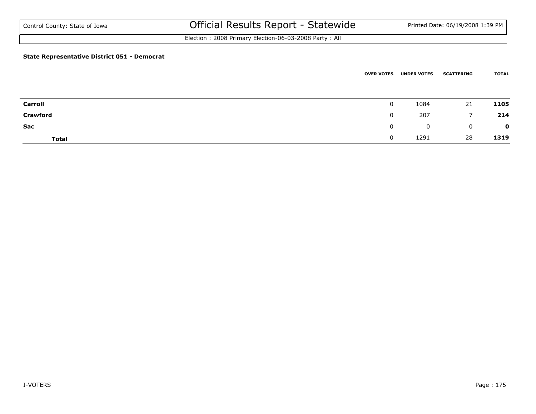Election : 2008 Primary Election-06-03-2008 Party : All

#### **State Representative District 051 - Democrat**

|                 | <b>OVER VOTES</b> | <b>UNDER VOTES</b> | <b>SCATTERING</b> | <b>TOTAL</b> |
|-----------------|-------------------|--------------------|-------------------|--------------|
| <b>Carroll</b>  | 0                 | 1084               | 21                | 1105         |
| <b>Crawford</b> | $\mathbf{0}$      | 207                | $\overline{7}$    | 214          |
| Sac             | $\mathbf{0}$      | $\mathbf 0$        | $\overline{0}$    | $\mathbf{o}$ |
| <b>Total</b>    | $\mathbf{0}$      | 1291               | 28                | 1319         |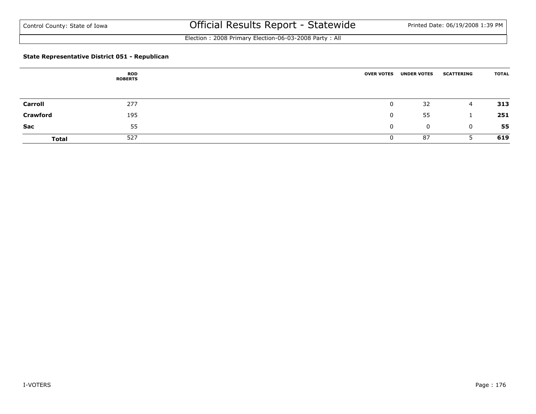Election : 2008 Primary Election-06-03-2008 Party : All

#### **State Representative District 051 - Republican**

|                 | <b>ROD</b><br><b>ROBERTS</b> | <b>OVER VOTES</b> | <b>UNDER VOTES</b> | <b>SCATTERING</b> | <b>TOTAL</b> |
|-----------------|------------------------------|-------------------|--------------------|-------------------|--------------|
|                 |                              |                   |                    |                   |              |
| <b>Carroll</b>  | 277                          | $\mathbf{0}$      | 32                 | 4                 | 313          |
| <b>Crawford</b> | 195                          | $\Omega$          | 55                 |                   | 251          |
| <b>Sac</b>      | 55                           | 0                 | 0                  | 0                 | 55           |
| <b>Total</b>    | 527                          | 0                 | 87                 |                   | 619          |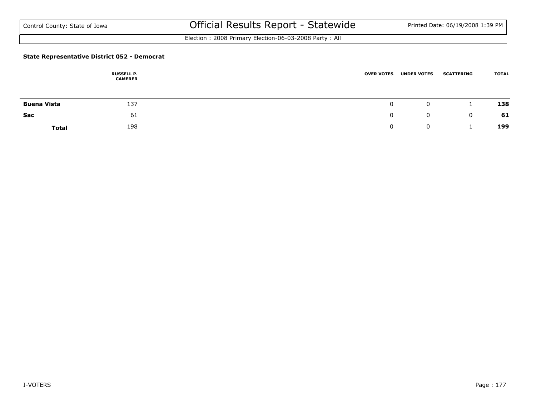Election : 2008 Primary Election-06-03-2008 Party : All

#### **State Representative District 052 - Democrat**

|                    | <b>RUSSELL P.</b><br><b>CAMERER</b> | <b>OVER VOTES</b> |          | <b>UNDER VOTES</b> | <b>SCATTERING</b> | <b>TOTAL</b> |
|--------------------|-------------------------------------|-------------------|----------|--------------------|-------------------|--------------|
|                    |                                     |                   |          |                    |                   |              |
| <b>Buena Vista</b> | 137                                 |                   |          | 0                  |                   | 138          |
| Sac                | 61                                  |                   | $\Omega$ | 0                  | 0                 | 61           |
| <b>Total</b>       | 198                                 |                   |          |                    |                   | 199          |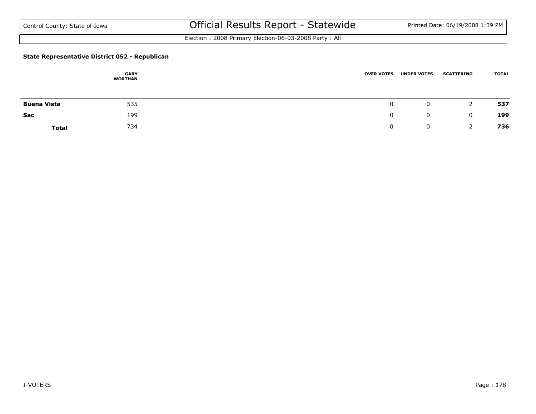Election : 2008 Primary Election-06-03-2008 Party : All

#### **State Representative District 052 - Republican**

|                    | <b>GARY</b><br><b>WORTHAN</b> | <b>OVER VOTES</b> | <b>UNDER VOTES</b> | <b>SCATTERING</b> | <b>TOTAL</b> |
|--------------------|-------------------------------|-------------------|--------------------|-------------------|--------------|
| <b>Buena Vista</b> | 535                           |                   | $\mathbf{0}$       | 2                 | 537          |
| Sac                | 199                           | 0                 | $\mathbf 0$        | $\Omega$          | 199          |
| <b>Total</b>       | 734                           |                   | U                  |                   | 736          |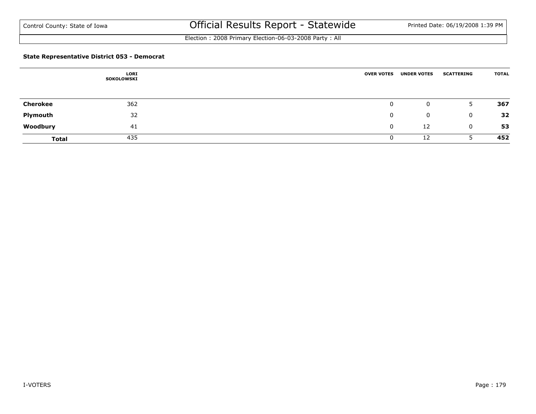Election : 2008 Primary Election-06-03-2008 Party : All

#### **State Representative District 053 - Democrat**

|                 | <b>LORI</b><br>SOKOLOWSKI | <b>OVER VOTES</b> | <b>UNDER VOTES</b> | <b>SCATTERING</b> | <b>TOTAL</b> |
|-----------------|---------------------------|-------------------|--------------------|-------------------|--------------|
|                 |                           |                   |                    |                   |              |
| <b>Cherokee</b> | 362                       | 0                 | 0                  | 5                 | 367          |
| Plymouth        | 32                        | $\mathbf{0}$      | 0                  | 0                 | 32           |
| Woodbury        | 41                        | $\mathbf{0}$      | 12                 | 0                 | 53           |
| <b>Total</b>    | 435                       | 0                 | 12                 |                   | 452          |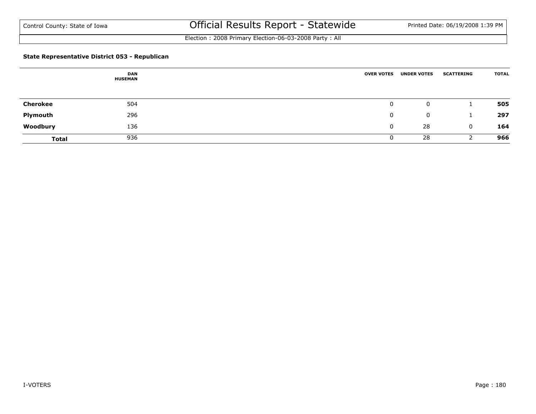Election : 2008 Primary Election-06-03-2008 Party : All

#### **State Representative District 053 - Republican**

|                 | <b>DAN</b><br><b>HUSEMAN</b> | <b>OVER VOTES</b> | <b>UNDER VOTES</b> | <b>SCATTERING</b> | <b>TOTAL</b> |
|-----------------|------------------------------|-------------------|--------------------|-------------------|--------------|
|                 |                              |                   |                    |                   |              |
| <b>Cherokee</b> | 504                          | 0                 | 0                  |                   | 505          |
| Plymouth        | 296                          | 0                 | $\mathbf{0}$       |                   | 297          |
| Woodbury        | 136                          | $\mathbf{0}$      | 28                 | $\mathbf 0$       | 164          |
| <b>Total</b>    | 936                          | U                 | 28                 |                   | 966          |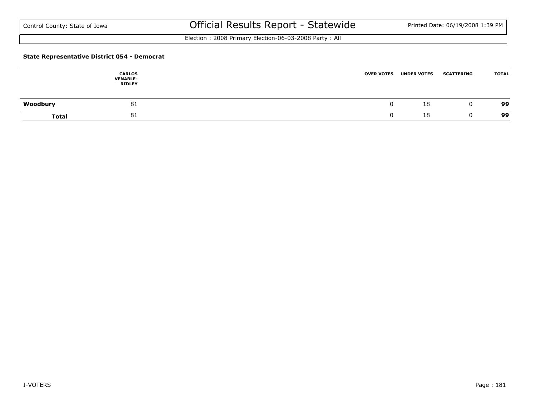Election : 2008 Primary Election-06-03-2008 Party : All

### **State Representative District 054 - Democrat**

|              | <b>CARLOS</b><br><b>VENABLE-</b><br><b>RIDLEY</b> | <b>OVER VOTES</b> | <b>UNDER VOTES</b> | <b>SCATTERING</b> | <b>TOTAL</b> |
|--------------|---------------------------------------------------|-------------------|--------------------|-------------------|--------------|
| Woodbury     | 81                                                |                   | 18                 |                   | 99           |
| <b>Total</b> | 81                                                |                   | 18                 |                   | 99           |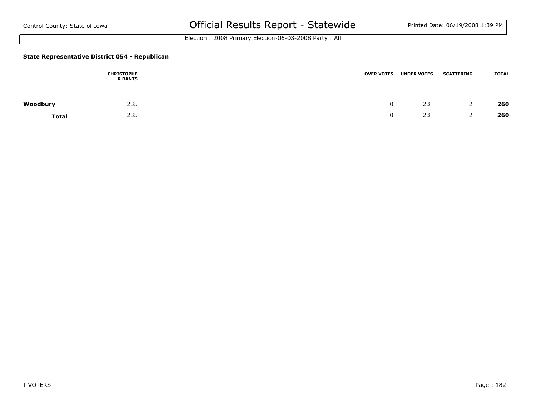Election : 2008 Primary Election-06-03-2008 Party : All

### **State Representative District 054 - Republican**

|              | <b>CHRISTOPHE</b><br><b>R RANTS</b> | <b>OVER VOTES</b> | <b>UNDER VOTES</b> | <b>SCATTERING</b> | <b>TOTAL</b> |
|--------------|-------------------------------------|-------------------|--------------------|-------------------|--------------|
| Woodbury     | 235                                 |                   | 23                 |                   | 260          |
| <b>Total</b> | 235                                 |                   | 23                 |                   | 260          |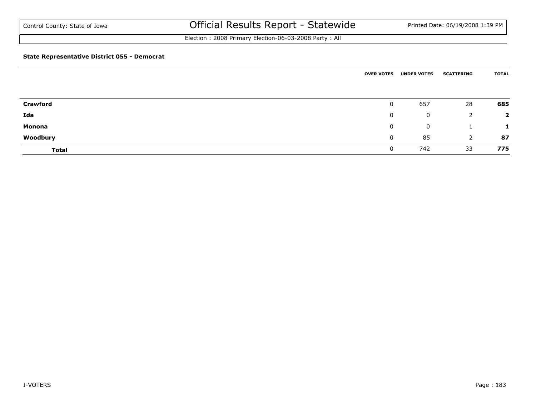Election : 2008 Primary Election-06-03-2008 Party : All

### **State Representative District 055 - Democrat**

|                 | <b>OVER VOTES</b> | <b>UNDER VOTES</b> | <b>SCATTERING</b> | <b>TOTAL</b>   |
|-----------------|-------------------|--------------------|-------------------|----------------|
| <b>Crawford</b> | $\mathbf{0}$      | 657                | 28                | 685            |
| Ida             | $\mathbf{0}$      | 0                  | 2                 | $\overline{2}$ |
| <b>Monona</b>   | $\mathbf 0$       | 0                  |                   | 1              |
| Woodbury        | $\mathbf 0$       | 85                 | 2                 | 87             |
| <b>Total</b>    | 0                 | 742                | 33                | 775            |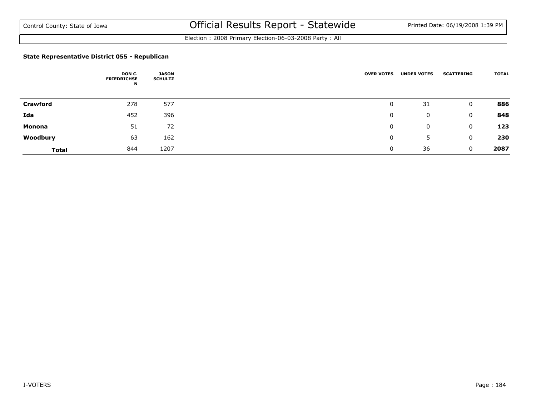Election : 2008 Primary Election-06-03-2008 Party : All

### **State Representative District 055 - Republican**

|                 | DON C.<br><b>FRIEDRICHSE</b><br>N | JASON<br><b>SCHULTZ</b> | <b>OVER VOTES</b> | <b>UNDER VOTES</b> | <b>SCATTERING</b> | <b>TOTAL</b> |
|-----------------|-----------------------------------|-------------------------|-------------------|--------------------|-------------------|--------------|
| <b>Crawford</b> | 278                               | 577                     | 0                 | 31                 | 0                 | 886          |
| Ida             | 452                               | 396                     | 0                 | 0                  | 0                 | 848          |
| Monona          | 51                                | 72                      | 0                 | 0                  | 0                 | 123          |
| Woodbury        | 63                                | 162                     | 0                 | 5                  | 0                 | 230          |
| <b>Total</b>    | 844                               | 1207                    | 0                 | 36                 | $\Omega$          | 2087         |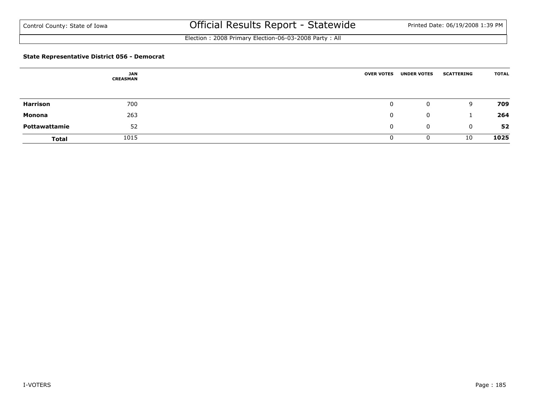Election : 2008 Primary Election-06-03-2008 Party : All

### **State Representative District 056 - Democrat**

|               | <b>JAN</b><br><b>CREASMAN</b> | <b>OVER VOTES</b> | <b>UNDER VOTES</b> | <b>SCATTERING</b> | <b>TOTAL</b> |
|---------------|-------------------------------|-------------------|--------------------|-------------------|--------------|
|               |                               |                   |                    |                   |              |
| Harrison      | 700                           | $\mathbf{0}$      | $\mathbf{0}$       | 9                 | 709          |
| Monona        | 263                           | 0                 | $\mathbf 0$        |                   | 264          |
| Pottawattamie | 52                            | 0                 | $\mathbf 0$        | $\mathbf 0$       | 52           |
| <b>Total</b>  | 1015                          |                   | 0                  | 10                | 1025         |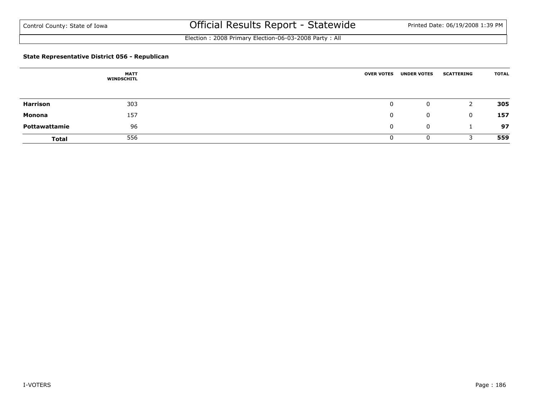Election : 2008 Primary Election-06-03-2008 Party : All

### **State Representative District 056 - Republican**

|               | <b>MATT</b><br><b>WINDSCHITL</b> | <b>OVER VOTES</b> | <b>UNDER VOTES</b> | <b>SCATTERING</b> | <b>TOTAL</b> |
|---------------|----------------------------------|-------------------|--------------------|-------------------|--------------|
|               |                                  |                   |                    |                   |              |
| Harrison      | 303                              | $\mathbf 0$       | 0                  | 2                 | 305          |
| Monona        | 157                              | $\mathbf{0}$      | $\mathbf{0}$       | $\Omega$          | 157          |
| Pottawattamie | 96                               | $\mathbf{0}$      | $\mathbf 0$        |                   | 97           |
| <b>Total</b>  | 556                              | Ü                 | 0                  |                   | 559          |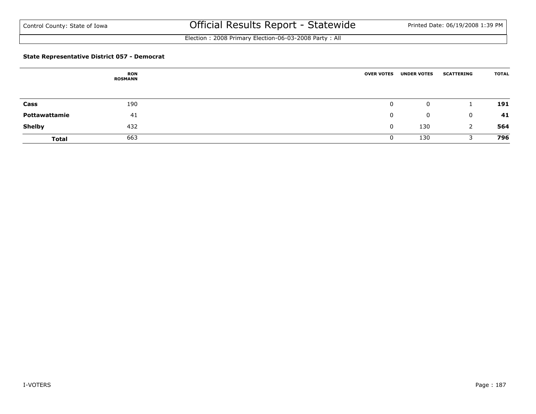Election : 2008 Primary Election-06-03-2008 Party : All

### **State Representative District 057 - Democrat**

|               | <b>RON</b><br><b>ROSMANN</b> | <b>OVER VOTES</b> | <b>UNDER VOTES</b> | <b>SCATTERING</b> | <b>TOTAL</b> |
|---------------|------------------------------|-------------------|--------------------|-------------------|--------------|
|               |                              |                   |                    |                   |              |
| Cass          | 190                          | 0                 | 0                  |                   | 191          |
| Pottawattamie | 41                           | 0                 | 0                  | 0                 | 41           |
| <b>Shelby</b> | 432                          | $\mathbf{0}$      | 130                |                   | 564          |
| <b>Total</b>  | 663                          | 0                 | 130                |                   | 796          |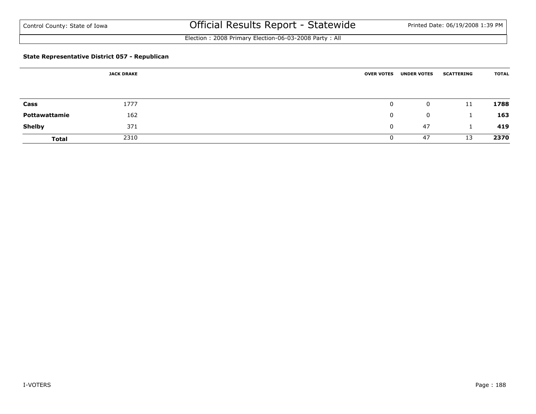Election : 2008 Primary Election-06-03-2008 Party : All

### **State Representative District 057 - Republican**

|               | <b>JACK DRAKE</b> | <b>OVER VOTES</b> | <b>UNDER VOTES</b> | <b>SCATTERING</b> | <b>TOTAL</b> |
|---------------|-------------------|-------------------|--------------------|-------------------|--------------|
|               |                   |                   |                    |                   |              |
| Cass          | 1777              | 0                 | 0                  | 11                | 1788         |
| Pottawattamie | 162               | $\Omega$          | $\mathbf{0}$       |                   | 163          |
| <b>Shelby</b> | 371               | $\mathbf 0$       | 47                 |                   | 419          |
| <b>Total</b>  | 2310              |                   | 47                 | 13                | 2370         |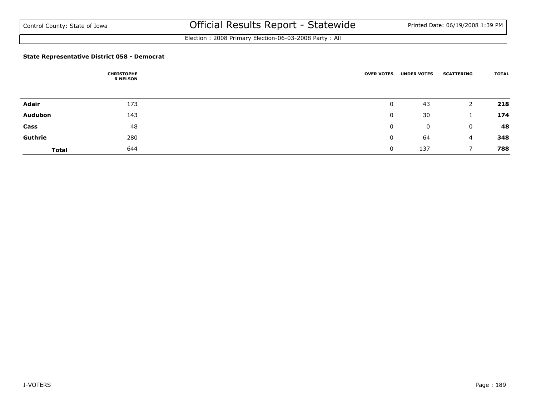Election : 2008 Primary Election-06-03-2008 Party : All

### **State Representative District 058 - Democrat**

|              | <b>CHRISTOPHE</b><br><b>R NELSON</b> | <b>OVER VOTES</b> | <b>UNDER VOTES</b> | <b>SCATTERING</b> | <b>TOTAL</b> |
|--------------|--------------------------------------|-------------------|--------------------|-------------------|--------------|
|              |                                      |                   |                    |                   |              |
| Adair        | 173                                  | 0                 | 43                 |                   | 218          |
| Audubon      | 143                                  | 0                 | 30                 |                   | 174          |
| Cass         | 48                                   | 0                 | 0                  | $\mathbf{0}$      | 48           |
| Guthrie      | 280                                  | 0                 | 64                 | $\overline{4}$    | 348          |
| <b>Total</b> | 644                                  | 0                 | 137                |                   | 788          |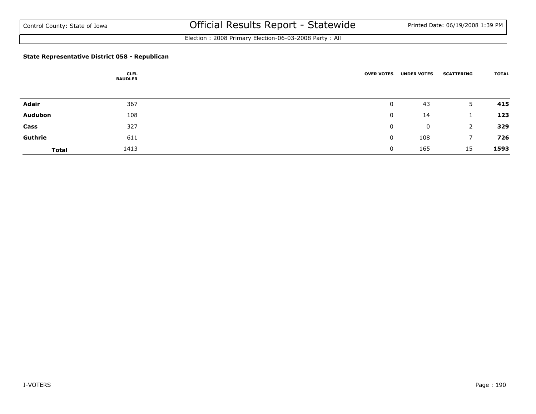Election : 2008 Primary Election-06-03-2008 Party : All

### **State Representative District 058 - Republican**

|              | <b>CLEL</b><br><b>BAUDLER</b> | <b>OVER VOTES</b> | <b>UNDER VOTES</b> | <b>SCATTERING</b> | <b>TOTAL</b> |
|--------------|-------------------------------|-------------------|--------------------|-------------------|--------------|
|              |                               |                   |                    |                   |              |
| Adair        | 367                           | $\mathbf 0$       | 43                 | 5.                | 415          |
| Audubon      | 108                           | 0                 | 14                 |                   | 123          |
| Cass         | 327                           | 0                 | $\mathbf 0$        | 2                 | 329          |
| Guthrie      | 611                           | 0                 | 108                |                   | 726          |
| <b>Total</b> | 1413                          | 0                 | 165                | 15                | 1593         |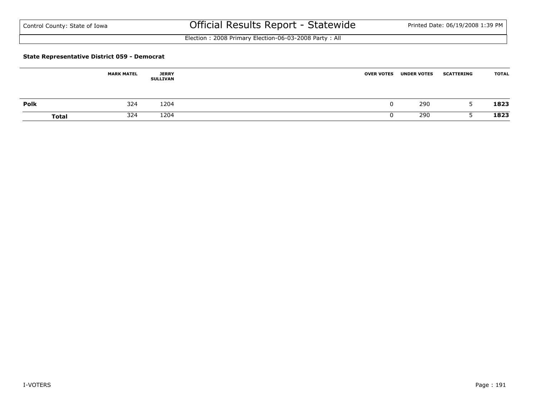Election : 2008 Primary Election-06-03-2008 Party : All

#### **State Representative District 059 - Democrat**

|             | <b>MARK MATEL</b>   | <b>JERRY</b><br>SULLIVAN | <b>OVER VOTES</b> | <b>UNDER VOTES</b> | <b>SCATTERING</b>        | <b>TOTAL</b> |
|-------------|---------------------|--------------------------|-------------------|--------------------|--------------------------|--------------|
| <b>Polk</b> | 324                 | 1204                     |                   | 290                | $\overline{\phantom{a}}$ | 1823         |
|             | 324<br><b>Total</b> | 1204                     |                   | 290                |                          | 1823         |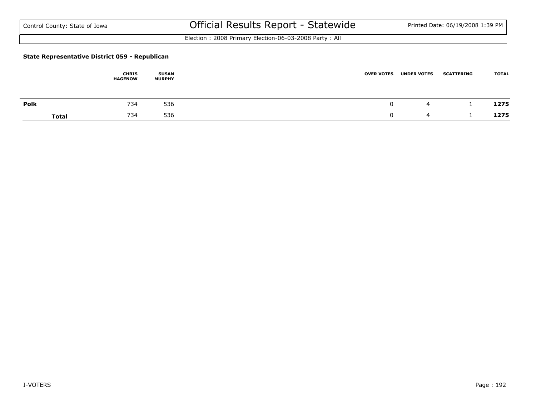Election : 2008 Primary Election-06-03-2008 Party : All

### **State Representative District 059 - Republican**

|              | <b>CHRIS</b><br><b>HAGENOW</b> | <b>SUSAN</b><br><b>MURPHY</b> | <b>OVER VOTES</b> | <b>UNDER VOTES</b> | <b>SCATTERING</b> | <b>TOTAL</b> |
|--------------|--------------------------------|-------------------------------|-------------------|--------------------|-------------------|--------------|
| <b>Polk</b>  | 734                            | 536                           |                   | ⊶                  |                   | 1275         |
| <b>Total</b> | 734                            | 536                           |                   |                    |                   | 1275         |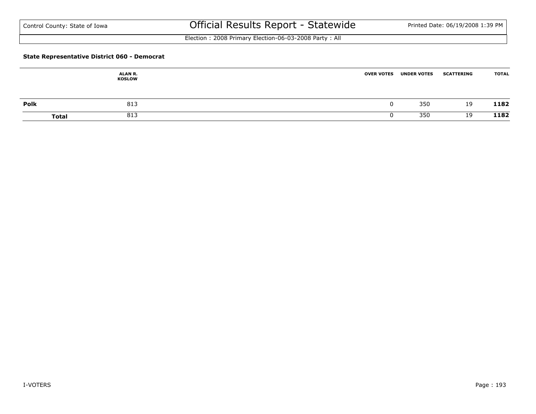Election : 2008 Primary Election-06-03-2008 Party : All

### **State Representative District 060 - Democrat**

|             | ALAN R.<br><b>KOSLOW</b> | <b>OVER VOTES</b> | <b>UNDER VOTES</b> | <b>SCATTERING</b> | <b>TOTAL</b> |
|-------------|--------------------------|-------------------|--------------------|-------------------|--------------|
| <b>Polk</b> | 813                      |                   | 350                | 19                | 1182         |
|             | 813<br><b>Total</b>      |                   | 350                | 19                | 1182         |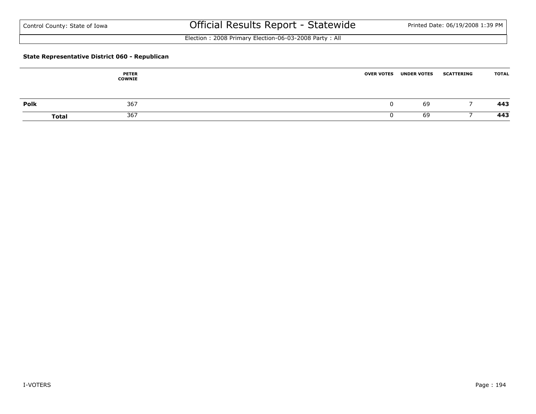Election : 2008 Primary Election-06-03-2008 Party : All

### **State Representative District 060 - Republican**

|      | <b>PETER</b><br><b>COWNIE</b> | <b>OVER VOTES</b> | <b>UNDER VOTES</b> | <b>SCATTERING</b> | <b>TOTAL</b> |
|------|-------------------------------|-------------------|--------------------|-------------------|--------------|
| Polk | 367                           |                   | 69                 |                   | 443          |
|      | 367<br><b>Total</b>           |                   | 69                 |                   | 443          |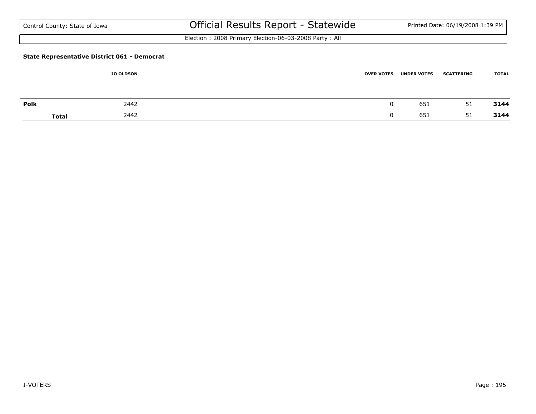| Control County: State of Iowa |  |
|-------------------------------|--|
|-------------------------------|--|

# Official Results Report - Statewide Printed Date: 06/19/2008 1:39 PM

Election : 2008 Primary Election-06-03-2008 Party : All

### **State Representative District 061 - Democrat**

|             | <b>JO OLDSON</b>     | <b>OVER VOTES</b> | <b>UNDER VOTES</b> | <b>SCATTERING</b> | <b>TOTAL</b> |
|-------------|----------------------|-------------------|--------------------|-------------------|--------------|
|             |                      |                   |                    |                   |              |
| <b>Polk</b> | 2442                 |                   | 651                | 51                | 3144         |
|             | 2442<br><b>Total</b> |                   | 651                | 51                | 3144         |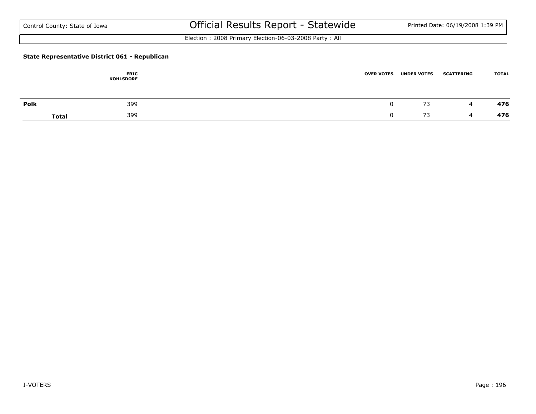Election : 2008 Primary Election-06-03-2008 Party : All

### **State Representative District 061 - Republican**

|      | <b>ERIC</b><br><b>KOHLSDORF</b> | <b>OVER VOTES</b> | <b>UNDER VOTES</b> | <b>SCATTERING</b> | <b>TOTAL</b> |
|------|---------------------------------|-------------------|--------------------|-------------------|--------------|
| Polk | 399                             |                   | 73                 | 4                 | 476          |
|      | 399<br><b>Total</b>             |                   | 73                 |                   | 476          |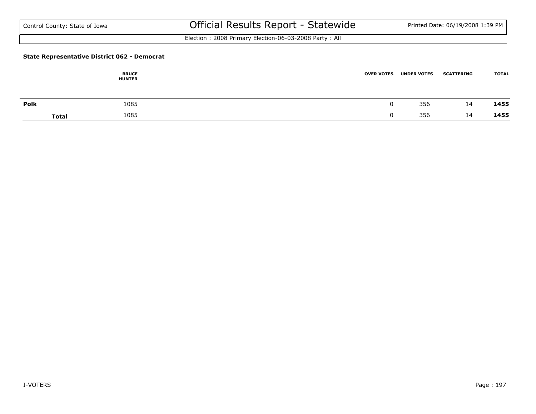Election : 2008 Primary Election-06-03-2008 Party : All

#### **State Representative District 062 - Democrat**

|      | <b>BRUCE</b><br><b>HUNTER</b> | <b>OVER VOTES</b> | <b>UNDER VOTES</b> | <b>SCATTERING</b> | <b>TOTAL</b> |
|------|-------------------------------|-------------------|--------------------|-------------------|--------------|
| Polk | 1085                          |                   | 356                | 14                | 1455         |
|      | 1085<br><b>Total</b>          |                   | 356                | 14                | 1455         |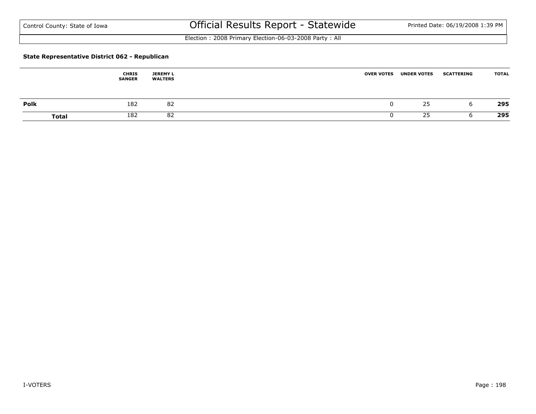Election : 2008 Primary Election-06-03-2008 Party : All

### **State Representative District 062 - Republican**

|              | <b>CHRIS</b><br><b>SANGER</b> | <b>JEREMY L</b><br><b>WALTERS</b> | <b>OVER VOTES</b> | <b>UNDER VOTES</b> | <b>SCATTERING</b> | <b>TOTAL</b> |
|--------------|-------------------------------|-----------------------------------|-------------------|--------------------|-------------------|--------------|
| <b>Polk</b>  | 182                           | 82                                |                   | 25                 |                   | 295          |
| <b>Total</b> | 182                           | 82                                |                   | 25                 |                   | 295          |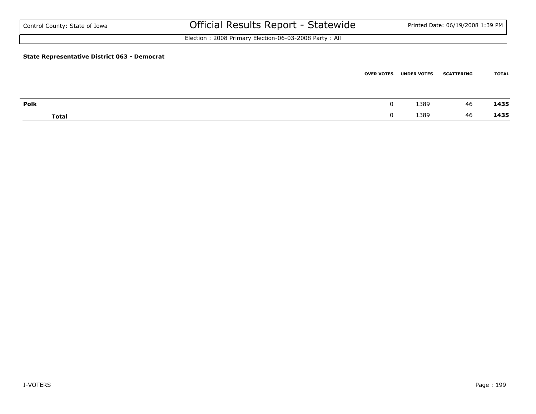| Control County: State of Iowa                       | Official Results Report - Statewide                   |                   |                    | Printed Date: 06/19/2008 1:39 PM |              |  |
|-----------------------------------------------------|-------------------------------------------------------|-------------------|--------------------|----------------------------------|--------------|--|
|                                                     | Election: 2008 Primary Election-06-03-2008 Party: All |                   |                    |                                  |              |  |
| <b>State Representative District 063 - Democrat</b> |                                                       |                   |                    |                                  |              |  |
|                                                     |                                                       | <b>OVER VOTES</b> | <b>UNDER VOTES</b> | <b>SCATTERING</b>                | <b>TOTAL</b> |  |

| Polk         | 1389 | 46 | 1435 |
|--------------|------|----|------|
| <b>Total</b> | 1389 | 46 | 1435 |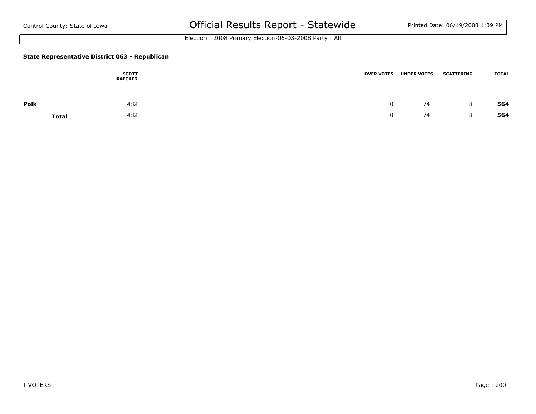Election : 2008 Primary Election-06-03-2008 Party : All

### **State Representative District 063 - Republican**

|      | <b>SCOTT</b><br><b>RAECKER</b> | <b>OVER VOTES</b> | <b>UNDER VOTES</b> | <b>SCATTERING</b> | <b>TOTAL</b> |
|------|--------------------------------|-------------------|--------------------|-------------------|--------------|
| Polk | 482                            |                   | 74                 | Õ                 | 564          |
|      | 482<br><b>Total</b>            |                   | 74                 |                   | 564          |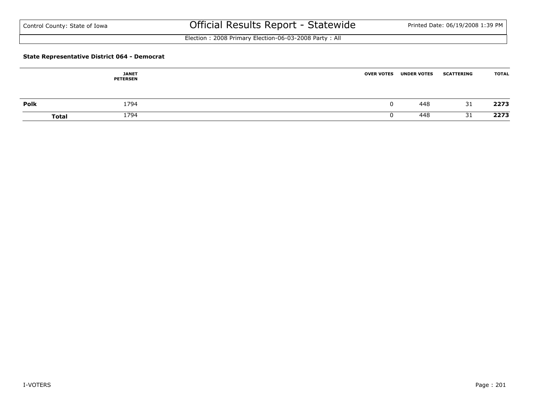Election : 2008 Primary Election-06-03-2008 Party : All

#### **State Representative District 064 - Democrat**

|      | <b>JANET</b><br><b>PETERSEN</b> | <b>OVER VOTES</b> | <b>UNDER VOTES</b> | <b>SCATTERING</b> | <b>TOTAL</b> |
|------|---------------------------------|-------------------|--------------------|-------------------|--------------|
| Polk | 1794                            |                   | 448                | 31                | 2273         |
|      | 1794<br><b>Total</b>            |                   | 448                | 31                | 2273         |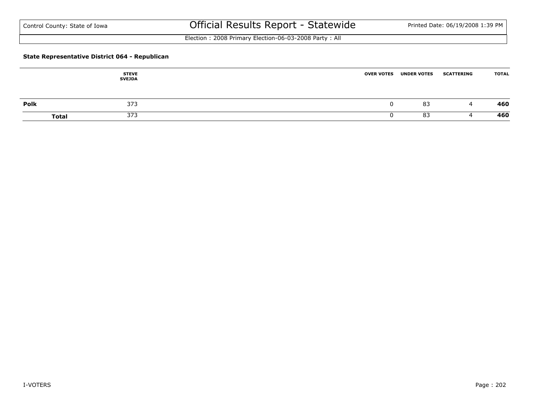Election : 2008 Primary Election-06-03-2008 Party : All

### **State Representative District 064 - Republican**

|      | <b>STEVE</b><br><b>SVEJDA</b> | <b>OVER VOTES</b> | <b>UNDER VOTES</b> | <b>SCATTERING</b> | <b>TOTAL</b> |
|------|-------------------------------|-------------------|--------------------|-------------------|--------------|
| Polk | 373                           |                   | 83                 | 4                 | 460          |
|      | 373<br><b>Total</b>           |                   | 83                 |                   | 460          |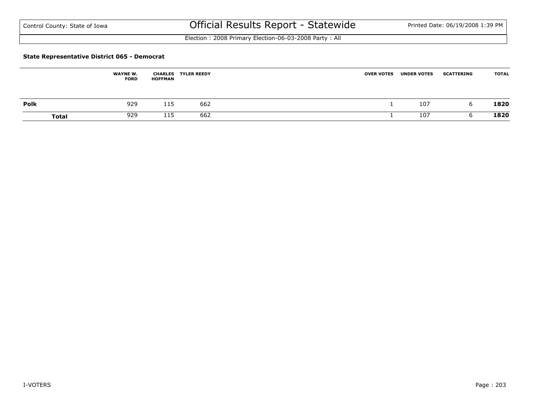Election : 2008 Primary Election-06-03-2008 Party : All

#### **State Representative District 065 - Democrat**

|              | <b>WAYNE W.</b><br><b>FORD</b> | <b>HOFFMAN</b> | <b>CHARLES TYLER REEDY</b> | <b>OVER VOTES</b> | <b>UNDER VOTES</b> | <b>SCATTERING</b> | <b>TOTAL</b> |
|--------------|--------------------------------|----------------|----------------------------|-------------------|--------------------|-------------------|--------------|
| <b>Polk</b>  | 929                            | 115            | 662                        |                   | 107                |                   | 1820         |
| <b>Total</b> | 929                            | 115            | 662                        |                   | 107                |                   | 1820         |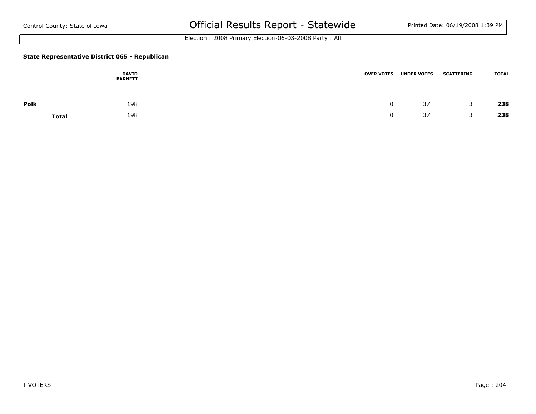Election : 2008 Primary Election-06-03-2008 Party : All

### **State Representative District 065 - Republican**

|      | <b>DAVID</b><br><b>BARNETT</b> | <b>OVER VOTES</b> | <b>UNDER VOTES</b> | <b>SCATTERING</b> | <b>TOTAL</b> |
|------|--------------------------------|-------------------|--------------------|-------------------|--------------|
| Polk | 198                            |                   | 37                 | -                 | 238          |
|      | 198<br><b>Total</b>            |                   | 37                 |                   | 238          |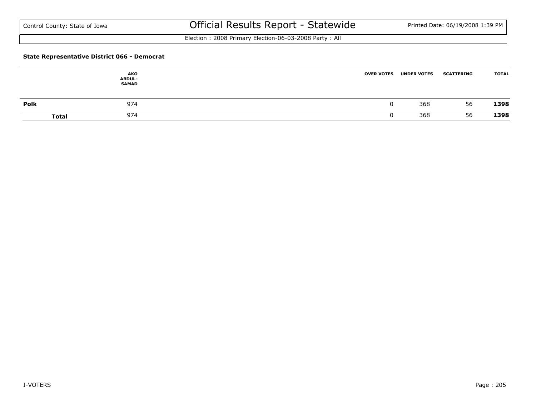Election : 2008 Primary Election-06-03-2008 Party : All

### **State Representative District 066 - Democrat**

|             | AKO<br><b>ABDUL-</b><br><b>SAMAD</b> | <b>OVER VOTES</b> | <b>UNDER VOTES</b> | <b>SCATTERING</b> | <b>TOTAL</b> |
|-------------|--------------------------------------|-------------------|--------------------|-------------------|--------------|
| <b>Polk</b> | 974                                  |                   | 368                | 56                | 1398         |
|             | 974<br><b>Total</b>                  |                   | 368                | 56                | 1398         |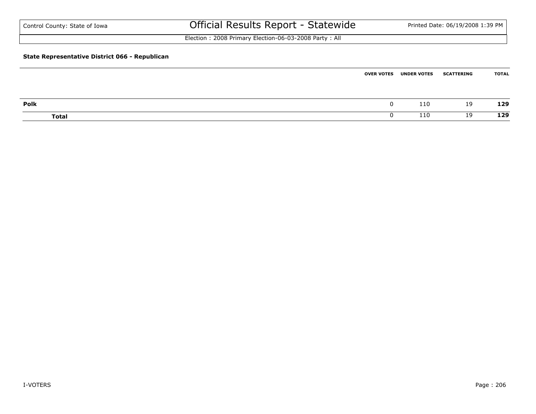| Control County: State of Iowa                  | Official Results Report - Statewide                   | Printed Date: 06/19/2008 1:39 PM |
|------------------------------------------------|-------------------------------------------------------|----------------------------------|
|                                                | Election: 2008 Primary Election-06-03-2008 Party: All |                                  |
| State Representative District 066 - Republican |                                                       |                                  |

|       | <b>OVER VOTES</b> | <b>UNDER VOTES</b> | <b>SCATTERING</b> | TOTAL |
|-------|-------------------|--------------------|-------------------|-------|
|       |                   |                    |                   |       |
| Polk  | $\Omega$          | 110                | 19                | 129   |
| Total |                   | 110                | 19                | 129   |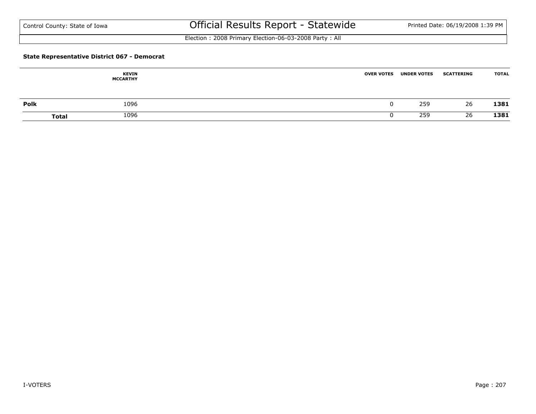Election : 2008 Primary Election-06-03-2008 Party : All

#### **State Representative District 067 - Democrat**

|      | <b>KEVIN</b><br><b>MCCARTHY</b> | <b>OVER VOTES</b> | <b>UNDER VOTES</b> | <b>SCATTERING</b> | <b>TOTAL</b> |
|------|---------------------------------|-------------------|--------------------|-------------------|--------------|
| Polk | 1096                            |                   | 259                | 26                | 1381         |
|      | 1096<br>Total                   |                   | 259                | 26                | 1381         |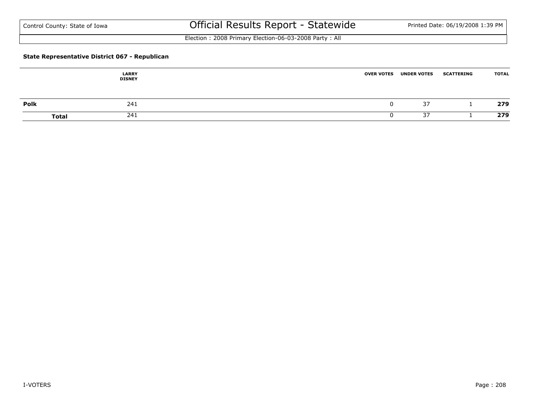Election : 2008 Primary Election-06-03-2008 Party : All

### **State Representative District 067 - Republican**

|              | <b>LARRY</b><br><b>DISNEY</b> | <b>UNDER VOTES</b><br><b>OVER VOTES</b> | <b>SCATTERING</b> | <b>TOTAL</b> |
|--------------|-------------------------------|-----------------------------------------|-------------------|--------------|
| Polk         | 241                           |                                         | 37                | 279          |
| <b>Total</b> | 241                           |                                         | 37                | 279          |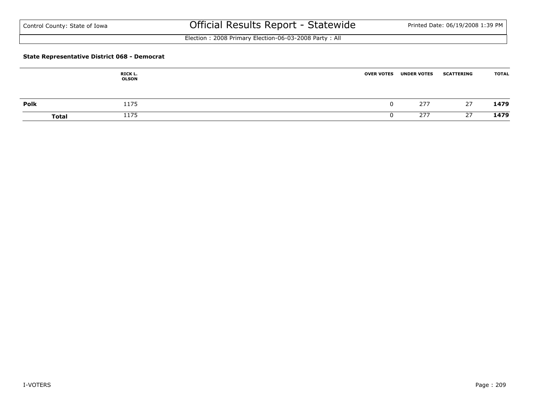Election : 2008 Primary Election-06-03-2008 Party : All

#### **State Representative District 068 - Democrat**

|              | RICK L.<br><b>OLSON</b> | <b>OVER VOTES</b> | <b>UNDER VOTES</b> | <b>SCATTERING</b> | <b>TOTAL</b> |
|--------------|-------------------------|-------------------|--------------------|-------------------|--------------|
| Polk         | 1175                    |                   | 277                | 27                | 1479         |
| <b>Total</b> | 1175                    |                   | 277                | 27                | 1479         |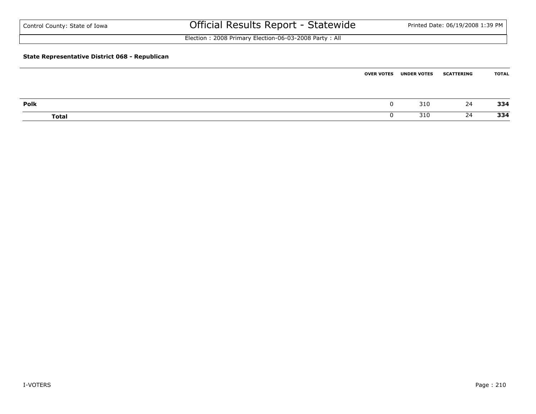| Control County: State of Iowa                  | Official Results Report - Statewide                   | Printed Date: 06/19/2008 1:39 PM |
|------------------------------------------------|-------------------------------------------------------|----------------------------------|
|                                                | Election: 2008 Primary Election-06-03-2008 Party: All |                                  |
| State Representative District 068 - Republican |                                                       |                                  |

|       | <b>OVER VOTES</b> | <b>UNDER VOTES</b> | <b>SCATTERING</b> | TOTAL |
|-------|-------------------|--------------------|-------------------|-------|
|       |                   |                    |                   |       |
| Polk  |                   | 310                | 24                | 334   |
| Total |                   | 310                | 24                | 334   |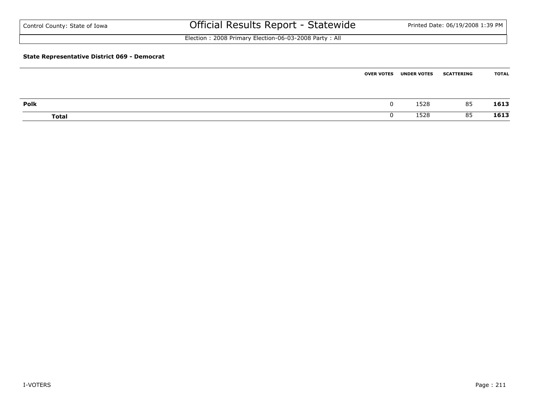| Control County: State of Iowa                       | Official Results Report - Statewide                   |                   |                    | Printed Date: 06/19/2008 1:39 PM |              |
|-----------------------------------------------------|-------------------------------------------------------|-------------------|--------------------|----------------------------------|--------------|
|                                                     | Election: 2008 Primary Election-06-03-2008 Party: All |                   |                    |                                  |              |
| <b>State Representative District 069 - Democrat</b> |                                                       |                   |                    |                                  |              |
|                                                     |                                                       | <b>OVER VOTES</b> | <b>UNDER VOTES</b> | <b>SCATTERING</b>                | <b>TOTAL</b> |

| Polk         | υ | $F \cap C$<br>1279 | 85 | 1613 |
|--------------|---|--------------------|----|------|
| <b>Total</b> | U | <b>EDO</b>         | 85 | 1613 |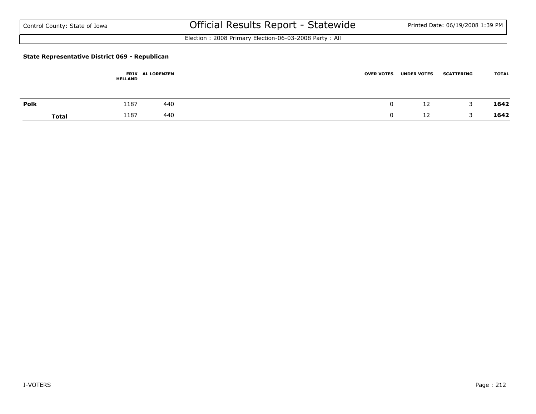Election : 2008 Primary Election-06-03-2008 Party : All

### **State Representative District 069 - Republican**

|              | <b>HELLAND</b> | <b>ERIK AL LORENZEN</b> | <b>UNDER VOTES</b><br><b>OVER VOTES</b> | <b>SCATTERING</b> | <b>TOTAL</b> |
|--------------|----------------|-------------------------|-----------------------------------------|-------------------|--------------|
| Polk         | 1187           | 440                     | 12                                      |                   | 1642         |
| <b>Total</b> | 1187           | 440                     | ר י                                     |                   | 1642         |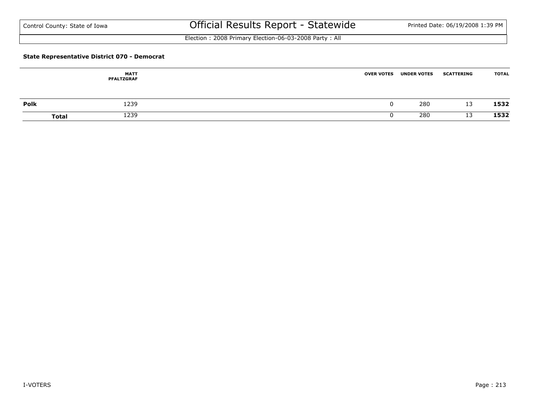Election : 2008 Primary Election-06-03-2008 Party : All

### **State Representative District 070 - Democrat**

|      | <b>MATT</b><br><b>PFALTZGRAF</b> | <b>OVER VOTES</b> | <b>UNDER VOTES</b> | <b>SCATTERING</b> | <b>TOTAL</b> |
|------|----------------------------------|-------------------|--------------------|-------------------|--------------|
| Polk | 1239                             | 0                 | 280                | 13                | 1532         |
|      | 1239<br><b>Total</b>             |                   | 280                | 13                | 1532         |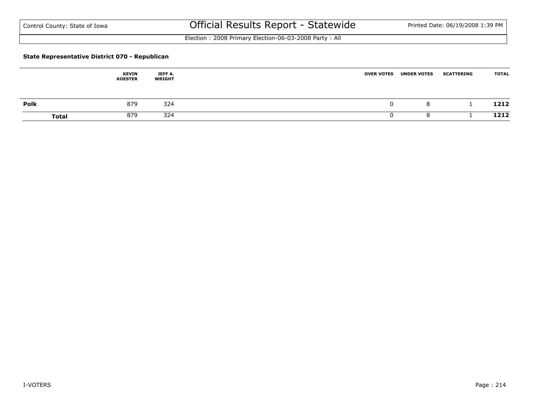Election : 2008 Primary Election-06-03-2008 Party : All

### **State Representative District 070 - Republican**

|      | <b>KEVIN</b><br><b>KOESTER</b> | JEFF A.<br><b>WRIGHT</b> | <b>OVER VOTES</b> | <b>UNDER VOTES</b> | <b>SCATTERING</b> | <b>TOTAL</b> |
|------|--------------------------------|--------------------------|-------------------|--------------------|-------------------|--------------|
| Polk | 879                            | 324                      |                   | 8                  |                   | 1212         |
|      | 879<br><b>Total</b>            | 324                      |                   |                    |                   | 1212         |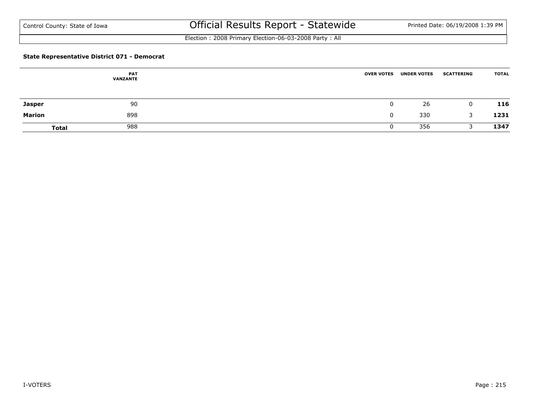Election : 2008 Primary Election-06-03-2008 Party : All

### **State Representative District 071 - Democrat**

|               | <b>PAT</b><br><b>VANZANTE</b> | <b>OVER VOTES</b> | <b>UNDER VOTES</b> | <b>SCATTERING</b> | <b>TOTAL</b> |
|---------------|-------------------------------|-------------------|--------------------|-------------------|--------------|
| <b>Jasper</b> | 90                            |                   | 26                 | 0                 | 116          |
| Marion        | 898                           |                   | 330                | 3                 | 1231         |
| <b>Total</b>  | 988                           |                   | 356                |                   | 1347         |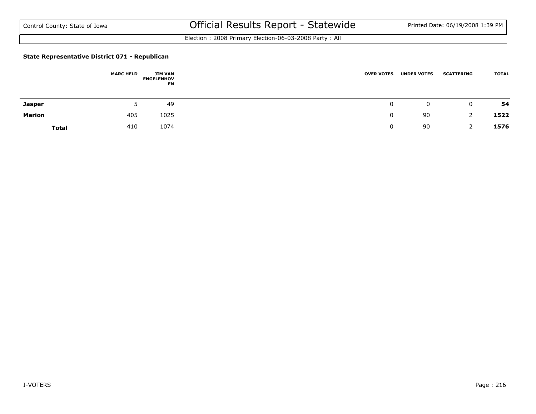Election : 2008 Primary Election-06-03-2008 Party : All

#### **State Representative District 071 - Republican**

|              | <b>MARC HELD</b> | JIM VAN<br><b>ENGELENHOV</b><br>EN | <b>OVER VOTES</b> | <b>UNDER VOTES</b> | <b>SCATTERING</b> | <b>TOTAL</b> |
|--------------|------------------|------------------------------------|-------------------|--------------------|-------------------|--------------|
| Jasper       |                  | 49                                 |                   | 0                  | 0                 | 54           |
| Marion       | 405              | 1025                               |                   | 90                 |                   | 1522         |
| <b>Total</b> | 410              | 1074                               |                   | 90                 |                   | 1576         |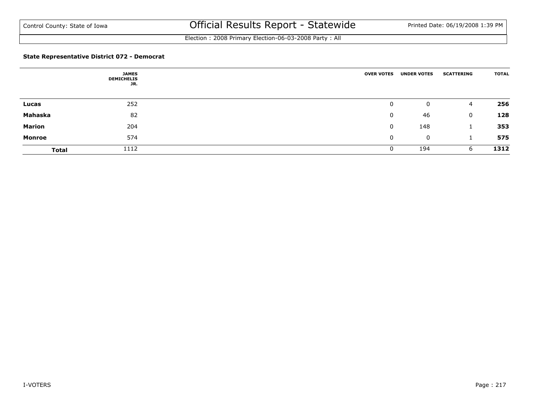Election : 2008 Primary Election-06-03-2008 Party : All

### **State Representative District 072 - Democrat**

|               | <b>JAMES</b><br><b>DEMICHELIS</b><br>JR. | <b>OVER VOTES</b> | <b>UNDER VOTES</b> | <b>SCATTERING</b> | <b>TOTAL</b> |
|---------------|------------------------------------------|-------------------|--------------------|-------------------|--------------|
| Lucas         | 252                                      | 0                 | 0                  | 4                 | 256          |
| Mahaska       | 82                                       | 0                 | 46                 | $\mathbf 0$       | 128          |
| <b>Marion</b> | 204                                      | 0                 | 148                |                   | 353          |
| <b>Monroe</b> | 574                                      | $\mathbf 0$       | 0                  |                   | 575          |
| <b>Total</b>  | 1112                                     |                   | 194                | 6                 | 1312         |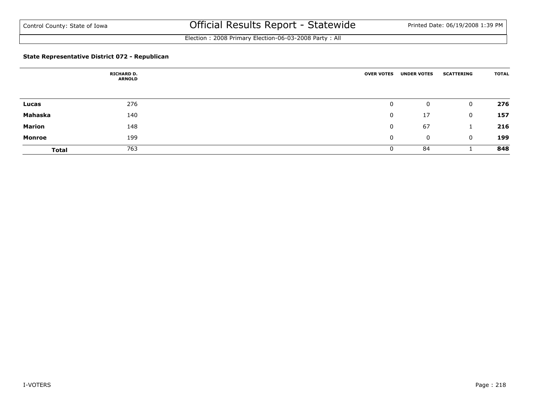Election : 2008 Primary Election-06-03-2008 Party : All

### **State Representative District 072 - Republican**

|               | <b>RICHARD D.</b><br><b>ARNOLD</b> | <b>OVER VOTES</b> | <b>UNDER VOTES</b> | <b>SCATTERING</b> | <b>TOTAL</b> |
|---------------|------------------------------------|-------------------|--------------------|-------------------|--------------|
|               |                                    |                   |                    |                   |              |
| Lucas         | 276                                | 0                 | 0                  | 0                 | 276          |
| Mahaska       | 140                                | 0                 | 17                 | 0                 | 157          |
| <b>Marion</b> | 148                                | 0                 | 67                 |                   | 216          |
| Monroe        | 199                                | $\mathbf{0}$      | 0                  | 0                 | 199          |
| <b>Total</b>  | 763                                | 0                 | 84                 |                   | 848          |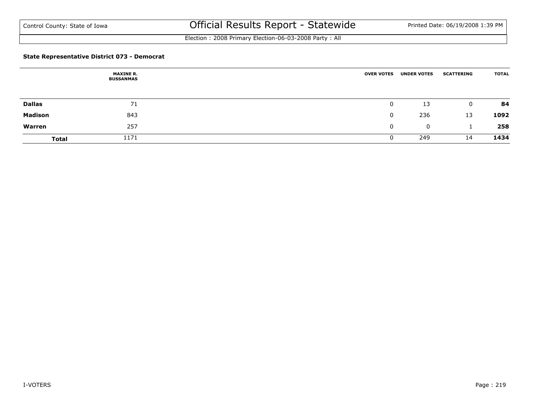Election : 2008 Primary Election-06-03-2008 Party : All

### **State Representative District 073 - Democrat**

|                | <b>MAXINE R.</b><br><b>BUSSANMAS</b> | <b>OVER VOTES</b> | <b>UNDER VOTES</b> | <b>SCATTERING</b> | <b>TOTAL</b> |
|----------------|--------------------------------------|-------------------|--------------------|-------------------|--------------|
|                |                                      |                   |                    |                   |              |
| <b>Dallas</b>  | 71                                   | 0                 | 13                 | 0                 | 84           |
| <b>Madison</b> | 843                                  | 0                 | 236                | 13                | 1092         |
| Warren         | 257                                  | 0                 | 0                  |                   | 258          |
| <b>Total</b>   | 1171                                 | U                 | 249                | 14                | 1434         |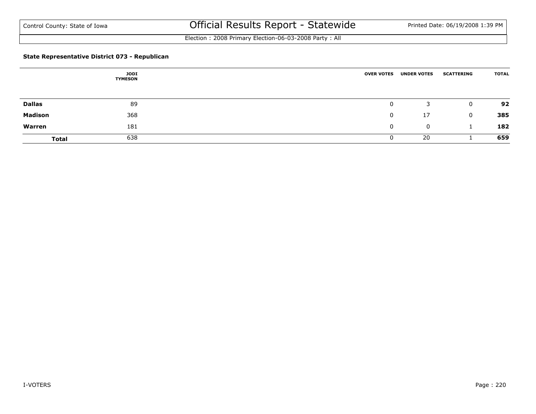Election : 2008 Primary Election-06-03-2008 Party : All

### **State Representative District 073 - Republican**

|                | <b>JODI</b><br><b>TYMESON</b> | <b>OVER VOTES</b> | <b>UNDER VOTES</b> | <b>SCATTERING</b> | <b>TOTAL</b> |
|----------------|-------------------------------|-------------------|--------------------|-------------------|--------------|
|                |                               |                   |                    |                   |              |
| <b>Dallas</b>  | 89                            | 0                 | 3                  | $\mathbf{0}$      | 92           |
| <b>Madison</b> | 368                           | 0                 | 17                 | $\mathbf{0}$      | 385          |
| Warren         | 181                           | 0                 | 0                  |                   | 182          |
| <b>Total</b>   | 638                           |                   | 20                 |                   | 659          |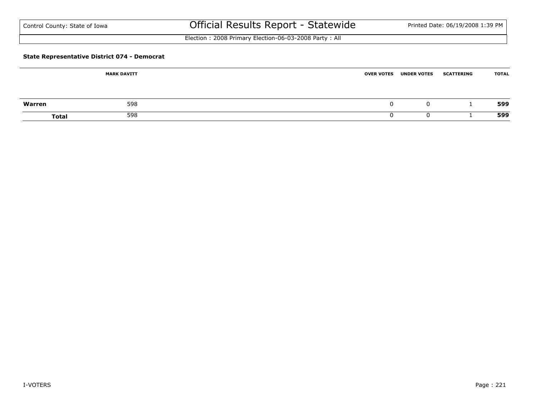| Control County: State of Iowa |  |  |  |  |
|-------------------------------|--|--|--|--|
|-------------------------------|--|--|--|--|

# Official Results Report - Statewide Printed Date: 06/19/2008 1:39 PM

Election : 2008 Primary Election-06-03-2008 Party : All

### **State Representative District 074 - Democrat**

|        | <b>MARK DAVITT</b> | <b>UNDER VOTES</b><br><b>OVER VOTES</b> | <b>TOTAL</b><br><b>SCATTERING</b> |
|--------|--------------------|-----------------------------------------|-----------------------------------|
| Warren | 598                |                                         | 599<br>0                          |
| Total  | 598                |                                         | 599                               |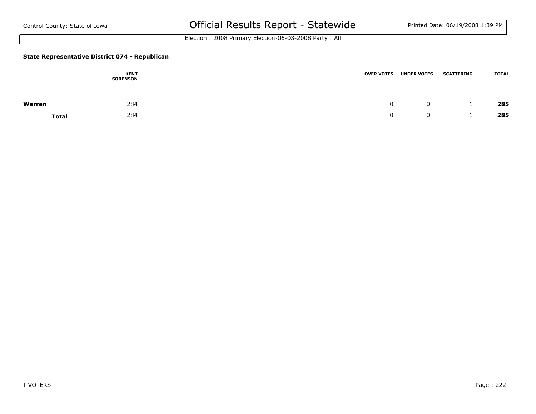Election : 2008 Primary Election-06-03-2008 Party : All

### **State Representative District 074 - Republican**

|              | <b>KENT</b><br><b>SORENSON</b> | <b>OVER VOTES</b> | <b>UNDER VOTES</b> | <b>SCATTERING</b> | <b>TOTAL</b> |
|--------------|--------------------------------|-------------------|--------------------|-------------------|--------------|
| Warren       | 284                            |                   | 0                  |                   | 285          |
| <b>Total</b> | 284                            |                   |                    |                   | 285          |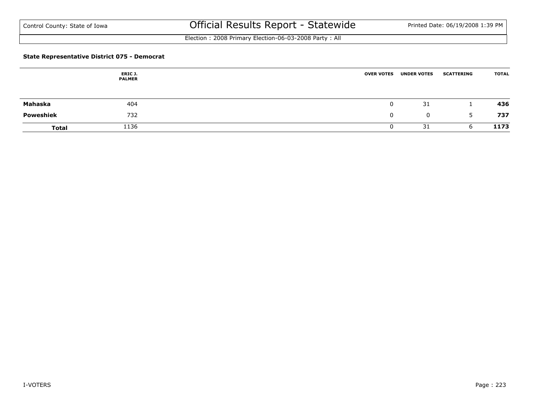Election : 2008 Primary Election-06-03-2008 Party : All

### **State Representative District 075 - Democrat**

|              | ERIC J.<br><b>PALMER</b> | <b>OVER VOTES</b> | <b>UNDER VOTES</b> | <b>SCATTERING</b> | <b>TOTAL</b> |
|--------------|--------------------------|-------------------|--------------------|-------------------|--------------|
| Mahaska      | 404                      |                   | 31                 |                   | 436          |
| Poweshiek    | 732                      |                   | $\mathbf{0}$       | 5                 | 737          |
| <b>Total</b> | 1136                     |                   | 31                 | b                 | 1173         |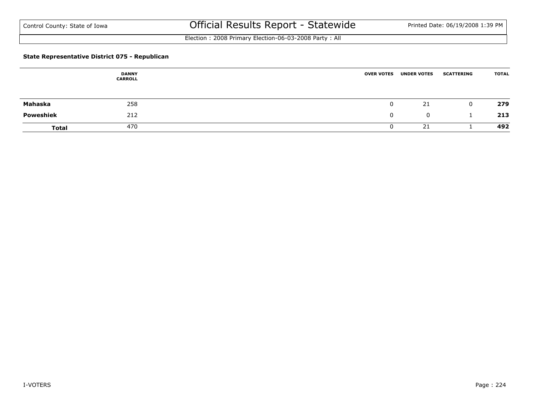Election : 2008 Primary Election-06-03-2008 Party : All

### **State Representative District 075 - Republican**

|              | <b>DANNY</b><br><b>CARROLL</b> | <b>OVER VOTES</b> | <b>UNDER VOTES</b> | <b>SCATTERING</b> | <b>TOTAL</b> |
|--------------|--------------------------------|-------------------|--------------------|-------------------|--------------|
|              |                                |                   |                    |                   |              |
| Mahaska      | 258                            |                   | 21                 | $\mathbf{0}$      | 279          |
| Poweshiek    | 212                            | 0                 | $\mathbf 0$        |                   | 213          |
| <b>Total</b> | 470                            |                   | 21                 |                   | 492          |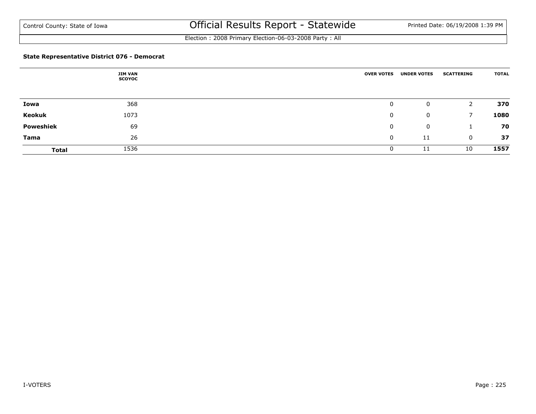Election : 2008 Primary Election-06-03-2008 Party : All

### **State Representative District 076 - Democrat**

|                  | <b>JIM VAN</b><br><b>SCOYOC</b> |    | <b>OVER VOTES</b> |   | <b>UNDER VOTES</b> | <b>SCATTERING</b> | <b>TOTAL</b> |
|------------------|---------------------------------|----|-------------------|---|--------------------|-------------------|--------------|
| Iowa             | 368                             |    | 0                 |   | 0                  |                   | 370          |
| Keokuk           | 1073                            |    |                   | 0 | 0                  |                   | 1080         |
| <b>Poweshiek</b> | 69                              |    |                   | 0 | 0                  |                   | 70           |
| <b>Tama</b>      |                                 | 26 |                   | 0 | 11                 | 0                 | 37           |
| <b>Total</b>     | 1536                            |    |                   | 0 | 11                 | 10                | 1557         |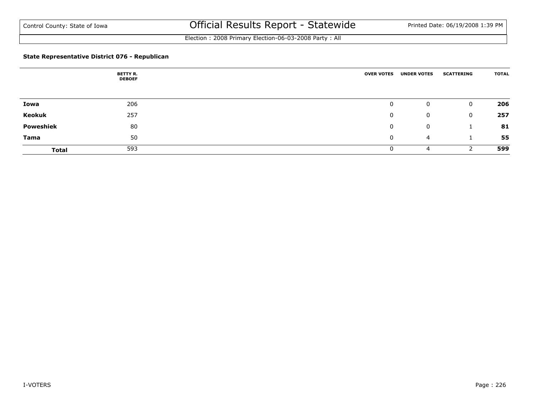Election : 2008 Primary Election-06-03-2008 Party : All

### **State Representative District 076 - Republican**

|                  | <b>BETTY R.</b><br><b>DEBOEF</b> |    | <b>OVER VOTES</b> |   | <b>UNDER VOTES</b> | <b>SCATTERING</b> | <b>TOTAL</b> |
|------------------|----------------------------------|----|-------------------|---|--------------------|-------------------|--------------|
| Iowa             | 206                              |    |                   | 0 | 0                  | 0                 | 206          |
| Keokuk           | 257                              |    |                   | 0 | 0                  | 0                 | 257          |
| <b>Poweshiek</b> |                                  | 80 |                   | 0 | 0                  |                   | 81           |
| <b>Tama</b>      |                                  | 50 |                   | 0 | $\overline{4}$     |                   | 55           |
| <b>Total</b>     | 593                              |    |                   | 0 | 4                  |                   | 599          |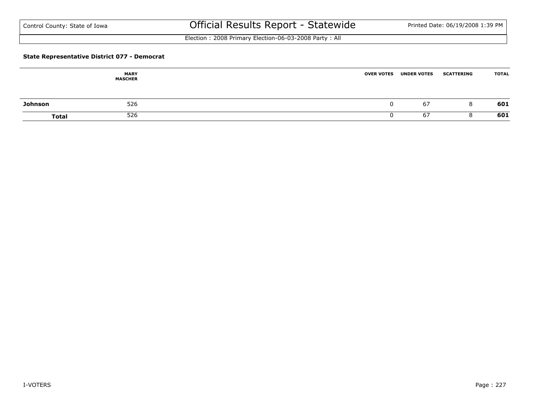Election : 2008 Primary Election-06-03-2008 Party : All

### **State Representative District 077 - Democrat**

|         | <b>MARY</b><br><b>MASCHER</b> | <b>OVER VOTES</b> | <b>UNDER VOTES</b> | <b>SCATTERING</b> | <b>TOTAL</b> |
|---------|-------------------------------|-------------------|--------------------|-------------------|--------------|
| Johnson | 526                           |                   | 67                 | 8                 | 601          |
| Total   | 526                           |                   | -67                | C                 | 601          |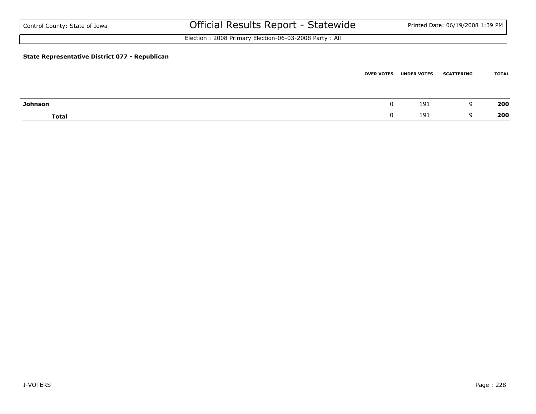| Control County: State of Iowa                  | Official Results Report - Statewide                   |                   |                    | Printed Date: 06/19/2008 1:39 PM |              |
|------------------------------------------------|-------------------------------------------------------|-------------------|--------------------|----------------------------------|--------------|
|                                                | Election: 2008 Primary Election-06-03-2008 Party: All |                   |                    |                                  |              |
| State Representative District 077 - Republican |                                                       |                   |                    |                                  |              |
|                                                |                                                       | <b>OVER VOTES</b> | <b>UNDER VOTES</b> | <b>SCATTERING</b>                | <b>TOTAL</b> |

| Johnson      |  | 191 | 200 |
|--------------|--|-----|-----|
| <b>Total</b> |  | 191 | 200 |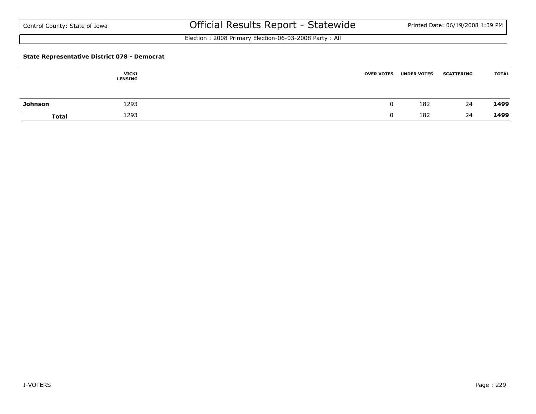Election : 2008 Primary Election-06-03-2008 Party : All

### **State Representative District 078 - Democrat**

|                | <b>VICKI</b><br><b>LENSING</b> | <b>OVER VOTES</b> | <b>UNDER VOTES</b> | <b>SCATTERING</b> | <b>TOTAL</b> |
|----------------|--------------------------------|-------------------|--------------------|-------------------|--------------|
| <b>Johnson</b> | 1293                           |                   | 182                | 24                | 1499         |
| <b>Total</b>   | 1293                           |                   | 182                | 24                | 1499         |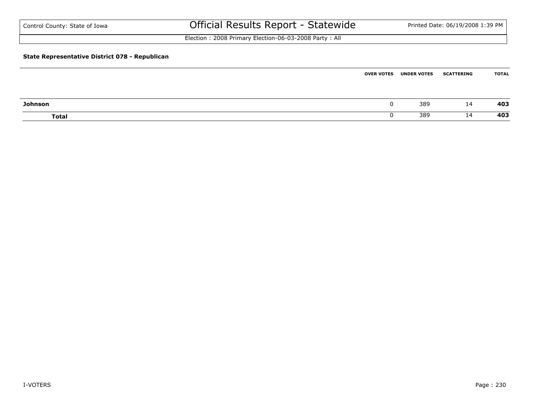| Control County: State of Iowa                  | Official Results Report - Statewide                   |                   |                    | Printed Date: 06/19/2008 1:39 PM |              |
|------------------------------------------------|-------------------------------------------------------|-------------------|--------------------|----------------------------------|--------------|
|                                                | Election: 2008 Primary Election-06-03-2008 Party: All |                   |                    |                                  |              |
| State Representative District 078 - Republican |                                                       |                   |                    |                                  |              |
|                                                |                                                       | <b>OVER VOTES</b> | <b>UNDER VOTES</b> | <b>SCATTERING</b>                | <b>TOTAL</b> |

| Johnson      | u  | 389 | <b>14</b>            | 403 |
|--------------|----|-----|----------------------|-----|
| <b>Total</b> | ັບ | 389 | 84<br>$\sim$ $\cdot$ | 403 |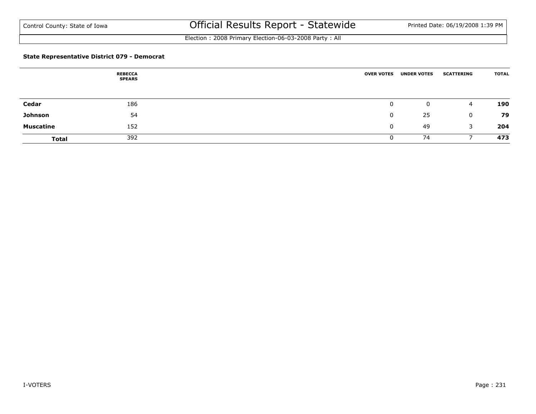Election : 2008 Primary Election-06-03-2008 Party : All

### **State Representative District 079 - Democrat**

|                  | <b>REBECCA</b><br><b>SPEARS</b> | <b>OVER VOTES</b> | <b>UNDER VOTES</b> | <b>SCATTERING</b> | <b>TOTAL</b> |
|------------------|---------------------------------|-------------------|--------------------|-------------------|--------------|
|                  |                                 |                   |                    |                   |              |
| Cedar            | 186                             | 0                 | 0                  | 4                 | 190          |
| Johnson          | 54                              | 0                 | 25                 | 0                 | 79           |
| <b>Muscatine</b> | 152                             | $\mathbf{0}$      | 49                 | 3                 | 204          |
| <b>Total</b>     | 392                             | 0                 | 74                 |                   | 473          |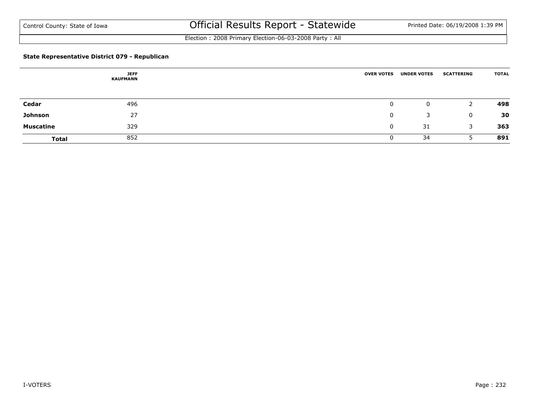Election : 2008 Primary Election-06-03-2008 Party : All

### **State Representative District 079 - Republican**

|                  | <b>JEFF</b><br><b>KAUFMANN</b> | <b>OVER VOTES</b> | <b>UNDER VOTES</b> | <b>SCATTERING</b> | <b>TOTAL</b> |
|------------------|--------------------------------|-------------------|--------------------|-------------------|--------------|
|                  |                                |                   |                    |                   |              |
| Cedar            | 496                            | 0                 | 0                  |                   | 498          |
| Johnson          | 27                             | 0                 | 3                  | 0                 | 30           |
| <b>Muscatine</b> | 329                            | 0                 | 31                 | 3                 | 363          |
| <b>Total</b>     | 852                            | 0                 | 34                 |                   | 891          |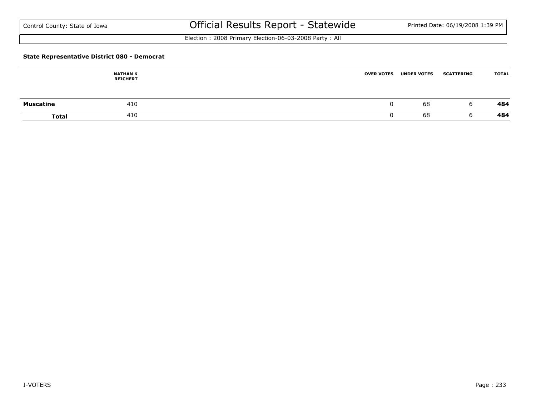Election : 2008 Primary Election-06-03-2008 Party : All

### **State Representative District 080 - Democrat**

|                  | <b>NATHAN K</b><br><b>REICHERT</b> | <b>OVER VOTES</b> | <b>UNDER VOTES</b> | <b>SCATTERING</b> | <b>TOTAL</b> |
|------------------|------------------------------------|-------------------|--------------------|-------------------|--------------|
| <b>Muscatine</b> | 410                                | u                 | 68                 | h                 | 484          |
| <b>Total</b>     | 410                                |                   | 68                 |                   | 484          |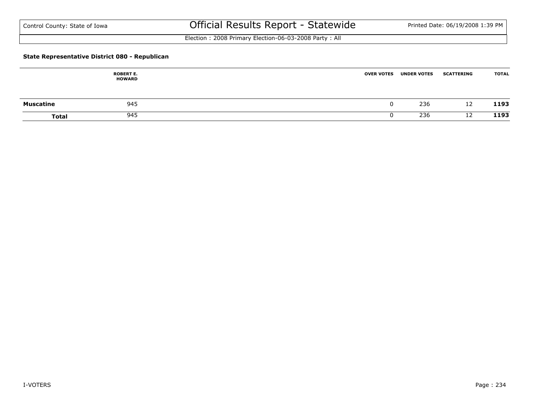Election : 2008 Primary Election-06-03-2008 Party : All

### **State Representative District 080 - Republican**

|                  | <b>ROBERT E.</b><br><b>HOWARD</b> | <b>OVER VOTES</b> | <b>UNDER VOTES</b> | <b>SCATTERING</b> | <b>TOTAL</b> |
|------------------|-----------------------------------|-------------------|--------------------|-------------------|--------------|
| <b>Muscatine</b> | 945                               | u                 | 236                | 12                | 1193         |
| <b>Total</b>     | 945                               |                   | 236                | 12                | 1193         |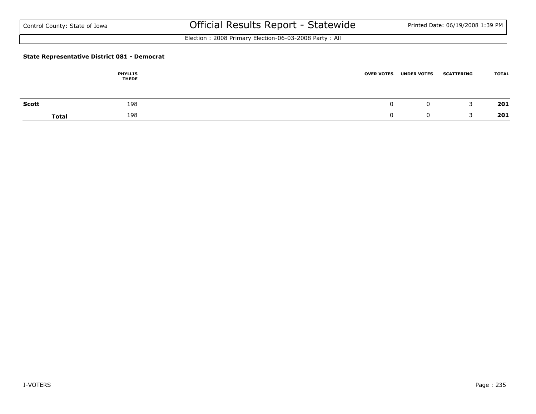Election : 2008 Primary Election-06-03-2008 Party : All

### **State Representative District 081 - Democrat**

|              | <b>PHYLLIS</b><br><b>THEDE</b> | <b>OVER VOTES</b> | <b>UNDER VOTES</b> | <b>SCATTERING</b> | <b>TOTAL</b> |
|--------------|--------------------------------|-------------------|--------------------|-------------------|--------------|
| <b>Scott</b> | 198                            |                   | U                  |                   | 201          |
|              | 198<br><b>Total</b>            |                   |                    |                   | 201          |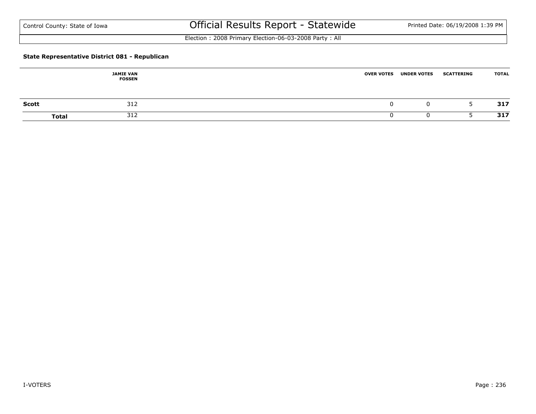Election : 2008 Primary Election-06-03-2008 Party : All

### **State Representative District 081 - Republican**

|              | <b>JAMIE VAN</b><br><b>FOSSEN</b> | <b>OVER VOTES</b> | <b>UNDER VOTES</b> | <b>SCATTERING</b> | <b>TOTAL</b> |
|--------------|-----------------------------------|-------------------|--------------------|-------------------|--------------|
| <b>Scott</b> | 312                               |                   |                    |                   | 317          |
| <b>Total</b> | 312                               |                   |                    |                   | 317          |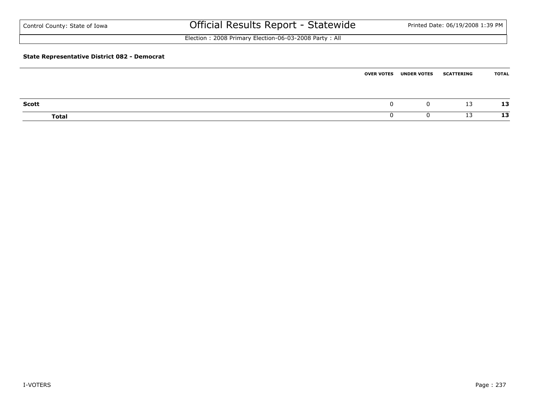| Control County: State of Iowa                       | Official Results Report - Statewide                   |                   |                    | Printed Date: 06/19/2008 1:39 PM |              |
|-----------------------------------------------------|-------------------------------------------------------|-------------------|--------------------|----------------------------------|--------------|
|                                                     | Election: 2008 Primary Election-06-03-2008 Party: All |                   |                    |                                  |              |
| <b>State Representative District 082 - Democrat</b> |                                                       |                   |                    |                                  |              |
|                                                     |                                                       | <b>OVER VOTES</b> | <b>UNDER VOTES</b> | <b>SCATTERING</b>                | <b>TOTAL</b> |

| <b>Scott</b> |  | $\sim$<br>ᅩ | 12<br>ᅩコ                   |
|--------------|--|-------------|----------------------------|
| <b>Total</b> |  | - -         | $\ddot{\phantom{0}}$<br>-- |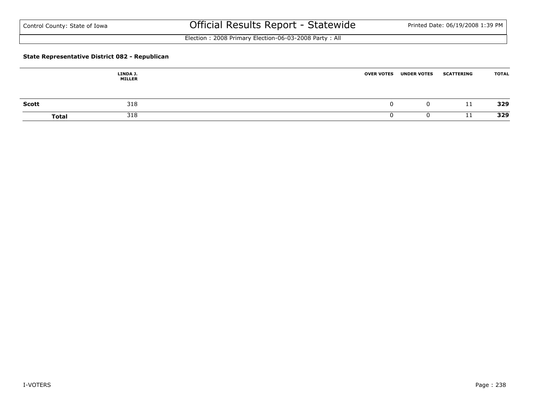Election : 2008 Primary Election-06-03-2008 Party : All

### **State Representative District 082 - Republican**

|              | LINDA J.<br><b>MILLER</b> | <b>OVER VOTES</b><br><b>UNDER VOTES</b> | <b>SCATTERING</b> | <b>TOTAL</b> |
|--------------|---------------------------|-----------------------------------------|-------------------|--------------|
| <b>Scott</b> | 318                       | υ.                                      | 11                | 329          |
| <b>Total</b> | 318                       |                                         | -11               | 329          |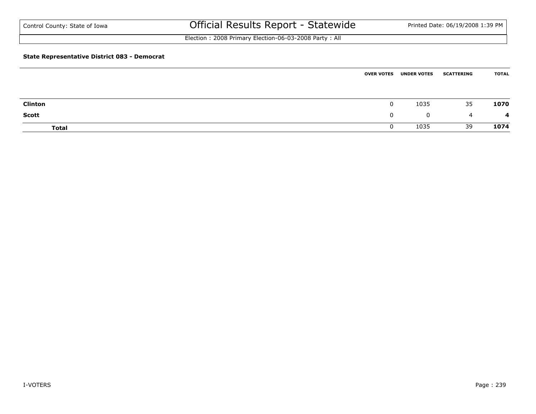Election : 2008 Primary Election-06-03-2008 Party : All

### **State Representative District 083 - Democrat**

|                | <b>OVER VOTES</b> | <b>UNDER VOTES</b> | <b>SCATTERING</b> | <b>TOTAL</b> |
|----------------|-------------------|--------------------|-------------------|--------------|
|                |                   |                    |                   |              |
| <b>Clinton</b> | 0                 | 1035               | 35                | 1070         |
| <b>Scott</b>   | 0                 | $\mathbf{0}$       | -4                | 4            |
| <b>Total</b>   | U                 | 1035               | 39                | 1074         |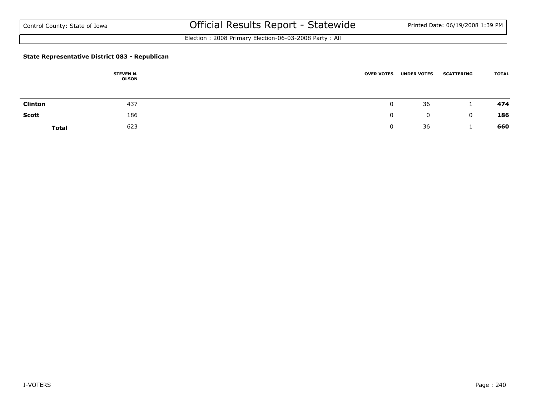Election : 2008 Primary Election-06-03-2008 Party : All

### **State Representative District 083 - Republican**

|                | <b>STEVEN N.</b><br><b>OLSON</b> | <b>OVER VOTES</b> | <b>UNDER VOTES</b> | <b>SCATTERING</b> | <b>TOTAL</b> |
|----------------|----------------------------------|-------------------|--------------------|-------------------|--------------|
| <b>Clinton</b> | 437                              | u                 | 36                 |                   | 474          |
| <b>Scott</b>   | 186                              | 0                 | 0                  | 0                 | 186          |
| <b>Total</b>   | 623                              |                   | 36                 |                   | 660          |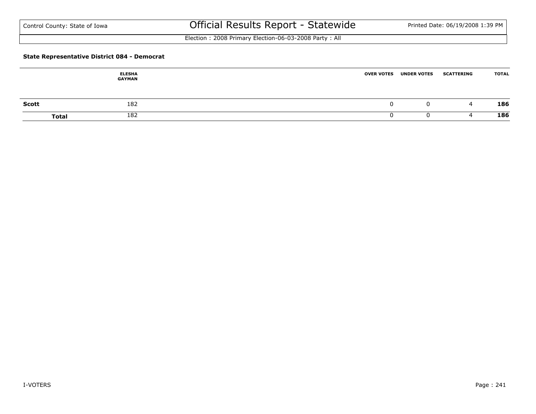Election : 2008 Primary Election-06-03-2008 Party : All

### **State Representative District 084 - Democrat**

|       | <b>ELESHA</b><br><b>GAYMAN</b> | <b>OVER VOTES</b> | <b>UNDER VOTES</b> | <b>SCATTERING</b> | <b>TOTAL</b> |
|-------|--------------------------------|-------------------|--------------------|-------------------|--------------|
| Scott | 182                            |                   | U                  | 4                 | 186          |
|       | 182<br><b>Total</b>            |                   | u                  |                   | 186          |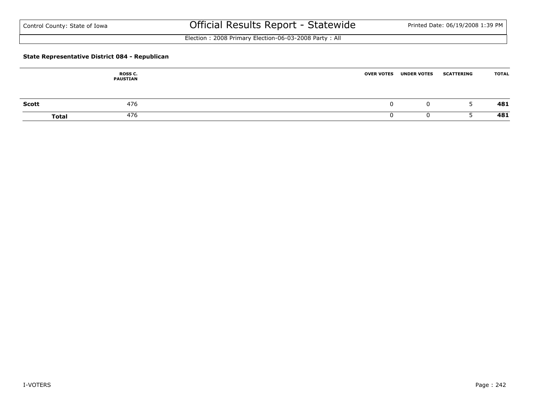Election : 2008 Primary Election-06-03-2008 Party : All

### **State Representative District 084 - Republican**

|       | ROSS C.<br><b>PAUSTIAN</b> | <b>OVER VOTES</b> | <b>UNDER VOTES</b> | <b>SCATTERING</b> | <b>TOTAL</b> |
|-------|----------------------------|-------------------|--------------------|-------------------|--------------|
| Scott | 476                        |                   | U                  | ی                 | 481          |
|       | 476<br><b>Total</b>        |                   | u                  |                   | 481          |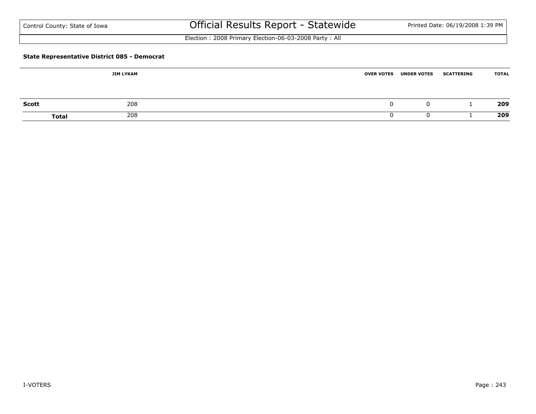| Control County: State of Iowa |  |
|-------------------------------|--|
|-------------------------------|--|

# Official Results Report - Statewide Printed Date: 06/19/2008 1:39 PM

Election : 2008 Primary Election-06-03-2008 Party : All

### **State Representative District 085 - Democrat**

|              | JIM LYKAM    | <b>OVER VOTES UNDER VOTES</b> | <b>SCATTERING</b> | <b>TOTAL</b> |
|--------------|--------------|-------------------------------|-------------------|--------------|
| <b>Scott</b> | 208          | 0                             |                   | 209          |
|              |              |                               |                   |              |
|              | 208<br>Total |                               |                   | 209          |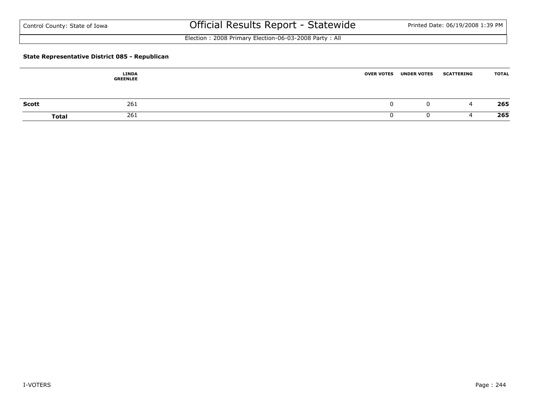Election : 2008 Primary Election-06-03-2008 Party : All

### **State Representative District 085 - Republican**

|       | <b>LINDA</b><br><b>GREENLEE</b> | <b>OVER VOTES</b> | <b>UNDER VOTES</b> | <b>SCATTERING</b> | <b>TOTAL</b> |
|-------|---------------------------------|-------------------|--------------------|-------------------|--------------|
| Scott | 261                             |                   | U                  | ▵                 | 265          |
|       | 261<br><b>Total</b>             |                   | u                  |                   | 265          |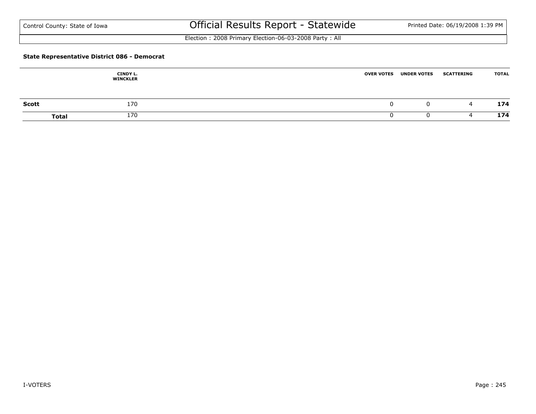Election : 2008 Primary Election-06-03-2008 Party : All

### **State Representative District 086 - Democrat**

|              | CINDY L.<br><b>WINCKLER</b> | <b>OVER VOTES</b> | <b>UNDER VOTES</b> | <b>SCATTERING</b> | <b>TOTAL</b> |
|--------------|-----------------------------|-------------------|--------------------|-------------------|--------------|
| <b>Scott</b> | 170                         |                   | O                  | 4                 | 174          |
|              | 170<br><b>Total</b>         |                   |                    |                   | 174          |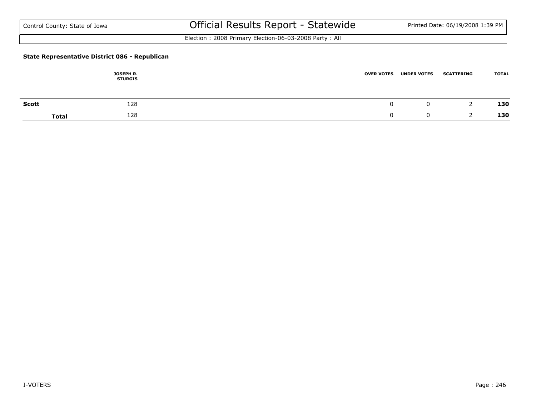Election : 2008 Primary Election-06-03-2008 Party : All

### **State Representative District 086 - Republican**

|              | <b>JOSEPH R.</b><br><b>STURGIS</b> | <b>OVER VOTES</b> | <b>UNDER VOTES</b> | <b>SCATTERING</b> | <b>TOTAL</b> |
|--------------|------------------------------------|-------------------|--------------------|-------------------|--------------|
| <b>Scott</b> | 128                                | л.                |                    |                   | 130          |
| <b>Total</b> | 128                                |                   |                    |                   | 130          |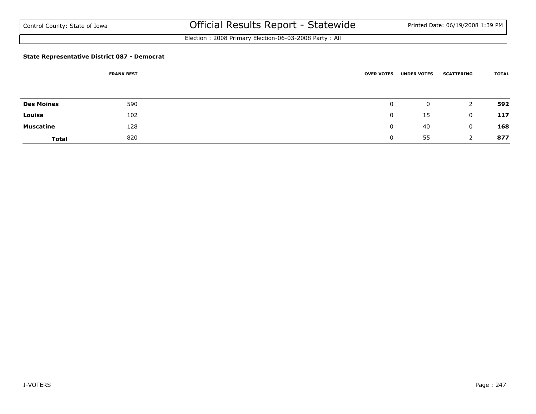Election : 2008 Primary Election-06-03-2008 Party : All

### **State Representative District 087 - Democrat**

|                   | <b>FRANK BEST</b> | <b>OVER VOTES</b> | <b>UNDER VOTES</b> | <b>SCATTERING</b> | <b>TOTAL</b> |
|-------------------|-------------------|-------------------|--------------------|-------------------|--------------|
|                   |                   |                   |                    |                   |              |
| <b>Des Moines</b> | 590               | 0                 | 0                  | 2                 | 592          |
| Louisa            | 102               | $\mathbf{0}$      | 15                 | $\mathbf{0}$      | 117          |
| <b>Muscatine</b>  | 128               | $\mathbf{0}$      | 40                 | $\mathbf{0}$      | 168          |
| <b>Total</b>      | 820               | 0                 | 55                 |                   | 877          |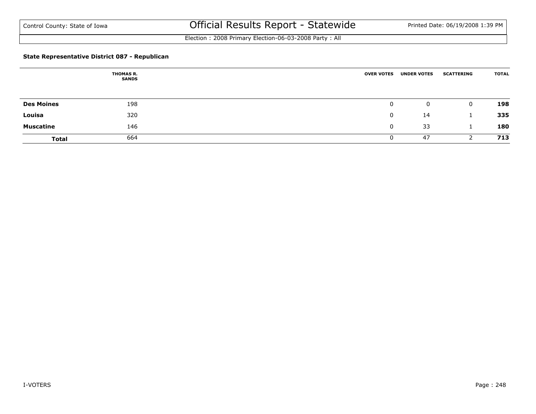Election : 2008 Primary Election-06-03-2008 Party : All

### **State Representative District 087 - Republican**

|                   | <b>THOMAS R.</b><br><b>SANDS</b> | <b>OVER VOTES</b> | <b>UNDER VOTES</b> | <b>SCATTERING</b> | <b>TOTAL</b> |
|-------------------|----------------------------------|-------------------|--------------------|-------------------|--------------|
|                   |                                  |                   |                    |                   |              |
| <b>Des Moines</b> | 198                              | 0                 | 0                  | $\Omega$          | 198          |
| Louisa            | 320                              | 0                 | 14                 |                   | 335          |
| <b>Muscatine</b>  | 146                              | 0                 | 33                 |                   | 180          |
| <b>Total</b>      | 664                              | 0                 | 47                 |                   | 713          |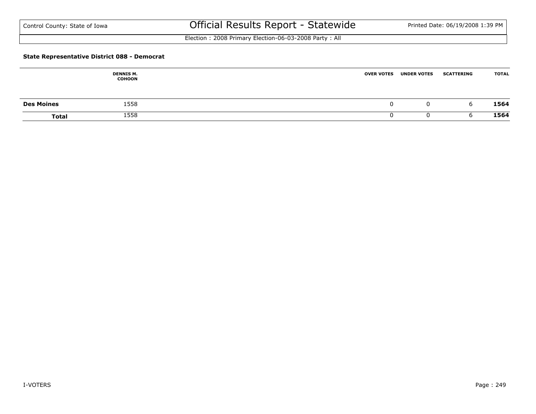Election : 2008 Primary Election-06-03-2008 Party : All

#### **State Representative District 088 - Democrat**

|                   | <b>DENNIS M.</b><br><b>COHOON</b> | <b>OVER VOTES</b> | <b>UNDER VOTES</b> | <b>SCATTERING</b> | <b>TOTAL</b> |
|-------------------|-----------------------------------|-------------------|--------------------|-------------------|--------------|
| <b>Des Moines</b> | 1558                              | u                 |                    | b                 | 1564         |
| <b>Total</b>      | 1558                              |                   |                    |                   | 1564         |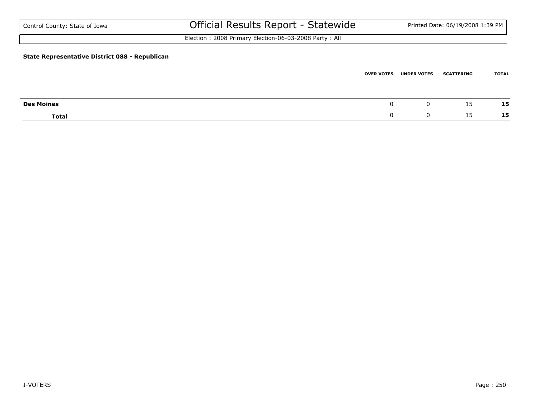| Control County: State of Iowa                  | Official Results Report - Statewide                   |                   |                    | Printed Date: 06/19/2008 1:39 PM |       |  |  |  |  |
|------------------------------------------------|-------------------------------------------------------|-------------------|--------------------|----------------------------------|-------|--|--|--|--|
|                                                | Election: 2008 Primary Election-06-03-2008 Party: All |                   |                    |                                  |       |  |  |  |  |
| State Representative District 088 - Republican |                                                       |                   |                    |                                  |       |  |  |  |  |
|                                                |                                                       | <b>OVER VOTES</b> | <b>UNDER VOTES</b> | <b>SCATTERING</b>                | TOTAL |  |  |  |  |

| <b>Des Moines</b> |  | --        | 15 |
|-------------------|--|-----------|----|
| <b>Total</b>      |  | <b>LJ</b> | 15 |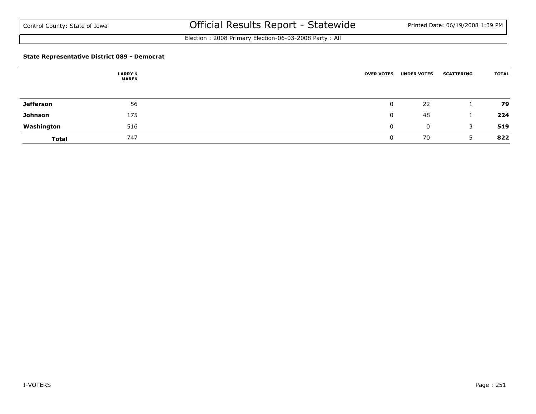Election : 2008 Primary Election-06-03-2008 Party : All

### **State Representative District 089 - Democrat**

|                  | <b>LARRY K</b><br><b>MAREK</b> | <b>OVER VOTES</b> | <b>UNDER VOTES</b> | <b>SCATTERING</b> | <b>TOTAL</b> |
|------------------|--------------------------------|-------------------|--------------------|-------------------|--------------|
|                  |                                |                   |                    |                   |              |
| <b>Jefferson</b> | 56                             | 0                 | 22                 |                   | 79           |
| Johnson          | 175                            | $\Omega$          | 48                 |                   | 224          |
| Washington       | 516                            | 0                 | $\mathbf 0$        | 3                 | 519          |
| <b>Total</b>     | 747                            | U                 | 70                 |                   | 822          |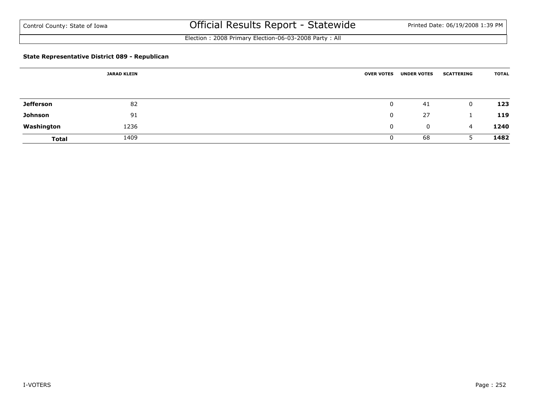Election : 2008 Primary Election-06-03-2008 Party : All

### **State Representative District 089 - Republican**

| <b>JARAD KLEIN</b> |      | <b>OVER VOTES</b> | <b>UNDER VOTES</b> | <b>SCATTERING</b> | <b>TOTAL</b> |
|--------------------|------|-------------------|--------------------|-------------------|--------------|
|                    |      |                   |                    |                   |              |
| <b>Jefferson</b>   | 82   | $\mathbf 0$       | 41                 | 0                 | 123          |
| Johnson            | 91   | 0                 | 27                 |                   | 119          |
| Washington         | 1236 | 0                 | 0                  | $\overline{4}$    | 1240         |
| <b>Total</b>       | 1409 | 0                 | 68                 |                   | 1482         |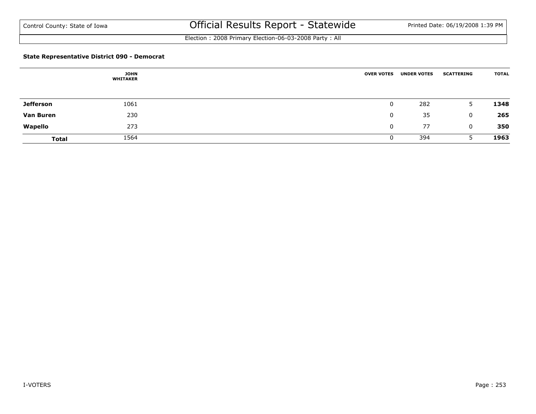Election : 2008 Primary Election-06-03-2008 Party : All

### **State Representative District 090 - Democrat**

|                  | <b>JOHN</b><br><b>WHITAKER</b> | <b>OVER VOTES</b> | <b>UNDER VOTES</b> | <b>SCATTERING</b> | <b>TOTAL</b> |
|------------------|--------------------------------|-------------------|--------------------|-------------------|--------------|
|                  |                                |                   |                    |                   |              |
| <b>Jefferson</b> | 1061                           | 0                 | 282                | 5.                | 1348         |
| <b>Van Buren</b> | 230                            | $\mathbf 0$       | 35                 | $\mathbf{0}$      | 265          |
| Wapello          | 273                            | $\mathbf{0}$      | 77                 | $\mathbf{0}$      | 350          |
| <b>Total</b>     | 1564                           | 0                 | 394                |                   | 1963         |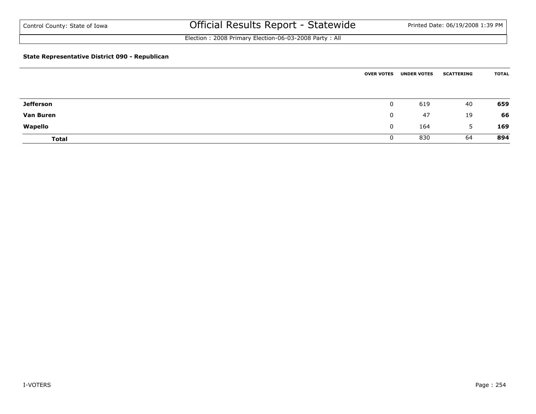Election : 2008 Primary Election-06-03-2008 Party : All

### **State Representative District 090 - Republican**

|                  | <b>OVER VOTES</b> | <b>UNDER VOTES</b> | <b>SCATTERING</b> | <b>TOTAL</b> |
|------------------|-------------------|--------------------|-------------------|--------------|
|                  |                   |                    |                   |              |
| <b>Jefferson</b> | $\mathbf 0$       | 619                | 40                | 659          |
| <b>Van Buren</b> | $\mathbf{0}$      | 47                 | 19                | 66           |
| Wapello          | $\mathbf{0}$      | 164                | 5                 | 169          |
| <b>Total</b>     | 0                 | 830                | 64                | 894          |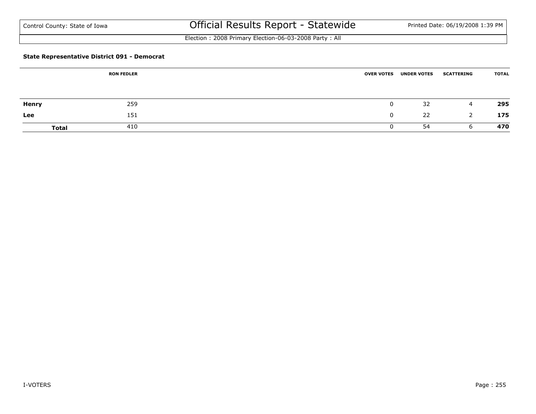Election : 2008 Primary Election-06-03-2008 Party : All

### **State Representative District 091 - Democrat**

|              | <b>RON FEDLER</b> | <b>OVER VOTES</b> | <b>UNDER VOTES</b> | <b>SCATTERING</b> | <b>TOTAL</b> |
|--------------|-------------------|-------------------|--------------------|-------------------|--------------|
|              |                   |                   |                    |                   |              |
| <b>Henry</b> | 259               |                   | 32                 | 4                 | 295          |
| Lee          | 151               |                   | 22                 | 2                 | 175          |
| <b>Total</b> | 410               |                   | 54                 | b                 | 470          |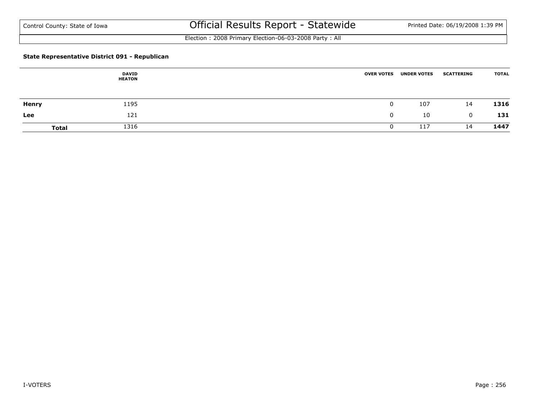Election : 2008 Primary Election-06-03-2008 Party : All

### **State Representative District 091 - Republican**

|              | <b>DAVID</b><br><b>HEATON</b> | <b>OVER VOTES</b> | <b>UNDER VOTES</b> | <b>SCATTERING</b> | <b>TOTAL</b> |
|--------------|-------------------------------|-------------------|--------------------|-------------------|--------------|
| Henry        | 1195                          |                   | 107                | 14                | 1316         |
| Lee          | 121                           |                   | 10                 | $\mathbf 0$       | 131          |
| <b>Total</b> | 1316                          |                   | 117                | 14                | 1447         |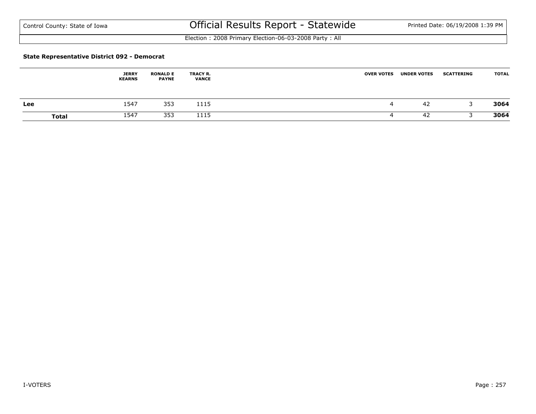Election : 2008 Primary Election-06-03-2008 Party : All

#### **State Representative District 092 - Democrat**

|              | <b>JERRY</b><br><b>KEARNS</b> | <b>RONALD E</b><br><b>PAYNE</b> | <b>TRACY R.</b><br><b>VANCE</b> | <b>OVER VOTES</b> | <b>UNDER VOTES</b> | <b>SCATTERING</b> | <b>TOTAL</b> |
|--------------|-------------------------------|---------------------------------|---------------------------------|-------------------|--------------------|-------------------|--------------|
| Lee          | 1547                          | 353                             | 1115                            | 4                 | -42                |                   | 3064         |
| <b>Total</b> | 1547                          | 353                             | 1115                            |                   | 42                 |                   | 3064         |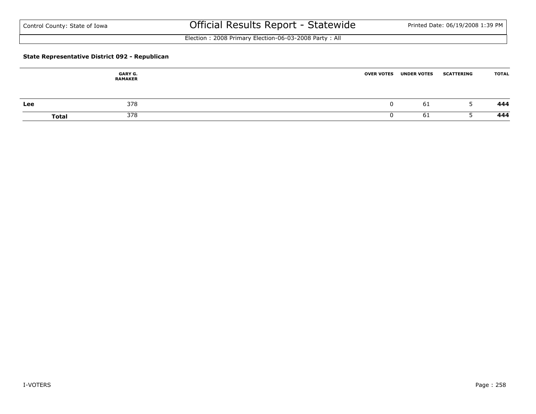Election : 2008 Primary Election-06-03-2008 Party : All

### **State Representative District 092 - Republican**

|     | <b>GARY G.</b><br><b>RAMAKER</b> | <b>OVER VOTES</b> | <b>UNDER VOTES</b> | <b>SCATTERING</b> | <b>TOTAL</b> |
|-----|----------------------------------|-------------------|--------------------|-------------------|--------------|
| Lee | 378                              |                   | 61                 |                   | 444          |
|     | 378<br><b>Total</b>              |                   | -61                |                   | 444          |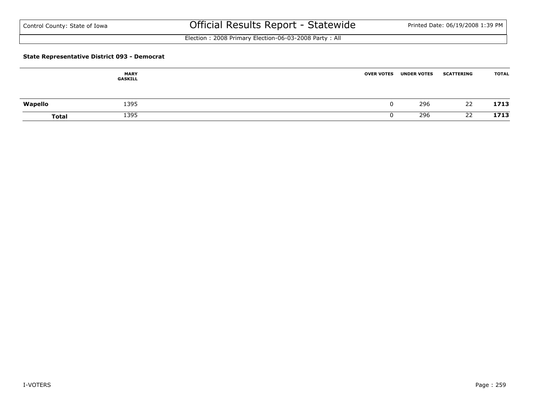Election : 2008 Primary Election-06-03-2008 Party : All

### **State Representative District 093 - Democrat**

|              | <b>MARY</b><br>GASKILL | <b>OVER VOTES</b> | <b>UNDER VOTES</b> | <b>SCATTERING</b> | <b>TOTAL</b> |
|--------------|------------------------|-------------------|--------------------|-------------------|--------------|
| Wapello      | 1395                   |                   | 296                | 22                | 1713         |
| <b>Total</b> | 1395                   |                   | 296                | 22                | 1713         |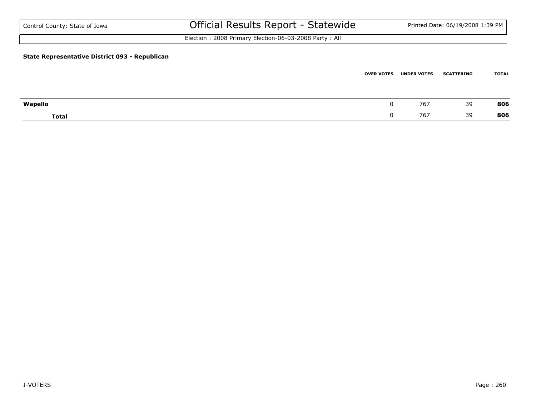| Control County: State of Iowa                  | Official Results Report - Statewide                   | Printed Date: 06/19/2008 1:39 PM |
|------------------------------------------------|-------------------------------------------------------|----------------------------------|
|                                                | Election: 2008 Primary Election-06-03-2008 Party: All |                                  |
| State Representative District 093 - Republican |                                                       |                                  |

|              | <b>OVER VOTES</b> | <b>UNDER VOTES</b> | <b>SCATTERING</b> | <b>TOTAL</b> |
|--------------|-------------------|--------------------|-------------------|--------------|
|              |                   |                    |                   |              |
| Wapello      |                   | 767                | 39                | 806          |
| <b>Total</b> |                   | 767                | 39                | 806          |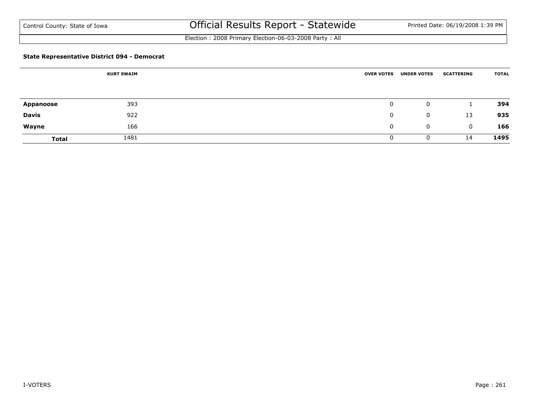Election : 2008 Primary Election-06-03-2008 Party : All

### **State Representative District 094 - Democrat**

|              | <b>KURT SWAIM</b> | <b>OVER VOTES</b> | <b>UNDER VOTES</b> | <b>SCATTERING</b> | <b>TOTAL</b> |
|--------------|-------------------|-------------------|--------------------|-------------------|--------------|
|              |                   |                   |                    |                   |              |
| Appanoose    | 393               | $\mathbf{0}$      | 0                  |                   | 394          |
| <b>Davis</b> | 922               | 0                 | 0                  | 13                | 935          |
| Wayne        | 166               | 0                 | 0                  | 0                 | 166          |
| <b>Total</b> | 1481              | 0                 | 0                  | 14                | 1495         |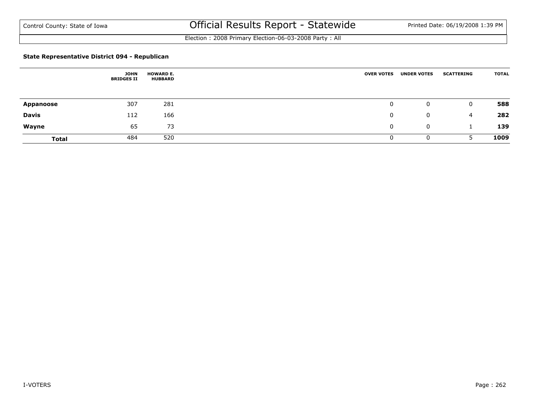Election : 2008 Primary Election-06-03-2008 Party : All

### **State Representative District 094 - Republican**

|                  | <b>JOHN</b><br><b>BRIDGES II</b> | <b>HOWARD E.</b><br><b>HUBBARD</b> | <b>OVER VOTES</b> | <b>UNDER VOTES</b> | <b>SCATTERING</b> | <b>TOTAL</b> |
|------------------|----------------------------------|------------------------------------|-------------------|--------------------|-------------------|--------------|
|                  |                                  |                                    |                   |                    |                   |              |
| <b>Appanoose</b> | 307                              | 281                                | $\mathbf 0$       | 0                  | $\mathbf{0}$      | 588          |
| <b>Davis</b>     | 112                              | 166                                | 0                 | $\mathbf{0}$       | 4                 | 282          |
| Wayne            | 65                               | 73                                 | 0                 | 0                  |                   | 139          |
| <b>Total</b>     | 484                              | 520                                |                   | $\mathbf{0}$       | ר                 | 1009         |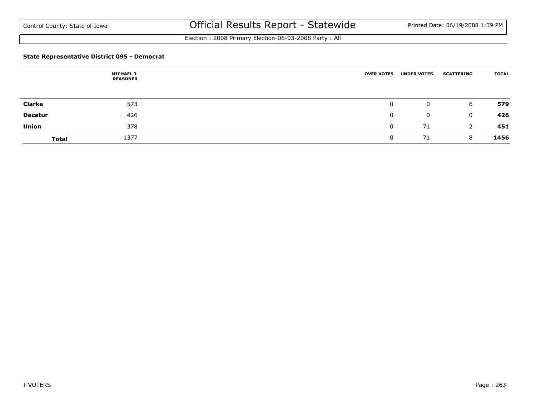Election : 2008 Primary Election-06-03-2008 Party : All

### **State Representative District 095 - Democrat**

|                | <b>MICHAEL J.</b><br><b>REASONER</b> | <b>OVER VOTES</b> | <b>UNDER VOTES</b> | <b>SCATTERING</b> | <b>TOTAL</b> |
|----------------|--------------------------------------|-------------------|--------------------|-------------------|--------------|
|                |                                      |                   |                    |                   |              |
| <b>Clarke</b>  | 573                                  | 0                 | 0                  | 6                 | 579          |
| <b>Decatur</b> | 426                                  | $\mathbf{0}$      | 0                  | $\mathbf{0}$      | 426          |
| <b>Union</b>   | 378                                  | $\mathbf 0$       | 71                 | 2                 | 451          |
| <b>Total</b>   | 1377                                 | U                 | 71                 | 8                 | 1456         |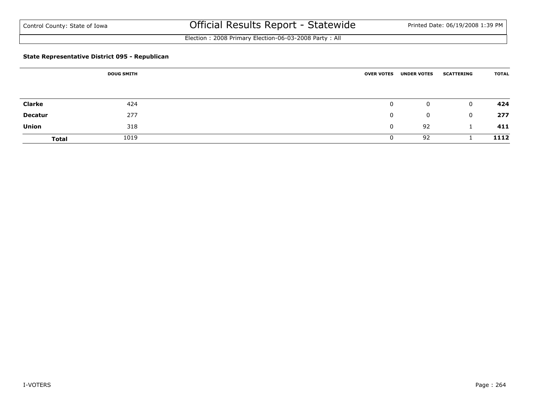Election : 2008 Primary Election-06-03-2008 Party : All

### **State Representative District 095 - Republican**

|               | <b>DOUG SMITH</b> | <b>OVER VOTES</b> | <b>UNDER VOTES</b> | <b>SCATTERING</b> | <b>TOTAL</b> |
|---------------|-------------------|-------------------|--------------------|-------------------|--------------|
|               |                   |                   |                    |                   |              |
| <b>Clarke</b> | 424               | $\mathbf 0$       | 0                  | 0                 | 424          |
| Decatur       | 277               | 0                 | 0                  | 0                 | 277          |
| <b>Union</b>  | 318               | 0                 | 92                 |                   | 411          |
| <b>Total</b>  | 1019              | 0                 | 92                 |                   | 1112         |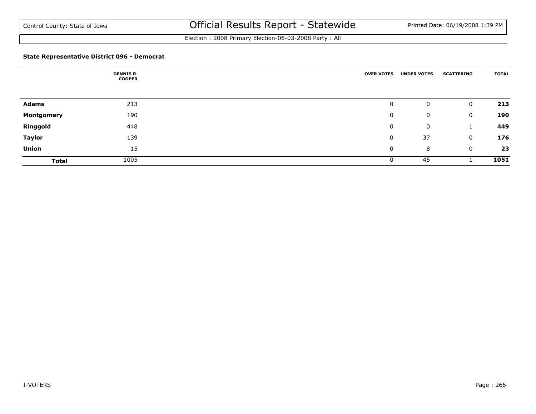Election : 2008 Primary Election-06-03-2008 Party : All

### **State Representative District 096 - Democrat**

|                   | <b>DENNIS R.</b><br><b>COOPER</b> | <b>OVER VOTES</b> | <b>UNDER VOTES</b> | <b>SCATTERING</b> | <b>TOTAL</b> |
|-------------------|-----------------------------------|-------------------|--------------------|-------------------|--------------|
|                   |                                   |                   |                    |                   |              |
| <b>Adams</b>      | 213                               | 0                 | 0                  | $\mathbf 0$       | 213          |
| <b>Montgomery</b> | 190                               | 0                 | 0                  | $\mathbf 0$       | 190          |
| Ringgold          | 448                               | 0                 | 0                  | л.                | 449          |
| <b>Taylor</b>     | 139                               | 0                 | 37                 | $\mathbf 0$       | 176          |
| <b>Union</b>      | 15                                | 0                 | 8                  | $\mathbf 0$       | 23           |
| <b>Total</b>      | 1005                              | 0                 | 45                 |                   | 1051         |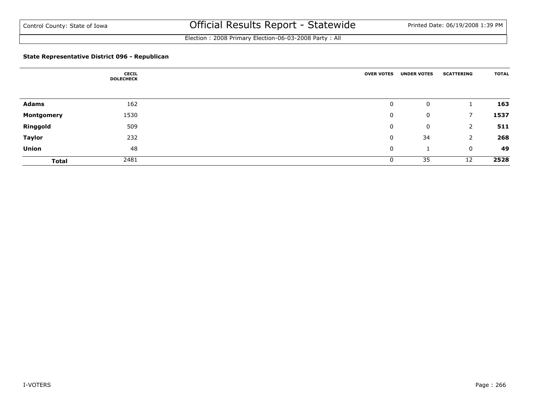Election : 2008 Primary Election-06-03-2008 Party : All

### **State Representative District 096 - Republican**

|               | <b>CECIL</b><br><b>DOLECHECK</b> | <b>OVER VOTES</b> | <b>UNDER VOTES</b> | <b>SCATTERING</b> | <b>TOTAL</b> |
|---------------|----------------------------------|-------------------|--------------------|-------------------|--------------|
|               |                                  |                   |                    |                   |              |
| Adams         | 162                              | 0                 | 0                  |                   | 163          |
| Montgomery    | 1530                             | 0                 | 0                  | 7                 | 1537         |
| Ringgold      | 509                              | 0                 | 0                  | 2                 | 511          |
| <b>Taylor</b> | 232                              | 0                 | 34                 | 2                 | 268          |
| <b>Union</b>  | 48                               | 0                 |                    | $\mathbf 0$       | 49           |
| <b>Total</b>  | 2481                             | 0                 | 35                 | 12                | 2528         |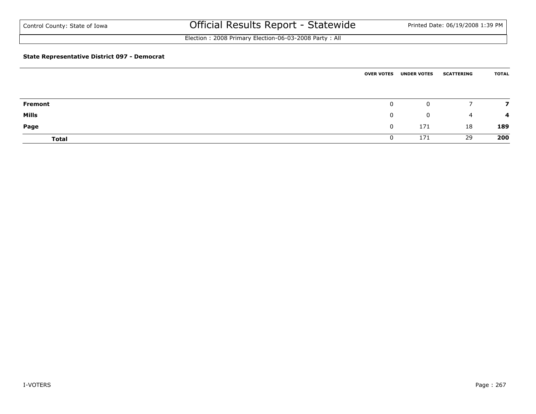Election : 2008 Primary Election-06-03-2008 Party : All

### **State Representative District 097 - Democrat**

|                |              | <b>OVER VOTES UNDER VOTES</b> | <b>SCATTERING</b> | <b>TOTAL</b> |
|----------------|--------------|-------------------------------|-------------------|--------------|
|                |              |                               |                   |              |
| <b>Fremont</b> | $\mathbf{0}$ | 0                             |                   |              |
| Mills          | $\mathbf{0}$ | 0                             | 4                 | -4           |
| Page           | $\mathbf 0$  | 171                           | 18                | 189          |
| <b>Total</b>   | 0            | 171                           | 29                | 200          |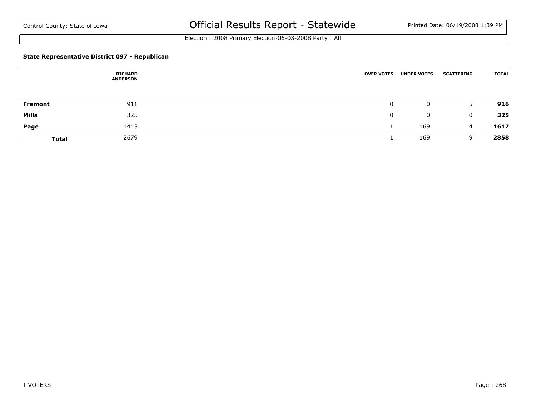Election : 2008 Primary Election-06-03-2008 Party : All

### **State Representative District 097 - Republican**

|              | RICHARD<br><b>ANDERSON</b> | <b>OVER VOTES</b> | <b>UNDER VOTES</b> | <b>SCATTERING</b> | <b>TOTAL</b> |
|--------------|----------------------------|-------------------|--------------------|-------------------|--------------|
|              |                            |                   |                    |                   |              |
| Fremont      | 911                        | 0                 | 0                  | 5.                | 916          |
| <b>Mills</b> | 325                        | 0                 | 0                  | 0                 | 325          |
| Page         | 1443                       |                   | 169                | 4                 | 1617         |
| <b>Total</b> | 2679                       |                   | 169                | 9                 | 2858         |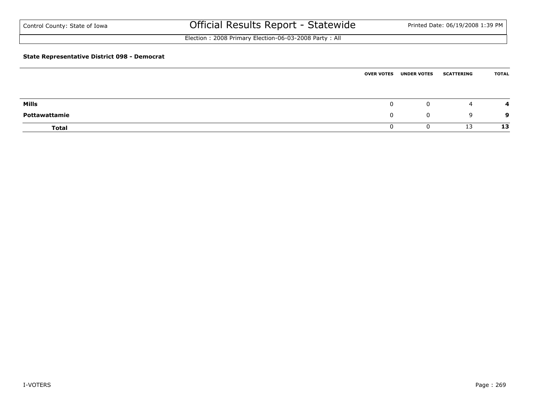Election : 2008 Primary Election-06-03-2008 Party : All

### **State Representative District 098 - Democrat**

|               | <b>OVER VOTES</b> | <b>UNDER VOTES</b> | <b>SCATTERING</b> | <b>TOTAL</b> |
|---------------|-------------------|--------------------|-------------------|--------------|
|               |                   |                    |                   |              |
| Mills         | 0                 | 0                  | 4                 |              |
| Pottawattamie | 0                 | $\mathbf 0$        | q                 | 9            |
| <b>Total</b>  | U                 |                    | 13                | 13           |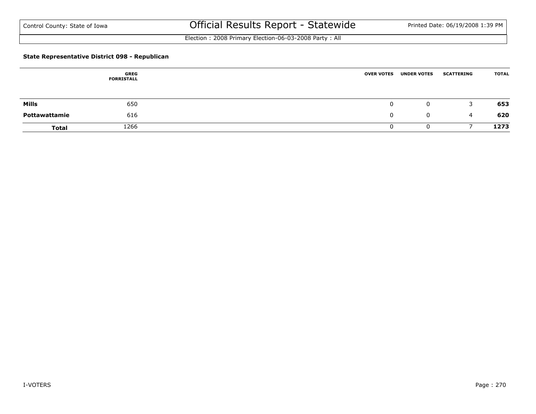Election : 2008 Primary Election-06-03-2008 Party : All

### **State Representative District 098 - Republican**

|               | GREG<br><b>FORRISTALL</b> | <b>OVER VOTES</b> | <b>UNDER VOTES</b> | <b>SCATTERING</b> | <b>TOTAL</b> |
|---------------|---------------------------|-------------------|--------------------|-------------------|--------------|
| Mills         | 650                       |                   | $\mathbf{0}$       | 3                 | 653          |
| Pottawattamie | 616                       |                   | $\mathbf 0$        | 4                 | 620          |
| <b>Total</b>  | 1266                      |                   |                    |                   | 1273         |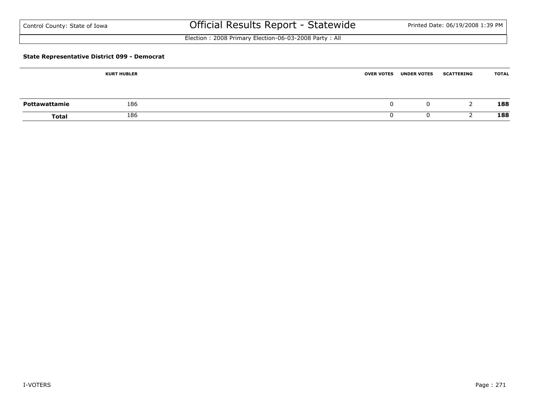| Control County: State of Iowa |  |  |  |  |
|-------------------------------|--|--|--|--|
|-------------------------------|--|--|--|--|

# Official Results Report - Statewide Printed Date: 06/19/2008 1:39 PM

Election : 2008 Primary Election-06-03-2008 Party : All

### **State Representative District 099 - Democrat**

|               | <b>KURT HUBLER</b> | <b>OVER VOTES</b> | <b>UNDER VOTES</b> | <b>SCATTERING</b> | <b>TOTAL</b> |
|---------------|--------------------|-------------------|--------------------|-------------------|--------------|
|               |                    |                   |                    |                   |              |
| Pottawattamie | 186                |                   | U                  |                   | 188          |
| Total         | 186                |                   |                    |                   | 188          |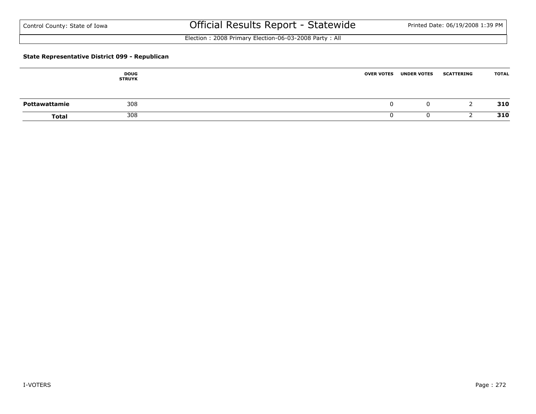Election : 2008 Primary Election-06-03-2008 Party : All

### **State Representative District 099 - Republican**

|               | <b>DOUG</b><br><b>STRUYK</b> | <b>OVER VOTES</b> | <b>UNDER VOTES</b> | <b>SCATTERING</b> | <b>TOTAL</b> |
|---------------|------------------------------|-------------------|--------------------|-------------------|--------------|
| Pottawattamie | 308                          |                   | 0                  |                   | 310          |
| <b>Total</b>  | 308                          |                   | u                  |                   | 310          |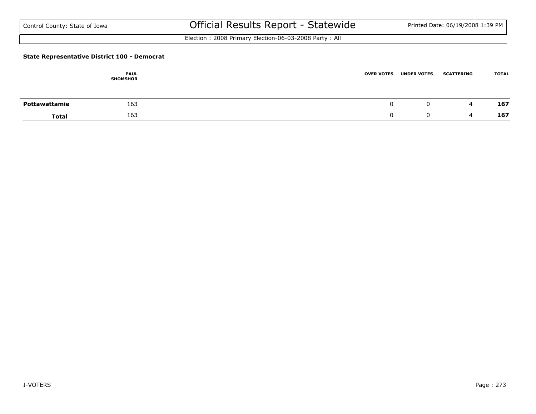Election : 2008 Primary Election-06-03-2008 Party : All

### **State Representative District 100 - Democrat**

|               | <b>PAUL</b><br><b>SHOMSHOR</b> | <b>OVER VOTES</b> | <b>UNDER VOTES</b> | <b>SCATTERING</b> | <b>TOTAL</b> |
|---------------|--------------------------------|-------------------|--------------------|-------------------|--------------|
| Pottawattamie | 163                            |                   | 0                  | 4                 | 167          |
| <b>Total</b>  | 163                            |                   |                    |                   | 167          |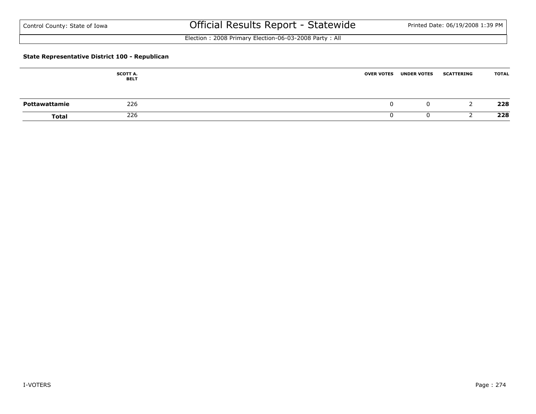Election : 2008 Primary Election-06-03-2008 Party : All

### **State Representative District 100 - Republican**

|               | <b>SCOTT A.</b><br><b>BELT</b> | <b>UNDER VOTES</b><br><b>OVER VOTES</b> | <b>SCATTERING</b> | <b>TOTAL</b> |
|---------------|--------------------------------|-----------------------------------------|-------------------|--------------|
| Pottawattamie | 226                            |                                         |                   | 228          |
| <b>Total</b>  | 226                            |                                         |                   | 228          |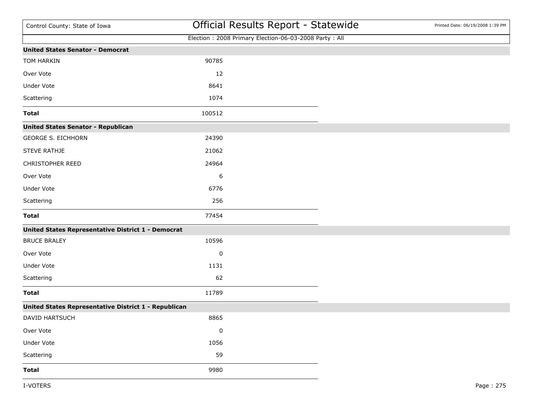| Control County: State of Iowa                             |           | Official Results Report - Statewide                   | Printed Date: 06/19/2008 1:39 PM |
|-----------------------------------------------------------|-----------|-------------------------------------------------------|----------------------------------|
|                                                           |           | Election: 2008 Primary Election-06-03-2008 Party: All |                                  |
| <b>United States Senator - Democrat</b>                   |           |                                                       |                                  |
| TOM HARKIN                                                | 90785     |                                                       |                                  |
| Over Vote                                                 | 12        |                                                       |                                  |
| Under Vote                                                | 8641      |                                                       |                                  |
| Scattering                                                | 1074      |                                                       |                                  |
| <b>Total</b>                                              | 100512    |                                                       |                                  |
| <b>United States Senator - Republican</b>                 |           |                                                       |                                  |
| <b>GEORGE S. EICHHORN</b>                                 | 24390     |                                                       |                                  |
| <b>STEVE RATHJE</b>                                       | 21062     |                                                       |                                  |
| CHRISTOPHER REED                                          | 24964     |                                                       |                                  |
| Over Vote                                                 | 6         |                                                       |                                  |
| <b>Under Vote</b>                                         | 6776      |                                                       |                                  |
| Scattering                                                | 256       |                                                       |                                  |
| <b>Total</b>                                              | 77454     |                                                       |                                  |
| <b>United States Representative District 1 - Democrat</b> |           |                                                       |                                  |
| <b>BRUCE BRALEY</b>                                       | 10596     |                                                       |                                  |
| Over Vote                                                 | 0         |                                                       |                                  |
| Under Vote                                                | 1131      |                                                       |                                  |
| Scattering                                                | 62        |                                                       |                                  |
| <b>Total</b>                                              | 11789     |                                                       |                                  |
| United States Representative District 1 - Republican      |           |                                                       |                                  |
| DAVID HARTSUCH                                            | 8865      |                                                       |                                  |
| Over Vote                                                 | $\pmb{0}$ |                                                       |                                  |
| Under Vote                                                | 1056      |                                                       |                                  |
| Scattering                                                | 59        |                                                       |                                  |
| <b>Total</b>                                              | 9980      |                                                       |                                  |
|                                                           |           |                                                       |                                  |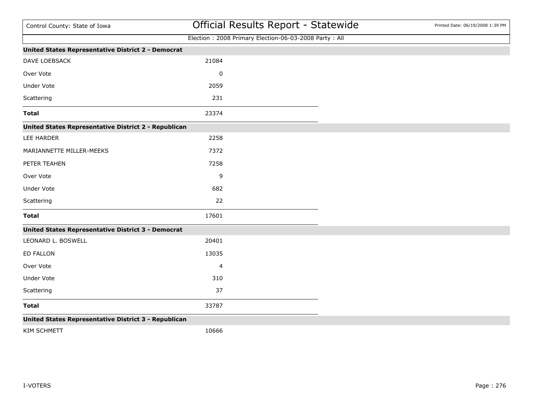| Control County: State of Iowa                             |                | Official Results Report - Statewide                   | Printed Date: 06/19/2008 1:39 PM |
|-----------------------------------------------------------|----------------|-------------------------------------------------------|----------------------------------|
|                                                           |                | Election: 2008 Primary Election-06-03-2008 Party: All |                                  |
| <b>United States Representative District 2 - Democrat</b> |                |                                                       |                                  |
| DAVE LOEBSACK                                             | 21084          |                                                       |                                  |
| Over Vote                                                 | 0              |                                                       |                                  |
| Under Vote                                                | 2059           |                                                       |                                  |
| Scattering                                                | 231            |                                                       |                                  |
| <b>Total</b>                                              | 23374          |                                                       |                                  |
| United States Representative District 2 - Republican      |                |                                                       |                                  |
| LEE HARDER                                                | 2258           |                                                       |                                  |
| MARIANNETTE MILLER-MEEKS                                  | 7372           |                                                       |                                  |
| PETER TEAHEN                                              | 7258           |                                                       |                                  |
| Over Vote                                                 | 9              |                                                       |                                  |
| Under Vote                                                | 682            |                                                       |                                  |
| Scattering                                                | 22             |                                                       |                                  |
| <b>Total</b>                                              | 17601          |                                                       |                                  |
| <b>United States Representative District 3 - Democrat</b> |                |                                                       |                                  |
| LEONARD L. BOSWELL                                        | 20401          |                                                       |                                  |
| <b>ED FALLON</b>                                          | 13035          |                                                       |                                  |
| Over Vote                                                 | $\overline{4}$ |                                                       |                                  |
| Under Vote                                                | 310            |                                                       |                                  |
| Scattering                                                | 37             |                                                       |                                  |
| <b>Total</b>                                              | 33787          |                                                       |                                  |
| United States Representative District 3 - Republican      |                |                                                       |                                  |

KIM SCHMETT 10666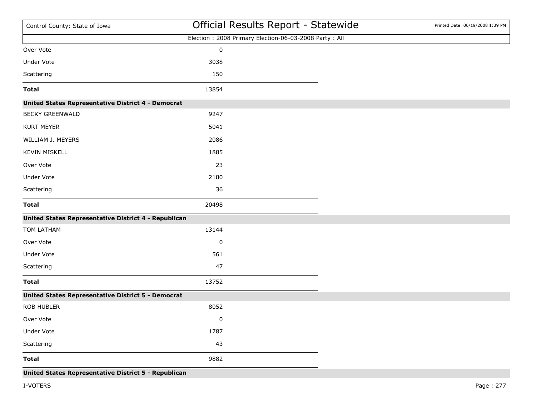| Control County: State of Iowa                             |                                                       | Official Results Report - Statewide | Printed Date: 06/19/2008 1:39 PM |
|-----------------------------------------------------------|-------------------------------------------------------|-------------------------------------|----------------------------------|
|                                                           | Election: 2008 Primary Election-06-03-2008 Party: All |                                     |                                  |
| Over Vote                                                 | $\pmb{0}$                                             |                                     |                                  |
| Under Vote                                                | 3038                                                  |                                     |                                  |
| Scattering                                                | 150                                                   |                                     |                                  |
| <b>Total</b>                                              | 13854                                                 |                                     |                                  |
| United States Representative District 4 - Democrat        |                                                       |                                     |                                  |
| <b>BECKY GREENWALD</b>                                    | 9247                                                  |                                     |                                  |
| <b>KURT MEYER</b>                                         | 5041                                                  |                                     |                                  |
| WILLIAM J. MEYERS                                         | 2086                                                  |                                     |                                  |
| <b>KEVIN MISKELL</b>                                      | 1885                                                  |                                     |                                  |
| Over Vote                                                 | 23                                                    |                                     |                                  |
| Under Vote                                                | 2180                                                  |                                     |                                  |
| Scattering                                                | 36                                                    |                                     |                                  |
| <b>Total</b>                                              | 20498                                                 |                                     |                                  |
| United States Representative District 4 - Republican      |                                                       |                                     |                                  |
| TOM LATHAM                                                | 13144                                                 |                                     |                                  |
| Over Vote                                                 | 0                                                     |                                     |                                  |
| Under Vote                                                | 561                                                   |                                     |                                  |
| Scattering                                                | 47                                                    |                                     |                                  |
| <b>Total</b>                                              | 13752                                                 |                                     |                                  |
| <b>United States Representative District 5 - Democrat</b> |                                                       |                                     |                                  |
| <b>ROB HUBLER</b>                                         | 8052                                                  |                                     |                                  |
| Over Vote                                                 | 0                                                     |                                     |                                  |
| Under Vote                                                | 1787                                                  |                                     |                                  |
| Scattering                                                | 43                                                    |                                     |                                  |
| <b>Total</b>                                              | 9882                                                  |                                     |                                  |
| United States Representative District 5 - Republican      |                                                       |                                     |                                  |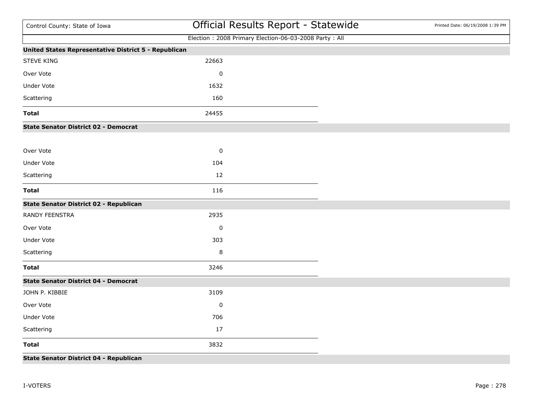| Control County: State of Iowa                        | Official Results Report - Statewide                   | Printed Date: 06/19/2008 1:39 PM |
|------------------------------------------------------|-------------------------------------------------------|----------------------------------|
|                                                      | Election: 2008 Primary Election-06-03-2008 Party: All |                                  |
| United States Representative District 5 - Republican |                                                       |                                  |
| <b>STEVE KING</b>                                    | 22663                                                 |                                  |
| Over Vote                                            | $\mathbf 0$                                           |                                  |
| <b>Under Vote</b>                                    | 1632                                                  |                                  |
| Scattering                                           | 160                                                   |                                  |
| <b>Total</b>                                         | 24455                                                 |                                  |
| <b>State Senator District 02 - Democrat</b>          |                                                       |                                  |
| Over Vote                                            | $\pmb{0}$                                             |                                  |
| <b>Under Vote</b>                                    | 104                                                   |                                  |
| Scattering                                           | 12                                                    |                                  |
| <b>Total</b>                                         | 116                                                   |                                  |
| State Senator District 02 - Republican               |                                                       |                                  |
| RANDY FEENSTRA                                       | 2935                                                  |                                  |
| Over Vote                                            | $\mathbf 0$                                           |                                  |
| <b>Under Vote</b>                                    | 303                                                   |                                  |
| Scattering                                           | 8                                                     |                                  |
| <b>Total</b>                                         | 3246                                                  |                                  |
| <b>State Senator District 04 - Democrat</b>          |                                                       |                                  |
| JOHN P. KIBBIE                                       | 3109                                                  |                                  |
| Over Vote                                            | $\mathbf 0$                                           |                                  |
| <b>Under Vote</b>                                    | 706                                                   |                                  |
| Scattering                                           | 17                                                    |                                  |
| <b>Total</b>                                         | 3832                                                  |                                  |
| <b>State Senator District 04 - Republican</b>        |                                                       |                                  |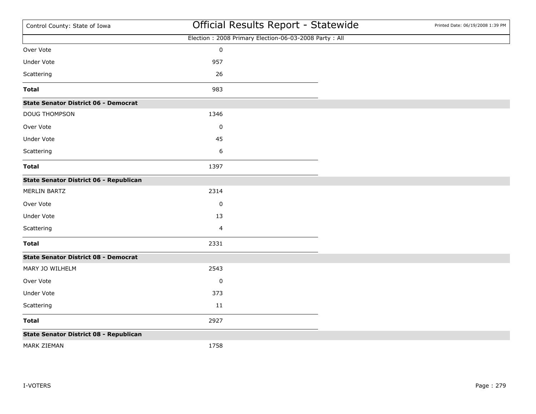| Control County: State of Iowa                 | Official Results Report - Statewide                   | Printed Date: 06/19/2008 1:39 PM |
|-----------------------------------------------|-------------------------------------------------------|----------------------------------|
|                                               | Election: 2008 Primary Election-06-03-2008 Party: All |                                  |
| Over Vote                                     | $\pmb{0}$                                             |                                  |
| <b>Under Vote</b>                             | 957                                                   |                                  |
| Scattering                                    | 26                                                    |                                  |
| <b>Total</b>                                  | 983                                                   |                                  |
| <b>State Senator District 06 - Democrat</b>   |                                                       |                                  |
| DOUG THOMPSON                                 | 1346                                                  |                                  |
| Over Vote                                     | $\pmb{0}$                                             |                                  |
| <b>Under Vote</b>                             | 45                                                    |                                  |
| Scattering                                    | 6                                                     |                                  |
| <b>Total</b>                                  | 1397                                                  |                                  |
| <b>State Senator District 06 - Republican</b> |                                                       |                                  |
| <b>MERLIN BARTZ</b>                           | 2314                                                  |                                  |
| Over Vote                                     | $\pmb{0}$                                             |                                  |
| Under Vote                                    | 13                                                    |                                  |
| Scattering                                    | 4                                                     |                                  |
| <b>Total</b>                                  | 2331                                                  |                                  |
| <b>State Senator District 08 - Democrat</b>   |                                                       |                                  |
| MARY JO WILHELM                               | 2543                                                  |                                  |
| Over Vote                                     | $\pmb{0}$                                             |                                  |
| <b>Under Vote</b>                             | 373                                                   |                                  |
| Scattering                                    | 11                                                    |                                  |
| <b>Total</b>                                  | 2927                                                  |                                  |
| <b>State Senator District 08 - Republican</b> |                                                       |                                  |
| MARK ZIEMAN                                   | 1758                                                  |                                  |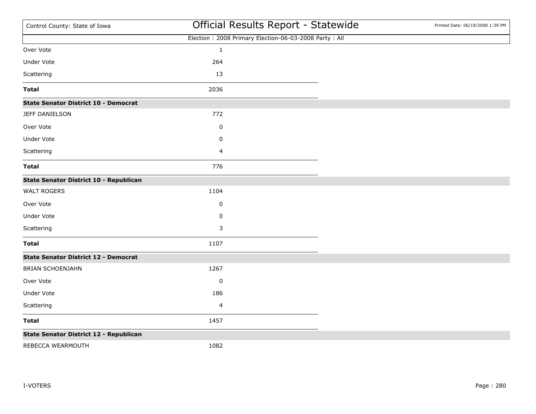| Control County: State of Iowa               | Official Results Report - Statewide                   | Printed Date: 06/19/2008 1:39 PM |
|---------------------------------------------|-------------------------------------------------------|----------------------------------|
|                                             | Election: 2008 Primary Election-06-03-2008 Party: All |                                  |
| Over Vote                                   | $\mathbf 1$                                           |                                  |
| Under Vote                                  | 264                                                   |                                  |
| Scattering                                  | 13                                                    |                                  |
| <b>Total</b>                                | 2036                                                  |                                  |
| <b>State Senator District 10 - Democrat</b> |                                                       |                                  |
| JEFF DANIELSON                              | 772                                                   |                                  |
| Over Vote                                   | 0                                                     |                                  |
| Under Vote                                  | 0                                                     |                                  |
| Scattering                                  | 4                                                     |                                  |
| <b>Total</b>                                | 776                                                   |                                  |
| State Senator District 10 - Republican      |                                                       |                                  |
| <b>WALT ROGERS</b>                          | 1104                                                  |                                  |
| Over Vote                                   | 0                                                     |                                  |
| Under Vote                                  | 0                                                     |                                  |
| Scattering                                  | 3                                                     |                                  |
| <b>Total</b>                                | 1107                                                  |                                  |
| <b>State Senator District 12 - Democrat</b> |                                                       |                                  |
| <b>BRIAN SCHOENJAHN</b>                     | 1267                                                  |                                  |
| Over Vote                                   | $\pmb{0}$                                             |                                  |
| Under Vote                                  | 186                                                   |                                  |
| Scattering                                  | 4                                                     |                                  |
| <b>Total</b>                                | 1457                                                  |                                  |
| State Senator District 12 - Republican      |                                                       |                                  |
| REBECCA WEARMOUTH                           | 1082                                                  |                                  |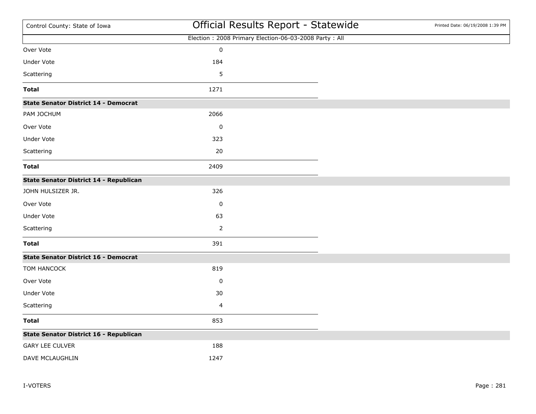| Control County: State of Iowa               |                | Official Results Report - Statewide                   | Printed Date: 06/19/2008 1:39 PM |
|---------------------------------------------|----------------|-------------------------------------------------------|----------------------------------|
|                                             |                | Election: 2008 Primary Election-06-03-2008 Party: All |                                  |
| Over Vote                                   | $\pmb{0}$      |                                                       |                                  |
| Under Vote                                  | 184            |                                                       |                                  |
| Scattering                                  | 5              |                                                       |                                  |
| <b>Total</b>                                | 1271           |                                                       |                                  |
| <b>State Senator District 14 - Democrat</b> |                |                                                       |                                  |
| PAM JOCHUM                                  | 2066           |                                                       |                                  |
| Over Vote                                   | $\pmb{0}$      |                                                       |                                  |
| Under Vote                                  | 323            |                                                       |                                  |
| Scattering                                  | 20             |                                                       |                                  |
| <b>Total</b>                                | 2409           |                                                       |                                  |
| State Senator District 14 - Republican      |                |                                                       |                                  |
| JOHN HULSIZER JR.                           | 326            |                                                       |                                  |
| Over Vote                                   | $\pmb{0}$      |                                                       |                                  |
| <b>Under Vote</b>                           | 63             |                                                       |                                  |
| Scattering                                  | $\overline{2}$ |                                                       |                                  |
| <b>Total</b>                                | 391            |                                                       |                                  |
| <b>State Senator District 16 - Democrat</b> |                |                                                       |                                  |
| TOM HANCOCK                                 | 819            |                                                       |                                  |
| Over Vote                                   | 0              |                                                       |                                  |
| Under Vote                                  | 30             |                                                       |                                  |
| Scattering                                  | 4              |                                                       |                                  |
| <b>Total</b>                                | 853            |                                                       |                                  |
| State Senator District 16 - Republican      |                |                                                       |                                  |
| <b>GARY LEE CULVER</b>                      | 188            |                                                       |                                  |
| DAVE MCLAUGHLIN                             | 1247           |                                                       |                                  |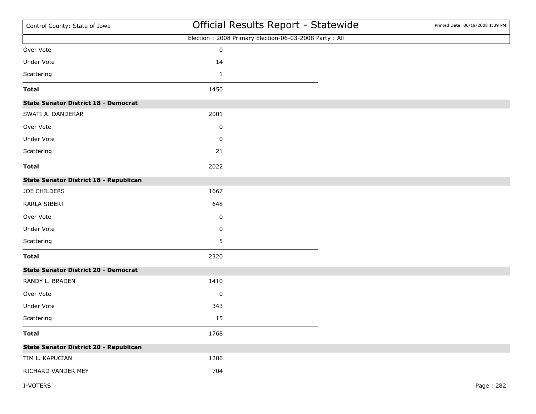| Control County: State of Iowa                 | Official Results Report - Statewide                   | Printed Date: 06/19/2008 1:39 PM |
|-----------------------------------------------|-------------------------------------------------------|----------------------------------|
|                                               | Election: 2008 Primary Election-06-03-2008 Party: All |                                  |
| Over Vote                                     | $\pmb{0}$                                             |                                  |
| Under Vote                                    | 14                                                    |                                  |
| Scattering                                    | $\mathbf{1}$                                          |                                  |
| <b>Total</b>                                  | 1450                                                  |                                  |
| <b>State Senator District 18 - Democrat</b>   |                                                       |                                  |
| SWATI A. DANDEKAR                             | 2001                                                  |                                  |
| Over Vote                                     | 0                                                     |                                  |
| Under Vote                                    | 0                                                     |                                  |
| Scattering                                    | 21                                                    |                                  |
| <b>Total</b>                                  | 2022                                                  |                                  |
| State Senator District 18 - Republican        |                                                       |                                  |
| JOE CHILDERS                                  | 1667                                                  |                                  |
| <b>KARLA SIBERT</b>                           | 648                                                   |                                  |
| Over Vote                                     | 0                                                     |                                  |
| Under Vote                                    | 0                                                     |                                  |
| Scattering                                    | 5                                                     |                                  |
| <b>Total</b>                                  | 2320                                                  |                                  |
| <b>State Senator District 20 - Democrat</b>   |                                                       |                                  |
| RANDY L. BRADEN                               | 1410                                                  |                                  |
| Over Vote                                     | $\pmb{0}$                                             |                                  |
| Under Vote                                    | 343                                                   |                                  |
| Scattering                                    | 15                                                    |                                  |
| <b>Total</b>                                  | 1768                                                  |                                  |
| <b>State Senator District 20 - Republican</b> |                                                       |                                  |
| TIM L. KAPUCIAN                               | 1206                                                  |                                  |
| RICHARD VANDER MEY                            | 704                                                   |                                  |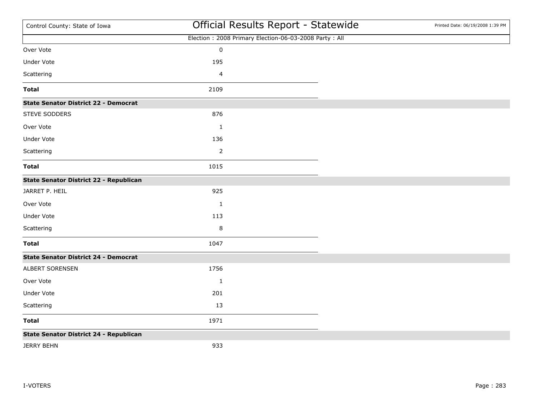| Control County: State of Iowa                 | Official Results Report - Statewide                   | Printed Date: 06/19/2008 1:39 PM |
|-----------------------------------------------|-------------------------------------------------------|----------------------------------|
|                                               | Election: 2008 Primary Election-06-03-2008 Party: All |                                  |
| Over Vote                                     | $\pmb{0}$                                             |                                  |
| <b>Under Vote</b>                             | 195                                                   |                                  |
| Scattering                                    | $\overline{\mathbf{4}}$                               |                                  |
| <b>Total</b>                                  | 2109                                                  |                                  |
| <b>State Senator District 22 - Democrat</b>   |                                                       |                                  |
| STEVE SODDERS                                 | 876                                                   |                                  |
| Over Vote                                     | $\mathbf{1}$                                          |                                  |
| Under Vote                                    | 136                                                   |                                  |
| Scattering                                    | $\overline{2}$                                        |                                  |
| <b>Total</b>                                  | 1015                                                  |                                  |
| State Senator District 22 - Republican        |                                                       |                                  |
| JARRET P. HEIL                                | 925                                                   |                                  |
| Over Vote                                     | $\mathbf{1}$                                          |                                  |
| Under Vote                                    | 113                                                   |                                  |
| Scattering                                    | 8                                                     |                                  |
| <b>Total</b>                                  | 1047                                                  |                                  |
| <b>State Senator District 24 - Democrat</b>   |                                                       |                                  |
| ALBERT SORENSEN                               | 1756                                                  |                                  |
| Over Vote                                     | $\mathbf{1}$                                          |                                  |
| Under Vote                                    | 201                                                   |                                  |
| Scattering                                    | 13                                                    |                                  |
| <b>Total</b>                                  | 1971                                                  |                                  |
| <b>State Senator District 24 - Republican</b> |                                                       |                                  |
| <b>JERRY BEHN</b>                             | 933                                                   |                                  |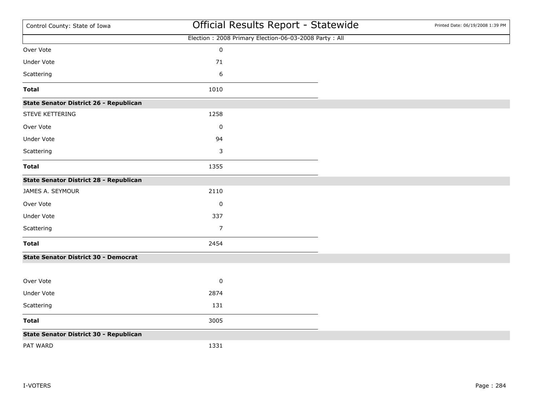| Control County: State of Iowa               | Official Results Report - Statewide                   | Printed Date: 06/19/2008 1:39 PM |
|---------------------------------------------|-------------------------------------------------------|----------------------------------|
|                                             | Election: 2008 Primary Election-06-03-2008 Party: All |                                  |
| Over Vote                                   | $\mathbf 0$                                           |                                  |
| <b>Under Vote</b>                           | 71                                                    |                                  |
| Scattering                                  | 6                                                     |                                  |
| <b>Total</b>                                | 1010                                                  |                                  |
| State Senator District 26 - Republican      |                                                       |                                  |
| STEVE KETTERING                             | 1258                                                  |                                  |
| Over Vote                                   | $\pmb{0}$                                             |                                  |
| Under Vote                                  | 94                                                    |                                  |
| Scattering                                  | 3                                                     |                                  |
| <b>Total</b>                                | 1355                                                  |                                  |
| State Senator District 28 - Republican      |                                                       |                                  |
| JAMES A. SEYMOUR                            | 2110                                                  |                                  |
| Over Vote                                   | $\pmb{0}$                                             |                                  |
| Under Vote                                  | 337                                                   |                                  |
| Scattering                                  | $\overline{7}$                                        |                                  |
| <b>Total</b>                                | 2454                                                  |                                  |
| <b>State Senator District 30 - Democrat</b> |                                                       |                                  |
|                                             |                                                       |                                  |
| Over Vote                                   | $\pmb{0}$                                             |                                  |
| Under Vote                                  | 2874                                                  |                                  |
| Scattering                                  | 131                                                   |                                  |
| <b>Total</b>                                | 3005                                                  |                                  |
| State Senator District 30 - Republican      |                                                       |                                  |
| PAT WARD                                    | 1331                                                  |                                  |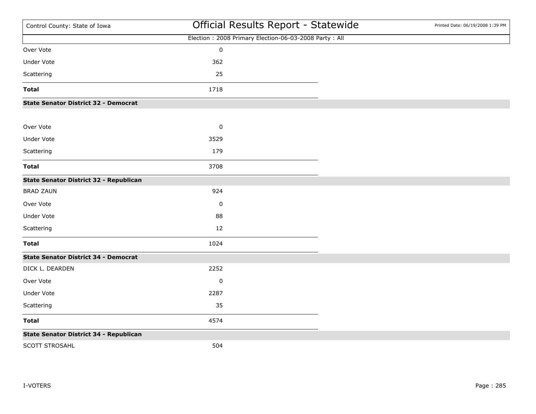| Control County: State of Iowa               | Official Results Report - Statewide                   | Printed Date: 06/19/2008 1:39 PM |
|---------------------------------------------|-------------------------------------------------------|----------------------------------|
|                                             | Election: 2008 Primary Election-06-03-2008 Party: All |                                  |
| Over Vote                                   | $\pmb{0}$                                             |                                  |
| Under Vote                                  | 362                                                   |                                  |
| Scattering                                  | 25                                                    |                                  |
| <b>Total</b>                                | 1718                                                  |                                  |
| <b>State Senator District 32 - Democrat</b> |                                                       |                                  |
| Over Vote                                   | $\pmb{0}$                                             |                                  |
| <b>Under Vote</b>                           | 3529                                                  |                                  |
| Scattering                                  | 179                                                   |                                  |
| <b>Total</b>                                | 3708                                                  |                                  |
| State Senator District 32 - Republican      |                                                       |                                  |
| <b>BRAD ZAUN</b>                            | 924                                                   |                                  |
| Over Vote                                   | $\mathbf 0$                                           |                                  |
| <b>Under Vote</b>                           | 88                                                    |                                  |
| Scattering                                  | 12                                                    |                                  |
| <b>Total</b>                                | 1024                                                  |                                  |
| <b>State Senator District 34 - Democrat</b> |                                                       |                                  |
| DICK L. DEARDEN                             | 2252                                                  |                                  |
| Over Vote                                   | $\pmb{0}$                                             |                                  |
| Under Vote                                  | 2287                                                  |                                  |
| Scattering                                  | 35                                                    |                                  |
| <b>Total</b>                                | 4574                                                  |                                  |
| State Senator District 34 - Republican      |                                                       |                                  |
| SCOTT STROSAHL                              | 504                                                   |                                  |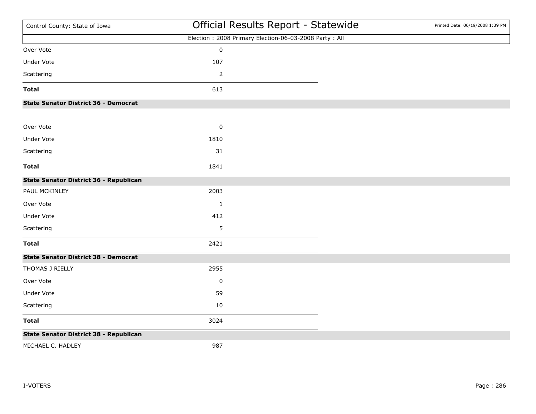| Control County: State of Iowa               | Official Results Report - Statewide                   | Printed Date: 06/19/2008 1:39 PM |
|---------------------------------------------|-------------------------------------------------------|----------------------------------|
|                                             | Election: 2008 Primary Election-06-03-2008 Party: All |                                  |
| Over Vote                                   | $\pmb{0}$                                             |                                  |
| <b>Under Vote</b>                           | 107                                                   |                                  |
| Scattering                                  | $\overline{2}$                                        |                                  |
| <b>Total</b>                                | 613                                                   |                                  |
| <b>State Senator District 36 - Democrat</b> |                                                       |                                  |
| Over Vote                                   | $\pmb{0}$                                             |                                  |
| <b>Under Vote</b>                           | 1810                                                  |                                  |
| Scattering                                  | 31                                                    |                                  |
| <b>Total</b>                                | 1841                                                  |                                  |
| State Senator District 36 - Republican      |                                                       |                                  |
| PAUL MCKINLEY                               | 2003                                                  |                                  |
| Over Vote                                   | $\mathbf{1}$                                          |                                  |
| <b>Under Vote</b>                           | 412                                                   |                                  |
| Scattering                                  | 5                                                     |                                  |
| <b>Total</b>                                | 2421                                                  |                                  |
| <b>State Senator District 38 - Democrat</b> |                                                       |                                  |
| THOMAS J RIELLY                             | 2955                                                  |                                  |
| Over Vote                                   | $\pmb{0}$                                             |                                  |
| Under Vote                                  | 59                                                    |                                  |
| Scattering                                  | 10                                                    |                                  |
| <b>Total</b>                                | 3024                                                  |                                  |
| State Senator District 38 - Republican      |                                                       |                                  |
| MICHAEL C. HADLEY                           | 987                                                   |                                  |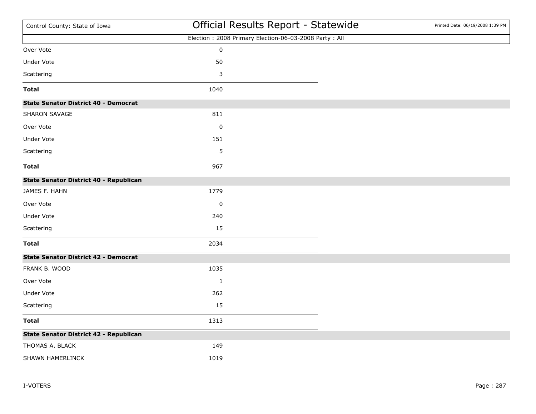| Control County: State of Iowa               |              | Official Results Report - Statewide                   | Printed Date: 06/19/2008 1:39 PM |
|---------------------------------------------|--------------|-------------------------------------------------------|----------------------------------|
|                                             |              | Election: 2008 Primary Election-06-03-2008 Party: All |                                  |
| Over Vote                                   | $\pmb{0}$    |                                                       |                                  |
| Under Vote                                  | 50           |                                                       |                                  |
| Scattering                                  | 3            |                                                       |                                  |
| <b>Total</b>                                | 1040         |                                                       |                                  |
| <b>State Senator District 40 - Democrat</b> |              |                                                       |                                  |
| <b>SHARON SAVAGE</b>                        | 811          |                                                       |                                  |
| Over Vote                                   | $\pmb{0}$    |                                                       |                                  |
| Under Vote                                  | 151          |                                                       |                                  |
| Scattering                                  | 5            |                                                       |                                  |
| <b>Total</b>                                | 967          |                                                       |                                  |
| State Senator District 40 - Republican      |              |                                                       |                                  |
| JAMES F. HAHN                               | 1779         |                                                       |                                  |
| Over Vote                                   | $\pmb{0}$    |                                                       |                                  |
| <b>Under Vote</b>                           | 240          |                                                       |                                  |
| Scattering                                  | 15           |                                                       |                                  |
| <b>Total</b>                                | 2034         |                                                       |                                  |
| <b>State Senator District 42 - Democrat</b> |              |                                                       |                                  |
| FRANK B. WOOD                               | 1035         |                                                       |                                  |
| Over Vote                                   | $\mathbf{1}$ |                                                       |                                  |
| Under Vote                                  | 262          |                                                       |                                  |
| Scattering                                  | 15           |                                                       |                                  |
| <b>Total</b>                                | 1313         |                                                       |                                  |
| State Senator District 42 - Republican      |              |                                                       |                                  |
| THOMAS A. BLACK                             | 149          |                                                       |                                  |
| SHAWN HAMERLINCK                            | 1019         |                                                       |                                  |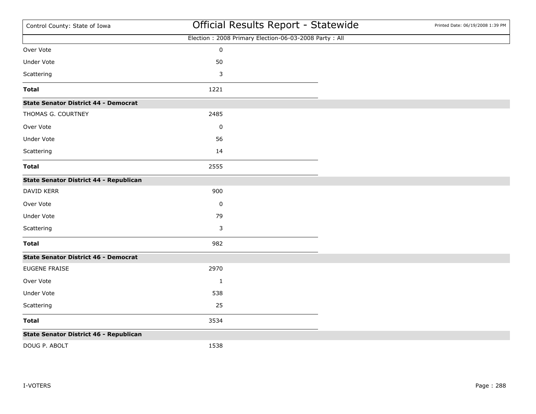| Control County: State of Iowa               | Official Results Report - Statewide                   | Printed Date: 06/19/2008 1:39 PM |
|---------------------------------------------|-------------------------------------------------------|----------------------------------|
|                                             | Election: 2008 Primary Election-06-03-2008 Party: All |                                  |
| Over Vote                                   | $\mathbf 0$                                           |                                  |
| <b>Under Vote</b>                           | 50                                                    |                                  |
| Scattering                                  | 3                                                     |                                  |
| <b>Total</b>                                | 1221                                                  |                                  |
| <b>State Senator District 44 - Democrat</b> |                                                       |                                  |
| THOMAS G. COURTNEY                          | 2485                                                  |                                  |
| Over Vote                                   | $\pmb{0}$                                             |                                  |
| <b>Under Vote</b>                           | 56                                                    |                                  |
| Scattering                                  | 14                                                    |                                  |
| <b>Total</b>                                | 2555                                                  |                                  |
| State Senator District 44 - Republican      |                                                       |                                  |
| DAVID KERR                                  | 900                                                   |                                  |
| Over Vote                                   | $\pmb{0}$                                             |                                  |
| Under Vote                                  | 79                                                    |                                  |
| Scattering                                  | 3                                                     |                                  |
| <b>Total</b>                                | 982                                                   |                                  |
| <b>State Senator District 46 - Democrat</b> |                                                       |                                  |
| EUGENE FRAISE                               | 2970                                                  |                                  |
| Over Vote                                   | $\mathbf{1}$                                          |                                  |
| Under Vote                                  | 538                                                   |                                  |
| Scattering                                  | 25                                                    |                                  |
| <b>Total</b>                                | 3534                                                  |                                  |
| State Senator District 46 - Republican      |                                                       |                                  |
| DOUG P. ABOLT                               | 1538                                                  |                                  |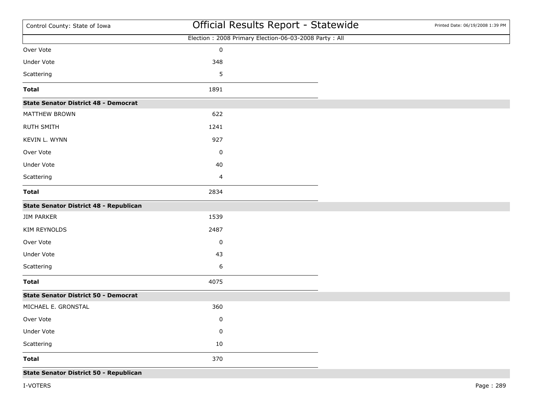| Control County: State of Iowa                 | Official Results Report - Statewide                   | Printed Date: 06/19/2008 1:39 PM |
|-----------------------------------------------|-------------------------------------------------------|----------------------------------|
|                                               | Election: 2008 Primary Election-06-03-2008 Party: All |                                  |
| Over Vote                                     | $\pmb{0}$                                             |                                  |
| Under Vote                                    | 348                                                   |                                  |
| Scattering                                    | 5                                                     |                                  |
| <b>Total</b>                                  | 1891                                                  |                                  |
| <b>State Senator District 48 - Democrat</b>   |                                                       |                                  |
| MATTHEW BROWN                                 | 622                                                   |                                  |
| <b>RUTH SMITH</b>                             | 1241                                                  |                                  |
| KEVIN L. WYNN                                 | 927                                                   |                                  |
| Over Vote                                     | $\pmb{0}$                                             |                                  |
| Under Vote                                    | 40                                                    |                                  |
| Scattering                                    | $\overline{\mathbf{4}}$                               |                                  |
| <b>Total</b>                                  | 2834                                                  |                                  |
| <b>State Senator District 48 - Republican</b> |                                                       |                                  |
| <b>JIM PARKER</b>                             | 1539                                                  |                                  |
| <b>KIM REYNOLDS</b>                           | 2487                                                  |                                  |
| Over Vote                                     | 0                                                     |                                  |
| Under Vote                                    | 43                                                    |                                  |
| Scattering                                    | 6                                                     |                                  |
| <b>Total</b>                                  | 4075                                                  |                                  |
| <b>State Senator District 50 - Democrat</b>   |                                                       |                                  |
| MICHAEL E. GRONSTAL                           | 360                                                   |                                  |
| Over Vote                                     | 0                                                     |                                  |
| Under Vote                                    | $\pmb{0}$                                             |                                  |
| Scattering                                    | 10                                                    |                                  |
| <b>Total</b>                                  | 370                                                   |                                  |
| State Senator District 50 - Republican        |                                                       |                                  |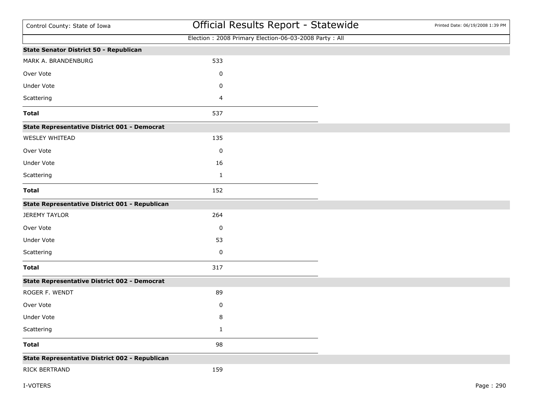| Control County: State of Iowa                       |              | Official Results Report - Statewide                   | Printed Date: 06/19/2008 1:39 PM |
|-----------------------------------------------------|--------------|-------------------------------------------------------|----------------------------------|
|                                                     |              | Election: 2008 Primary Election-06-03-2008 Party: All |                                  |
| State Senator District 50 - Republican              |              |                                                       |                                  |
| MARK A. BRANDENBURG                                 | 533          |                                                       |                                  |
| Over Vote                                           | 0            |                                                       |                                  |
| Under Vote                                          | 0            |                                                       |                                  |
| Scattering                                          | 4            |                                                       |                                  |
| <b>Total</b>                                        | 537          |                                                       |                                  |
| <b>State Representative District 001 - Democrat</b> |              |                                                       |                                  |
| WESLEY WHITEAD                                      | 135          |                                                       |                                  |
| Over Vote                                           | 0            |                                                       |                                  |
| Under Vote                                          | 16           |                                                       |                                  |
| Scattering                                          | $\mathbf{1}$ |                                                       |                                  |
| <b>Total</b>                                        | 152          |                                                       |                                  |
| State Representative District 001 - Republican      |              |                                                       |                                  |
| <b>JEREMY TAYLOR</b>                                | 264          |                                                       |                                  |
| Over Vote                                           | 0            |                                                       |                                  |
| Under Vote                                          | 53           |                                                       |                                  |
| Scattering                                          | $\pmb{0}$    |                                                       |                                  |
| <b>Total</b>                                        | 317          |                                                       |                                  |
| <b>State Representative District 002 - Democrat</b> |              |                                                       |                                  |
| ROGER F. WENDT                                      | 89           |                                                       |                                  |
| Over Vote                                           | 0            |                                                       |                                  |
| Under Vote                                          | 8            |                                                       |                                  |
| Scattering                                          | $\mathbf 1$  |                                                       |                                  |
| <b>Total</b>                                        | 98           |                                                       |                                  |
| State Representative District 002 - Republican      |              |                                                       |                                  |
| RICK BERTRAND                                       | 159          |                                                       |                                  |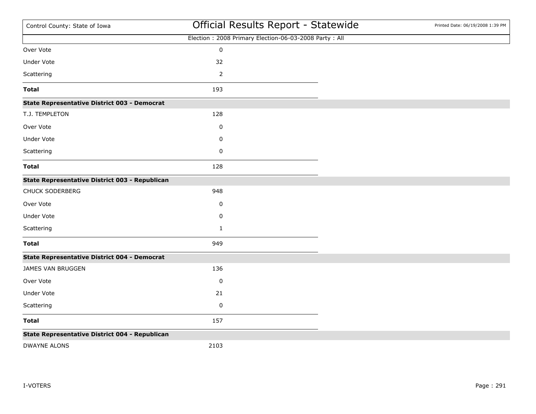| Control County: State of Iowa                       | Official Results Report - Statewide                   | Printed Date: 06/19/2008 1:39 PM |
|-----------------------------------------------------|-------------------------------------------------------|----------------------------------|
|                                                     | Election: 2008 Primary Election-06-03-2008 Party: All |                                  |
| Over Vote                                           | $\mathbf 0$                                           |                                  |
| Under Vote                                          | 32                                                    |                                  |
| Scattering                                          | $\mathbf 2$                                           |                                  |
| <b>Total</b>                                        | 193                                                   |                                  |
| <b>State Representative District 003 - Democrat</b> |                                                       |                                  |
| T.J. TEMPLETON                                      | 128                                                   |                                  |
| Over Vote                                           | 0                                                     |                                  |
| Under Vote                                          | 0                                                     |                                  |
| Scattering                                          | 0                                                     |                                  |
| <b>Total</b>                                        | 128                                                   |                                  |
| State Representative District 003 - Republican      |                                                       |                                  |
| CHUCK SODERBERG                                     | 948                                                   |                                  |
| Over Vote                                           | 0                                                     |                                  |
| Under Vote                                          | 0                                                     |                                  |
| Scattering                                          | $\mathbf{1}$                                          |                                  |
| <b>Total</b>                                        | 949                                                   |                                  |
| <b>State Representative District 004 - Democrat</b> |                                                       |                                  |
| JAMES VAN BRUGGEN                                   | 136                                                   |                                  |
| Over Vote                                           | 0                                                     |                                  |
| Under Vote                                          | 21                                                    |                                  |
| Scattering                                          | $\pmb{0}$                                             |                                  |
| <b>Total</b>                                        | 157                                                   |                                  |
| State Representative District 004 - Republican      |                                                       |                                  |
| <b>DWAYNE ALONS</b>                                 | 2103                                                  |                                  |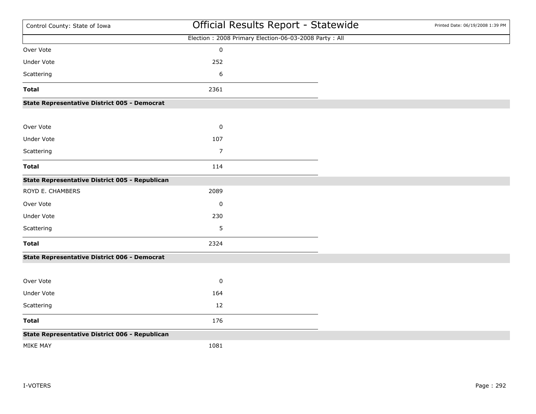| Control County: State of Iowa                       | Official Results Report - Statewide                   | Printed Date: 06/19/2008 1:39 PM |
|-----------------------------------------------------|-------------------------------------------------------|----------------------------------|
|                                                     | Election: 2008 Primary Election-06-03-2008 Party: All |                                  |
| Over Vote                                           | $\mathbf 0$                                           |                                  |
| <b>Under Vote</b>                                   | 252                                                   |                                  |
| Scattering                                          | 6                                                     |                                  |
| <b>Total</b>                                        | 2361                                                  |                                  |
| <b>State Representative District 005 - Democrat</b> |                                                       |                                  |
| Over Vote                                           | $\mathbf 0$                                           |                                  |
| <b>Under Vote</b>                                   | 107                                                   |                                  |
| Scattering                                          | $\overline{7}$                                        |                                  |
| <b>Total</b>                                        | 114                                                   |                                  |
| State Representative District 005 - Republican      |                                                       |                                  |
| ROYD E. CHAMBERS                                    | 2089                                                  |                                  |
| Over Vote                                           | 0                                                     |                                  |
| Under Vote                                          | 230                                                   |                                  |
| Scattering                                          | 5                                                     |                                  |
| <b>Total</b>                                        | 2324                                                  |                                  |
| <b>State Representative District 006 - Democrat</b> |                                                       |                                  |
|                                                     |                                                       |                                  |
| Over Vote                                           | $\pmb{0}$                                             |                                  |
| Under Vote                                          | 164                                                   |                                  |
| Scattering                                          | 12                                                    |                                  |
| <b>Total</b>                                        | 176                                                   |                                  |
| State Representative District 006 - Republican      |                                                       |                                  |
| MIKE MAY                                            | 1081                                                  |                                  |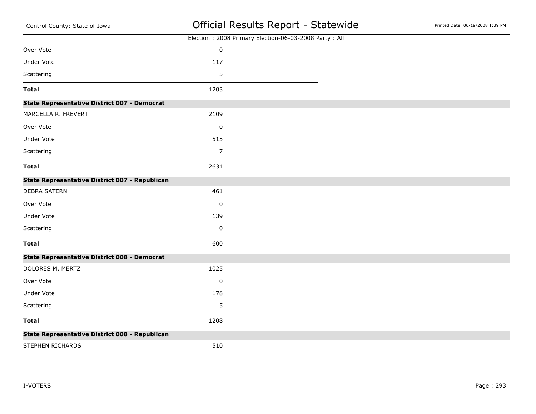| Control County: State of Iowa                       | Official Results Report - Statewide                   | Printed Date: 06/19/2008 1:39 PM |
|-----------------------------------------------------|-------------------------------------------------------|----------------------------------|
|                                                     | Election: 2008 Primary Election-06-03-2008 Party: All |                                  |
| Over Vote                                           | $\pmb{0}$                                             |                                  |
| <b>Under Vote</b>                                   | 117                                                   |                                  |
| Scattering                                          | 5                                                     |                                  |
| <b>Total</b>                                        | 1203                                                  |                                  |
| <b>State Representative District 007 - Democrat</b> |                                                       |                                  |
| MARCELLA R. FREVERT                                 | 2109                                                  |                                  |
| Over Vote                                           | $\pmb{0}$                                             |                                  |
| <b>Under Vote</b>                                   | 515                                                   |                                  |
| Scattering                                          | $\overline{7}$                                        |                                  |
| <b>Total</b>                                        | 2631                                                  |                                  |
| State Representative District 007 - Republican      |                                                       |                                  |
| <b>DEBRA SATERN</b>                                 | 461                                                   |                                  |
| Over Vote                                           | $\pmb{0}$                                             |                                  |
| Under Vote                                          | 139                                                   |                                  |
| Scattering                                          | 0                                                     |                                  |
| <b>Total</b>                                        | 600                                                   |                                  |
| <b>State Representative District 008 - Democrat</b> |                                                       |                                  |
| DOLORES M. MERTZ                                    | 1025                                                  |                                  |
| Over Vote                                           | 0                                                     |                                  |
| Under Vote                                          | 178                                                   |                                  |
| Scattering                                          | 5                                                     |                                  |
| <b>Total</b>                                        | 1208                                                  |                                  |
| State Representative District 008 - Republican      |                                                       |                                  |
| STEPHEN RICHARDS                                    | 510                                                   |                                  |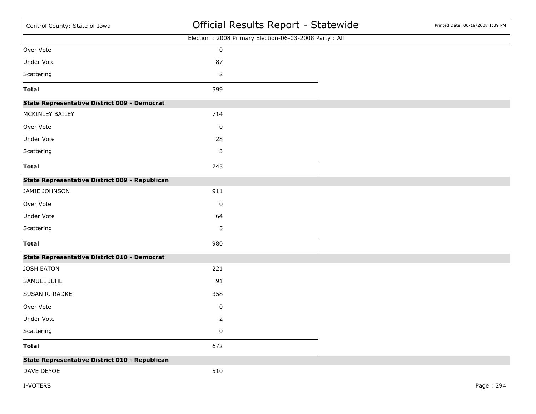| Control County: State of Iowa                       | Official Results Report - Statewide                   | Printed Date: 06/19/2008 1:39 PM |
|-----------------------------------------------------|-------------------------------------------------------|----------------------------------|
|                                                     | Election: 2008 Primary Election-06-03-2008 Party: All |                                  |
| Over Vote                                           | $\pmb{0}$                                             |                                  |
| Under Vote                                          | 87                                                    |                                  |
| Scattering                                          | 2                                                     |                                  |
| <b>Total</b>                                        | 599                                                   |                                  |
| <b>State Representative District 009 - Democrat</b> |                                                       |                                  |
| MCKINLEY BAILEY                                     | 714                                                   |                                  |
| Over Vote                                           | 0                                                     |                                  |
| Under Vote                                          | 28                                                    |                                  |
| Scattering                                          | 3                                                     |                                  |
| <b>Total</b>                                        | 745                                                   |                                  |
| State Representative District 009 - Republican      |                                                       |                                  |
| JAMIE JOHNSON                                       | 911                                                   |                                  |
| Over Vote                                           | 0                                                     |                                  |
| Under Vote                                          | 64                                                    |                                  |
| Scattering                                          | 5                                                     |                                  |
| <b>Total</b>                                        | 980                                                   |                                  |
| <b>State Representative District 010 - Democrat</b> |                                                       |                                  |
| JOSH EATON                                          | 221                                                   |                                  |
| SAMUEL JUHL                                         | 91                                                    |                                  |
| SUSAN R. RADKE                                      | 358                                                   |                                  |
| Over Vote                                           | $\pmb{0}$                                             |                                  |
| Under Vote                                          | $\overline{2}$                                        |                                  |
| Scattering                                          | $\pmb{0}$                                             |                                  |
| <b>Total</b>                                        | 672                                                   |                                  |
| State Representative District 010 - Republican      |                                                       |                                  |
| DAVE DEYOE                                          | 510                                                   |                                  |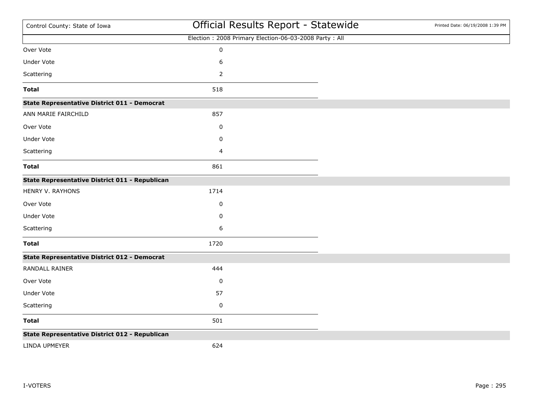| Control County: State of Iowa                       | Official Results Report - Statewide                   | Printed Date: 06/19/2008 1:39 PM |
|-----------------------------------------------------|-------------------------------------------------------|----------------------------------|
|                                                     | Election: 2008 Primary Election-06-03-2008 Party: All |                                  |
| Over Vote                                           | $\pmb{0}$                                             |                                  |
| Under Vote                                          | 6                                                     |                                  |
| Scattering                                          | 2                                                     |                                  |
| <b>Total</b>                                        | 518                                                   |                                  |
| <b>State Representative District 011 - Democrat</b> |                                                       |                                  |
| ANN MARIE FAIRCHILD                                 | 857                                                   |                                  |
| Over Vote                                           | 0                                                     |                                  |
| Under Vote                                          | 0                                                     |                                  |
| Scattering                                          | 4                                                     |                                  |
| <b>Total</b>                                        | 861                                                   |                                  |
| State Representative District 011 - Republican      |                                                       |                                  |
| HENRY V. RAYHONS                                    | 1714                                                  |                                  |
| Over Vote                                           | 0                                                     |                                  |
| Under Vote                                          | 0                                                     |                                  |
| Scattering                                          | 6                                                     |                                  |
| <b>Total</b>                                        | 1720                                                  |                                  |
| <b>State Representative District 012 - Democrat</b> |                                                       |                                  |
| RANDALL RAINER                                      | 444                                                   |                                  |
| Over Vote                                           | 0                                                     |                                  |
| Under Vote                                          | 57                                                    |                                  |
| Scattering                                          | $\pmb{0}$                                             |                                  |
| <b>Total</b>                                        | 501                                                   |                                  |
| State Representative District 012 - Republican      |                                                       |                                  |
| LINDA UPMEYER                                       | 624                                                   |                                  |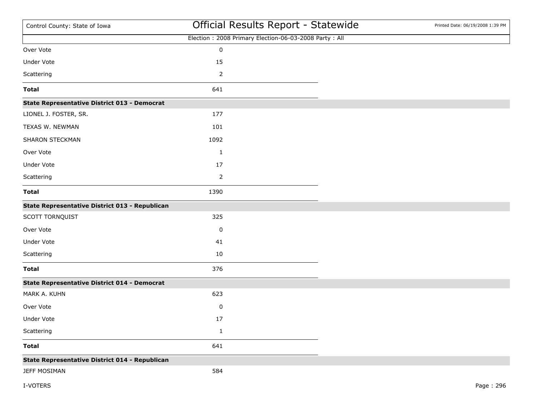| Control County: State of Iowa                       | Official Results Report - Statewide                   | Printed Date: 06/19/2008 1:39 PM |
|-----------------------------------------------------|-------------------------------------------------------|----------------------------------|
|                                                     | Election: 2008 Primary Election-06-03-2008 Party: All |                                  |
| Over Vote                                           | $\pmb{0}$                                             |                                  |
| Under Vote                                          | 15                                                    |                                  |
| Scattering                                          | $\overline{2}$                                        |                                  |
| <b>Total</b>                                        | 641                                                   |                                  |
| <b>State Representative District 013 - Democrat</b> |                                                       |                                  |
| LIONEL J. FOSTER, SR.                               | 177                                                   |                                  |
| TEXAS W. NEWMAN                                     | 101                                                   |                                  |
| SHARON STECKMAN                                     | 1092                                                  |                                  |
| Over Vote                                           | $\mathbf{1}$                                          |                                  |
| Under Vote                                          | 17                                                    |                                  |
| Scattering                                          | $\overline{2}$                                        |                                  |
| <b>Total</b>                                        | 1390                                                  |                                  |
| State Representative District 013 - Republican      |                                                       |                                  |
| SCOTT TORNQUIST                                     | 325                                                   |                                  |
| Over Vote                                           | 0                                                     |                                  |
| Under Vote                                          | 41                                                    |                                  |
| Scattering                                          | 10                                                    |                                  |
| <b>Total</b>                                        | 376                                                   |                                  |
| <b>State Representative District 014 - Democrat</b> |                                                       |                                  |
| MARK A. KUHN                                        | 623                                                   |                                  |
| Over Vote                                           | $\pmb{0}$                                             |                                  |
| Under Vote                                          | 17                                                    |                                  |
| Scattering                                          | $\mathbf{1}$                                          |                                  |
| <b>Total</b>                                        | 641                                                   |                                  |
| State Representative District 014 - Republican      |                                                       |                                  |
| <b>JEFF MOSIMAN</b>                                 | 584                                                   |                                  |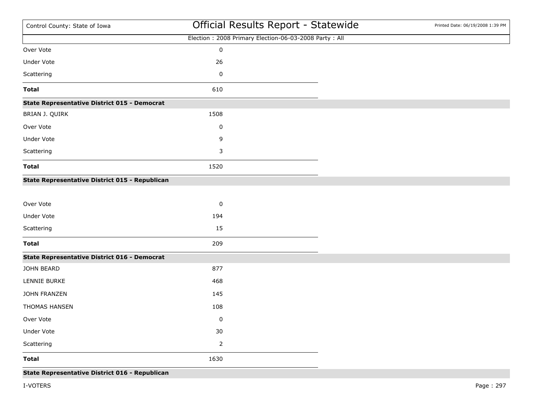| Control County: State of Iowa                       | Official Results Report - Statewide                   | Printed Date: 06/19/2008 1:39 PM |
|-----------------------------------------------------|-------------------------------------------------------|----------------------------------|
|                                                     | Election: 2008 Primary Election-06-03-2008 Party: All |                                  |
| Over Vote                                           | $\pmb{0}$                                             |                                  |
| Under Vote                                          | 26                                                    |                                  |
| Scattering                                          | 0                                                     |                                  |
| <b>Total</b>                                        | 610                                                   |                                  |
| <b>State Representative District 015 - Democrat</b> |                                                       |                                  |
| BRIAN J. QUIRK                                      | 1508                                                  |                                  |
| Over Vote                                           | 0                                                     |                                  |
| Under Vote                                          | 9                                                     |                                  |
| Scattering                                          | 3                                                     |                                  |
| <b>Total</b>                                        | 1520                                                  |                                  |
| State Representative District 015 - Republican      |                                                       |                                  |
|                                                     |                                                       |                                  |
| Over Vote                                           | 0                                                     |                                  |
| Under Vote                                          | 194                                                   |                                  |
| Scattering                                          | 15                                                    |                                  |
| <b>Total</b>                                        | 209                                                   |                                  |
| <b>State Representative District 016 - Democrat</b> |                                                       |                                  |
| JOHN BEARD                                          | 877                                                   |                                  |
| LENNIE BURKE                                        | 468                                                   |                                  |
| JOHN FRANZEN                                        | 145                                                   |                                  |
| THOMAS HANSEN                                       | 108                                                   |                                  |
| Over Vote                                           | 0                                                     |                                  |
| Under Vote                                          | 30                                                    |                                  |
| Scattering                                          | $\overline{2}$                                        |                                  |
| <b>Total</b>                                        | 1630                                                  |                                  |
| State Representative District 016 - Republican      |                                                       |                                  |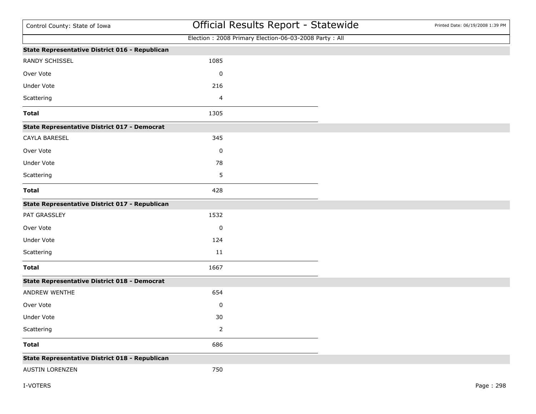| Control County: State of Iowa                       | Official Results Report - Statewide                   | Printed Date: 06/19/2008 1:39 PM |
|-----------------------------------------------------|-------------------------------------------------------|----------------------------------|
|                                                     | Election: 2008 Primary Election-06-03-2008 Party: All |                                  |
| State Representative District 016 - Republican      |                                                       |                                  |
| RANDY SCHISSEL                                      | 1085                                                  |                                  |
| Over Vote                                           | $\pmb{0}$                                             |                                  |
| Under Vote                                          | 216                                                   |                                  |
| Scattering                                          | 4                                                     |                                  |
| <b>Total</b>                                        | 1305                                                  |                                  |
| <b>State Representative District 017 - Democrat</b> |                                                       |                                  |
| CAYLA BARESEL                                       | 345                                                   |                                  |
| Over Vote                                           | $\pmb{0}$                                             |                                  |
| Under Vote                                          | 78                                                    |                                  |
| Scattering                                          | 5                                                     |                                  |
| <b>Total</b>                                        | 428                                                   |                                  |
| State Representative District 017 - Republican      |                                                       |                                  |
| PAT GRASSLEY                                        | 1532                                                  |                                  |
| Over Vote                                           | 0                                                     |                                  |
| Under Vote                                          | 124                                                   |                                  |
| Scattering                                          | 11                                                    |                                  |
| <b>Total</b>                                        | 1667                                                  |                                  |
| <b>State Representative District 018 - Democrat</b> |                                                       |                                  |
| ANDREW WENTHE                                       | 654                                                   |                                  |
| Over Vote                                           | $\pmb{0}$                                             |                                  |
| Under Vote                                          | 30                                                    |                                  |
| Scattering                                          | $\overline{2}$                                        |                                  |
| <b>Total</b>                                        | 686                                                   |                                  |
| State Representative District 018 - Republican      |                                                       |                                  |
| AUSTIN LORENZEN                                     | 750                                                   |                                  |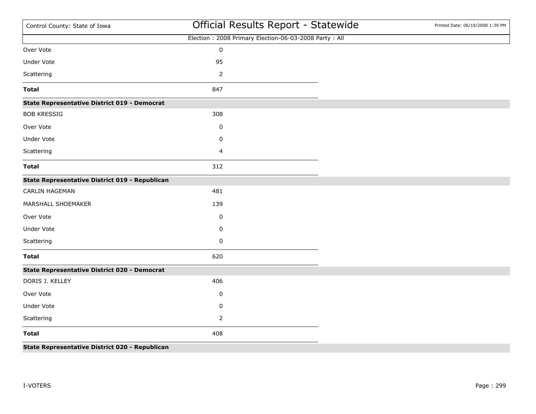| Control County: State of Iowa                       | Official Results Report - Statewide                   | Printed Date: 06/19/2008 1:39 PM |
|-----------------------------------------------------|-------------------------------------------------------|----------------------------------|
|                                                     | Election: 2008 Primary Election-06-03-2008 Party: All |                                  |
| Over Vote                                           | $\pmb{0}$                                             |                                  |
| Under Vote                                          | 95                                                    |                                  |
| Scattering                                          | $\mathbf 2$                                           |                                  |
| <b>Total</b>                                        | 847                                                   |                                  |
| <b>State Representative District 019 - Democrat</b> |                                                       |                                  |
| <b>BOB KRESSIG</b>                                  | 308                                                   |                                  |
| Over Vote                                           | 0                                                     |                                  |
| Under Vote                                          | 0                                                     |                                  |
| Scattering                                          | 4                                                     |                                  |
| <b>Total</b>                                        | 312                                                   |                                  |
| State Representative District 019 - Republican      |                                                       |                                  |
| CARLIN HAGEMAN                                      | 481                                                   |                                  |
| MARSHALL SHOEMAKER                                  | 139                                                   |                                  |
| Over Vote                                           | 0                                                     |                                  |
| Under Vote                                          | $\pmb{0}$                                             |                                  |
| Scattering                                          | 0                                                     |                                  |
| <b>Total</b>                                        | 620                                                   |                                  |
| <b>State Representative District 020 - Democrat</b> |                                                       |                                  |
| DORIS J. KELLEY                                     | 406                                                   |                                  |
| Over Vote                                           | 0                                                     |                                  |
| Under Vote                                          | 0                                                     |                                  |
| Scattering                                          |                                                       |                                  |
| <b>Total</b>                                        | 408                                                   |                                  |
| tetive Bistrict 000 Benubli<br>$ -$                 |                                                       |                                  |

**State Representative District 020 - Republican**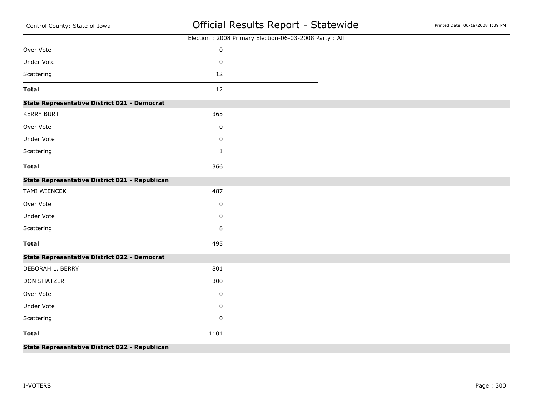| Control County: State of Iowa                       | Official Results Report - Statewide                   | Printed Date: 06/19/2008 1:39 PM |
|-----------------------------------------------------|-------------------------------------------------------|----------------------------------|
|                                                     | Election: 2008 Primary Election-06-03-2008 Party: All |                                  |
| Over Vote                                           | $\mathbf 0$                                           |                                  |
| <b>Under Vote</b>                                   | $\mathsf 0$                                           |                                  |
| Scattering                                          | 12                                                    |                                  |
| <b>Total</b>                                        | 12                                                    |                                  |
| <b>State Representative District 021 - Democrat</b> |                                                       |                                  |
| <b>KERRY BURT</b>                                   | 365                                                   |                                  |
| Over Vote                                           | $\pmb{0}$                                             |                                  |
| Under Vote                                          | 0                                                     |                                  |
| Scattering                                          | $\mathbf{1}$                                          |                                  |
| <b>Total</b>                                        | 366                                                   |                                  |
| State Representative District 021 - Republican      |                                                       |                                  |
| TAMI WIENCEK                                        | 487                                                   |                                  |
| Over Vote                                           | 0                                                     |                                  |
| Under Vote                                          | 0                                                     |                                  |
| Scattering                                          | 8                                                     |                                  |
| <b>Total</b>                                        | 495                                                   |                                  |
| <b>State Representative District 022 - Democrat</b> |                                                       |                                  |
| DEBORAH L. BERRY                                    | 801                                                   |                                  |
| <b>DON SHATZER</b>                                  | 300                                                   |                                  |
| Over Vote                                           | 0                                                     |                                  |
| Under Vote                                          | 0                                                     |                                  |
| Scattering                                          | 0                                                     |                                  |
| <b>Total</b>                                        | 1101                                                  |                                  |
|                                                     |                                                       |                                  |

**State Representative District 022 - Republican**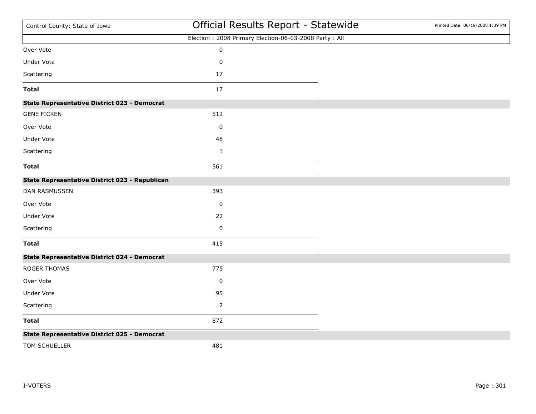| Control County: State of Iowa                       | Official Results Report - Statewide                   | Printed Date: 06/19/2008 1:39 PM |
|-----------------------------------------------------|-------------------------------------------------------|----------------------------------|
|                                                     | Election: 2008 Primary Election-06-03-2008 Party: All |                                  |
| Over Vote                                           | $\pmb{0}$                                             |                                  |
| Under Vote                                          | 0                                                     |                                  |
| Scattering                                          | 17                                                    |                                  |
| <b>Total</b>                                        | 17                                                    |                                  |
| <b>State Representative District 023 - Democrat</b> |                                                       |                                  |
| <b>GENE FICKEN</b>                                  | 512                                                   |                                  |
| Over Vote                                           | 0                                                     |                                  |
| <b>Under Vote</b>                                   | 48                                                    |                                  |
| Scattering                                          | $\mathbf{1}$                                          |                                  |
| <b>Total</b>                                        | 561                                                   |                                  |
| State Representative District 023 - Republican      |                                                       |                                  |
| DAN RASMUSSEN                                       | 393                                                   |                                  |
| Over Vote                                           | $\pmb{0}$                                             |                                  |
| <b>Under Vote</b>                                   | 22                                                    |                                  |
| Scattering                                          | $\pmb{0}$                                             |                                  |
| <b>Total</b>                                        | 415                                                   |                                  |
| <b>State Representative District 024 - Democrat</b> |                                                       |                                  |
| ROGER THOMAS                                        | 775                                                   |                                  |
| Over Vote                                           | 0                                                     |                                  |
| Under Vote                                          | 95                                                    |                                  |
| Scattering                                          | $\overline{2}$                                        |                                  |
| <b>Total</b>                                        | 872                                                   |                                  |
| <b>State Representative District 025 - Democrat</b> |                                                       |                                  |
| TOM SCHUELLER                                       | 481                                                   |                                  |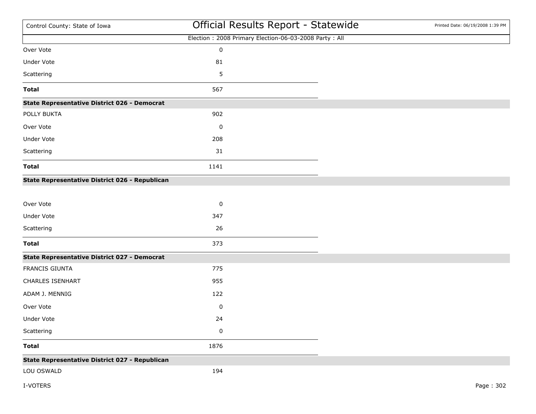| Control County: State of Iowa                       | Official Results Report - Statewide                   | Printed Date: 06/19/2008 1:39 PM |
|-----------------------------------------------------|-------------------------------------------------------|----------------------------------|
|                                                     | Election: 2008 Primary Election-06-03-2008 Party: All |                                  |
| Over Vote                                           | $\pmb{0}$                                             |                                  |
| Under Vote                                          | 81                                                    |                                  |
| Scattering                                          | 5                                                     |                                  |
| <b>Total</b>                                        | 567                                                   |                                  |
| <b>State Representative District 026 - Democrat</b> |                                                       |                                  |
| POLLY BUKTA                                         | 902                                                   |                                  |
| Over Vote                                           | 0                                                     |                                  |
| Under Vote                                          | 208                                                   |                                  |
| Scattering                                          | 31                                                    |                                  |
| <b>Total</b>                                        | 1141                                                  |                                  |
| State Representative District 026 - Republican      |                                                       |                                  |
|                                                     |                                                       |                                  |
| Over Vote                                           | 0                                                     |                                  |
| Under Vote                                          | 347                                                   |                                  |
| Scattering                                          | 26                                                    |                                  |
| <b>Total</b>                                        | 373                                                   |                                  |
| <b>State Representative District 027 - Democrat</b> |                                                       |                                  |
| FRANCIS GIUNTA                                      | 775                                                   |                                  |
| <b>CHARLES ISENHART</b>                             | 955                                                   |                                  |
| ADAM J. MENNIG                                      | 122                                                   |                                  |
| Over Vote                                           | $\pmb{0}$                                             |                                  |
| Under Vote                                          | 24                                                    |                                  |
| Scattering                                          | $\pmb{0}$                                             |                                  |
| <b>Total</b>                                        | 1876                                                  |                                  |
| State Representative District 027 - Republican      |                                                       |                                  |
| LOU OSWALD                                          | 194                                                   |                                  |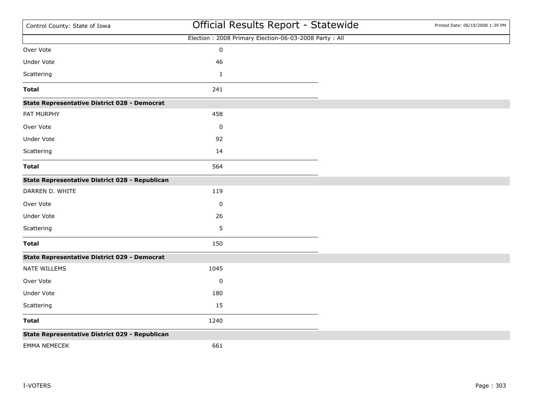| Control County: State of Iowa                       | Official Results Report - Statewide                   | Printed Date: 06/19/2008 1:39 PM |
|-----------------------------------------------------|-------------------------------------------------------|----------------------------------|
|                                                     | Election: 2008 Primary Election-06-03-2008 Party: All |                                  |
| Over Vote                                           | $\pmb{0}$                                             |                                  |
| <b>Under Vote</b>                                   | 46                                                    |                                  |
| Scattering                                          | $\mathbf 1$                                           |                                  |
| <b>Total</b>                                        | 241                                                   |                                  |
| <b>State Representative District 028 - Democrat</b> |                                                       |                                  |
| PAT MURPHY                                          | 458                                                   |                                  |
| Over Vote                                           | 0                                                     |                                  |
| <b>Under Vote</b>                                   | 92                                                    |                                  |
| Scattering                                          | 14                                                    |                                  |
| <b>Total</b>                                        | 564                                                   |                                  |
| State Representative District 028 - Republican      |                                                       |                                  |
| DARREN D. WHITE                                     | 119                                                   |                                  |
| Over Vote                                           | $\pmb{0}$                                             |                                  |
| Under Vote                                          | 26                                                    |                                  |
| Scattering                                          | 5                                                     |                                  |
| <b>Total</b>                                        | 150                                                   |                                  |
| <b>State Representative District 029 - Democrat</b> |                                                       |                                  |
| NATE WILLEMS                                        | 1045                                                  |                                  |
| Over Vote                                           | 0                                                     |                                  |
| Under Vote                                          | 180                                                   |                                  |
| Scattering                                          | 15                                                    |                                  |
| <b>Total</b>                                        | 1240                                                  |                                  |
| State Representative District 029 - Republican      |                                                       |                                  |
| <b>EMMA NEMECEK</b>                                 | 661                                                   |                                  |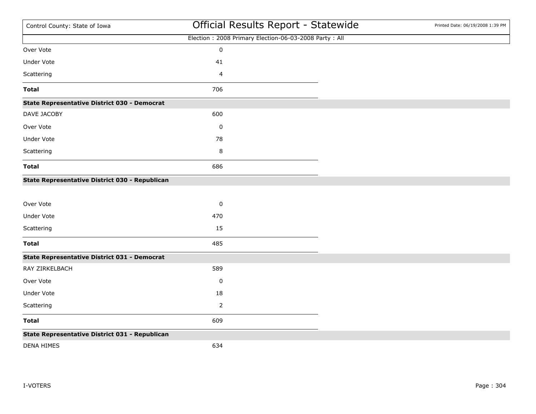| Control County: State of Iowa                       | Official Results Report - Statewide                   | Printed Date: 06/19/2008 1:39 PM |
|-----------------------------------------------------|-------------------------------------------------------|----------------------------------|
|                                                     | Election: 2008 Primary Election-06-03-2008 Party: All |                                  |
| Over Vote                                           | $\pmb{0}$                                             |                                  |
| Under Vote                                          | 41                                                    |                                  |
| Scattering                                          | 4                                                     |                                  |
| <b>Total</b>                                        | 706                                                   |                                  |
| <b>State Representative District 030 - Democrat</b> |                                                       |                                  |
| DAVE JACOBY                                         | 600                                                   |                                  |
| Over Vote                                           | 0                                                     |                                  |
| <b>Under Vote</b>                                   | 78                                                    |                                  |
| Scattering                                          | 8                                                     |                                  |
| <b>Total</b>                                        | 686                                                   |                                  |
| State Representative District 030 - Republican      |                                                       |                                  |
| Over Vote                                           | $\pmb{0}$                                             |                                  |
| Under Vote                                          | 470                                                   |                                  |
| Scattering                                          | 15                                                    |                                  |
| <b>Total</b>                                        | 485                                                   |                                  |
| State Representative District 031 - Democrat        |                                                       |                                  |
| RAY ZIRKELBACH                                      | 589                                                   |                                  |
| Over Vote                                           | 0                                                     |                                  |
| Under Vote                                          | 18                                                    |                                  |
| Scattering                                          | $\overline{2}$                                        |                                  |
| <b>Total</b>                                        | 609                                                   |                                  |
| State Representative District 031 - Republican      |                                                       |                                  |
| <b>DENA HIMES</b>                                   | 634                                                   |                                  |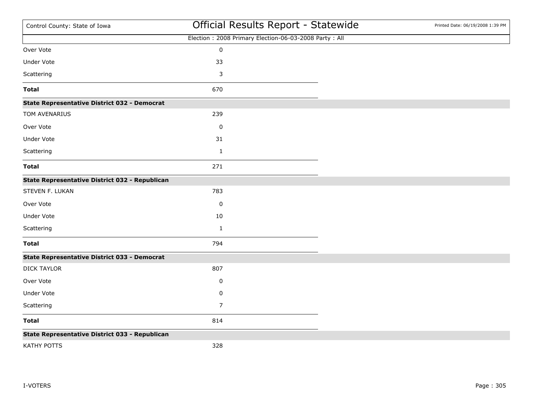| Control County: State of Iowa                         | Official Results Report - Statewide                   | Printed Date: 06/19/2008 1:39 PM |
|-------------------------------------------------------|-------------------------------------------------------|----------------------------------|
|                                                       | Election: 2008 Primary Election-06-03-2008 Party: All |                                  |
| Over Vote                                             | $\pmb{0}$                                             |                                  |
| <b>Under Vote</b>                                     | 33                                                    |                                  |
| Scattering                                            | 3                                                     |                                  |
| <b>Total</b>                                          | 670                                                   |                                  |
| <b>State Representative District 032 - Democrat</b>   |                                                       |                                  |
| TOM AVENARIUS                                         | 239                                                   |                                  |
| Over Vote                                             | $\pmb{0}$                                             |                                  |
| <b>Under Vote</b>                                     | 31                                                    |                                  |
| Scattering                                            | $\mathbf{1}$                                          |                                  |
| <b>Total</b>                                          | 271                                                   |                                  |
| <b>State Representative District 032 - Republican</b> |                                                       |                                  |
| STEVEN F. LUKAN                                       | 783                                                   |                                  |
| Over Vote                                             | $\pmb{0}$                                             |                                  |
| <b>Under Vote</b>                                     | 10                                                    |                                  |
| Scattering                                            | $\mathbf{1}$                                          |                                  |
| <b>Total</b>                                          | 794                                                   |                                  |
| <b>State Representative District 033 - Democrat</b>   |                                                       |                                  |
| <b>DICK TAYLOR</b>                                    | 807                                                   |                                  |
| Over Vote                                             | 0                                                     |                                  |
| Under Vote                                            | 0                                                     |                                  |
| Scattering                                            | 7                                                     |                                  |
| <b>Total</b>                                          | 814                                                   |                                  |
| State Representative District 033 - Republican        |                                                       |                                  |
| KATHY POTTS                                           | 328                                                   |                                  |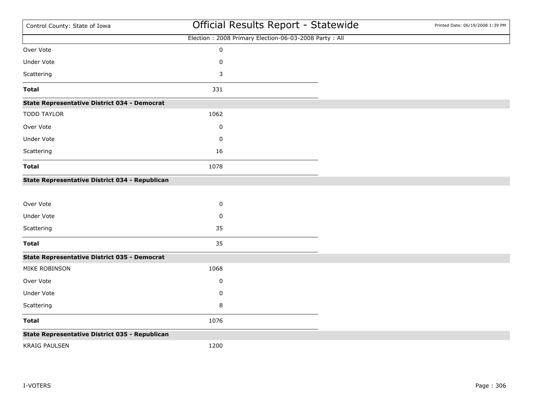| Control County: State of Iowa                         | Official Results Report - Statewide                   | Printed Date: 06/19/2008 1:39 PM |
|-------------------------------------------------------|-------------------------------------------------------|----------------------------------|
|                                                       | Election: 2008 Primary Election-06-03-2008 Party: All |                                  |
| Over Vote                                             | $\pmb{0}$                                             |                                  |
| <b>Under Vote</b>                                     | 0                                                     |                                  |
| Scattering                                            | 3                                                     |                                  |
| <b>Total</b>                                          | 331                                                   |                                  |
| <b>State Representative District 034 - Democrat</b>   |                                                       |                                  |
| <b>TODD TAYLOR</b>                                    | 1062                                                  |                                  |
| Over Vote                                             | 0                                                     |                                  |
| Under Vote                                            | 0                                                     |                                  |
| Scattering                                            | 16                                                    |                                  |
| <b>Total</b>                                          | 1078                                                  |                                  |
| <b>State Representative District 034 - Republican</b> |                                                       |                                  |
| Over Vote                                             | $\pmb{0}$                                             |                                  |
| Under Vote                                            | 0                                                     |                                  |
| Scattering                                            | 35                                                    |                                  |
| <b>Total</b>                                          | 35                                                    |                                  |
| <b>State Representative District 035 - Democrat</b>   |                                                       |                                  |
| MIKE ROBINSON                                         | 1068                                                  |                                  |
| Over Vote                                             | 0                                                     |                                  |
| Under Vote                                            | $\pmb{0}$                                             |                                  |
| Scattering                                            | 8                                                     |                                  |
| <b>Total</b>                                          | 1076                                                  |                                  |
| State Representative District 035 - Republican        |                                                       |                                  |
| <b>KRAIG PAULSEN</b>                                  | 1200                                                  |                                  |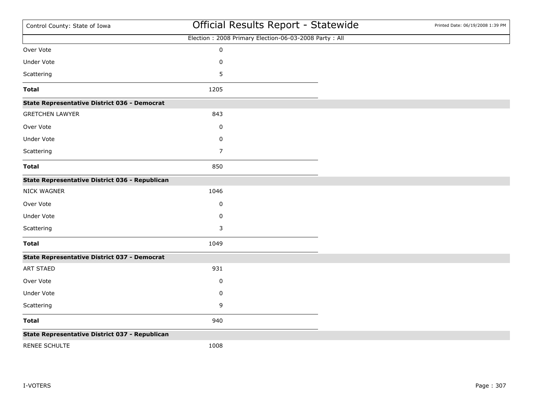| Control County: State of Iowa                       | Official Results Report - Statewide                   | Printed Date: 06/19/2008 1:39 PM |
|-----------------------------------------------------|-------------------------------------------------------|----------------------------------|
|                                                     | Election: 2008 Primary Election-06-03-2008 Party: All |                                  |
| Over Vote                                           | $\pmb{0}$                                             |                                  |
| Under Vote                                          | $\pmb{0}$                                             |                                  |
| Scattering                                          | 5                                                     |                                  |
| <b>Total</b>                                        | 1205                                                  |                                  |
| <b>State Representative District 036 - Democrat</b> |                                                       |                                  |
| <b>GRETCHEN LAWYER</b>                              | 843                                                   |                                  |
| Over Vote                                           | 0                                                     |                                  |
| Under Vote                                          | 0                                                     |                                  |
| Scattering                                          | $\overline{7}$                                        |                                  |
| <b>Total</b>                                        | 850                                                   |                                  |
| State Representative District 036 - Republican      |                                                       |                                  |
| <b>NICK WAGNER</b>                                  | 1046                                                  |                                  |
| Over Vote                                           | 0                                                     |                                  |
| <b>Under Vote</b>                                   | 0                                                     |                                  |
| Scattering                                          | 3                                                     |                                  |
| <b>Total</b>                                        | 1049                                                  |                                  |
| <b>State Representative District 037 - Democrat</b> |                                                       |                                  |
| <b>ART STAED</b>                                    | 931                                                   |                                  |
| Over Vote                                           | 0                                                     |                                  |
| Under Vote                                          | 0                                                     |                                  |
| Scattering                                          | 9                                                     |                                  |
| <b>Total</b>                                        | 940                                                   |                                  |
| State Representative District 037 - Republican      |                                                       |                                  |

RENEE SCHULTE 1008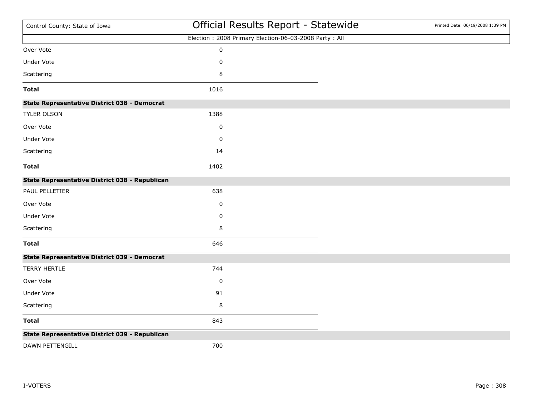| Control County: State of Iowa                       | Official Results Report - Statewide                   | Printed Date: 06/19/2008 1:39 PM |
|-----------------------------------------------------|-------------------------------------------------------|----------------------------------|
|                                                     | Election: 2008 Primary Election-06-03-2008 Party: All |                                  |
| Over Vote                                           | $\pmb{0}$                                             |                                  |
| Under Vote                                          | 0                                                     |                                  |
| Scattering                                          | 8                                                     |                                  |
| <b>Total</b>                                        | 1016                                                  |                                  |
| <b>State Representative District 038 - Democrat</b> |                                                       |                                  |
| TYLER OLSON                                         | 1388                                                  |                                  |
| Over Vote                                           | 0                                                     |                                  |
| Under Vote                                          | 0                                                     |                                  |
| Scattering                                          | 14                                                    |                                  |
| <b>Total</b>                                        | 1402                                                  |                                  |
| State Representative District 038 - Republican      |                                                       |                                  |
| PAUL PELLETIER                                      | 638                                                   |                                  |
| Over Vote                                           | 0                                                     |                                  |
| Under Vote                                          | 0                                                     |                                  |
| Scattering                                          | 8                                                     |                                  |
| <b>Total</b>                                        | 646                                                   |                                  |
| <b>State Representative District 039 - Democrat</b> |                                                       |                                  |
| <b>TERRY HERTLE</b>                                 | 744                                                   |                                  |
| Over Vote                                           | 0                                                     |                                  |
| Under Vote                                          | 91                                                    |                                  |
| Scattering                                          | 8                                                     |                                  |
| <b>Total</b>                                        | 843                                                   |                                  |
| State Representative District 039 - Republican      |                                                       |                                  |
| DAWN PETTENGILL                                     | 700                                                   |                                  |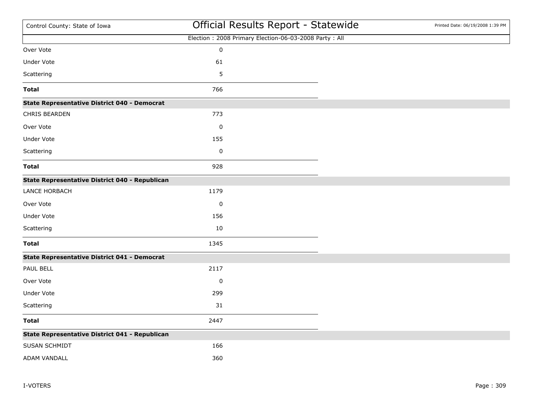| Control County: State of Iowa                       |             | Official Results Report - Statewide                   | Printed Date: 06/19/2008 1:39 PM |
|-----------------------------------------------------|-------------|-------------------------------------------------------|----------------------------------|
|                                                     |             | Election: 2008 Primary Election-06-03-2008 Party: All |                                  |
| Over Vote                                           | $\pmb{0}$   |                                                       |                                  |
| <b>Under Vote</b>                                   | 61          |                                                       |                                  |
| Scattering                                          | 5           |                                                       |                                  |
| <b>Total</b>                                        | 766         |                                                       |                                  |
| <b>State Representative District 040 - Democrat</b> |             |                                                       |                                  |
| CHRIS BEARDEN                                       | 773         |                                                       |                                  |
| Over Vote                                           | $\pmb{0}$   |                                                       |                                  |
| <b>Under Vote</b>                                   | 155         |                                                       |                                  |
| Scattering                                          | $\pmb{0}$   |                                                       |                                  |
| <b>Total</b>                                        | 928         |                                                       |                                  |
| State Representative District 040 - Republican      |             |                                                       |                                  |
| LANCE HORBACH                                       | 1179        |                                                       |                                  |
| Over Vote                                           | $\mathbf 0$ |                                                       |                                  |
| Under Vote                                          | 156         |                                                       |                                  |
| Scattering                                          | 10          |                                                       |                                  |
| <b>Total</b>                                        | 1345        |                                                       |                                  |
| <b>State Representative District 041 - Democrat</b> |             |                                                       |                                  |
| PAUL BELL                                           | 2117        |                                                       |                                  |
| Over Vote                                           | $\pmb{0}$   |                                                       |                                  |
| <b>Under Vote</b>                                   | 299         |                                                       |                                  |
| Scattering                                          | 31          |                                                       |                                  |
| <b>Total</b>                                        | 2447        |                                                       |                                  |
| State Representative District 041 - Republican      |             |                                                       |                                  |
| SUSAN SCHMIDT                                       | 166         |                                                       |                                  |
| ADAM VANDALL                                        | 360         |                                                       |                                  |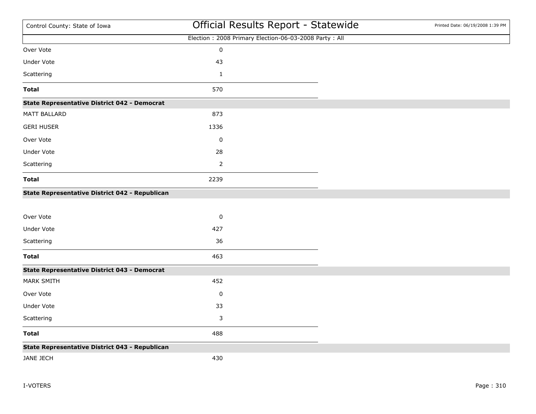| Control County: State of Iowa                       | Official Results Report - Statewide                   | Printed Date: 06/19/2008 1:39 PM |
|-----------------------------------------------------|-------------------------------------------------------|----------------------------------|
|                                                     | Election: 2008 Primary Election-06-03-2008 Party: All |                                  |
| Over Vote                                           | $\pmb{0}$                                             |                                  |
| Under Vote                                          | 43                                                    |                                  |
| Scattering                                          | $\mathbf{1}$                                          |                                  |
| <b>Total</b>                                        | 570                                                   |                                  |
| <b>State Representative District 042 - Democrat</b> |                                                       |                                  |
| MATT BALLARD                                        | 873                                                   |                                  |
| <b>GERI HUSER</b>                                   | 1336                                                  |                                  |
| Over Vote                                           | $\mathbf 0$                                           |                                  |
| <b>Under Vote</b>                                   | 28                                                    |                                  |
| Scattering                                          | $\overline{2}$                                        |                                  |
| <b>Total</b>                                        | 2239                                                  |                                  |
| State Representative District 042 - Republican      |                                                       |                                  |
|                                                     |                                                       |                                  |
| Over Vote                                           | $\pmb{0}$                                             |                                  |
| Under Vote                                          | 427                                                   |                                  |
| Scattering                                          | 36                                                    |                                  |
| <b>Total</b>                                        | 463                                                   |                                  |
| <b>State Representative District 043 - Democrat</b> |                                                       |                                  |
| <b>MARK SMITH</b>                                   | 452                                                   |                                  |
| Over Vote                                           | $\pmb{0}$                                             |                                  |
| Under Vote                                          | 33                                                    |                                  |
| Scattering                                          | 3                                                     |                                  |
| <b>Total</b>                                        | 488                                                   |                                  |
| State Representative District 043 - Republican      |                                                       |                                  |
| JANE JECH                                           | 430                                                   |                                  |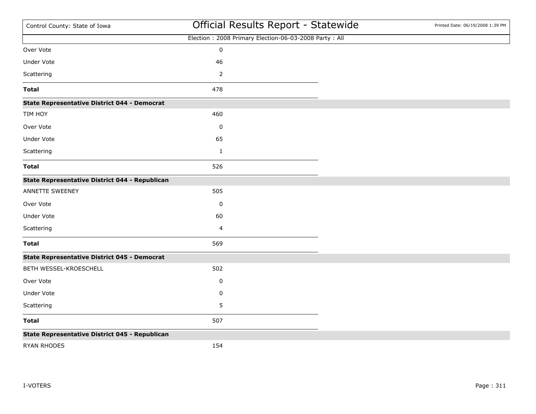| Control County: State of Iowa                       | Official Results Report - Statewide                   | Printed Date: 06/19/2008 1:39 PM |
|-----------------------------------------------------|-------------------------------------------------------|----------------------------------|
|                                                     | Election: 2008 Primary Election-06-03-2008 Party: All |                                  |
| Over Vote                                           | $\pmb{0}$                                             |                                  |
| <b>Under Vote</b>                                   | 46                                                    |                                  |
| Scattering                                          |                                                       |                                  |
| <b>Total</b>                                        | 478                                                   |                                  |
| <b>State Representative District 044 - Democrat</b> |                                                       |                                  |
| TIM HOY                                             | 460                                                   |                                  |
| Over Vote                                           | 0                                                     |                                  |
| <b>Under Vote</b>                                   | 65                                                    |                                  |
| Scattering                                          | $\mathbf 1$                                           |                                  |
| <b>Total</b>                                        | 526                                                   |                                  |
| State Representative District 044 - Republican      |                                                       |                                  |
| ANNETTE SWEENEY                                     | 505                                                   |                                  |
| Over Vote                                           | 0                                                     |                                  |
| Under Vote                                          | 60                                                    |                                  |
| Scattering                                          | 4                                                     |                                  |
| <b>Total</b>                                        | 569                                                   |                                  |
| <b>State Representative District 045 - Democrat</b> |                                                       |                                  |
| BETH WESSEL-KROESCHELL                              | 502                                                   |                                  |
| Over Vote                                           | 0                                                     |                                  |
| Under Vote                                          | $\pmb{0}$                                             |                                  |
| Scattering                                          | 5                                                     |                                  |
| <b>Total</b>                                        | 507                                                   |                                  |
| State Representative District 045 - Republican      |                                                       |                                  |
| <b>RYAN RHODES</b>                                  | 154                                                   |                                  |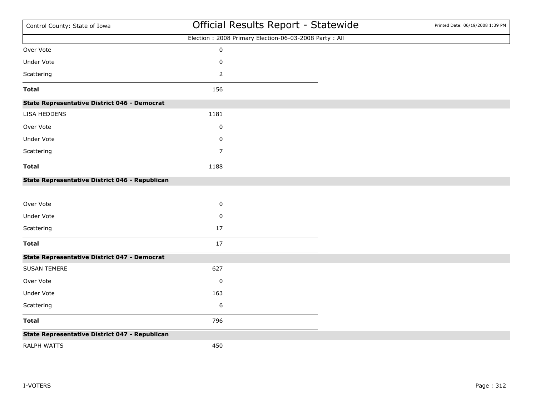| Control County: State of Iowa                       | Official Results Report - Statewide                   | Printed Date: 06/19/2008 1:39 PM |
|-----------------------------------------------------|-------------------------------------------------------|----------------------------------|
|                                                     | Election: 2008 Primary Election-06-03-2008 Party: All |                                  |
| Over Vote                                           | $\pmb{0}$                                             |                                  |
| Under Vote                                          | 0                                                     |                                  |
| Scattering                                          | 2                                                     |                                  |
| <b>Total</b>                                        | 156                                                   |                                  |
| <b>State Representative District 046 - Democrat</b> |                                                       |                                  |
| LISA HEDDENS                                        | 1181                                                  |                                  |
| Over Vote                                           | 0                                                     |                                  |
| <b>Under Vote</b>                                   | 0                                                     |                                  |
| Scattering                                          | $\overline{7}$                                        |                                  |
| <b>Total</b>                                        | 1188                                                  |                                  |
| State Representative District 046 - Republican      |                                                       |                                  |
| Over Vote                                           | $\pmb{0}$                                             |                                  |
| Under Vote                                          | 0                                                     |                                  |
| Scattering                                          | 17                                                    |                                  |
| <b>Total</b>                                        | 17                                                    |                                  |
| <b>State Representative District 047 - Democrat</b> |                                                       |                                  |
| <b>SUSAN TEMERE</b>                                 | 627                                                   |                                  |
| Over Vote                                           | 0                                                     |                                  |
| Under Vote                                          | 163                                                   |                                  |
| Scattering                                          | 6                                                     |                                  |
| <b>Total</b>                                        | 796                                                   |                                  |
| State Representative District 047 - Republican      |                                                       |                                  |
| <b>RALPH WATTS</b>                                  | 450                                                   |                                  |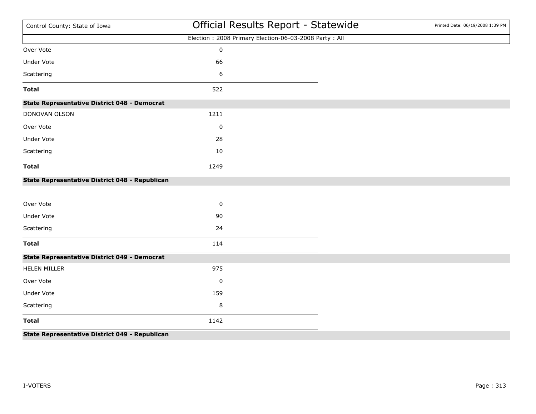| Control County: State of Iowa                       | Official Results Report - Statewide                   | Printed Date: 06/19/2008 1:39 PM |
|-----------------------------------------------------|-------------------------------------------------------|----------------------------------|
|                                                     | Election: 2008 Primary Election-06-03-2008 Party: All |                                  |
| Over Vote                                           | $\mathbf 0$                                           |                                  |
| <b>Under Vote</b>                                   | 66                                                    |                                  |
| Scattering                                          | 6                                                     |                                  |
| <b>Total</b>                                        | 522                                                   |                                  |
| <b>State Representative District 048 - Democrat</b> |                                                       |                                  |
| DONOVAN OLSON                                       | 1211                                                  |                                  |
| Over Vote                                           | $\mathbf 0$                                           |                                  |
| <b>Under Vote</b>                                   | 28                                                    |                                  |
| Scattering                                          | 10                                                    |                                  |
| <b>Total</b>                                        | 1249                                                  |                                  |
| State Representative District 048 - Republican      |                                                       |                                  |
|                                                     |                                                       |                                  |
| Over Vote                                           | $\mathbf 0$                                           |                                  |
| <b>Under Vote</b>                                   | 90                                                    |                                  |
| Scattering                                          | 24                                                    |                                  |
| <b>Total</b>                                        | 114                                                   |                                  |
| <b>State Representative District 049 - Democrat</b> |                                                       |                                  |
| <b>HELEN MILLER</b>                                 | 975                                                   |                                  |
| Over Vote                                           | $\pmb{0}$                                             |                                  |
| <b>Under Vote</b>                                   | 159                                                   |                                  |
| Scattering                                          | 8                                                     |                                  |
| <b>Total</b>                                        | 1142                                                  |                                  |
| State Representative District 049 - Republican      |                                                       |                                  |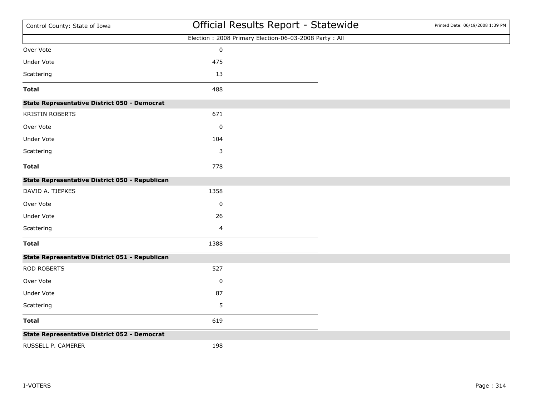| Control County: State of Iowa                       | Official Results Report - Statewide                   | Printed Date: 06/19/2008 1:39 PM |
|-----------------------------------------------------|-------------------------------------------------------|----------------------------------|
|                                                     | Election: 2008 Primary Election-06-03-2008 Party: All |                                  |
| Over Vote                                           | $\pmb{0}$                                             |                                  |
| <b>Under Vote</b>                                   | 475                                                   |                                  |
| Scattering                                          | 13                                                    |                                  |
| <b>Total</b>                                        | 488                                                   |                                  |
| <b>State Representative District 050 - Democrat</b> |                                                       |                                  |
| <b>KRISTIN ROBERTS</b>                              | 671                                                   |                                  |
| Over Vote                                           | $\pmb{0}$                                             |                                  |
| <b>Under Vote</b>                                   | 104                                                   |                                  |
| Scattering                                          | 3                                                     |                                  |
| <b>Total</b>                                        | 778                                                   |                                  |
| State Representative District 050 - Republican      |                                                       |                                  |
| DAVID A. TJEPKES                                    | 1358                                                  |                                  |
| Over Vote                                           | 0                                                     |                                  |
| Under Vote                                          | 26                                                    |                                  |
| Scattering                                          | 4                                                     |                                  |
| <b>Total</b>                                        | 1388                                                  |                                  |
| State Representative District 051 - Republican      |                                                       |                                  |
| <b>ROD ROBERTS</b>                                  | 527                                                   |                                  |
| Over Vote                                           | 0                                                     |                                  |
| Under Vote                                          | 87                                                    |                                  |
| Scattering                                          | 5                                                     |                                  |
| <b>Total</b>                                        | 619                                                   |                                  |
| <b>State Representative District 052 - Democrat</b> |                                                       |                                  |
| RUSSELL P. CAMERER                                  | 198                                                   |                                  |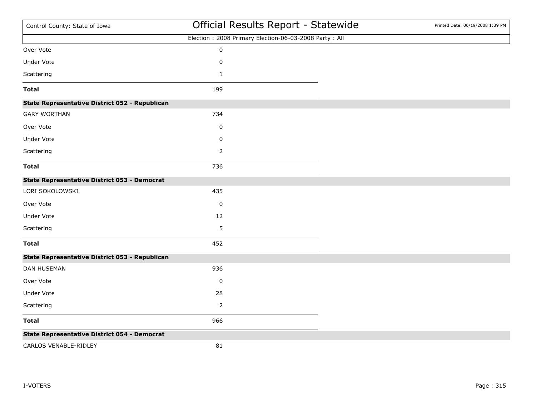| Control County: State of Iowa                         | Official Results Report - Statewide                   | Printed Date: 06/19/2008 1:39 PM |
|-------------------------------------------------------|-------------------------------------------------------|----------------------------------|
|                                                       | Election: 2008 Primary Election-06-03-2008 Party: All |                                  |
| Over Vote                                             | $\pmb{0}$                                             |                                  |
| Under Vote                                            | $\mathbf 0$                                           |                                  |
| Scattering                                            | $\mathbf{1}$                                          |                                  |
| <b>Total</b>                                          | 199                                                   |                                  |
| <b>State Representative District 052 - Republican</b> |                                                       |                                  |
| <b>GARY WORTHAN</b>                                   | 734                                                   |                                  |
| Over Vote                                             | 0                                                     |                                  |
| Under Vote                                            | 0                                                     |                                  |
| Scattering                                            | 2                                                     |                                  |
| <b>Total</b>                                          | 736                                                   |                                  |
| <b>State Representative District 053 - Democrat</b>   |                                                       |                                  |
| LORI SOKOLOWSKI                                       | 435                                                   |                                  |
| Over Vote                                             | 0                                                     |                                  |
| Under Vote                                            | 12                                                    |                                  |
| Scattering                                            | 5                                                     |                                  |
| <b>Total</b>                                          | 452                                                   |                                  |
| State Representative District 053 - Republican        |                                                       |                                  |
| <b>DAN HUSEMAN</b>                                    | 936                                                   |                                  |
| Over Vote                                             | 0                                                     |                                  |
| Under Vote                                            | 28                                                    |                                  |
| Scattering                                            | 2                                                     |                                  |
| <b>Total</b>                                          | 966                                                   |                                  |
| <b>State Representative District 054 - Democrat</b>   |                                                       |                                  |
| CARLOS VENABLE-RIDLEY                                 | 81                                                    |                                  |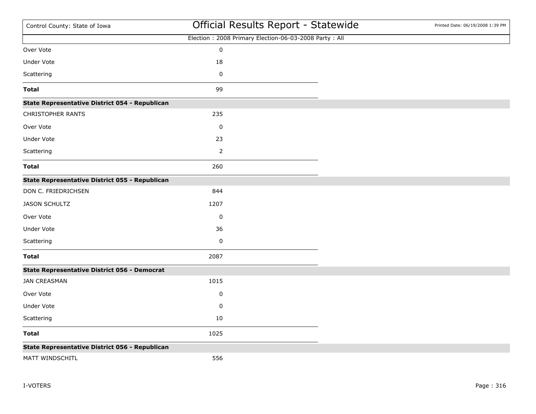| Control County: State of Iowa                       | Official Results Report - Statewide                   | Printed Date: 06/19/2008 1:39 PM |
|-----------------------------------------------------|-------------------------------------------------------|----------------------------------|
|                                                     | Election: 2008 Primary Election-06-03-2008 Party: All |                                  |
| Over Vote                                           | $\pmb{0}$                                             |                                  |
| Under Vote                                          | 18                                                    |                                  |
| Scattering                                          | $\pmb{0}$                                             |                                  |
| <b>Total</b>                                        | 99                                                    |                                  |
| State Representative District 054 - Republican      |                                                       |                                  |
| CHRISTOPHER RANTS                                   | 235                                                   |                                  |
| Over Vote                                           | $\pmb{0}$                                             |                                  |
| Under Vote                                          | 23                                                    |                                  |
| Scattering                                          | $\mathbf 2$                                           |                                  |
| <b>Total</b>                                        | 260                                                   |                                  |
| State Representative District 055 - Republican      |                                                       |                                  |
| DON C. FRIEDRICHSEN                                 | 844                                                   |                                  |
| <b>JASON SCHULTZ</b>                                | 1207                                                  |                                  |
| Over Vote                                           | 0                                                     |                                  |
| Under Vote                                          | 36                                                    |                                  |
| Scattering                                          | $\pmb{0}$                                             |                                  |
| <b>Total</b>                                        | 2087                                                  |                                  |
| <b>State Representative District 056 - Democrat</b> |                                                       |                                  |
| <b>JAN CREASMAN</b>                                 | 1015                                                  |                                  |
| Over Vote                                           | 0                                                     |                                  |
| Under Vote                                          | 0                                                     |                                  |
| Scattering                                          | 10                                                    |                                  |
| <b>Total</b>                                        | 1025                                                  |                                  |
| State Representative District 056 - Republican      |                                                       |                                  |
| MATT WINDSCHITL                                     | 556                                                   |                                  |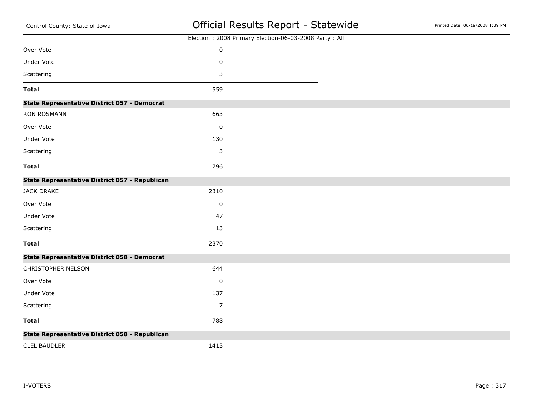| Control County: State of Iowa                       | Official Results Report - Statewide                   | Printed Date: 06/19/2008 1:39 PM |
|-----------------------------------------------------|-------------------------------------------------------|----------------------------------|
|                                                     | Election: 2008 Primary Election-06-03-2008 Party: All |                                  |
| Over Vote                                           | $\pmb{0}$                                             |                                  |
| <b>Under Vote</b>                                   | 0                                                     |                                  |
| Scattering                                          | 3                                                     |                                  |
| <b>Total</b>                                        | 559                                                   |                                  |
| <b>State Representative District 057 - Democrat</b> |                                                       |                                  |
| <b>RON ROSMANN</b>                                  | 663                                                   |                                  |
| Over Vote                                           | 0                                                     |                                  |
| <b>Under Vote</b>                                   | 130                                                   |                                  |
| Scattering                                          | 3                                                     |                                  |
| <b>Total</b>                                        | 796                                                   |                                  |
| State Representative District 057 - Republican      |                                                       |                                  |
| <b>JACK DRAKE</b>                                   | 2310                                                  |                                  |
| Over Vote                                           | $\pmb{0}$                                             |                                  |
| Under Vote                                          | 47                                                    |                                  |
| Scattering                                          | 13                                                    |                                  |
| <b>Total</b>                                        | 2370                                                  |                                  |
| <b>State Representative District 058 - Democrat</b> |                                                       |                                  |
| CHRISTOPHER NELSON                                  | 644                                                   |                                  |
| Over Vote                                           | 0                                                     |                                  |
| Under Vote                                          | 137                                                   |                                  |
| Scattering                                          | $\boldsymbol{7}$                                      |                                  |
| <b>Total</b>                                        | 788                                                   |                                  |
| State Representative District 058 - Republican      |                                                       |                                  |
| <b>CLEL BAUDLER</b>                                 | 1413                                                  |                                  |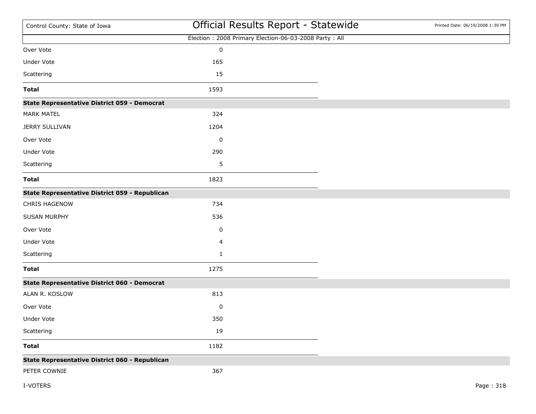| Control County: State of Iowa                       | Official Results Report - Statewide                   | Printed Date: 06/19/2008 1:39 PM |
|-----------------------------------------------------|-------------------------------------------------------|----------------------------------|
|                                                     | Election: 2008 Primary Election-06-03-2008 Party: All |                                  |
| Over Vote                                           | $\pmb{0}$                                             |                                  |
| Under Vote                                          | 165                                                   |                                  |
| Scattering                                          | 15                                                    |                                  |
| <b>Total</b>                                        | 1593                                                  |                                  |
| <b>State Representative District 059 - Democrat</b> |                                                       |                                  |
| <b>MARK MATEL</b>                                   | 324                                                   |                                  |
| <b>JERRY SULLIVAN</b>                               | 1204                                                  |                                  |
| Over Vote                                           | $\pmb{0}$                                             |                                  |
| Under Vote                                          | 290                                                   |                                  |
| Scattering                                          | 5                                                     |                                  |
| <b>Total</b>                                        | 1823                                                  |                                  |
| State Representative District 059 - Republican      |                                                       |                                  |
| <b>CHRIS HAGENOW</b>                                | 734                                                   |                                  |
| <b>SUSAN MURPHY</b>                                 | 536                                                   |                                  |
| Over Vote                                           | 0                                                     |                                  |
| Under Vote                                          | 4                                                     |                                  |
| Scattering                                          | $\mathbf{1}$                                          |                                  |
| <b>Total</b>                                        | 1275                                                  |                                  |
| <b>State Representative District 060 - Democrat</b> |                                                       |                                  |
| ALAN R. KOSLOW                                      | 813                                                   |                                  |
| Over Vote                                           | $\pmb{0}$                                             |                                  |
| Under Vote                                          | 350                                                   |                                  |
| Scattering                                          | 19                                                    |                                  |
| <b>Total</b>                                        | 1182                                                  |                                  |
| State Representative District 060 - Republican      |                                                       |                                  |
| PETER COWNIE                                        | 367                                                   |                                  |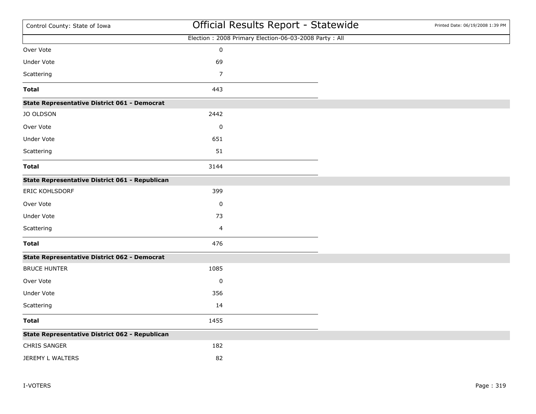| Control County: State of Iowa                       | Official Results Report - Statewide                   | Printed Date: 06/19/2008 1:39 PM |
|-----------------------------------------------------|-------------------------------------------------------|----------------------------------|
|                                                     | Election: 2008 Primary Election-06-03-2008 Party: All |                                  |
| Over Vote                                           | $\pmb{0}$                                             |                                  |
| Under Vote                                          | 69                                                    |                                  |
| Scattering                                          | 7                                                     |                                  |
| <b>Total</b>                                        | 443                                                   |                                  |
| <b>State Representative District 061 - Democrat</b> |                                                       |                                  |
| <b>JO OLDSON</b>                                    | 2442                                                  |                                  |
| Over Vote                                           | $\mathbf 0$                                           |                                  |
| <b>Under Vote</b>                                   | 651                                                   |                                  |
| Scattering                                          | 51                                                    |                                  |
| <b>Total</b>                                        | 3144                                                  |                                  |
| State Representative District 061 - Republican      |                                                       |                                  |
| <b>ERIC KOHLSDORF</b>                               | 399                                                   |                                  |
| Over Vote                                           | 0                                                     |                                  |
| Under Vote                                          | 73                                                    |                                  |
| Scattering                                          | 4                                                     |                                  |
| <b>Total</b>                                        | 476                                                   |                                  |
| <b>State Representative District 062 - Democrat</b> |                                                       |                                  |
| <b>BRUCE HUNTER</b>                                 | 1085                                                  |                                  |
| Over Vote                                           | $\pmb{0}$                                             |                                  |
| <b>Under Vote</b>                                   | 356                                                   |                                  |
| Scattering                                          | 14                                                    |                                  |
| <b>Total</b>                                        | 1455                                                  |                                  |
| State Representative District 062 - Republican      |                                                       |                                  |
| CHRIS SANGER                                        | 182                                                   |                                  |
| JEREMY L WALTERS                                    | 82                                                    |                                  |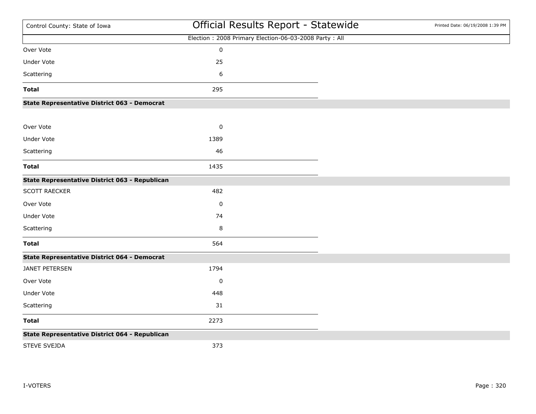| Control County: State of Iowa                       | Official Results Report - Statewide                   | Printed Date: 06/19/2008 1:39 PM |
|-----------------------------------------------------|-------------------------------------------------------|----------------------------------|
|                                                     | Election: 2008 Primary Election-06-03-2008 Party: All |                                  |
| Over Vote                                           | $\pmb{0}$                                             |                                  |
| <b>Under Vote</b>                                   | 25                                                    |                                  |
| Scattering                                          | 6                                                     |                                  |
| <b>Total</b>                                        | 295                                                   |                                  |
| State Representative District 063 - Democrat        |                                                       |                                  |
| Over Vote                                           | $\pmb{0}$                                             |                                  |
| <b>Under Vote</b>                                   | 1389                                                  |                                  |
| Scattering                                          | 46                                                    |                                  |
| <b>Total</b>                                        | 1435                                                  |                                  |
| State Representative District 063 - Republican      |                                                       |                                  |
| SCOTT RAECKER                                       | 482                                                   |                                  |
| Over Vote                                           | $\pmb{0}$                                             |                                  |
| Under Vote                                          | 74                                                    |                                  |
| Scattering                                          | 8                                                     |                                  |
| <b>Total</b>                                        | 564                                                   |                                  |
| <b>State Representative District 064 - Democrat</b> |                                                       |                                  |
| JANET PETERSEN                                      | 1794                                                  |                                  |
| Over Vote                                           | $\mathbf 0$                                           |                                  |
| Under Vote                                          | 448                                                   |                                  |
| Scattering                                          | 31                                                    |                                  |
| <b>Total</b>                                        | 2273                                                  |                                  |
| State Representative District 064 - Republican      |                                                       |                                  |
| <b>STEVE SVEJDA</b>                                 | 373                                                   |                                  |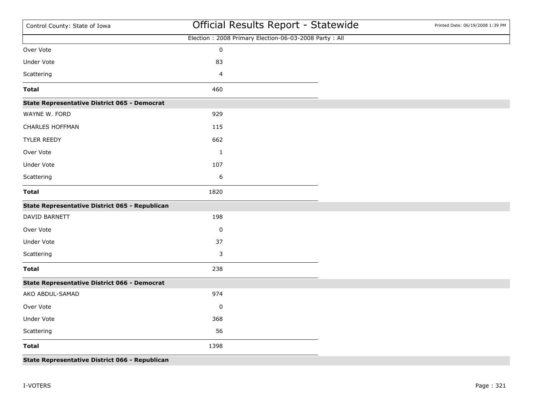| Control County: State of Iowa                       | Official Results Report - Statewide                   | Printed Date: 06/19/2008 1:39 PM |
|-----------------------------------------------------|-------------------------------------------------------|----------------------------------|
|                                                     | Election: 2008 Primary Election-06-03-2008 Party: All |                                  |
| Over Vote                                           | $\pmb{0}$                                             |                                  |
| Under Vote                                          | 83                                                    |                                  |
| Scattering                                          | $\overline{4}$                                        |                                  |
| <b>Total</b>                                        | 460                                                   |                                  |
| <b>State Representative District 065 - Democrat</b> |                                                       |                                  |
| WAYNE W. FORD                                       | 929                                                   |                                  |
| <b>CHARLES HOFFMAN</b>                              | 115                                                   |                                  |
| TYLER REEDY                                         | 662                                                   |                                  |
| Over Vote                                           | $\mathbf{1}$                                          |                                  |
| <b>Under Vote</b>                                   | 107                                                   |                                  |
| Scattering                                          | $\boldsymbol{6}$                                      |                                  |
| <b>Total</b>                                        | 1820                                                  |                                  |
| State Representative District 065 - Republican      |                                                       |                                  |
| DAVID BARNETT                                       | 198                                                   |                                  |
| Over Vote                                           | 0                                                     |                                  |
| Under Vote                                          | 37                                                    |                                  |
| Scattering                                          | 3                                                     |                                  |
| <b>Total</b>                                        | 238                                                   |                                  |
| <b>State Representative District 066 - Democrat</b> |                                                       |                                  |
| AKO ABDUL-SAMAD                                     | 974                                                   |                                  |
| Over Vote                                           | 0                                                     |                                  |
| <b>Under Vote</b>                                   | 368                                                   |                                  |
| Scattering                                          | 56                                                    |                                  |
| <b>Total</b>                                        | 1398                                                  |                                  |
| State Representative District 066 - Republican      |                                                       |                                  |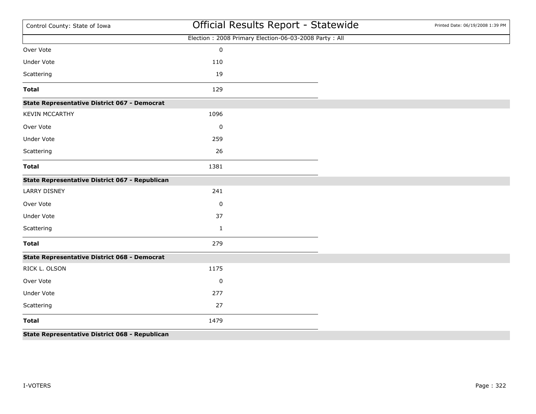| Control County: State of Iowa                       | Official Results Report - Statewide                   | Printed Date: 06/19/2008 1:39 PM |
|-----------------------------------------------------|-------------------------------------------------------|----------------------------------|
|                                                     | Election: 2008 Primary Election-06-03-2008 Party: All |                                  |
| Over Vote                                           | $\pmb{0}$                                             |                                  |
| <b>Under Vote</b>                                   | 110                                                   |                                  |
| Scattering                                          | 19                                                    |                                  |
| <b>Total</b>                                        | 129                                                   |                                  |
| <b>State Representative District 067 - Democrat</b> |                                                       |                                  |
| <b>KEVIN MCCARTHY</b>                               | 1096                                                  |                                  |
| Over Vote                                           | 0                                                     |                                  |
| <b>Under Vote</b>                                   | 259                                                   |                                  |
| Scattering                                          | 26                                                    |                                  |
| <b>Total</b>                                        | 1381                                                  |                                  |
| State Representative District 067 - Republican      |                                                       |                                  |
| <b>LARRY DISNEY</b>                                 | 241                                                   |                                  |
| Over Vote                                           | 0                                                     |                                  |
| Under Vote                                          | 37                                                    |                                  |
| Scattering                                          | $\mathbf{1}$                                          |                                  |
| <b>Total</b>                                        | 279                                                   |                                  |
| <b>State Representative District 068 - Democrat</b> |                                                       |                                  |
| RICK L. OLSON                                       | 1175                                                  |                                  |
| Over Vote                                           | 0                                                     |                                  |
| Under Vote                                          | 277                                                   |                                  |
| Scattering                                          | 27                                                    |                                  |
| <b>Total</b>                                        | 1479                                                  |                                  |
| Ctate Denvesentative District 060 Denublican        |                                                       |                                  |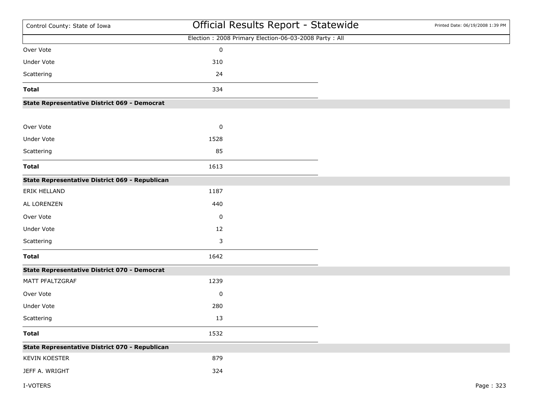| Control County: State of Iowa                       | Official Results Report - Statewide                   | Printed Date: 06/19/2008 1:39 PM |
|-----------------------------------------------------|-------------------------------------------------------|----------------------------------|
|                                                     | Election: 2008 Primary Election-06-03-2008 Party: All |                                  |
| Over Vote                                           | $\pmb{0}$                                             |                                  |
| Under Vote                                          | 310                                                   |                                  |
| Scattering                                          | 24                                                    |                                  |
| <b>Total</b>                                        | 334                                                   |                                  |
| <b>State Representative District 069 - Democrat</b> |                                                       |                                  |
| Over Vote                                           | $\pmb{0}$                                             |                                  |
| Under Vote                                          | 1528                                                  |                                  |
| Scattering                                          | 85                                                    |                                  |
| <b>Total</b>                                        | 1613                                                  |                                  |
| State Representative District 069 - Republican      |                                                       |                                  |
| ERIK HELLAND                                        | 1187                                                  |                                  |
| AL LORENZEN                                         | 440                                                   |                                  |
| Over Vote                                           | 0                                                     |                                  |
| Under Vote                                          | 12                                                    |                                  |
| Scattering                                          | 3                                                     |                                  |
| <b>Total</b>                                        | 1642                                                  |                                  |
| <b>State Representative District 070 - Democrat</b> |                                                       |                                  |
| MATT PFALTZGRAF                                     | 1239                                                  |                                  |
| Over Vote                                           | $\pmb{0}$                                             |                                  |
| Under Vote                                          | 280                                                   |                                  |
| Scattering                                          | 13                                                    |                                  |
| <b>Total</b>                                        | 1532                                                  |                                  |
| State Representative District 070 - Republican      |                                                       |                                  |
| KEVIN KOESTER                                       | 879                                                   |                                  |
| JEFF A. WRIGHT                                      | 324                                                   |                                  |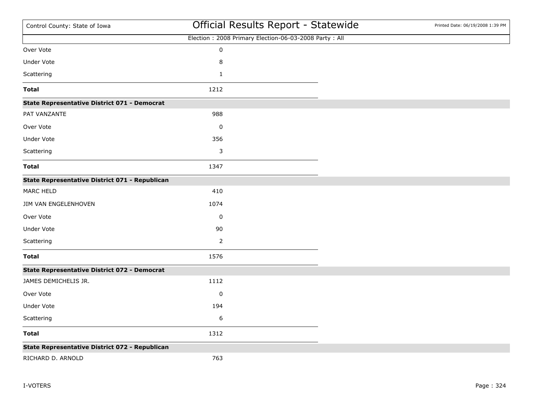| Control County: State of Iowa                       | Official Results Report - Statewide                   | Printed Date: 06/19/2008 1:39 PM |
|-----------------------------------------------------|-------------------------------------------------------|----------------------------------|
|                                                     | Election: 2008 Primary Election-06-03-2008 Party: All |                                  |
| Over Vote                                           | $\pmb{0}$                                             |                                  |
| Under Vote                                          | 8                                                     |                                  |
| Scattering                                          | $\mathbf 1$                                           |                                  |
| <b>Total</b>                                        | 1212                                                  |                                  |
| <b>State Representative District 071 - Democrat</b> |                                                       |                                  |
| PAT VANZANTE                                        | 988                                                   |                                  |
| Over Vote                                           | 0                                                     |                                  |
| <b>Under Vote</b>                                   | 356                                                   |                                  |
| Scattering                                          | 3                                                     |                                  |
| <b>Total</b>                                        | 1347                                                  |                                  |
| State Representative District 071 - Republican      |                                                       |                                  |
| MARC HELD                                           | 410                                                   |                                  |
| JIM VAN ENGELENHOVEN                                | 1074                                                  |                                  |
| Over Vote                                           | $\pmb{0}$                                             |                                  |
| <b>Under Vote</b>                                   | 90                                                    |                                  |
| Scattering                                          | $\mathbf 2$                                           |                                  |
| <b>Total</b>                                        | 1576                                                  |                                  |
| <b>State Representative District 072 - Democrat</b> |                                                       |                                  |
| JAMES DEMICHELIS JR.                                | 1112                                                  |                                  |
| Over Vote                                           | 0                                                     |                                  |
| Under Vote                                          | 194                                                   |                                  |
| Scattering                                          | 6                                                     |                                  |
| <b>Total</b>                                        | 1312                                                  |                                  |
| State Representative District 072 - Republican      |                                                       |                                  |
| RICHARD D. ARNOLD                                   | 763                                                   |                                  |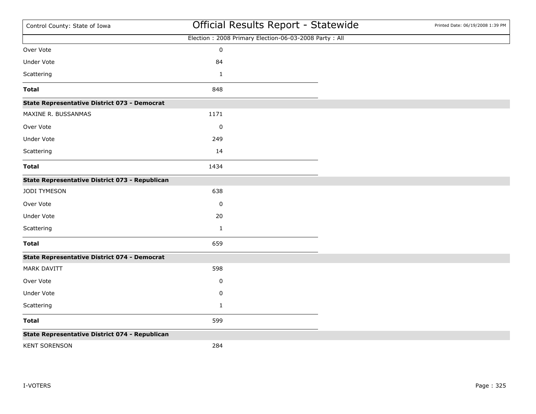| Control County: State of Iowa                       | Official Results Report - Statewide                   | Printed Date: 06/19/2008 1:39 PM |
|-----------------------------------------------------|-------------------------------------------------------|----------------------------------|
|                                                     | Election: 2008 Primary Election-06-03-2008 Party: All |                                  |
| Over Vote                                           | $\pmb{0}$                                             |                                  |
| Under Vote                                          | 84                                                    |                                  |
| Scattering                                          | $\mathbf{1}$                                          |                                  |
| <b>Total</b>                                        | 848                                                   |                                  |
| State Representative District 073 - Democrat        |                                                       |                                  |
| MAXINE R. BUSSANMAS                                 | 1171                                                  |                                  |
| Over Vote                                           | 0                                                     |                                  |
| Under Vote                                          | 249                                                   |                                  |
| Scattering                                          | 14                                                    |                                  |
| <b>Total</b>                                        | 1434                                                  |                                  |
| State Representative District 073 - Republican      |                                                       |                                  |
| JODI TYMESON                                        | 638                                                   |                                  |
| Over Vote                                           | 0                                                     |                                  |
| Under Vote                                          | 20                                                    |                                  |
| Scattering                                          | $\mathbf{1}$                                          |                                  |
| <b>Total</b>                                        | 659                                                   |                                  |
| <b>State Representative District 074 - Democrat</b> |                                                       |                                  |
| MARK DAVITT                                         | 598                                                   |                                  |
| Over Vote                                           | 0                                                     |                                  |
| Under Vote                                          | $\pmb{0}$                                             |                                  |
| Scattering                                          | $\mathbf{1}$                                          |                                  |
| <b>Total</b>                                        | 599                                                   |                                  |
| State Representative District 074 - Republican      |                                                       |                                  |
| <b>KENT SORENSON</b>                                | 284                                                   |                                  |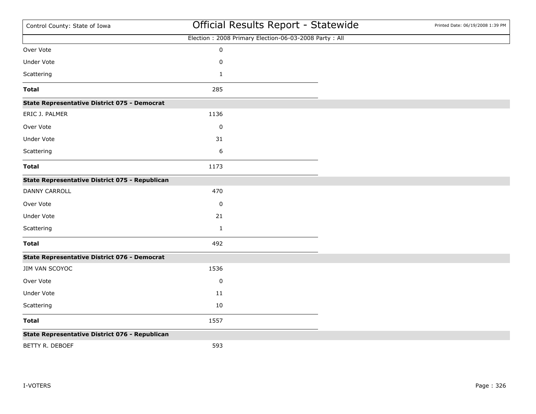| Control County: State of Iowa                       | Official Results Report - Statewide                   | Printed Date: 06/19/2008 1:39 PM |
|-----------------------------------------------------|-------------------------------------------------------|----------------------------------|
|                                                     | Election: 2008 Primary Election-06-03-2008 Party: All |                                  |
| Over Vote                                           | $\pmb{0}$                                             |                                  |
| <b>Under Vote</b>                                   | 0                                                     |                                  |
| Scattering                                          | $\mathbf{1}$                                          |                                  |
| <b>Total</b>                                        | 285                                                   |                                  |
| <b>State Representative District 075 - Democrat</b> |                                                       |                                  |
| ERIC J. PALMER                                      | 1136                                                  |                                  |
| Over Vote                                           | 0                                                     |                                  |
| Under Vote                                          | 31                                                    |                                  |
| Scattering                                          | 6                                                     |                                  |
| <b>Total</b>                                        | 1173                                                  |                                  |
| State Representative District 075 - Republican      |                                                       |                                  |
| <b>DANNY CARROLL</b>                                | 470                                                   |                                  |
| Over Vote                                           | 0                                                     |                                  |
| <b>Under Vote</b>                                   | 21                                                    |                                  |
| Scattering                                          | $\mathbf{1}$                                          |                                  |
| <b>Total</b>                                        | 492                                                   |                                  |
| <b>State Representative District 076 - Democrat</b> |                                                       |                                  |
| JIM VAN SCOYOC                                      | 1536                                                  |                                  |
| Over Vote                                           | 0                                                     |                                  |
| Under Vote                                          | $11\,$                                                |                                  |
| Scattering                                          | 10                                                    |                                  |
| <b>Total</b>                                        | 1557                                                  |                                  |
| State Representative District 076 - Republican      |                                                       |                                  |
| BETTY R. DEBOEF                                     | 593                                                   |                                  |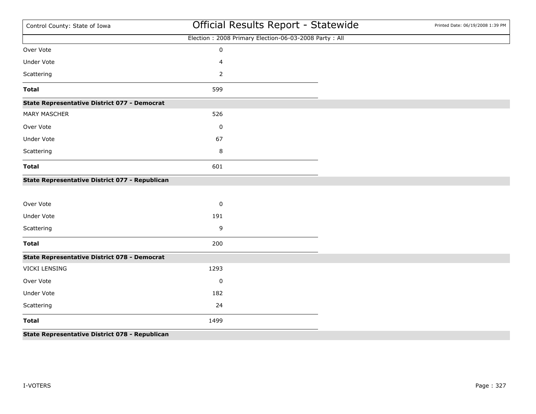| Control County: State of Iowa                       | Official Results Report - Statewide                   | Printed Date: 06/19/2008 1:39 PM |
|-----------------------------------------------------|-------------------------------------------------------|----------------------------------|
|                                                     | Election: 2008 Primary Election-06-03-2008 Party: All |                                  |
| Over Vote                                           | $\pmb{0}$                                             |                                  |
| <b>Under Vote</b>                                   | 4                                                     |                                  |
| Scattering                                          | $\overline{2}$                                        |                                  |
| <b>Total</b>                                        | 599                                                   |                                  |
| <b>State Representative District 077 - Democrat</b> |                                                       |                                  |
| <b>MARY MASCHER</b>                                 | 526                                                   |                                  |
| Over Vote                                           | 0                                                     |                                  |
| <b>Under Vote</b>                                   | 67                                                    |                                  |
| Scattering                                          | 8                                                     |                                  |
| <b>Total</b>                                        | 601                                                   |                                  |
| State Representative District 077 - Republican      |                                                       |                                  |
|                                                     |                                                       |                                  |
| Over Vote                                           | $\pmb{0}$                                             |                                  |
| <b>Under Vote</b>                                   | 191                                                   |                                  |
| Scattering                                          | 9                                                     |                                  |
| <b>Total</b>                                        | 200                                                   |                                  |
| <b>State Representative District 078 - Democrat</b> |                                                       |                                  |
| VICKI LENSING                                       | 1293                                                  |                                  |
| Over Vote                                           | $\pmb{0}$                                             |                                  |
| <b>Under Vote</b>                                   | 182                                                   |                                  |
| Scattering                                          | 24                                                    |                                  |
| <b>Total</b>                                        | 1499                                                  |                                  |
| State Representative District 078 - Republican      |                                                       |                                  |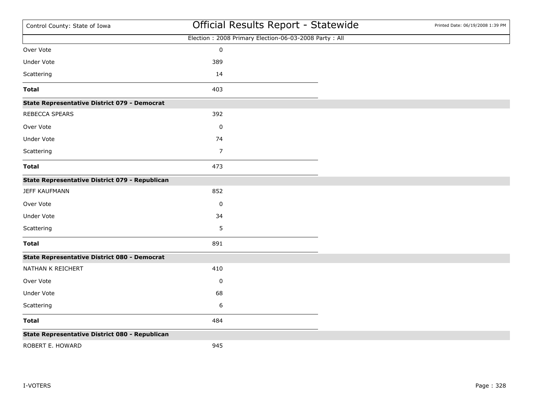| Control County: State of Iowa                       | Official Results Report - Statewide                   | Printed Date: 06/19/2008 1:39 PM |
|-----------------------------------------------------|-------------------------------------------------------|----------------------------------|
|                                                     | Election: 2008 Primary Election-06-03-2008 Party: All |                                  |
| Over Vote                                           | $\pmb{0}$                                             |                                  |
| <b>Under Vote</b>                                   | 389                                                   |                                  |
| Scattering                                          | 14                                                    |                                  |
| <b>Total</b>                                        | 403                                                   |                                  |
| <b>State Representative District 079 - Democrat</b> |                                                       |                                  |
| REBECCA SPEARS                                      | 392                                                   |                                  |
| Over Vote                                           | 0                                                     |                                  |
| Under Vote                                          | 74                                                    |                                  |
| Scattering                                          | $\overline{7}$                                        |                                  |
| <b>Total</b>                                        | 473                                                   |                                  |
| State Representative District 079 - Republican      |                                                       |                                  |
| <b>JEFF KAUFMANN</b>                                | 852                                                   |                                  |
| Over Vote                                           | $\pmb{0}$                                             |                                  |
| Under Vote                                          | 34                                                    |                                  |
| Scattering                                          | 5                                                     |                                  |
| <b>Total</b>                                        | 891                                                   |                                  |
| <b>State Representative District 080 - Democrat</b> |                                                       |                                  |
| NATHAN K REICHERT                                   | 410                                                   |                                  |
| Over Vote                                           | 0                                                     |                                  |
| Under Vote                                          | 68                                                    |                                  |
| Scattering                                          | 6                                                     |                                  |
| <b>Total</b>                                        | 484                                                   |                                  |
| State Representative District 080 - Republican      |                                                       |                                  |
| ROBERT E. HOWARD                                    | 945                                                   |                                  |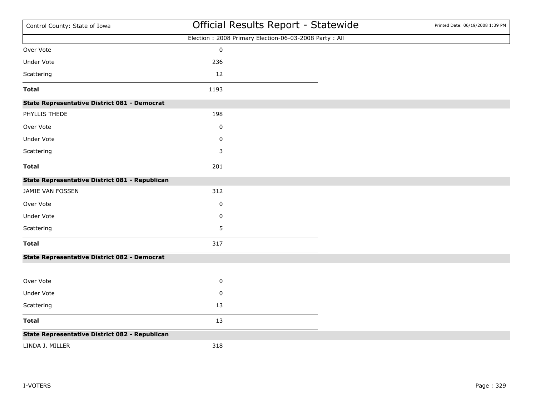| Control County: State of Iowa                       | Official Results Report - Statewide                   | Printed Date: 06/19/2008 1:39 PM |
|-----------------------------------------------------|-------------------------------------------------------|----------------------------------|
|                                                     | Election: 2008 Primary Election-06-03-2008 Party: All |                                  |
| Over Vote                                           | $\pmb{0}$                                             |                                  |
| <b>Under Vote</b>                                   | 236                                                   |                                  |
| Scattering                                          | 12                                                    |                                  |
| <b>Total</b>                                        | 1193                                                  |                                  |
| <b>State Representative District 081 - Democrat</b> |                                                       |                                  |
| PHYLLIS THEDE                                       | 198                                                   |                                  |
| Over Vote                                           | $\pmb{0}$                                             |                                  |
| Under Vote                                          | 0                                                     |                                  |
| Scattering                                          | 3                                                     |                                  |
| <b>Total</b>                                        | 201                                                   |                                  |
| State Representative District 081 - Republican      |                                                       |                                  |
| JAMIE VAN FOSSEN                                    | 312                                                   |                                  |
| Over Vote                                           | 0                                                     |                                  |
| Under Vote                                          | 0                                                     |                                  |
| Scattering                                          | 5                                                     |                                  |
| <b>Total</b>                                        | 317                                                   |                                  |
| <b>State Representative District 082 - Democrat</b> |                                                       |                                  |
|                                                     |                                                       |                                  |
| Over Vote                                           | $\pmb{0}$                                             |                                  |
| Under Vote                                          | 0                                                     |                                  |
| Scattering                                          | 13                                                    |                                  |
| <b>Total</b>                                        | 13                                                    |                                  |
| State Representative District 082 - Republican      |                                                       |                                  |
| LINDA J. MILLER                                     | 318                                                   |                                  |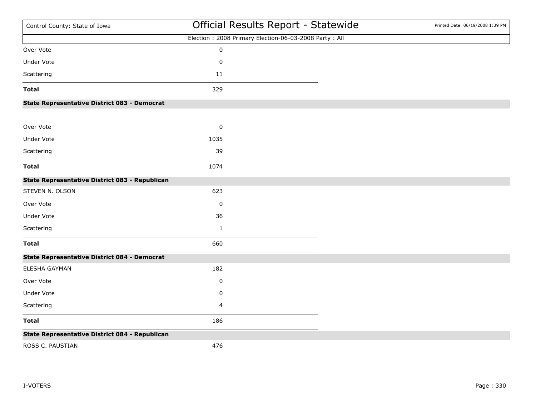| Control County: State of Iowa                       | Official Results Report - Statewide                   | Printed Date: 06/19/2008 1:39 PM |
|-----------------------------------------------------|-------------------------------------------------------|----------------------------------|
|                                                     | Election: 2008 Primary Election-06-03-2008 Party: All |                                  |
| Over Vote                                           | $\pmb{0}$                                             |                                  |
| <b>Under Vote</b>                                   | $\pmb{0}$                                             |                                  |
| Scattering                                          | $11\,$                                                |                                  |
| <b>Total</b>                                        | 329                                                   |                                  |
| State Representative District 083 - Democrat        |                                                       |                                  |
| Over Vote                                           | $\pmb{0}$                                             |                                  |
| <b>Under Vote</b>                                   | 1035                                                  |                                  |
| Scattering                                          | 39                                                    |                                  |
| <b>Total</b>                                        | 1074                                                  |                                  |
| State Representative District 083 - Republican      |                                                       |                                  |
| STEVEN N. OLSON                                     | 623                                                   |                                  |
| Over Vote                                           | 0                                                     |                                  |
| Under Vote                                          | 36                                                    |                                  |
| Scattering                                          | $\mathbf 1$                                           |                                  |
| <b>Total</b>                                        | 660                                                   |                                  |
| <b>State Representative District 084 - Democrat</b> |                                                       |                                  |
| ELESHA GAYMAN                                       | 182                                                   |                                  |
| Over Vote                                           | 0                                                     |                                  |
| Under Vote                                          | $\pmb{0}$                                             |                                  |
| Scattering                                          | 4                                                     |                                  |
| <b>Total</b>                                        | 186                                                   |                                  |
| State Representative District 084 - Republican      |                                                       |                                  |
| ROSS C. PAUSTIAN                                    | 476                                                   |                                  |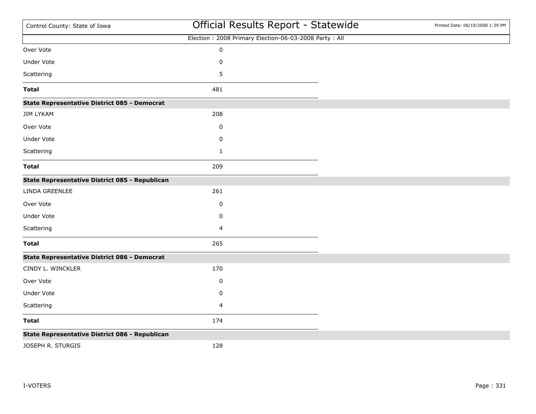| Control County: State of Iowa                       | Official Results Report - Statewide                   | Printed Date: 06/19/2008 1:39 PM |
|-----------------------------------------------------|-------------------------------------------------------|----------------------------------|
|                                                     | Election: 2008 Primary Election-06-03-2008 Party: All |                                  |
| Over Vote                                           | $\pmb{0}$                                             |                                  |
| <b>Under Vote</b>                                   | $\pmb{0}$                                             |                                  |
| Scattering                                          | 5                                                     |                                  |
| <b>Total</b>                                        | 481                                                   |                                  |
| <b>State Representative District 085 - Democrat</b> |                                                       |                                  |
| <b>JIM LYKAM</b>                                    | 208                                                   |                                  |
| Over Vote                                           | 0                                                     |                                  |
| <b>Under Vote</b>                                   | 0                                                     |                                  |
| Scattering                                          | $\mathbf{1}$                                          |                                  |
| <b>Total</b>                                        | 209                                                   |                                  |
| State Representative District 085 - Republican      |                                                       |                                  |
| LINDA GREENLEE                                      | 261                                                   |                                  |
| Over Vote                                           | 0                                                     |                                  |
| Under Vote                                          | 0                                                     |                                  |
| Scattering                                          | 4                                                     |                                  |
| <b>Total</b>                                        | 265                                                   |                                  |
| State Representative District 086 - Democrat        |                                                       |                                  |
| CINDY L. WINCKLER                                   | 170                                                   |                                  |
| Over Vote                                           | 0                                                     |                                  |
| <b>Under Vote</b>                                   | $\pmb{0}$                                             |                                  |
| Scattering                                          | 4                                                     |                                  |
| <b>Total</b>                                        | 174                                                   |                                  |
| State Representative District 086 - Republican      |                                                       |                                  |
| JOSEPH R. STURGIS                                   | 128                                                   |                                  |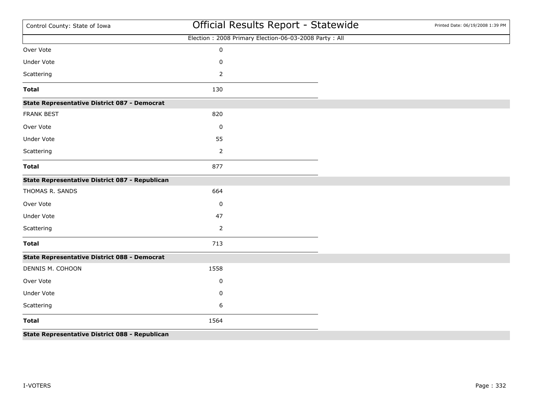| State Representative District 088 - Republican      |                                                       |                                  |
|-----------------------------------------------------|-------------------------------------------------------|----------------------------------|
| <b>Total</b>                                        | 1564                                                  |                                  |
| Scattering                                          | 6                                                     |                                  |
| <b>Under Vote</b>                                   | 0                                                     |                                  |
| Over Vote                                           | 0                                                     |                                  |
| DENNIS M. COHOON                                    | 1558                                                  |                                  |
| <b>State Representative District 088 - Democrat</b> |                                                       |                                  |
| <b>Total</b>                                        | 713                                                   |                                  |
| Scattering                                          | 2                                                     |                                  |
| <b>Under Vote</b>                                   | 47                                                    |                                  |
| Over Vote                                           | 0                                                     |                                  |
| THOMAS R. SANDS                                     | 664                                                   |                                  |
| State Representative District 087 - Republican      |                                                       |                                  |
| <b>Total</b>                                        | 877                                                   |                                  |
| Scattering                                          | $\overline{2}$                                        |                                  |
| <b>Under Vote</b>                                   | 55                                                    |                                  |
| Over Vote                                           | 0                                                     |                                  |
| <b>FRANK BEST</b>                                   | 820                                                   |                                  |
| <b>State Representative District 087 - Democrat</b> |                                                       |                                  |
| <b>Total</b>                                        | 130                                                   |                                  |
| Scattering                                          | $\overline{2}$                                        |                                  |
| <b>Under Vote</b>                                   | $\pmb{0}$                                             |                                  |
| Over Vote                                           | $\pmb{0}$                                             |                                  |
|                                                     | Election: 2008 Primary Election-06-03-2008 Party: All |                                  |
| Control County: State of Iowa                       | Official Results Report - Statewide                   | Printed Date: 06/19/2008 1:39 PM |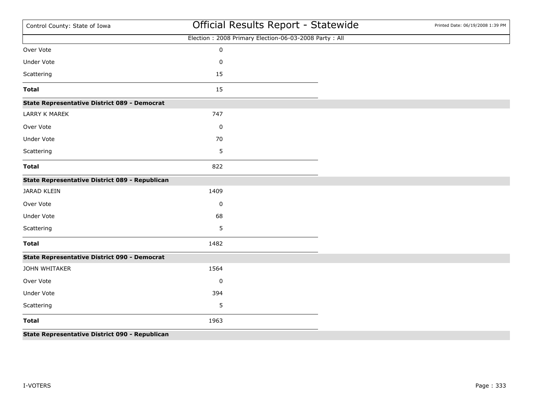| Control County: State of Iowa                       | Official Results Report - Statewide                   | Printed Date: 06/19/2008 1:39 PM |
|-----------------------------------------------------|-------------------------------------------------------|----------------------------------|
|                                                     | Election: 2008 Primary Election-06-03-2008 Party: All |                                  |
| Over Vote                                           | $\pmb{0}$                                             |                                  |
| <b>Under Vote</b>                                   | $\mathsf 0$                                           |                                  |
| Scattering                                          | 15                                                    |                                  |
| <b>Total</b>                                        | 15                                                    |                                  |
| <b>State Representative District 089 - Democrat</b> |                                                       |                                  |
| <b>LARRY K MAREK</b>                                | 747                                                   |                                  |
| Over Vote                                           | 0                                                     |                                  |
| <b>Under Vote</b>                                   | 70                                                    |                                  |
| Scattering                                          | 5                                                     |                                  |
| <b>Total</b>                                        | 822                                                   |                                  |
| State Representative District 089 - Republican      |                                                       |                                  |
| JARAD KLEIN                                         | 1409                                                  |                                  |
| Over Vote                                           | 0                                                     |                                  |
| Under Vote                                          | 68                                                    |                                  |
| Scattering                                          | 5                                                     |                                  |
| <b>Total</b>                                        | 1482                                                  |                                  |
| <b>State Representative District 090 - Democrat</b> |                                                       |                                  |
| JOHN WHITAKER                                       | 1564                                                  |                                  |
| Over Vote                                           | 0                                                     |                                  |
| <b>Under Vote</b>                                   | 394                                                   |                                  |
| Scattering                                          | 5                                                     |                                  |
| <b>Total</b>                                        | 1963                                                  |                                  |
| State Representative District 090 - Republican      |                                                       |                                  |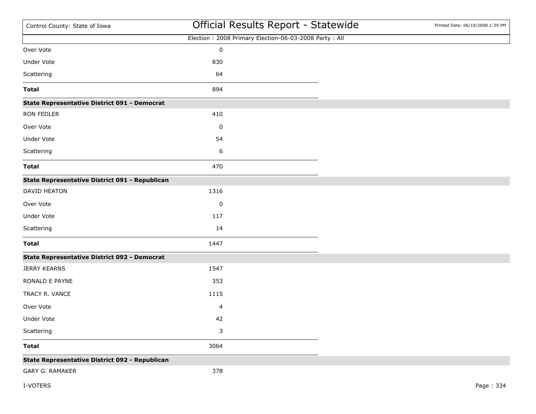| Control County: State of Iowa                       |           | Official Results Report - Statewide                   | Printed Date: 06/19/2008 1:39 PM |
|-----------------------------------------------------|-----------|-------------------------------------------------------|----------------------------------|
|                                                     |           | Election: 2008 Primary Election-06-03-2008 Party: All |                                  |
| Over Vote                                           | $\pmb{0}$ |                                                       |                                  |
| Under Vote                                          | 830       |                                                       |                                  |
| Scattering                                          | 64        |                                                       |                                  |
| <b>Total</b>                                        | 894       |                                                       |                                  |
| <b>State Representative District 091 - Democrat</b> |           |                                                       |                                  |
| RON FEDLER                                          | 410       |                                                       |                                  |
| Over Vote                                           | 0         |                                                       |                                  |
| Under Vote                                          | 54        |                                                       |                                  |
| Scattering                                          | 6         |                                                       |                                  |
| <b>Total</b>                                        | 470       |                                                       |                                  |
| State Representative District 091 - Republican      |           |                                                       |                                  |
| DAVID HEATON                                        | 1316      |                                                       |                                  |
| Over Vote                                           | $\pmb{0}$ |                                                       |                                  |
| Under Vote                                          | 117       |                                                       |                                  |
| Scattering                                          | 14        |                                                       |                                  |
| <b>Total</b>                                        | 1447      |                                                       |                                  |
| <b>State Representative District 092 - Democrat</b> |           |                                                       |                                  |
| <b>JERRY KEARNS</b>                                 | 1547      |                                                       |                                  |
| RONALD E PAYNE                                      | 353       |                                                       |                                  |
| TRACY R. VANCE                                      | 1115      |                                                       |                                  |
| Over Vote                                           | 4         |                                                       |                                  |
| Under Vote                                          | 42        |                                                       |                                  |
| Scattering                                          | 3         |                                                       |                                  |
| <b>Total</b>                                        | 3064      |                                                       |                                  |
| State Representative District 092 - Republican      |           |                                                       |                                  |
| <b>GARY G. RAMAKER</b>                              | 378       |                                                       |                                  |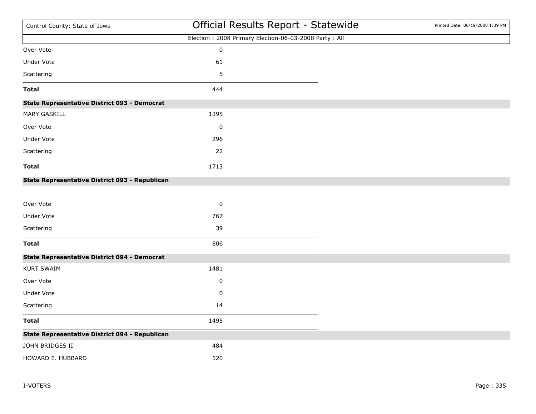| Control County: State of Iowa                       | Official Results Report - Statewide                   | Printed Date: 06/19/2008 1:39 PM |
|-----------------------------------------------------|-------------------------------------------------------|----------------------------------|
|                                                     | Election: 2008 Primary Election-06-03-2008 Party: All |                                  |
| Over Vote                                           | $\pmb{0}$                                             |                                  |
| Under Vote                                          | 61                                                    |                                  |
| Scattering                                          | 5                                                     |                                  |
| <b>Total</b>                                        | 444                                                   |                                  |
| <b>State Representative District 093 - Democrat</b> |                                                       |                                  |
| <b>MARY GASKILL</b>                                 | 1395                                                  |                                  |
| Over Vote                                           | $\pmb{0}$                                             |                                  |
| <b>Under Vote</b>                                   | 296                                                   |                                  |
| Scattering                                          | 22                                                    |                                  |
| <b>Total</b>                                        | 1713                                                  |                                  |
| State Representative District 093 - Republican      |                                                       |                                  |
|                                                     |                                                       |                                  |
| Over Vote                                           | $\pmb{0}$                                             |                                  |
| Under Vote                                          | 767                                                   |                                  |
| Scattering                                          | 39                                                    |                                  |
| <b>Total</b>                                        | 806                                                   |                                  |
| <b>State Representative District 094 - Democrat</b> |                                                       |                                  |
| <b>KURT SWAIM</b>                                   | 1481                                                  |                                  |
| Over Vote                                           | $\pmb{0}$                                             |                                  |
| Under Vote                                          | $\pmb{0}$                                             |                                  |
| Scattering                                          | 14                                                    |                                  |
| <b>Total</b>                                        | 1495                                                  |                                  |
| State Representative District 094 - Republican      |                                                       |                                  |
| JOHN BRIDGES II                                     | 484                                                   |                                  |
| HOWARD E. HUBBARD                                   | 520                                                   |                                  |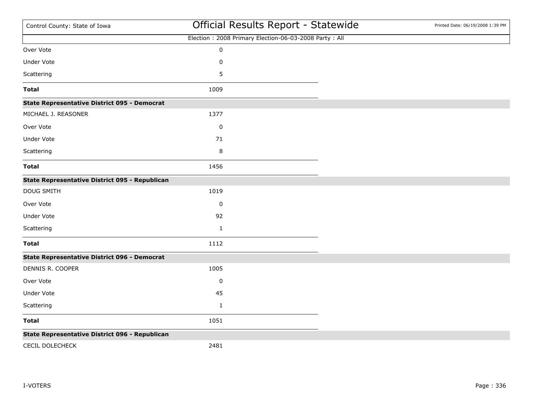| Control County: State of Iowa                       | Official Results Report - Statewide                   | Printed Date: 06/19/2008 1:39 PM |
|-----------------------------------------------------|-------------------------------------------------------|----------------------------------|
|                                                     | Election: 2008 Primary Election-06-03-2008 Party: All |                                  |
| Over Vote                                           | $\pmb{0}$                                             |                                  |
| <b>Under Vote</b>                                   | 0                                                     |                                  |
| Scattering                                          | 5                                                     |                                  |
| <b>Total</b>                                        | 1009                                                  |                                  |
| <b>State Representative District 095 - Democrat</b> |                                                       |                                  |
| MICHAEL J. REASONER                                 | 1377                                                  |                                  |
| Over Vote                                           | $\pmb{0}$                                             |                                  |
| Under Vote                                          | 71                                                    |                                  |
| Scattering                                          | 8                                                     |                                  |
| <b>Total</b>                                        | 1456                                                  |                                  |
| State Representative District 095 - Republican      |                                                       |                                  |
| DOUG SMITH                                          | 1019                                                  |                                  |
| Over Vote                                           | $\pmb{0}$                                             |                                  |
| Under Vote                                          | 92                                                    |                                  |
| Scattering                                          | $\mathbf{1}$                                          |                                  |
| <b>Total</b>                                        | 1112                                                  |                                  |
| <b>State Representative District 096 - Democrat</b> |                                                       |                                  |
| DENNIS R. COOPER                                    | 1005                                                  |                                  |
| Over Vote                                           | 0                                                     |                                  |
| Under Vote                                          | 45                                                    |                                  |
| Scattering                                          | $\mathbf 1$                                           |                                  |
| <b>Total</b>                                        | 1051                                                  |                                  |
| State Representative District 096 - Republican      |                                                       |                                  |
| <b>CECIL DOLECHECK</b>                              | 2481                                                  |                                  |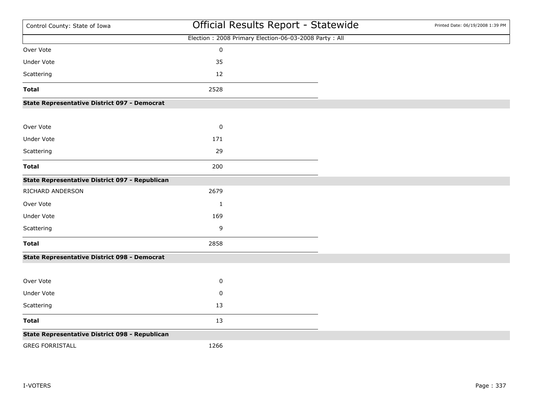| Control County: State of Iowa                       | Official Results Report - Statewide                   | Printed Date: 06/19/2008 1:39 PM |
|-----------------------------------------------------|-------------------------------------------------------|----------------------------------|
|                                                     | Election: 2008 Primary Election-06-03-2008 Party: All |                                  |
| Over Vote                                           | $\pmb{0}$                                             |                                  |
| <b>Under Vote</b>                                   | 35                                                    |                                  |
| Scattering                                          | 12                                                    |                                  |
| <b>Total</b>                                        | 2528                                                  |                                  |
| <b>State Representative District 097 - Democrat</b> |                                                       |                                  |
| Over Vote                                           | $\pmb{0}$                                             |                                  |
| Under Vote                                          | 171                                                   |                                  |
| Scattering                                          | 29                                                    |                                  |
| <b>Total</b>                                        | 200                                                   |                                  |
| State Representative District 097 - Republican      |                                                       |                                  |
| RICHARD ANDERSON                                    | 2679                                                  |                                  |
| Over Vote                                           | $\mathbf{1}$                                          |                                  |
| Under Vote                                          | 169                                                   |                                  |
| Scattering                                          | 9                                                     |                                  |
| <b>Total</b>                                        | 2858                                                  |                                  |
| <b>State Representative District 098 - Democrat</b> |                                                       |                                  |
| Over Vote                                           | 0                                                     |                                  |
| Under Vote                                          | 0                                                     |                                  |
| Scattering                                          | 13                                                    |                                  |
|                                                     |                                                       |                                  |
| <b>Total</b>                                        | 13                                                    |                                  |
| State Representative District 098 - Republican      |                                                       |                                  |
| <b>GREG FORRISTALL</b>                              | 1266                                                  |                                  |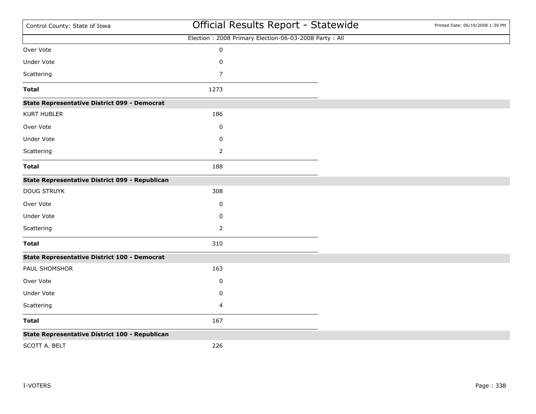| Control County: State of Iowa                       | Official Results Report - Statewide                   | Printed Date: 06/19/2008 1:39 PM |
|-----------------------------------------------------|-------------------------------------------------------|----------------------------------|
|                                                     | Election: 2008 Primary Election-06-03-2008 Party: All |                                  |
| Over Vote                                           | $\pmb{0}$                                             |                                  |
| <b>Under Vote</b>                                   | $\pmb{0}$                                             |                                  |
| Scattering                                          | $\overline{7}$                                        |                                  |
| <b>Total</b>                                        | 1273                                                  |                                  |
| <b>State Representative District 099 - Democrat</b> |                                                       |                                  |
| <b>KURT HUBLER</b>                                  | 186                                                   |                                  |
| Over Vote                                           | 0                                                     |                                  |
| <b>Under Vote</b>                                   | 0                                                     |                                  |
| Scattering                                          | $\overline{2}$                                        |                                  |
| <b>Total</b>                                        | 188                                                   |                                  |
| State Representative District 099 - Republican      |                                                       |                                  |
| <b>DOUG STRUYK</b>                                  | 308                                                   |                                  |
| Over Vote                                           | 0                                                     |                                  |
| Under Vote                                          | 0                                                     |                                  |
| Scattering                                          | $\overline{2}$                                        |                                  |
| <b>Total</b>                                        | 310                                                   |                                  |
| <b>State Representative District 100 - Democrat</b> |                                                       |                                  |
| PAUL SHOMSHOR                                       | 163                                                   |                                  |
| Over Vote                                           | 0                                                     |                                  |
| <b>Under Vote</b>                                   | $\pmb{0}$                                             |                                  |
| Scattering                                          | 4                                                     |                                  |
| <b>Total</b>                                        | 167                                                   |                                  |
| State Representative District 100 - Republican      |                                                       |                                  |
| SCOTT A. BELT                                       | 226                                                   |                                  |